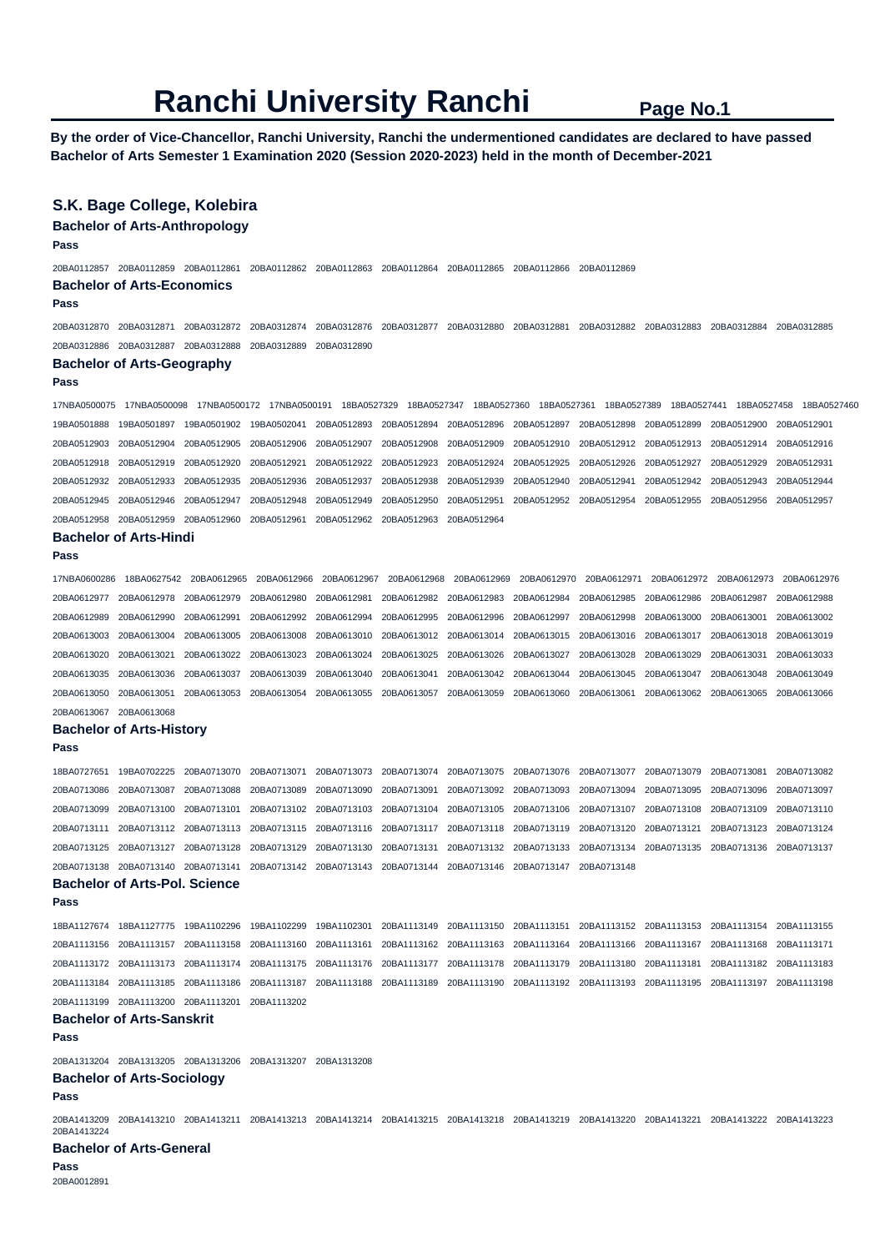**By the order of Vice-Chancellor, Ranchi University, Ranchi the undermentioned candidates are declared to have passed Bachelor of Arts Semester 1 Examination 2020 (Session 2020-2023) held in the month of December-2021** 

### **S.K. Bage College, Kolebira**

#### **Bachelor of Arts-Anthropology**

**Pass** 

20BA0112857 20BA0112859 20BA0112861 20BA0112862 20BA0112863 20BA0112864 20BA0112865 20BA0112866 20BA0112869 **Bachelor of Arts-Economics** 

**Pass** 

20BA0312870 20BA0312871 20BA0312872 20BA0312874 20BA0312876 20BA0312877 20BA0312880 20BA0312881 20BA0312882 20BA0312883 20BA0312884 20BA0312885 20BA0312886 20BA0312887 20BA0312888 20BA0312889 20BA0312890

# **Bachelor of Arts-Geography**

```
Pass
```
17NBA0500075 17NBA0500098 17NBA0500172 17NBA0500191 18BA0527329 18BA0527347 18BA0527360 18BA0527361 18BA0527389 18BA0527441 18BA0527458 18BA0527460 19BA0501888 19BA0501897 19BA0501902 19BA0502041 20BA0512893 20BA0512894 20BA0512896 20BA0512897 20BA0512898 20BA0512899 20BA0512900 20BA0512901 20BA0512903 20BA0512904 20BA0512905 20BA0512906 20BA0512907 20BA0512908 20BA0512909 20BA0512910 20BA0512912 20BA0512913 20BA0512914 20BA0512916 20BA0512918 20BA0512919 20BA0512920 20BA0512921 20BA0512922 20BA0512923 20BA0512924 20BA0512925 20BA0512926 20BA0512927 20BA0512929 20BA0512931 20BA0512932 20BA0512933 20BA0512935 20BA0512936 20BA0512937 20BA0512938 20BA0512939 20BA0512940 20BA0512941 20BA0512942 20BA0512943 20BA0512944 20BA0512945 20BA0512946 20BA0512947 20BA0512948 20BA0512949 20BA0512950 20BA0512951 20BA0512952 20BA0512954 20BA0512955 20BA0512956 20BA0512957 20BA0512958 20BA0512959 20BA0512960 20BA0512961 20BA0512962 20BA0512963 20BA0512964

#### **Bachelor of Arts-Hindi**

#### **Pass**

17NBA0600286 18BA0627542 20BA0612965 20BA0612966 20BA0612967 20BA0612968 20BA0612969 20BA0612970 20BA0612971 20BA0612972 20BA0612973 20BA0612976 20BA0612977 20BA0612978 20BA0612979 20BA0612980 20BA0612981 20BA0612982 20BA0612983 20BA0612984 20BA0612985 20BA0612986 20BA0612987 20BA0612988 20BA0612989 20BA0612990 20BA0612991 20BA0612992 20BA0612994 20BA0612995 20BA0612996 20BA0612997 20BA0612998 20BA0613000 20BA0613001 20BA0613002 20BA0613003 20BA0613004 20BA0613005 20BA0613008 20BA0613010 20BA0613012 20BA0613014 20BA0613015 20BA0613016 20BA0613017 20BA0613018 20BA0613019 20BA0613020 20BA0613021 20BA0613022 20BA0613023 20BA0613024 20BA0613025 20BA0613026 20BA0613027 20BA0613028 20BA0613029 20BA0613031 20BA0613033 20BA0613035 20BA0613036 20BA0613037 20BA0613039 20BA0613040 20BA0613041 20BA0613042 20BA0613044 20BA0613045 20BA0613047 20BA0613048 20BA0613049 20BA0613050 20BA0613051 20BA0613053 20BA0613054 20BA0613055 20BA0613057 20BA0613059 20BA0613060 20BA0613061 20BA0613062 20BA0613065 20BA0613066

# **Bachelor of Arts-History**

20BA0613067 20BA0613068

**Pass** 

18BA0727651 19BA0702225 20BA0713070 20BA0713071 20BA0713073 20BA0713074 20BA0713075 20BA0713076 20BA0713077 20BA0713079 20BA0713081 20BA0713082 20BA0713086 20BA0713087 20BA0713088 20BA0713089 20BA0713090 20BA0713091 20BA0713092 20BA0713093 20BA0713094 20BA0713095 20BA0713096 20BA0713097 20BA0713099 20BA0713100 20BA0713101 20BA0713102 20BA0713103 20BA0713104 20BA0713105 20BA0713106 20BA0713107 20BA0713108 20BA0713109 20BA0713110 20BA0713111 20BA0713112 20BA0713113 20BA0713115 20BA0713116 20BA0713117 20BA0713118 20BA0713119 20BA0713120 20BA0713121 20BA0713123 20BA0713124 20BA0713125 20BA0713127 20BA0713128 20BA0713129 20BA0713130 20BA0713131 20BA0713132 20BA0713133 20BA0713134 20BA0713135 20BA0713136 20BA0713137 20BA0713138 20BA0713140 20BA0713141 20BA0713142 20BA0713143 20BA0713144 20BA0713146 20BA0713147 20BA0713148

# **Bachelor of Arts-Pol. Science**

18BA1127674 18BA1127775 19BA1102296 19BA1102299 19BA1102301 20BA1113149 20BA1113150 20BA1113151 20BA1113152 20BA1113153 20BA1113154 20BA1113155 20BA1113156 20BA1113157 20BA1113158 20BA1113160 20BA1113161 20BA1113162 20BA1113163 20BA1113164 20BA1113166 20BA1113167 20BA1113168 20BA1113171 20BA1113172 20BA1113173 20BA1113174 20BA1113175 20BA1113176 20BA1113177 20BA1113178 20BA1113179 20BA1113180 20BA1113181 20BA1113182 20BA1113183 20BA1113184 20BA1113185 20BA1113186 20BA1113187 20BA1113188 20BA1113189 20BA1113190 20BA1113192 20BA1113193 20BA1113195 20BA1113197 20BA1113198 20BA1113199 20BA1113200 20BA1113201 20BA1113202

### **Bachelor of Arts-Sanskrit**

**Pass** 

**Pass** 

20BA1313204 20BA1313205 20BA1313206 20BA1313207 20BA1313208

### **Bachelor of Arts-Sociology**

#### **Pass**

20BA1413209 20BA1413210 20BA1413211 20BA1413213 20BA1413214 20BA1413215 20BA1413218 20BA1413219 20BA1413220 20BA1413221 20BA1413222 20BA1413223 20BA1413224

#### **Bachelor of Arts-General Pass**

20BA0012891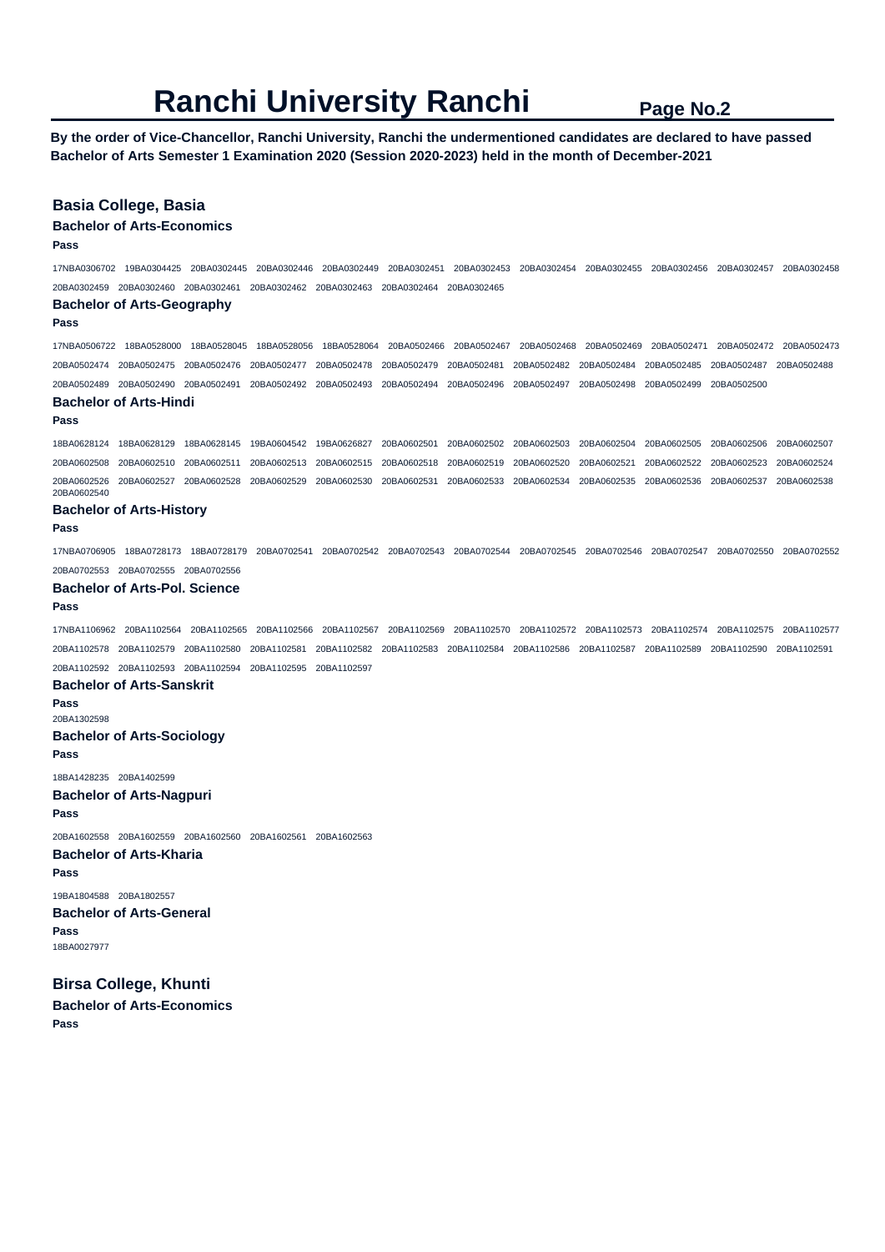**By the order of Vice-Chancellor, Ranchi University, Ranchi the undermentioned candidates are declared to have passed Bachelor of Arts Semester 1 Examination 2020 (Session 2020-2023) held in the month of December-2021** 

# **Basia College, Basia**

### **Bachelor of Arts-Economics**

**Pass** 

17NBA0306702 19BA0304425 20BA0302445 20BA0302446 20BA0302449 20BA0302451 20BA0302453 20BA0302454 20BA0302455 20BA0302456 20BA0302457 20BA0302458 20BA0302459 20BA0302460 20BA0302461 20BA0302462 20BA0302463 20BA0302464 20BA0302465

#### **Bachelor of Arts-Geography**

**Pass** 

17NBA0506722 18BA0528000 18BA0528045 18BA0528056 18BA0528064 20BA0502466 20BA0502467 20BA0502468 20BA0502469 20BA0502471 20BA0502472 20BA0502473 20BA0502474 20BA0502475 20BA0502476 20BA0502477 20BA0502478 20BA0502479 20BA0502481 20BA0502482 20BA0502484 20BA0502485 20BA0502487 20BA0502488 20BA0502489 20BA0502490 20BA0502491 20BA0502492 20BA0502493 20BA0502494 20BA0502496 20BA0502497 20BA0502498 20BA0502499 20BA0502500

# **Bachelor of Arts-Hindi**

**Pass** 

18BA0628124 18BA0628129 18BA0628145 19BA0604542 19BA0626827 20BA0602501 20BA0602502 20BA0602503 20BA0602504 20BA0602505 20BA0602506 20BA0602507 20BA0602508 20BA0602510 20BA0602511 20BA0602513 20BA0602515 20BA0602518 20BA0602519 20BA0602520 20BA0602521 20BA0602522 20BA0602523 20BA0602524 20BA0602526 20BA0602527 20BA0602528 20BA0602529 20BA0602530 20BA0602531 20BA0602533 20BA0602534 20BA0602535 20BA0602536 20BA0602537 20BA0602538 20BA0602540

#### **Bachelor of Arts-History**

**Pass** 

17NBA0706905 18BA0728173 18BA0728179 20BA0702541 20BA0702542 20BA0702543 20BA0702544 20BA0702545 20BA0702546 20BA0702547 20BA0702550 20BA0702552 20BA0702553 20BA0702555 20BA0702556

#### **Bachelor of Arts-Pol. Science**

**Pass** 

17NBA1106962 20BA1102564 20BA1102565 20BA1102566 20BA1102567 20BA1102569 20BA1102570 20BA1102572 20BA1102573 20BA1102574 20BA1102575 20BA1102577 20BA1102578 20BA1102579 20BA1102580 20BA1102581 20BA1102582 20BA1102583 20BA1102584 20BA1102586 20BA1102587 20BA1102589 20BA1102590 20BA1102591 20BA1102592 20BA1102593 20BA1102594 20BA1102595 20BA1102597

#### **Bachelor of Arts-Sanskrit**

**Pass**  20BA1302598 **Bachelor of Arts-Sociology Pass** 

18BA1428235 20BA1402599 **Bachelor of Arts-Nagpuri** 

**Pass** 

20BA1602558 20BA1602559 20BA1602560 20BA1602561 20BA1602563 **Bachelor of Arts-Kharia Pass** 

19BA1804588 20BA1802557 **Bachelor of Arts-General Pass**  18BA0027977

**Birsa College, Khunti Bachelor of Arts-Economics Pass**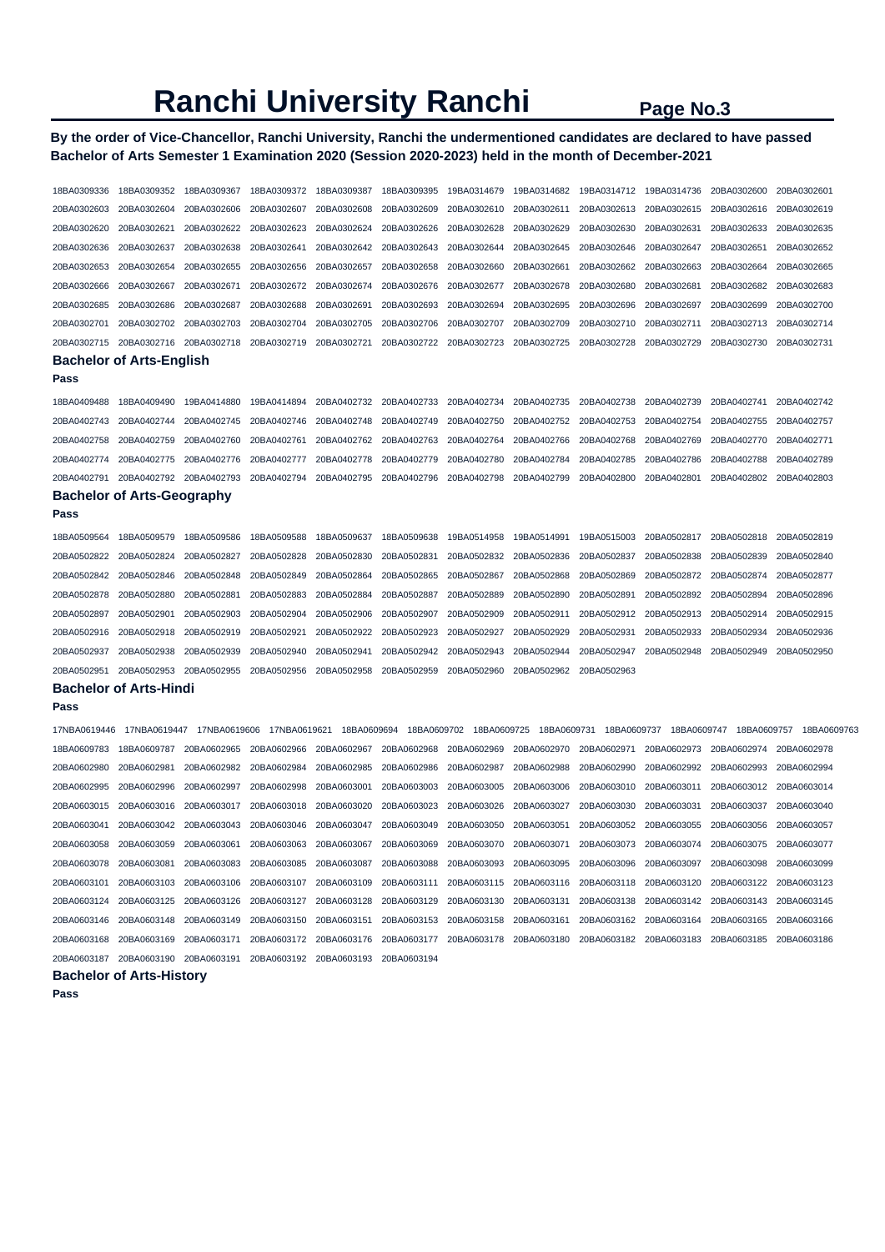# **By the order of Vice-Chancellor, Ranchi University, Ranchi the undermentioned candidates are declared to have passed Bachelor of Arts Semester 1 Examination 2020 (Session 2020-2023) held in the month of December-2021**

| 18BA0309336  | 18BA0309352                       | 18BA0309367  | 18BA0309372             | 18BA0309387 | 18BA0309395 | 19BA0314679             | 19BA0314682 | 19BA0314712 | 19BA0314736 | 20BA0302600             | 20BA0302601 |
|--------------|-----------------------------------|--------------|-------------------------|-------------|-------------|-------------------------|-------------|-------------|-------------|-------------------------|-------------|
| 20BA0302603  | 20BA0302604                       | 20BA0302606  | 20BA0302607             | 20BA0302608 | 20BA0302609 | 20BA0302610             | 20BA0302611 | 20BA0302613 | 20BA0302615 | 20BA0302616             | 20BA0302619 |
| 20BA0302620  | 20BA0302621                       | 20BA0302622  | 20BA0302623             | 20BA0302624 | 20BA0302626 | 20BA0302628             | 20BA0302629 | 20BA0302630 | 20BA0302631 | 20BA0302633             | 20BA0302635 |
| 20BA0302636  | 20BA0302637                       | 20BA0302638  | 20BA0302641             | 20BA0302642 | 20BA0302643 | 20BA0302644             | 20BA0302645 | 20BA0302646 | 20BA0302647 | 20BA0302651             | 20BA0302652 |
| 20BA0302653  | 20BA0302654                       | 20BA0302655  | 20BA0302656             | 20BA0302657 | 20BA0302658 | 20BA0302660             | 20BA0302661 | 20BA0302662 | 20BA0302663 | 20BA0302664             | 20BA0302665 |
| 20BA0302666  | 20BA0302667                       | 20BA0302671  | 20BA0302672             | 20BA0302674 | 20BA0302676 | 20BA0302677             | 20BA0302678 | 20BA0302680 | 20BA0302681 | 20BA0302682             | 20BA0302683 |
| 20BA0302685  | 20BA0302686                       | 20BA0302687  | 20BA0302688             | 20BA0302691 | 20BA0302693 | 20BA0302694             | 20BA0302695 | 20BA0302696 | 20BA0302697 | 20BA0302699             | 20BA0302700 |
| 20BA0302701  | 20BA0302702                       | 20BA0302703  | 20BA0302704             | 20BA0302705 | 20BA0302706 | 20BA0302707             | 20BA0302709 | 20BA0302710 | 20BA0302711 | 20BA0302713             | 20BA0302714 |
| 20BA0302715  | 20BA0302716                       | 20BA0302718  | 20BA0302719             | 20BA0302721 | 20BA0302722 | 20BA0302723             | 20BA0302725 | 20BA0302728 | 20BA0302729 | 20BA0302730             | 20BA0302731 |
|              | <b>Bachelor of Arts-English</b>   |              |                         |             |             |                         |             |             |             |                         |             |
| Pass         |                                   |              |                         |             |             |                         |             |             |             |                         |             |
| 18BA0409488  | 18BA0409490                       | 19BA0414880  | 19BA0414894             | 20BA0402732 | 20BA0402733 | 20BA0402734             | 20BA0402735 | 20BA0402738 | 20BA0402739 | 20BA0402741             | 20BA0402742 |
| 20BA0402743  | 20BA0402744                       | 20BA0402745  | 20BA0402746             | 20BA0402748 | 20BA0402749 | 20BA0402750             | 20BA0402752 | 20BA0402753 | 20BA0402754 | 20BA0402755             | 20BA0402757 |
| 20BA0402758  | 20BA0402759                       | 20BA0402760  | 20BA0402761             | 20BA0402762 | 20BA0402763 | 20BA0402764             | 20BA0402766 | 20BA0402768 | 20BA0402769 | 20BA0402770             | 20BA0402771 |
| 20BA0402774  | 20BA0402775                       | 20BA0402776  | 20BA0402777             | 20BA0402778 | 20BA0402779 | 20BA0402780             | 20BA0402784 | 20BA0402785 | 20BA0402786 | 20BA0402788             | 20BA0402789 |
| 20BA0402791  | 20BA0402792                       | 20BA0402793  | 20BA0402794             | 20BA0402795 | 20BA0402796 | 20BA0402798             | 20BA0402799 | 20BA0402800 | 20BA0402801 | 20BA0402802             | 20BA0402803 |
|              | <b>Bachelor of Arts-Geography</b> |              |                         |             |             |                         |             |             |             |                         |             |
| Pass         |                                   |              |                         |             |             |                         |             |             |             |                         |             |
| 18BA0509564  | 18BA0509579                       | 18BA0509586  | 18BA0509588             | 18BA0509637 | 18BA0509638 | 19BA0514958             | 19BA0514991 | 19BA0515003 | 20BA0502817 | 20BA0502818             | 20BA0502819 |
| 20BA0502822  | 20BA0502824                       | 20BA0502827  | 20BA0502828             | 20BA0502830 | 20BA0502831 | 20BA0502832             | 20BA0502836 | 20BA0502837 | 20BA0502838 | 20BA0502839             | 20BA0502840 |
| 20BA0502842  | 20BA0502846                       | 20BA0502848  | 20BA0502849             | 20BA0502864 | 20BA0502865 | 20BA0502867             | 20BA0502868 | 20BA0502869 | 20BA0502872 | 20BA0502874             | 20BA0502877 |
| 20BA0502878  | 20BA0502880                       | 20BA0502881  | 20BA0502883             | 20BA0502884 | 20BA0502887 | 20BA0502889             | 20BA0502890 | 20BA0502891 | 20BA0502892 | 20BA0502894             | 20BA0502896 |
| 20BA0502897  | 20BA0502901                       | 20BA0502903  | 20BA0502904             | 20BA0502906 | 20BA0502907 | 20BA0502909             | 20BA0502911 | 20BA0502912 | 20BA0502913 | 20BA0502914             | 20BA0502915 |
| 20BA0502916  | 20BA0502918                       | 20BA0502919  | 20BA0502921             | 20BA0502922 | 20BA0502923 | 20BA0502927             | 20BA0502929 | 20BA0502931 | 20BA0502933 | 20BA0502934             | 20BA0502936 |
| 20BA0502937  | 20BA0502938                       | 20BA0502939  | 20BA0502940             | 20BA0502941 | 20BA0502942 | 20BA0502943             | 20BA0502944 | 20BA0502947 | 20BA0502948 | 20BA0502949             | 20BA0502950 |
| 20BA0502951  | 20BA0502953                       | 20BA0502955  | 20BA0502956             | 20BA0502958 | 20BA0502959 | 20BA0502960             | 20BA0502962 | 20BA0502963 |             |                         |             |
|              | <b>Bachelor of Arts-Hindi</b>     |              |                         |             |             |                         |             |             |             |                         |             |
| Pass         |                                   |              |                         |             |             |                         |             |             |             |                         |             |
| 17NBA0619446 | 17NBA0619447                      | 17NBA0619606 | 17NBA0619621            | 18BA0609694 | 18BA0609702 | 18BA0609725             | 18BA0609731 | 18BA0609737 | 18BA0609747 | 18BA0609757             | 18BA0609763 |
| 18BA0609783  | 18BA0609787                       | 20BA0602965  | 20BA0602966             | 20BA0602967 | 20BA0602968 | 20BA0602969             | 20BA0602970 | 20BA0602971 | 20BA0602973 | 20BA0602974             | 20BA0602978 |
| 20BA0602980  | 20BA0602981                       | 20BA0602982  | 20BA0602984             | 20BA0602985 | 20BA0602986 | 20BA0602987             | 20BA0602988 | 20BA0602990 | 20BA0602992 | 20BA0602993             | 20BA0602994 |
| 20BA0602995  | 20BA0602996                       | 20BA0602997  | 20BA0602998             | 20BA0603001 | 20BA0603003 | 20BA0603005             | 20BA0603006 | 20BA0603010 | 20BA0603011 | 20BA0603012             | 20BA0603014 |
| 20BA0603015  | 20BA0603016                       | 20BA0603017  | 20BA0603018             | 20BA0603020 | 20BA0603023 | 20BA0603026             | 20BA0603027 | 20BA0603030 | 20BA0603031 | 20BA0603037             | 20BA0603040 |
| 20BA0603041  | 20BA0603042                       | 20BA0603043  | 20BA0603046             | 20BA0603047 | 20BA0603049 | 20BA0603050             | 20BA0603051 | 20BA0603052 | 20BA0603055 | 20BA0603056             | 20BA0603057 |
| 20BA0603058  | 20BA0603059                       | 20BA0603061  | 20BA0603063             | 20BA0603067 | 20BA0603069 | 20BA0603070             | 20BA0603071 | 20BA0603073 | 20BA0603074 | 20BA0603075             | 20BA0603077 |
| 20BA0603078  | 20BA0603081                       | 20BA0603083  | 20BA0603085             | 20BA0603087 | 20BA0603088 | 20BA0603093             | 20BA0603095 | 20BA0603096 | 20BA0603097 | 20BA0603098             | 20BA0603099 |
| 20BA0603101  | 20BA0603103                       | 20BA0603106  | 20BA0603107             | 20BA0603109 | 20BA0603111 | 20BA0603115             | 20BA0603116 | 20BA0603118 | 20BA0603120 | 20BA0603122             | 20BA0603123 |
| 20BA0603124  | 20BA0603125                       | 20BA0603126  | 20BA0603127             | 20BA0603128 | 20BA0603129 | 20BA0603130             | 20BA0603131 | 20BA0603138 | 20BA0603142 | 20BA0603143             | 20BA0603145 |
|              |                                   |              | 20BA0603150             | 20BA0603151 | 20BA0603153 | 20BA0603158             | 20BA0603161 | 20BA0603162 | 20BA0603164 | 20BA0603165             | 20BA0603166 |
| 20BA0603168  | 20BA0603169 20BA0603171           |              | 20BA0603172             | 20BA0603176 | 20BA0603177 | 20BA0603178 20BA0603180 |             | 20BA0603182 | 20BA0603183 | 20BA0603185 20BA0603186 |             |
|              |                                   |              | 20BA0603192 20BA0603193 |             | 20BA0603194 |                         |             |             |             |                         |             |
|              | <b>Bachelor of Arts-History</b>   |              |                         |             |             |                         |             |             |             |                         |             |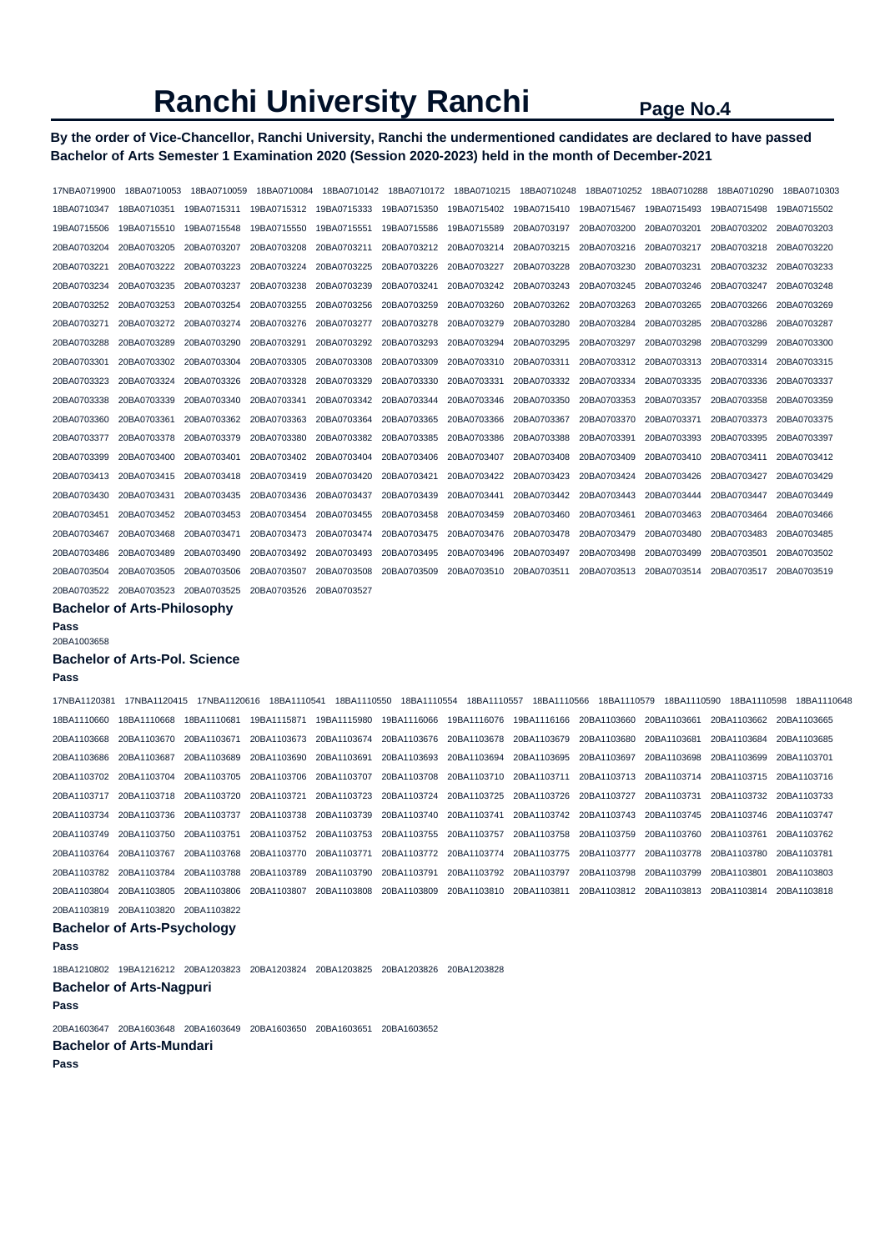# **By the order of Vice-Chancellor, Ranchi University, Ranchi the undermentioned candidates are declared to have passed Bachelor of Arts Semester 1 Examination 2020 (Session 2020-2023) held in the month of December-2021**

| 17NBA0719900                        | 18BA0710053 | 18BA0710059 | 18BA0710084 |             | 18BA0710142  18BA0710172  18BA0710215 |             | 18BA0710248 | 18BA0710252 | 18BA0710288 | 18BA0710290 | 18BA0710303 |
|-------------------------------------|-------------|-------------|-------------|-------------|---------------------------------------|-------------|-------------|-------------|-------------|-------------|-------------|
| 18BA0710347                         | 18BA0710351 | 19BA0715311 | 19BA0715312 | 19BA0715333 | 19BA0715350                           | 19BA0715402 | 19BA0715410 | 19BA0715467 | 19BA0715493 | 19BA0715498 | 19BA0715502 |
| 19BA0715506                         | 19BA0715510 | 19BA0715548 | 19BA0715550 | 19BA0715551 | 19BA0715586                           | 19BA0715589 | 20BA0703197 | 20BA0703200 | 20BA0703201 | 20BA0703202 | 20BA0703203 |
| 20BA0703204                         | 20BA0703205 | 20BA0703207 | 20BA0703208 | 20BA0703211 | 20BA0703212                           | 20BA0703214 | 20BA0703215 | 20BA0703216 | 20BA0703217 | 20BA0703218 | 20BA0703220 |
| 20BA0703221                         | 20BA0703222 | 20BA0703223 | 20BA0703224 | 20BA0703225 | 20BA0703226                           | 20BA0703227 | 20BA0703228 | 20BA0703230 | 20BA0703231 | 20BA0703232 | 20BA0703233 |
| 20BA0703234                         | 20BA0703235 | 20BA0703237 | 20BA0703238 | 20BA0703239 | 20BA0703241                           | 20BA0703242 | 20BA0703243 | 20BA0703245 | 20BA0703246 | 20BA0703247 | 20BA0703248 |
| 20BA0703252                         | 20BA0703253 | 20BA0703254 | 20BA0703255 | 20BA0703256 | 20BA0703259                           | 20BA0703260 | 20BA0703262 | 20BA0703263 | 20BA0703265 | 20BA0703266 | 20BA0703269 |
| 20BA0703271                         | 20BA0703272 | 20BA0703274 | 20BA0703276 | 20BA0703277 | 20BA0703278                           | 20BA0703279 | 20BA0703280 | 20BA0703284 | 20BA0703285 | 20BA0703286 | 20BA0703287 |
| 20BA0703288                         | 20BA0703289 | 20BA0703290 | 20BA0703291 | 20BA0703292 | 20BA0703293                           | 20BA0703294 | 20BA0703295 | 20BA0703297 | 20BA0703298 | 20BA0703299 | 20BA0703300 |
| 20BA0703301                         | 20BA0703302 | 20BA0703304 | 20BA0703305 | 20BA0703308 | 20BA0703309                           | 20BA0703310 | 20BA0703311 | 20BA0703312 | 20BA0703313 | 20BA0703314 | 20BA0703315 |
| 20BA0703323                         | 20BA0703324 | 20BA0703326 | 20BA0703328 | 20BA0703329 | 20BA0703330                           | 20BA0703331 | 20BA0703332 | 20BA0703334 | 20BA0703335 | 20BA0703336 | 20BA0703337 |
| 20BA0703338                         | 20BA0703339 | 20BA0703340 | 20BA0703341 | 20BA0703342 | 20BA0703344                           | 20BA0703346 | 20BA0703350 | 20BA0703353 | 20BA0703357 | 20BA0703358 | 20BA0703359 |
| 20BA0703360                         | 20BA0703361 | 20BA0703362 | 20BA0703363 | 20BA0703364 | 20BA0703365                           | 20BA0703366 | 20BA0703367 | 20BA0703370 | 20BA0703371 | 20BA0703373 | 20BA0703375 |
| 20BA0703377                         | 20BA0703378 | 20BA0703379 | 20BA0703380 | 20BA0703382 | 20BA0703385                           | 20BA0703386 | 20BA0703388 | 20BA0703391 | 20BA0703393 | 20BA0703395 | 20BA0703397 |
| 20BA0703399                         | 20BA0703400 | 20BA0703401 | 20BA0703402 | 20BA0703404 | 20BA0703406                           | 20BA0703407 | 20BA0703408 | 20BA0703409 | 20BA0703410 | 20BA0703411 | 20BA0703412 |
| 20BA0703413                         | 20BA0703415 | 20BA0703418 | 20BA0703419 | 20BA0703420 | 20BA0703421                           | 20BA0703422 | 20BA0703423 | 20BA0703424 | 20BA0703426 | 20BA0703427 | 20BA0703429 |
| 20BA0703430                         | 20BA0703431 | 20BA0703435 | 20BA0703436 | 20BA0703437 | 20BA0703439                           | 20BA0703441 | 20BA0703442 | 20BA0703443 | 20BA0703444 | 20BA0703447 | 20BA0703449 |
| 20BA0703451                         | 20BA0703452 | 20BA0703453 | 20BA0703454 | 20BA0703455 | 20BA0703458                           | 20BA0703459 | 20BA0703460 | 20BA0703461 | 20BA0703463 | 20BA0703464 | 20BA0703466 |
| 20BA0703467                         | 20BA0703468 | 20BA0703471 | 20BA0703473 | 20BA0703474 | 20BA0703475                           | 20BA0703476 | 20BA0703478 | 20BA0703479 | 20BA0703480 | 20BA0703483 | 20BA0703485 |
| 20BA0703486                         | 20BA0703489 | 20BA0703490 | 20BA0703492 | 20BA0703493 | 20BA0703495                           | 20BA0703496 | 20BA0703497 | 20BA0703498 | 20BA0703499 | 20BA0703501 | 20BA0703502 |
| 20BA0703504                         | 20BA0703505 | 20BA0703506 | 20BA0703507 | 20BA0703508 | 20BA0703509                           | 20BA0703510 | 20BA0703511 | 20BA0703513 | 20BA0703514 | 20BA0703517 | 20BA0703519 |
| 20BA0703522 20BA0703523 20BA0703525 |             |             | 20BA0703526 | 20BA0703527 |                                       |             |             |             |             |             |             |

#### **Bachelor of Arts-Philosophy**

**Pass** 

### 20BA1003658

#### **Bachelor of Arts-Pol. Science**

### **Pass**

17NBA1120381 17NBA1120415 17NBA1120616 18BA1110541 18BA1110550 18BA1110554 18BA1110557 18BA1110566 18BA1110579 18BA1110590 18BA1110598 18BA1110648 18BA1110660 18BA1110668 18BA1110681 19BA1115871 19BA1115980 19BA1116066 19BA1116076 19BA1116166 20BA1103660 20BA1103661 20BA1103662 20BA1103665 20BA1103668 20BA1103670 20BA1103671 20BA1103673 20BA1103674 20BA1103676 20BA1103678 20BA1103679 20BA1103680 20BA1103681 20BA1103684 20BA1103685 20BA1103686 20BA1103687 20BA1103689 20BA1103690 20BA1103691 20BA1103693 20BA1103694 20BA1103695 20BA1103697 20BA1103698 20BA1103699 20BA1103701 20BA1103702 20BA1103704 20BA1103705 20BA1103706 20BA1103707 20BA1103708 20BA1103710 20BA1103711 20BA1103713 20BA1103714 20BA1103715 20BA1103716 20BA1103717 20BA1103718 20BA1103720 20BA1103721 20BA1103723 20BA1103724 20BA1103725 20BA1103726 20BA1103727 20BA1103731 20BA1103732 20BA1103733 20BA1103734 20BA1103736 20BA1103737 20BA1103738 20BA1103739 20BA1103740 20BA1103741 20BA1103742 20BA1103743 20BA1103745 20BA1103746 20BA1103747 20BA1103749 20BA1103750 20BA1103751 20BA1103752 20BA1103753 20BA1103755 20BA1103757 20BA1103758 20BA1103759 20BA1103760 20BA1103761 20BA1103762 20BA1103764 20BA1103767 20BA1103768 20BA1103770 20BA1103771 20BA1103772 20BA1103774 20BA1103775 20BA1103777 20BA1103778 20BA1103780 20BA1103781 20BA1103782 20BA1103784 20BA1103788 20BA1103789 20BA1103790 20BA1103791 20BA1103792 20BA1103797 20BA1103798 20BA1103799 20BA1103801 20BA1103803 20BA1103804 20BA1103805 20BA1103806 20BA1103807 20BA1103808 20BA1103809 20BA1103810 20BA1103811 20BA1103812 20BA1103813 20BA1103814 20BA1103818 20BA1103819 20BA1103820 20BA1103822

# **Bachelor of Arts-Psychology**

**Pass** 

18BA1210802 19BA1216212 20BA1203823 20BA1203824 20BA1203825 20BA1203826 20BA1203828 **Bachelor of Arts-Nagpuri** 

#### **Pass**

20BA1603647 20BA1603648 20BA1603649 20BA1603650 20BA1603651 20BA1603652 **Bachelor of Arts-Mundari**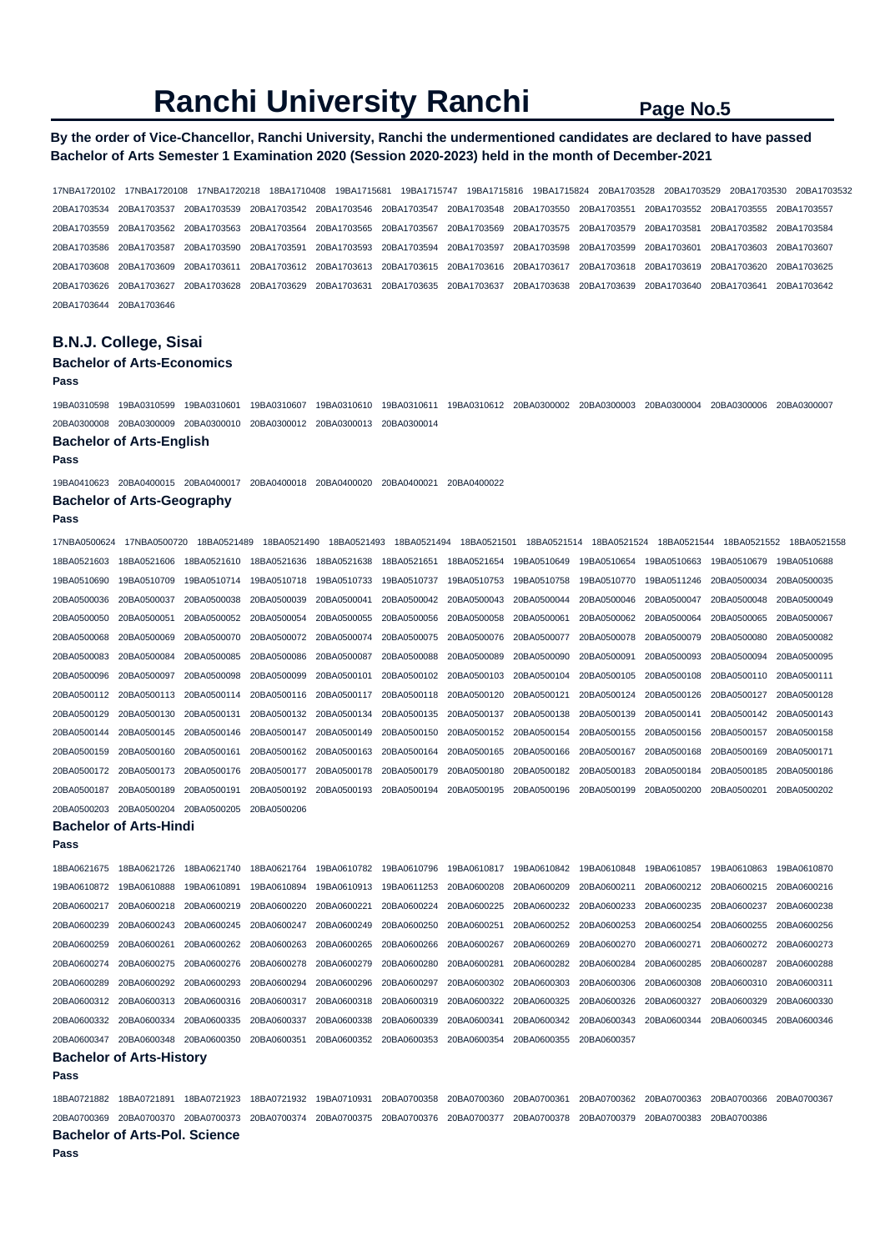## **By the order of Vice-Chancellor, Ranchi University, Ranchi the undermentioned candidates are declared to have passed Bachelor of Arts Semester 1 Examination 2020 (Session 2020-2023) held in the month of December-2021**

17NBA1720102 17NBA1720108 17NBA1720218 18BA1710408 19BA1715681 19BA1715747 19BA1715816 19BA1715824 20BA1703528 20BA1703529 20BA1703530 20BA1703532 20BA1703534 20BA1703537 20BA1703539 20BA1703542 20BA1703546 20BA1703547 20BA1703548 20BA1703550 20BA1703551 20BA1703552 20BA1703555 20BA1703557 20BA1703559 20BA1703562 20BA1703563 20BA1703564 20BA1703565 20BA1703567 20BA1703569 20BA1703575 20BA1703579 20BA1703581 20BA1703582 20BA1703584 20BA1703586 20BA1703587 20BA1703590 20BA1703591 20BA1703593 20BA1703594 20BA1703597 20BA1703598 20BA1703599 20BA1703601 20BA1703603 20BA1703607 20BA1703608 20BA1703609 20BA1703611 20BA1703612 20BA1703613 20BA1703615 20BA1703616 20BA1703617 20BA1703618 20BA1703619 20BA1703620 20BA1703625 20BA1703626 20BA1703627 20BA1703628 20BA1703629 20BA1703631 20BA1703635 20BA1703637 20BA1703638 20BA1703639 20BA1703640 20BA1703641 20BA1703642 20BA1703644 20BA1703646

# **B.N.J. College, Sisai**

#### **Bachelor of Arts-Economics Pass**

19BA0310598 19BA0310599 19BA0310601 19BA0310607 19BA0310610 19BA0310611 19BA0310612 20BA0300002 20BA0300003 20BA0300004 20BA0300006 20BA0300007 20BA0300008 20BA0300009 20BA0300010 20BA0300012 20BA0300013 20BA0300014

### **Bachelor of Arts-English**

**Pass** 

19BA0410623 20BA0400015 20BA0400017 20BA0400018 20BA0400020 20BA0400021 20BA0400022

#### **Bachelor of Arts-Geography**

**Pass** 

| 17NBA0500624            | 17NBA0500720 | 18BA0521489 | 18BA0521490             | 18BA0521493 | 18BA0521494             | 18BA0521501 | 18BA0521514 | 18BA0521524 | 18BA0521544 | 18BA0521552 | 18BA0521558 |
|-------------------------|--------------|-------------|-------------------------|-------------|-------------------------|-------------|-------------|-------------|-------------|-------------|-------------|
| 18BA0521603             | 18BA0521606  | 18BA0521610 | 18BA0521636             | 18BA0521638 | 18BA0521651             | 18BA0521654 | 19BA0510649 | 19BA0510654 | 19BA0510663 | 19BA0510679 | 19BA0510688 |
| 19BA0510690             | 19BA0510709  | 19BA0510714 | 19BA0510718             | 19BA0510733 | 19BA0510737             | 19BA0510753 | 19BA0510758 | 19BA0510770 | 19BA0511246 | 20BA0500034 | 20BA0500035 |
| 20BA0500036             | 20BA0500037  | 20BA0500038 | 20BA0500039             | 20BA0500041 | 20BA0500042             | 20BA0500043 | 20BA0500044 | 20BA0500046 | 20BA0500047 | 20BA0500048 | 20BA0500049 |
| 20BA0500050             | 20BA0500051  | 20BA0500052 | 20BA0500054             | 20BA0500055 | 20BA0500056             | 20BA0500058 | 20BA0500061 | 20BA0500062 | 20BA0500064 | 20BA0500065 | 20BA0500067 |
| 20BA0500068             | 20BA0500069  | 20BA0500070 | 20BA0500072             | 20BA0500074 | 20BA0500075             | 20BA0500076 | 20BA0500077 | 20BA0500078 | 20BA0500079 | 20BA0500080 | 20BA0500082 |
| 20BA0500083             | 20BA0500084  | 20BA0500085 | 20BA0500086             | 20BA0500087 | 20BA0500088 20BA0500089 |             | 20BA0500090 | 20BA0500091 | 20BA0500093 | 20BA0500094 | 20BA0500095 |
| 20BA0500096             | 20BA0500097  | 20BA0500098 | 20BA0500099             | 20BA0500101 | 20BA0500102 20BA0500103 |             | 20BA0500104 | 20BA0500105 | 20BA0500108 | 20BA0500110 | 20BA0500111 |
| 20BA0500112             | 20BA0500113  | 20BA0500114 | 20BA0500116             | 20BA0500117 | 20BA0500118 20BA0500120 |             | 20BA0500121 | 20BA0500124 | 20BA0500126 | 20BA0500127 | 20BA0500128 |
| 20BA0500129             | 20BA0500130  | 20BA0500131 | 20BA0500132             | 20BA0500134 | 20BA0500135 20BA0500137 |             | 20BA0500138 | 20BA0500139 | 20BA0500141 | 20BA0500142 | 20BA0500143 |
| 20BA0500144             | 20BA0500145  | 20BA0500146 | 20BA0500147             | 20BA0500149 | 20BA0500150 20BA0500152 |             | 20BA0500154 | 20BA0500155 | 20BA0500156 | 20BA0500157 | 20BA0500158 |
| 20BA0500159             | 20BA0500160  | 20BA0500161 | 20BA0500162             | 20BA0500163 | 20BA0500164             | 20BA0500165 | 20BA0500166 | 20BA0500167 | 20BA0500168 | 20BA0500169 | 20BA0500171 |
| 20BA0500172 20BA0500173 |              | 20BA0500176 | 20BA0500177             | 20BA0500178 | 20BA0500179 20BA0500180 |             | 20BA0500182 | 20BA0500183 | 20BA0500184 | 20BA0500185 | 20BA0500186 |
| 20BA0500187             | 20BA0500189  | 20BA0500191 | 20BA0500192 20BA0500193 |             | 20BA0500194             | 20BA0500195 | 20BA0500196 | 20BA0500199 | 20BA0500200 | 20BA0500201 | 20BA0500202 |
| 20BA0500203             | 20BA0500204  | 20BA0500205 | 20BA0500206             |             |                         |             |             |             |             |             |             |

#### **Bachelor of Arts-Hindi**

**Pass**  18BA0621675 18BA0621726 18BA0621740 18BA0621764 19BA0610782 19BA0610796 19BA0610817 19BA0610842 19BA0610848 19BA0610857 19BA0610863 19BA0610870 19BA0610872 19BA0610888 19BA0610891 19BA0610894 19BA0610913 19BA0611253 20BA0600208 20BA0600209 20BA0600211 20BA0600212 20BA0600215 20BA0600216 20BA0600217 20BA0600218 20BA0600219 20BA0600220 20BA0600221 20BA0600224 20BA0600225 20BA0600232 20BA0600233 20BA0600235 20BA0600237 20BA0600238 20BA0600239 20BA0600243 20BA0600245 20BA0600247 20BA0600249 20BA0600250 20BA0600251 20BA0600252 20BA0600253 20BA0600254 20BA0600255 20BA0600256 20BA0600259 20BA0600261 20BA0600262 20BA0600263 20BA0600265 20BA0600266 20BA0600267 20BA0600269 20BA0600270 20BA0600271 20BA0600272 20BA0600273 20BA0600274 20BA0600275 20BA0600276 20BA0600278 20BA0600279 20BA0600280 20BA0600281 20BA0600282 20BA0600284 20BA0600285 20BA0600287 20BA0600288 20BA0600289 20BA0600292 20BA0600293 20BA0600294 20BA0600296 20BA0600297 20BA0600302 20BA0600303 20BA0600306 20BA0600308 20BA0600310 20BA0600311 20BA0600312 20BA0600313 20BA0600316 20BA0600317 20BA0600318 20BA0600319 20BA0600322 20BA0600325 20BA0600326 20BA0600327 20BA0600329 20BA0600330 20BA0600332 20BA0600334 20BA0600335 20BA0600337 20BA0600338 20BA0600339 20BA0600341 20BA0600342 20BA0600343 20BA0600344 20BA0600345 20BA0600346 20BA0600347 20BA0600348 20BA0600350 20BA0600351 20BA0600352 20BA0600353 20BA0600354 20BA0600355 20BA0600357 **Bachelor of Arts-History** 

```
Pass
```
18BA0721882 18BA0721891 18BA0721923 18BA0721932 19BA0710931 20BA0700358 20BA0700360 20BA0700361 20BA0700362 20BA0700363 20BA0700366 20BA0700367 20BA0700369 20BA0700370 20BA0700373 20BA0700374 20BA0700375 20BA0700376 20BA0700377 20BA0700378 20BA0700379 20BA0700383 20BA0700386

**Bachelor of Arts-Pol. Science**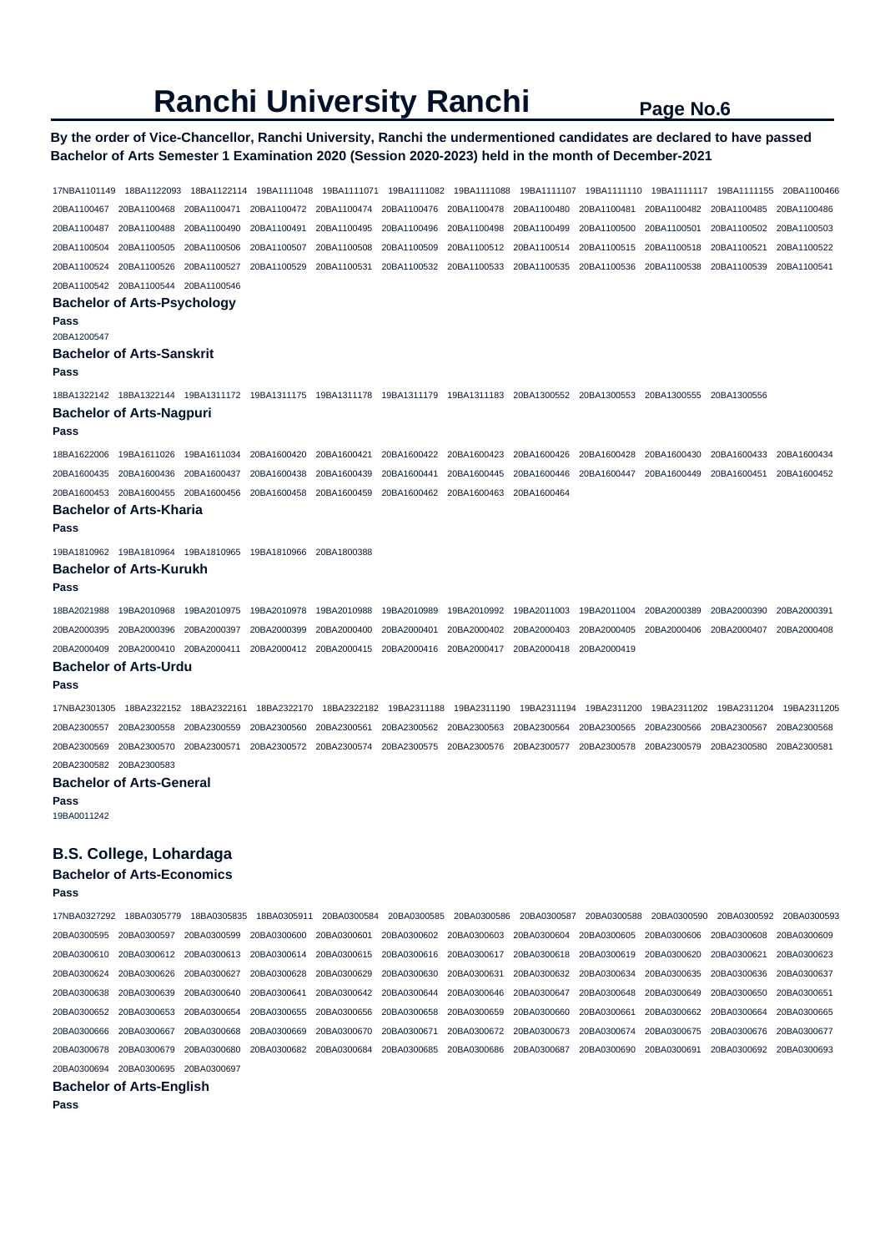### **By the order of Vice-Chancellor, Ranchi University, Ranchi the undermentioned candidates are declared to have passed Bachelor of Arts Semester 1 Examination 2020 (Session 2020-2023) held in the month of December-2021**

17NBA1101149 18BA1122093 18BA1122114 19BA1111048 19BA1111071 19BA1111082 19BA1111088 19BA1111107 19BA1111110 19BA1111117 19BA1111155 20BA1100466 20BA1100467 20BA1100468 20BA1100471 20BA1100472 20BA1100474 20BA1100476 20BA1100478 20BA1100480 20BA1100481 20BA1100482 20BA1100485 20BA1100486 20BA1100487 20BA1100488 20BA1100490 20BA1100491 20BA1100495 20BA1100496 20BA1100498 20BA1100499 20BA1100500 20BA1100501 20BA1100502 20BA1100503 20BA1100504 20BA1100505 20BA1100506 20BA1100507 20BA1100508 20BA1100509 20BA1100512 20BA1100514 20BA1100515 20BA1100518 20BA1100521 20BA1100522 20BA1100524 20BA1100526 20BA1100527 20BA1100529 20BA1100531 20BA1100532 20BA1100533 20BA1100535 20BA1100536 20BA1100538 20BA1100539 20BA1100541 20BA1100542 20BA1100544 20BA1100546 **Bachelor of Arts-Psychology Pass**  20BA1200547 **Bachelor of Arts-Sanskrit Pass**  18BA1322142 18BA1322144 19BA1311172 19BA1311175 19BA1311178 19BA1311179 19BA1311183 20BA1300552 20BA1300553 20BA1300555 20BA1300556 **Bachelor of Arts-Nagpuri Pass**  18BA1622006 19BA1611026 19BA1611034 20BA1600420 20BA1600421 20BA1600422 20BA1600423 20BA1600426 20BA1600428 20BA1600430 20BA1600433 20BA1600434 20BA1600435 20BA1600436 20BA1600437 20BA1600438 20BA1600439 20BA1600441 20BA1600445 20BA1600446 20BA1600447 20BA1600449 20BA1600451 20BA1600452 20BA1600453 20BA1600455 20BA1600456 20BA1600458 20BA1600459 20BA1600462 20BA1600463 20BA1600464 **Bachelor of Arts-Kharia Pass**  19BA1810962 19BA1810964 19BA1810965 19BA1810966 20BA1800388 **Bachelor of Arts-Kurukh Pass**  18BA2021988 19BA2010968 19BA2010975 19BA2010978 19BA2010988 19BA2010989 19BA2010992 19BA2011003 19BA2011004 20BA2000389 20BA2000390 20BA2000391 20BA2000395 20BA2000396 20BA2000397 20BA2000399 20BA2000400 20BA2000401 20BA2000402 20BA2000403 20BA2000405 20BA2000406 20BA2000407 20BA2000408 20BA2000409 20BA2000410 20BA2000411 20BA2000412 20BA2000415 20BA2000416 20BA2000417 20BA2000418 20BA2000419 **Bachelor of Arts-Urdu Pass**  17NBA2301305 18BA2322152 18BA2322161 18BA2322170 18BA2322182 19BA2311188 19BA2311190 19BA2311194 19BA2311200 19BA2311202 19BA2311204 19BA2311205 20BA2300557 20BA2300558 20BA2300559 20BA2300560 20BA2300561 20BA2300562 20BA2300563 20BA2300564 20BA2300565 20BA2300566 20BA2300567 20BA2300568 20BA2300569 20BA2300570 20BA2300571 20BA2300572 20BA2300574 20BA2300575 20BA2300576 20BA2300577 20BA2300578 20BA2300579 20BA2300580 20BA2300581 20BA2300582 20BA2300583 **Bachelor of Arts-General Pass**  19BA0011242 **B.S. College, Lohardaga Bachelor of Arts-Economics Pass**  17NBA0327292 18BA0305779 18BA0305835 18BA0305911 20BA0300584 20BA0300585 20BA0300586 20BA0300587 20BA0300588 20BA0300590 20BA0300592 20BA0300593

20BA0300595 20BA0300597 20BA0300599 20BA0300600 20BA0300601 20BA0300602 20BA0300603 20BA0300604 20BA0300605 20BA0300606 20BA0300608 20BA0300609 20BA0300610 20BA0300612 20BA0300613 20BA0300614 20BA0300615 20BA0300616 20BA0300617 20BA0300618 20BA0300619 20BA0300620 20BA0300621 20BA0300623 20BA0300624 20BA0300626 20BA0300627 20BA0300628 20BA0300629 20BA0300630 20BA0300631 20BA0300632 20BA0300634 20BA0300635 20BA0300636 20BA0300637 20BA0300638 20BA0300639 20BA0300640 20BA0300641 20BA0300642 20BA0300644 20BA0300646 20BA0300647 20BA0300648 20BA0300649 20BA0300650 20BA0300651 20BA0300652 20BA0300653 20BA0300654 20BA0300655 20BA0300656 20BA0300658 20BA0300659 20BA0300660 20BA0300661 20BA0300662 20BA0300664 20BA0300665 20BA0300666 20BA0300667 20BA0300668 20BA0300669 20BA0300670 20BA0300671 20BA0300672 20BA0300673 20BA0300674 20BA0300675 20BA0300676 20BA0300677 20BA0300678 20BA0300679 20BA0300680 20BA0300682 20BA0300684 20BA0300685 20BA0300686 20BA0300687 20BA0300690 20BA0300691 20BA0300692 20BA0300693 20BA0300694 20BA0300695 20BA0300697

**Bachelor of Arts-English**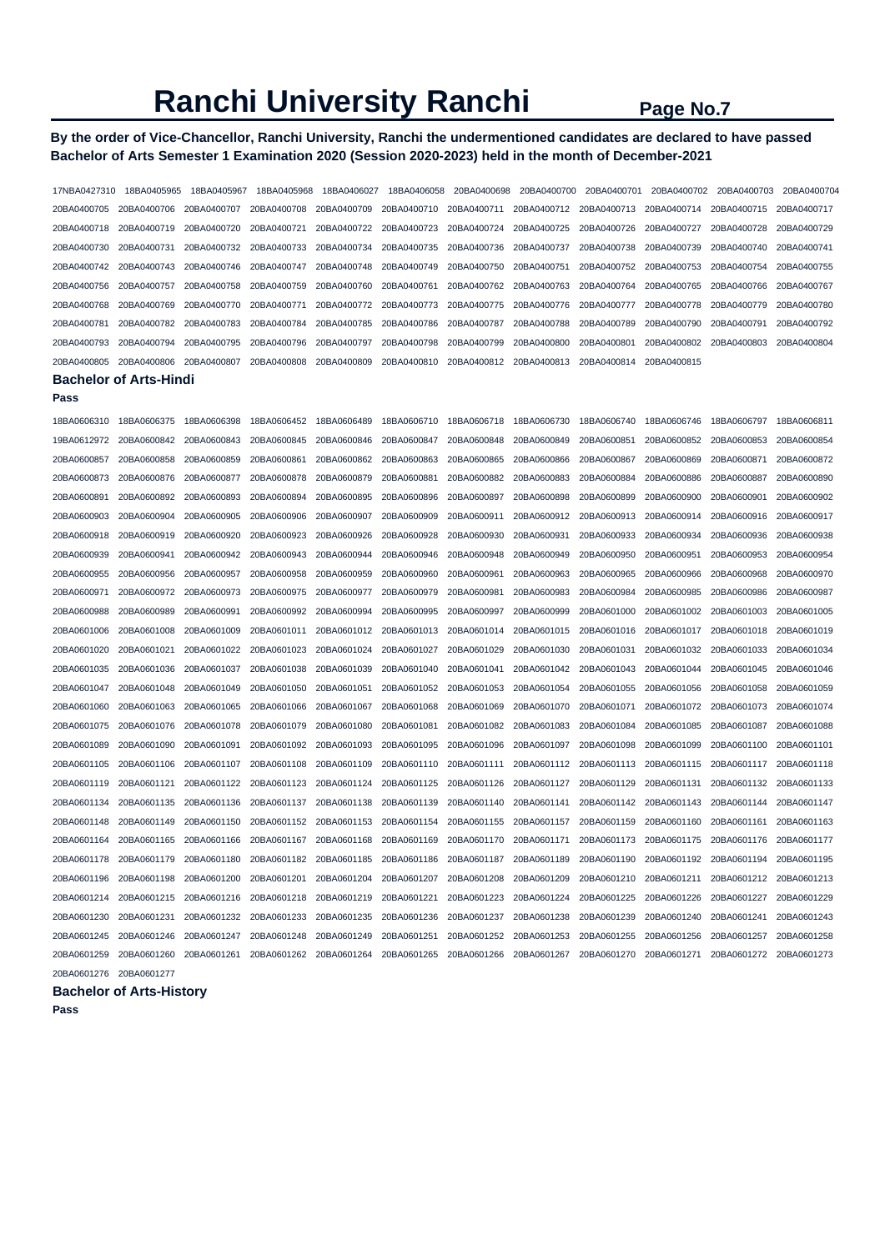# **By the order of Vice-Chancellor, Ranchi University, Ranchi the undermentioned candidates are declared to have passed Bachelor of Arts Semester 1 Examination 2020 (Session 2020-2023) held in the month of December-2021**

| 17NBA0427310                  | 18BA0405965 | 18BA0405967 | 18BA0405968 | 18BA0406027 | 18BA0406058 | 20BA0400698 | 20BA0400700 | 20BA0400701             | 20BA0400702 | 20BA0400703 | 20BA0400704 |
|-------------------------------|-------------|-------------|-------------|-------------|-------------|-------------|-------------|-------------------------|-------------|-------------|-------------|
| 20BA0400705                   | 20BA0400706 | 20BA0400707 | 20BA0400708 | 20BA0400709 | 20BA0400710 | 20BA0400711 | 20BA0400712 | 20BA0400713             | 20BA0400714 | 20BA0400715 | 20BA0400717 |
| 20BA0400718                   | 20BA0400719 | 20BA0400720 | 20BA0400721 | 20BA0400722 | 20BA0400723 | 20BA0400724 | 20BA0400725 | 20BA0400726             | 20BA0400727 | 20BA0400728 | 20BA0400729 |
| 20BA0400730                   | 20BA0400731 | 20BA0400732 | 20BA0400733 | 20BA0400734 | 20BA0400735 | 20BA0400736 | 20BA0400737 | 20BA0400738             | 20BA0400739 | 20BA0400740 | 20BA0400741 |
| 20BA0400742                   | 20BA0400743 | 20BA0400746 | 20BA0400747 | 20BA0400748 | 20BA0400749 | 20BA0400750 | 20BA0400751 | 20BA0400752 20BA0400753 |             | 20BA0400754 | 20BA0400755 |
| 20BA0400756                   | 20BA0400757 | 20BA0400758 | 20BA0400759 | 20BA0400760 | 20BA0400761 | 20BA0400762 | 20BA0400763 | 20BA0400764             | 20BA0400765 | 20BA0400766 | 20BA0400767 |
| 20BA0400768                   | 20BA0400769 | 20BA0400770 | 20BA0400771 | 20BA0400772 | 20BA0400773 | 20BA0400775 | 20BA0400776 | 20BA0400777             | 20BA0400778 | 20BA0400779 | 20BA0400780 |
| 20BA0400781                   | 20BA0400782 | 20BA0400783 | 20BA0400784 | 20BA0400785 | 20BA0400786 | 20BA0400787 | 20BA0400788 | 20BA0400789             | 20BA0400790 | 20BA0400791 | 20BA0400792 |
| 20BA0400793                   | 20BA0400794 | 20BA0400795 | 20BA0400796 | 20BA0400797 | 20BA0400798 | 20BA0400799 | 20BA0400800 | 20BA0400801             | 20BA0400802 | 20BA0400803 | 20BA0400804 |
| 20BA0400805                   | 20BA0400806 | 20BA0400807 | 20BA0400808 | 20BA0400809 | 20BA0400810 | 20BA0400812 | 20BA0400813 | 20BA0400814             | 20BA0400815 |             |             |
| <b>Bachelor of Arts-Hindi</b> |             |             |             |             |             |             |             |                         |             |             |             |

#### **Pass**

| 18BA0606310 | 18BA0606375 | 18BA0606398 | 18BA0606452 | 18BA0606489 | 18BA0606710 | 18BA0606718 | 18BA0606730 | 18BA0606740 | 18BA0606746 | 18BA0606797 | 18BA0606811 |
|-------------|-------------|-------------|-------------|-------------|-------------|-------------|-------------|-------------|-------------|-------------|-------------|
| 19BA0612972 | 20BA0600842 | 20BA0600843 | 20BA0600845 | 20BA0600846 | 20BA0600847 | 20BA0600848 | 20BA0600849 | 20BA0600851 | 20BA0600852 | 20BA0600853 | 20BA0600854 |
| 20BA0600857 | 20BA0600858 | 20BA0600859 | 20BA0600861 | 20BA0600862 | 20BA0600863 | 20BA0600865 | 20BA0600866 | 20BA0600867 | 20BA0600869 | 20BA0600871 | 20BA0600872 |
| 20BA0600873 | 20BA0600876 | 20BA0600877 | 20BA0600878 | 20BA0600879 | 20BA0600881 | 20BA0600882 | 20BA0600883 | 20BA0600884 | 20BA0600886 | 20BA0600887 | 20BA0600890 |
| 20BA0600891 | 20BA0600892 | 20BA0600893 | 20BA0600894 | 20BA0600895 | 20BA0600896 | 20BA0600897 | 20BA0600898 | 20BA0600899 | 20BA0600900 | 20BA0600901 | 20BA0600902 |
| 20BA0600903 | 20BA0600904 | 20BA0600905 | 20BA0600906 | 20BA0600907 | 20BA0600909 | 20BA0600911 | 20BA0600912 | 20BA0600913 | 20BA0600914 | 20BA0600916 | 20BA0600917 |
| 20BA0600918 | 20BA0600919 | 20BA0600920 | 20BA0600923 | 20BA0600926 | 20BA0600928 | 20BA0600930 | 20BA0600931 | 20BA0600933 | 20BA0600934 | 20BA0600936 | 20BA0600938 |
| 20BA0600939 | 20BA0600941 | 20BA0600942 | 20BA0600943 | 20BA0600944 | 20BA0600946 | 20BA0600948 | 20BA0600949 | 20BA0600950 | 20BA0600951 | 20BA0600953 | 20BA0600954 |
| 20BA0600955 | 20BA0600956 | 20BA0600957 | 20BA0600958 | 20BA0600959 | 20BA0600960 | 20BA0600961 | 20BA0600963 | 20BA0600965 | 20BA0600966 | 20BA0600968 | 20BA0600970 |
| 20BA0600971 | 20BA0600972 | 20BA0600973 | 20BA0600975 | 20BA0600977 | 20BA0600979 | 20BA0600981 | 20BA0600983 | 20BA0600984 | 20BA0600985 | 20BA0600986 | 20BA0600987 |
| 20BA0600988 | 20BA0600989 | 20BA0600991 | 20BA0600992 | 20BA0600994 | 20BA0600995 | 20BA0600997 | 20BA0600999 | 20BA0601000 | 20BA0601002 | 20BA0601003 | 20BA0601005 |
| 20BA0601006 | 20BA0601008 | 20BA0601009 | 20BA0601011 | 20BA0601012 | 20BA0601013 | 20BA0601014 | 20BA0601015 | 20BA0601016 | 20BA0601017 | 20BA0601018 | 20BA0601019 |
| 20BA0601020 | 20BA0601021 | 20BA0601022 | 20BA0601023 | 20BA0601024 | 20BA0601027 | 20BA0601029 | 20BA0601030 | 20BA0601031 | 20BA0601032 | 20BA0601033 | 20BA0601034 |
| 20BA0601035 | 20BA0601036 | 20BA0601037 | 20BA0601038 | 20BA0601039 | 20BA0601040 | 20BA0601041 | 20BA0601042 | 20BA0601043 | 20BA0601044 | 20BA0601045 | 20BA0601046 |
| 20BA0601047 | 20BA0601048 | 20BA0601049 | 20BA0601050 | 20BA0601051 | 20BA0601052 | 20BA0601053 | 20BA0601054 | 20BA0601055 | 20BA0601056 | 20BA0601058 | 20BA0601059 |
| 20BA0601060 | 20BA0601063 | 20BA0601065 | 20BA0601066 | 20BA0601067 | 20BA0601068 | 20BA0601069 | 20BA0601070 | 20BA0601071 | 20BA0601072 | 20BA0601073 | 20BA0601074 |
| 20BA0601075 | 20BA0601076 | 20BA0601078 | 20BA0601079 | 20BA0601080 | 20BA0601081 | 20BA0601082 | 20BA0601083 | 20BA0601084 | 20BA0601085 | 20BA0601087 | 20BA0601088 |
| 20BA0601089 | 20BA0601090 | 20BA0601091 | 20BA0601092 | 20BA0601093 | 20BA0601095 | 20BA0601096 | 20BA0601097 | 20BA0601098 | 20BA0601099 | 20BA0601100 | 20BA0601101 |
| 20BA0601105 | 20BA0601106 | 20BA0601107 | 20BA0601108 | 20BA0601109 | 20BA0601110 | 20BA0601111 | 20BA0601112 | 20BA0601113 | 20BA0601115 | 20BA0601117 | 20BA0601118 |
| 20BA0601119 | 20BA0601121 | 20BA0601122 | 20BA0601123 | 20BA0601124 | 20BA0601125 | 20BA0601126 | 20BA0601127 | 20BA0601129 | 20BA0601131 | 20BA0601132 | 20BA0601133 |
| 20BA0601134 | 20BA0601135 | 20BA0601136 | 20BA0601137 | 20BA0601138 | 20BA0601139 | 20BA0601140 | 20BA0601141 | 20BA0601142 | 20BA0601143 | 20BA0601144 | 20BA0601147 |
| 20BA0601148 | 20BA0601149 | 20BA0601150 | 20BA0601152 | 20BA0601153 | 20BA0601154 | 20BA0601155 | 20BA0601157 | 20BA0601159 | 20BA0601160 | 20BA0601161 | 20BA0601163 |
| 20BA0601164 | 20BA0601165 | 20BA0601166 | 20BA0601167 | 20BA0601168 | 20BA0601169 | 20BA0601170 | 20BA0601171 | 20BA0601173 | 20BA0601175 | 20BA0601176 | 20BA0601177 |
| 20BA0601178 | 20BA0601179 | 20BA0601180 | 20BA0601182 | 20BA0601185 | 20BA0601186 | 20BA0601187 | 20BA0601189 | 20BA0601190 | 20BA0601192 | 20BA0601194 | 20BA0601195 |
| 20BA0601196 | 20BA0601198 | 20BA0601200 | 20BA0601201 | 20BA0601204 | 20BA0601207 | 20BA0601208 | 20BA0601209 | 20BA0601210 | 20BA0601211 | 20BA0601212 | 20BA0601213 |
| 20BA0601214 | 20BA0601215 | 20BA0601216 | 20BA0601218 | 20BA0601219 | 20BA0601221 | 20BA0601223 | 20BA0601224 | 20BA0601225 | 20BA0601226 | 20BA0601227 | 20BA0601229 |
| 20BA0601230 | 20BA0601231 | 20BA0601232 | 20BA0601233 | 20BA0601235 | 20BA0601236 | 20BA0601237 | 20BA0601238 | 20BA0601239 | 20BA0601240 | 20BA0601241 | 20BA0601243 |
| 20BA0601245 | 20BA0601246 | 20BA0601247 | 20BA0601248 | 20BA0601249 | 20BA0601251 | 20BA0601252 | 20BA0601253 | 20BA0601255 | 20BA0601256 | 20BA0601257 | 20BA0601258 |
| 20BA0601259 | 20BA0601260 | 20BA0601261 | 20BA0601262 | 20BA0601264 | 20BA0601265 | 20BA0601266 | 20BA0601267 | 20BA0601270 | 20BA0601271 | 20BA0601272 | 20BA0601273 |
| 20BA0601276 | 20BA0601277 |             |             |             |             |             |             |             |             |             |             |

# **Bachelor of Arts-History**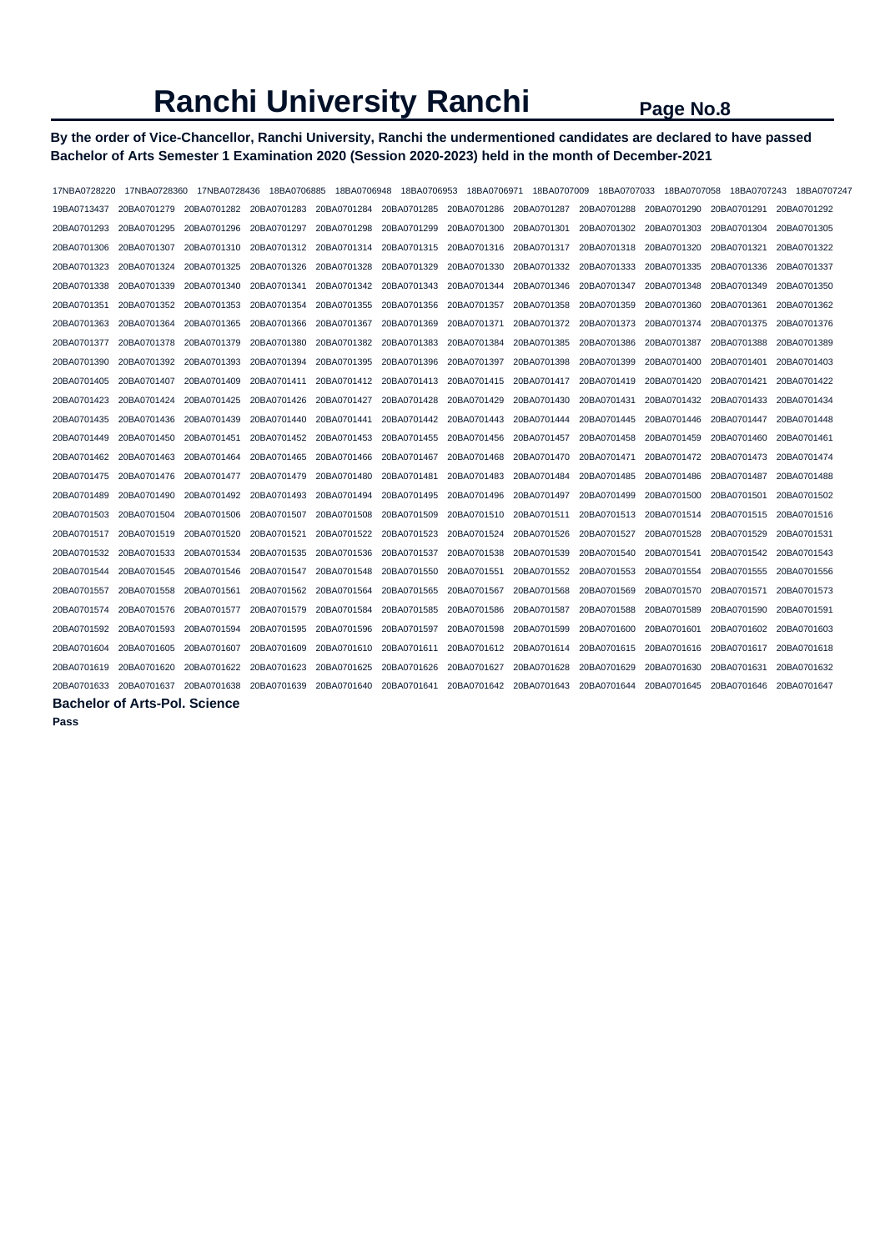# **By the order of Vice-Chancellor, Ranchi University, Ranchi the undermentioned candidates are declared to have passed Bachelor of Arts Semester 1 Examination 2020 (Session 2020-2023) held in the month of December-2021**

| 17NBA0728220            | 17NBA0728360                         | 17NBA0728436 | 18BA0706885 | 18BA0706948                                     | 18BA0706953 | 18BA0706971                         | 18BA0707009             | 18BA0707033             | 18BA0707058             | 18BA0707243             | 18BA0707247 |
|-------------------------|--------------------------------------|--------------|-------------|-------------------------------------------------|-------------|-------------------------------------|-------------------------|-------------------------|-------------------------|-------------------------|-------------|
| 19BA0713437             | 20BA0701279                          |              |             | 20BA0701282 20BA0701283 20BA0701284 20BA0701285 |             | 20BA0701286 20BA0701287 20BA0701288 |                         |                         | 20BA0701290             | 20BA0701291             | 20BA0701292 |
| 20BA0701293             | 20BA0701295                          | 20BA0701296  | 20BA0701297 | 20BA0701298                                     | 20BA0701299 |                                     | 20BA0701300 20BA0701301 | 20BA0701302             | 20BA0701303             | 20BA0701304             | 20BA0701305 |
| 20BA0701306             | 20BA0701307                          | 20BA0701310  | 20BA0701312 | 20BA0701314                                     | 20BA0701315 | 20BA0701316                         | 20BA0701317             | 20BA0701318             | 20BA0701320             | 20BA0701321             | 20BA0701322 |
| 20BA0701323             | 20BA0701324                          | 20BA0701325  | 20BA0701326 | 20BA0701328                                     | 20BA0701329 | 20BA0701330                         | 20BA0701332             | 20BA0701333             | 20BA0701335             | 20BA0701336             | 20BA0701337 |
| 20BA0701338             | 20BA0701339                          | 20BA0701340  | 20BA0701341 | 20BA0701342 20BA0701343                         |             | 20BA0701344                         |                         | 20BA0701346 20BA0701347 | 20BA0701348             | 20BA0701349             | 20BA0701350 |
| 20BA0701351             | 20BA0701352                          | 20BA0701353  | 20BA0701354 | 20BA0701355                                     | 20BA0701356 | 20BA0701357                         |                         | 20BA0701358 20BA0701359 | 20BA0701360             | 20BA0701361             | 20BA0701362 |
| 20BA0701363             | 20BA0701364                          | 20BA0701365  | 20BA0701366 | 20BA0701367                                     | 20BA0701369 | 20BA0701371                         | 20BA0701372             | 20BA0701373             | 20BA0701374             | 20BA0701375             | 20BA0701376 |
| 20BA0701377             | 20BA0701378                          | 20BA0701379  | 20BA0701380 | 20BA0701382                                     | 20BA0701383 | 20BA0701384                         | 20BA0701385             | 20BA0701386             | 20BA0701387             | 20BA0701388             | 20BA0701389 |
| 20BA0701390             | 20BA0701392                          | 20BA0701393  | 20BA0701394 | 20BA0701395                                     | 20BA0701396 | 20BA0701397                         | 20BA0701398             | 20BA0701399             | 20BA0701400             | 20BA0701401             | 20BA0701403 |
| 20BA0701405 20BA0701407 |                                      | 20BA0701409  | 20BA0701411 | 20BA0701412 20BA0701413                         |             | 20BA0701415                         | 20BA0701417             |                         | 20BA0701419 20BA0701420 | 20BA0701421             | 20BA0701422 |
| 20BA0701423             | 20BA0701424                          | 20BA0701425  | 20BA0701426 | 20BA0701427                                     | 20BA0701428 | 20BA0701429                         | 20BA0701430             | 20BA0701431             | 20BA0701432             | 20BA0701433             | 20BA0701434 |
| 20BA0701435             | 20BA0701436                          | 20BA0701439  | 20BA0701440 | 20BA0701441                                     | 20BA0701442 | 20BA0701443                         | 20BA0701444             | 20BA0701445             | 20BA0701446             | 20BA0701447             | 20BA0701448 |
| 20BA0701449             | 20BA0701450                          | 20BA0701451  | 20BA0701452 | 20BA0701453                                     | 20BA0701455 | 20BA0701456                         | 20BA0701457             | 20BA0701458             | 20BA0701459             | 20BA0701460             | 20BA0701461 |
| 20BA0701462             | 20BA0701463                          | 20BA0701464  | 20BA0701465 | 20BA0701466                                     | 20BA0701467 | 20BA0701468                         | 20BA0701470             | 20BA0701471             | 20BA0701472             | 20BA0701473             | 20BA0701474 |
| 20BA0701475 20BA0701476 |                                      | 20BA0701477  | 20BA0701479 | 20BA0701480                                     | 20BA0701481 | 20BA0701483                         | 20BA0701484             | 20BA0701485             | 20BA0701486             | 20BA0701487             | 20BA0701488 |
| 20BA0701489             | 20BA0701490                          | 20BA0701492  | 20BA0701493 | 20BA0701494                                     | 20BA0701495 | 20BA0701496                         | 20BA0701497             | 20BA0701499             | 20BA0701500             | 20BA0701501             | 20BA0701502 |
| 20BA0701503             | 20BA0701504                          | 20BA0701506  | 20BA0701507 | 20BA0701508                                     | 20BA0701509 | 20BA0701510                         | 20BA0701511             | 20BA0701513             | 20BA0701514             | 20BA0701515             | 20BA0701516 |
| 20BA0701517             | 20BA0701519                          | 20BA0701520  | 20BA0701521 | 20BA0701522                                     | 20BA0701523 | 20BA0701524                         | 20BA0701526             | 20BA0701527             | 20BA0701528             | 20BA0701529             | 20BA0701531 |
| 20BA0701532             | 20BA0701533                          | 20BA0701534  | 20BA0701535 | 20BA0701536                                     | 20BA0701537 | 20BA0701538                         | 20BA0701539             | 20BA0701540             | 20BA0701541             | 20BA0701542 20BA0701543 |             |
| 20BA0701544             | 20BA0701545                          | 20BA0701546  | 20BA0701547 | 20BA0701548                                     | 20BA0701550 | 20BA0701551                         | 20BA0701552             | 20BA0701553             | 20BA0701554             | 20BA0701555             | 20BA0701556 |
| 20BA0701557             | 20BA0701558                          | 20BA0701561  | 20BA0701562 | 20BA0701564                                     | 20BA0701565 | 20BA0701567                         | 20BA0701568             | 20BA0701569             | 20BA0701570             | 20BA0701571             | 20BA0701573 |
| 20BA0701574             | 20BA0701576                          | 20BA0701577  | 20BA0701579 | 20BA0701584                                     | 20BA0701585 | 20BA0701586                         | 20BA0701587             | 20BA0701588             | 20BA0701589             | 20BA0701590             | 20BA0701591 |
| 20BA0701592             | 20BA0701593                          | 20BA0701594  | 20BA0701595 | 20BA0701596                                     | 20BA0701597 | 20BA0701598                         | 20BA0701599             | 20BA0701600             | 20BA0701601             | 20BA0701602             | 20BA0701603 |
| 20BA0701604             | 20BA0701605                          | 20BA0701607  | 20BA0701609 | 20BA0701610                                     | 20BA0701611 | 20BA0701612                         | 20BA0701614             | 20BA0701615             | 20BA0701616             | 20BA0701617             | 20BA0701618 |
| 20BA0701619             | 20BA0701620                          | 20BA0701622  | 20BA0701623 | 20BA0701625                                     | 20BA0701626 | 20BA0701627                         | 20BA0701628             | 20BA0701629             | 20BA0701630             | 20BA0701631             | 20BA0701632 |
| 20BA0701633 20BA0701637 |                                      | 20BA0701638  | 20BA0701639 | 20BA0701640                                     | 20BA0701641 | 20BA0701642                         | 20BA0701643             | 20BA0701644             | 20BA0701645             | 20BA0701646             | 20BA0701647 |
|                         | <b>Bachelor of Arts-Pol. Science</b> |              |             |                                                 |             |                                     |                         |                         |                         |                         |             |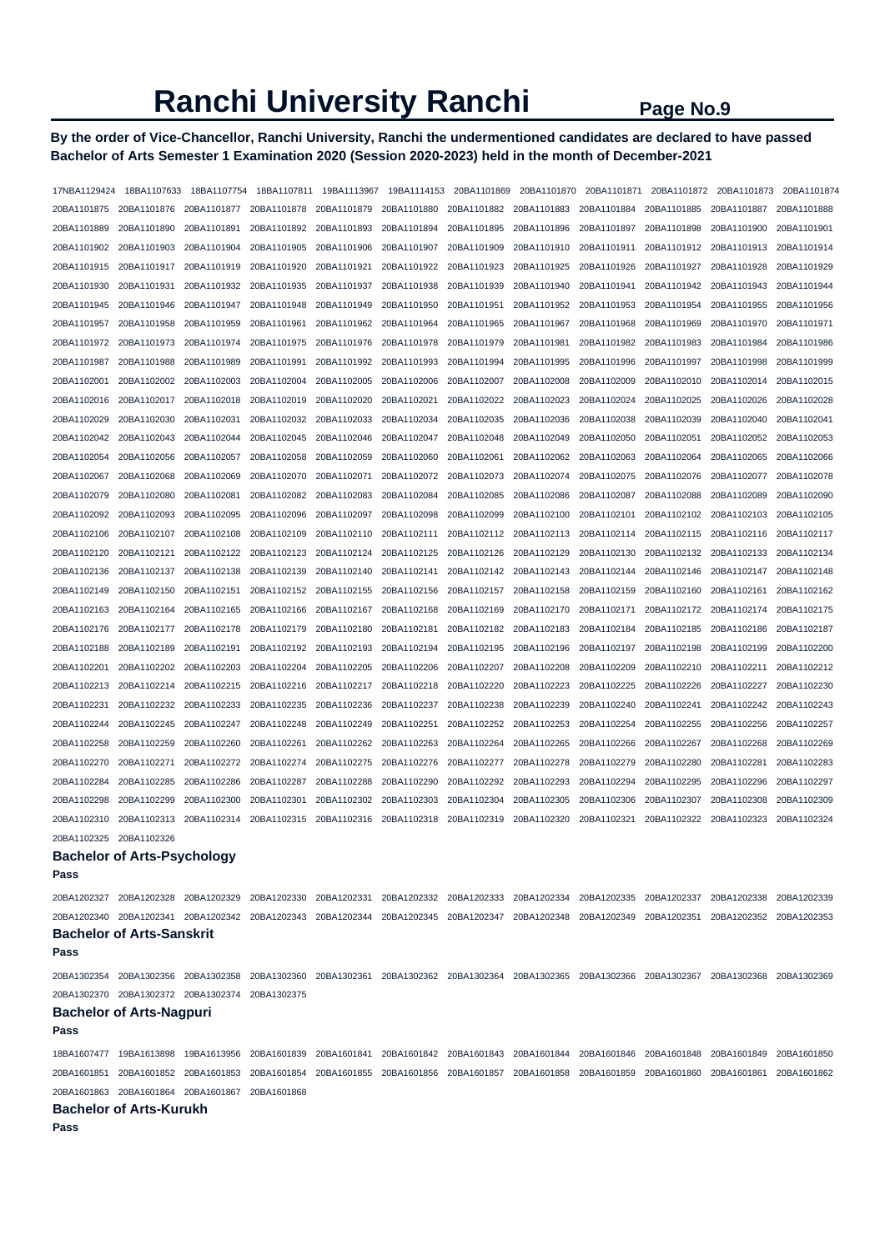# **By the order of Vice-Chancellor, Ranchi University, Ranchi the undermentioned candidates are declared to have passed Bachelor of Arts Semester 1 Examination 2020 (Session 2020-2023) held in the month of December-2021**

| 17NBA1129424 | 18BA1107633                           | 18BA1107754                                                                                                                                     |             |                                                 |             |             | 18BA1107811 19BA1113967 19BA1114153 20BA1101869 20BA1101870 20BA1101871 20BA1101872 20BA1101873             |             |             |             | 20BA1101874 |
|--------------|---------------------------------------|-------------------------------------------------------------------------------------------------------------------------------------------------|-------------|-------------------------------------------------|-------------|-------------|-------------------------------------------------------------------------------------------------------------|-------------|-------------|-------------|-------------|
| 20BA1101875  | 20BA1101876                           | 20BA1101877                                                                                                                                     | 20BA1101878 | 20BA1101879                                     | 20BA1101880 | 20BA1101882 | 20BA1101883                                                                                                 | 20BA1101884 | 20BA1101885 | 20BA1101887 | 20BA1101888 |
| 20BA1101889  | 20BA1101890                           | 20BA1101891                                                                                                                                     | 20BA1101892 | 20BA1101893                                     | 20BA1101894 | 20BA1101895 | 20BA1101896                                                                                                 | 20BA1101897 | 20BA1101898 | 20BA1101900 | 20BA1101901 |
| 20BA1101902  | 20BA1101903                           | 20BA1101904                                                                                                                                     | 20BA1101905 | 20BA1101906                                     | 20BA1101907 | 20BA1101909 | 20BA1101910                                                                                                 | 20BA1101911 | 20BA1101912 | 20BA1101913 | 20BA1101914 |
| 20BA1101915  | 20BA1101917                           | 20BA1101919                                                                                                                                     | 20BA1101920 | 20BA1101921                                     | 20BA1101922 | 20BA1101923 | 20BA1101925                                                                                                 | 20BA1101926 | 20BA1101927 | 20BA1101928 | 20BA1101929 |
| 20BA1101930  | 20BA1101931                           | 20BA1101932                                                                                                                                     | 20BA1101935 | 20BA1101937                                     | 20BA1101938 | 20BA1101939 | 20BA1101940                                                                                                 | 20BA1101941 | 20BA1101942 | 20BA1101943 | 20BA1101944 |
| 20BA1101945  | 20BA1101946                           | 20BA1101947                                                                                                                                     | 20BA1101948 | 20BA1101949                                     | 20BA1101950 | 20BA1101951 | 20BA1101952                                                                                                 | 20BA1101953 | 20BA1101954 | 20BA1101955 | 20BA1101956 |
| 20BA1101957  | 20BA1101958                           | 20BA1101959                                                                                                                                     | 20BA1101961 | 20BA1101962                                     | 20BA1101964 | 20BA1101965 | 20BA1101967                                                                                                 | 20BA1101968 | 20BA1101969 | 20BA1101970 | 20BA1101971 |
| 20BA1101972  | 20BA1101973                           | 20BA1101974                                                                                                                                     | 20BA1101975 | 20BA1101976                                     | 20BA1101978 | 20BA1101979 | 20BA1101981                                                                                                 | 20BA1101982 | 20BA1101983 | 20BA1101984 | 20BA1101986 |
| 20BA1101987  | 20BA1101988                           | 20BA1101989                                                                                                                                     | 20BA1101991 | 20BA1101992                                     | 20BA1101993 | 20BA1101994 | 20BA1101995                                                                                                 | 20BA1101996 | 20BA1101997 | 20BA1101998 | 20BA1101999 |
| 20BA1102001  | 20BA1102002                           | 20BA1102003                                                                                                                                     | 20BA1102004 | 20BA1102005                                     | 20BA1102006 | 20BA1102007 | 20BA1102008                                                                                                 | 20BA1102009 | 20BA1102010 | 20BA1102014 | 20BA1102015 |
| 20BA1102016  | 20BA1102017                           | 20BA1102018                                                                                                                                     | 20BA1102019 | 20BA1102020                                     | 20BA1102021 | 20BA1102022 | 20BA1102023                                                                                                 | 20BA1102024 | 20BA1102025 | 20BA1102026 | 20BA1102028 |
| 20BA1102029  | 20BA1102030                           | 20BA1102031                                                                                                                                     | 20BA1102032 | 20BA1102033                                     | 20BA1102034 | 20BA1102035 | 20BA1102036                                                                                                 | 20BA1102038 | 20BA1102039 | 20BA1102040 | 20BA1102041 |
| 20BA1102042  | 20BA1102043                           | 20BA1102044                                                                                                                                     | 20BA1102045 | 20BA1102046                                     | 20BA1102047 | 20BA1102048 | 20BA1102049                                                                                                 | 20BA1102050 | 20BA1102051 | 20BA1102052 | 20BA1102053 |
| 20BA1102054  | 20BA1102056                           | 20BA1102057                                                                                                                                     | 20BA1102058 | 20BA1102059                                     | 20BA1102060 | 20BA1102061 | 20BA1102062                                                                                                 | 20BA1102063 | 20BA1102064 | 20BA1102065 | 20BA1102066 |
| 20BA1102067  | 20BA1102068                           | 20BA1102069                                                                                                                                     | 20BA1102070 | 20BA1102071                                     | 20BA1102072 | 20BA1102073 | 20BA1102074                                                                                                 | 20BA1102075 | 20BA1102076 | 20BA1102077 | 20BA1102078 |
| 20BA1102079  | 20BA1102080                           | 20BA1102081                                                                                                                                     | 20BA1102082 | 20BA1102083                                     | 20BA1102084 | 20BA1102085 | 20BA1102086                                                                                                 | 20BA1102087 | 20BA1102088 | 20BA1102089 | 20BA1102090 |
| 20BA1102092  | 20BA1102093                           | 20BA1102095                                                                                                                                     | 20BA1102096 | 20BA1102097                                     | 20BA1102098 | 20BA1102099 | 20BA1102100                                                                                                 | 20BA1102101 | 20BA1102102 | 20BA1102103 | 20BA1102105 |
| 20BA1102106  | 20BA1102107                           | 20BA1102108                                                                                                                                     | 20BA1102109 | 20BA1102110                                     | 20BA1102111 | 20BA1102112 | 20BA1102113                                                                                                 | 20BA1102114 | 20BA1102115 | 20BA1102116 | 20BA1102117 |
| 20BA1102120  | 20BA1102121                           | 20BA1102122                                                                                                                                     | 20BA1102123 | 20BA1102124                                     | 20BA1102125 | 20BA1102126 | 20BA1102129                                                                                                 | 20BA1102130 | 20BA1102132 | 20BA1102133 | 20BA1102134 |
| 20BA1102136  | 20BA1102137                           | 20BA1102138                                                                                                                                     | 20BA1102139 | 20BA1102140                                     | 20BA1102141 | 20BA1102142 | 20BA1102143                                                                                                 | 20BA1102144 | 20BA1102146 | 20BA1102147 | 20BA1102148 |
| 20BA1102149  | 20BA1102150                           | 20BA1102151                                                                                                                                     | 20BA1102152 | 20BA1102155                                     | 20BA1102156 | 20BA1102157 | 20BA1102158                                                                                                 | 20BA1102159 | 20BA1102160 | 20BA1102161 | 20BA1102162 |
| 20BA1102163  | 20BA1102164                           | 20BA1102165                                                                                                                                     | 20BA1102166 | 20BA1102167                                     | 20BA1102168 | 20BA1102169 | 20BA1102170                                                                                                 | 20BA1102171 | 20BA1102172 | 20BA1102174 | 20BA1102175 |
| 20BA1102176  | 20BA1102177                           | 20BA1102178                                                                                                                                     | 20BA1102179 | 20BA1102180                                     | 20BA1102181 | 20BA1102182 | 20BA1102183                                                                                                 | 20BA1102184 | 20BA1102185 | 20BA1102186 | 20BA1102187 |
| 20BA1102188  | 20BA1102189                           | 20BA1102191                                                                                                                                     | 20BA1102192 | 20BA1102193                                     | 20BA1102194 | 20BA1102195 | 20BA1102196                                                                                                 | 20BA1102197 | 20BA1102198 | 20BA1102199 | 20BA1102200 |
| 20BA1102201  | 20BA1102202                           | 20BA1102203                                                                                                                                     | 20BA1102204 | 20BA1102205                                     | 20BA1102206 | 20BA1102207 | 20BA1102208                                                                                                 | 20BA1102209 | 20BA1102210 | 20BA1102211 | 20BA1102212 |
| 20BA1102213  | 20BA1102214                           | 20BA1102215                                                                                                                                     | 20BA1102216 | 20BA1102217                                     | 20BA1102218 | 20BA1102220 | 20BA1102223                                                                                                 | 20BA1102225 | 20BA1102226 | 20BA1102227 | 20BA1102230 |
| 20BA1102231  | 20BA1102232                           | 20BA1102233                                                                                                                                     | 20BA1102235 | 20BA1102236                                     | 20BA1102237 | 20BA1102238 | 20BA1102239                                                                                                 | 20BA1102240 | 20BA1102241 | 20BA1102242 | 20BA1102243 |
| 20BA1102244  | 20BA1102245                           | 20BA1102247                                                                                                                                     | 20BA1102248 | 20BA1102249                                     | 20BA1102251 | 20BA1102252 | 20BA1102253                                                                                                 | 20BA1102254 | 20BA1102255 | 20BA1102256 | 20BA1102257 |
| 20BA1102258  | 20BA1102259                           | 20BA1102260                                                                                                                                     | 20BA1102261 | 20BA1102262                                     | 20BA1102263 | 20BA1102264 | 20BA1102265                                                                                                 | 20BA1102266 | 20BA1102267 | 20BA1102268 | 20BA1102269 |
| 20BA1102270  | 20BA1102271                           | 20BA1102272                                                                                                                                     | 20BA1102274 | 20BA1102275                                     | 20BA1102276 | 20BA1102277 | 20BA1102278                                                                                                 | 20BA1102279 | 20BA1102280 | 20BA1102281 | 20BA1102283 |
| 20BA1102284  | 20BA1102285                           | 20BA1102286                                                                                                                                     | 20BA1102287 | 20BA1102288                                     | 20BA1102290 | 20BA1102292 | 20BA1102293                                                                                                 | 20BA1102294 | 20BA1102295 | 20BA1102296 | 20BA1102297 |
| 20BA1102298  | 20BA1102299                           | 20BA1102300                                                                                                                                     | 20BA1102301 | 20BA1102302                                     | 20BA1102303 | 20BA1102304 | 20BA1102305                                                                                                 | 20BA1102306 | 20BA1102307 | 20BA1102308 | 20BA1102309 |
| 20BA1102310  | 20BA1102313                           | 20BA1102314                                                                                                                                     | 20BA1102315 | 20BA1102316                                     | 20BA1102318 | 20BA1102319 | 20BA1102320                                                                                                 | 20BA1102321 | 20BA1102322 | 20BA1102323 | 20BA1102324 |
| 20BA1102325  | 20BA1102326                           |                                                                                                                                                 |             |                                                 |             |             |                                                                                                             |             |             |             |             |
|              | <b>Bachelor of Arts-Psychology</b>    |                                                                                                                                                 |             |                                                 |             |             |                                                                                                             |             |             |             |             |
| Pass         |                                       |                                                                                                                                                 |             |                                                 |             |             |                                                                                                             |             |             |             |             |
|              | 20BA1202327 20BA1202328 20BA1202329   |                                                                                                                                                 |             | 20BA1202330 20BA1202331 20BA1202332 20BA1202333 |             |             | 20BA1202334 20BA1202335 20BA1202337 20BA1202338                                                             |             |             |             | 20BA1202339 |
|              |                                       | 20BA1202340 20BA1202341 20BA1202342 20BA1202343 20BA1202344 20BA1202345 20BA1202347 20BA1202348 20BA1202349 20BA1202351 20BA1202352 20BA1202353 |             |                                                 |             |             |                                                                                                             |             |             |             |             |
|              | <b>Bachelor of Arts-Sanskrit</b>      |                                                                                                                                                 |             |                                                 |             |             |                                                                                                             |             |             |             |             |
| Pass         |                                       |                                                                                                                                                 |             |                                                 |             |             |                                                                                                             |             |             |             |             |
|              | 20BA1302354 20BA1302356 20BA1302358   |                                                                                                                                                 |             |                                                 |             |             | 20BA1302360 20BA1302361 20BA1302362 20BA1302364 20BA1302365 20BA1302366 20BA1302367 20BA1302368             |             |             |             | 20BA1302369 |
|              |                                       | 20BA1302370 20BA1302372 20BA1302374 20BA1302375                                                                                                 |             |                                                 |             |             |                                                                                                             |             |             |             |             |
|              | <b>Bachelor of Arts-Nagpuri</b>       |                                                                                                                                                 |             |                                                 |             |             |                                                                                                             |             |             |             |             |
| Pass         |                                       |                                                                                                                                                 |             |                                                 |             |             |                                                                                                             |             |             |             |             |
|              | 18BA1607477  19BA1613898  19BA1613956 |                                                                                                                                                 |             |                                                 |             |             | 20BA1601839 20BA1601841 20BA1601842 20BA1601843 20BA1601844 20BA1601846 20BA1601848 20BA1601849             |             |             |             | 20BA1601850 |
| 20BA1601851  | 20BA1601852 20BA1601853               |                                                                                                                                                 |             |                                                 |             |             | 20BA1601854 20BA1601855 20BA1601856 20BA1601857 20BA1601858 20BA1601859 20BA1601860 20BA1601861 20BA1601862 |             |             |             |             |
|              |                                       | 20BA1601863 20BA1601864 20BA1601867 20BA1601868                                                                                                 |             |                                                 |             |             |                                                                                                             |             |             |             |             |
| Pass         | <b>Bachelor of Arts-Kurukh</b>        |                                                                                                                                                 |             |                                                 |             |             |                                                                                                             |             |             |             |             |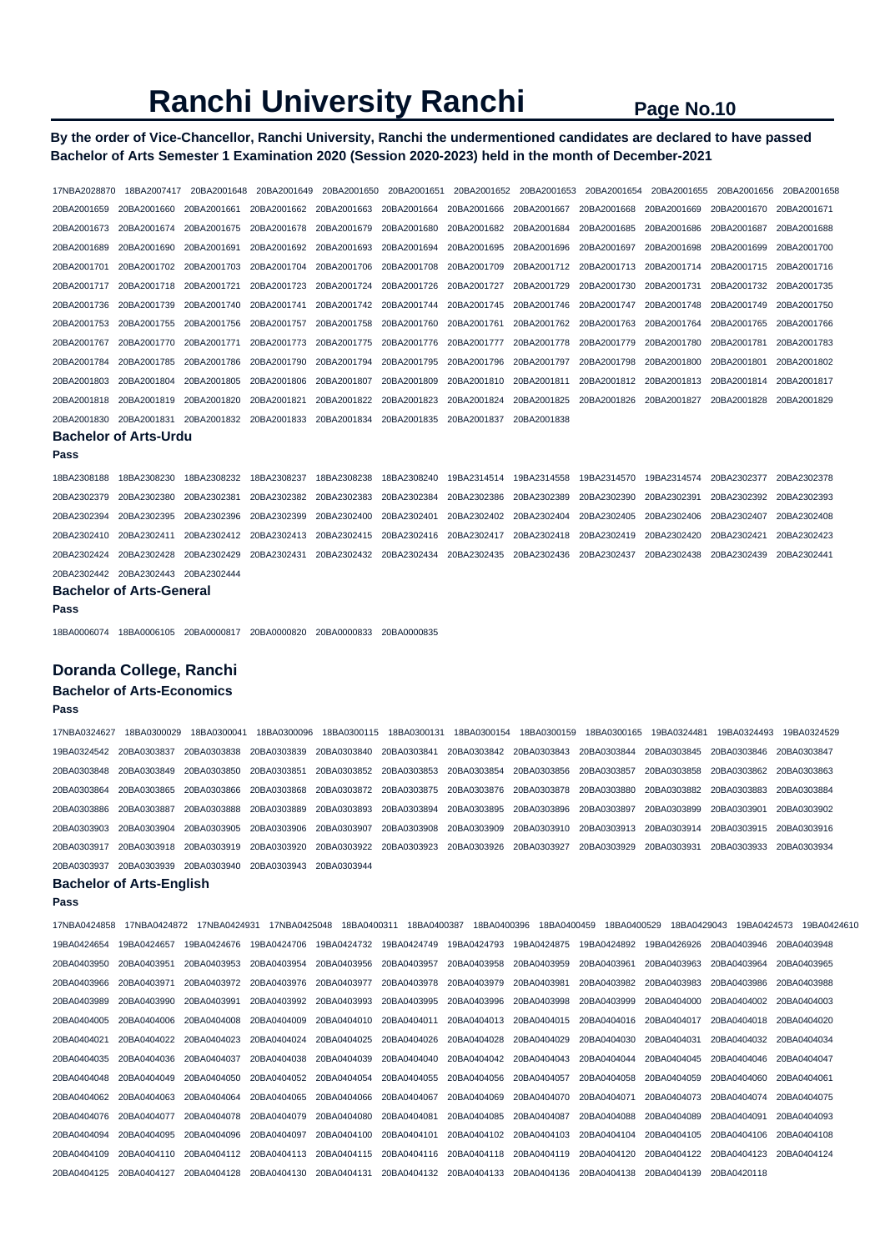# **By the order of Vice-Chancellor, Ranchi University, Ranchi the undermentioned candidates are declared to have passed Bachelor of Arts Semester 1 Examination 2020 (Session 2020-2023) held in the month of December-2021**

| 17NBA2028870 | 18BA2007417                       | 20BA2001648 | 20BA2001649                | 20BA2001650                         | 20BA2001651 | 20BA2001652                | 20BA2001653 | 20BA2001654              | 20BA2001655 | 20BA2001656 | 20BA2001658  |
|--------------|-----------------------------------|-------------|----------------------------|-------------------------------------|-------------|----------------------------|-------------|--------------------------|-------------|-------------|--------------|
| 20BA2001659  | 20BA2001660                       | 20BA2001661 | 20BA2001662                | 20BA2001663                         | 20BA2001664 | 20BA2001666                | 20BA2001667 | 20BA2001668              | 20BA2001669 | 20BA2001670 | 20BA2001671  |
| 20BA2001673  | 20BA2001674                       | 20BA2001675 | 20BA2001678                | 20BA2001679                         | 20BA2001680 | 20BA2001682                | 20BA2001684 | 20BA2001685              | 20BA2001686 | 20BA2001687 | 20BA2001688  |
| 20BA2001689  | 20BA2001690                       | 20BA2001691 | 20BA2001692                | 20BA2001693                         | 20BA2001694 | 20BA2001695                | 20BA2001696 | 20BA2001697              | 20BA2001698 | 20BA2001699 | 20BA2001700  |
| 20BA2001701  | 20BA2001702                       | 20BA2001703 | 20BA2001704                | 20BA2001706                         | 20BA2001708 | 20BA2001709                | 20BA2001712 | 20BA2001713              | 20BA2001714 | 20BA2001715 | 20BA2001716  |
| 20BA2001717  | 20BA2001718                       | 20BA2001721 | 20BA2001723                | 20BA2001724                         | 20BA2001726 | 20BA2001727                | 20BA2001729 | 20BA2001730              | 20BA2001731 | 20BA2001732 | 20BA2001735  |
| 20BA2001736  | 20BA2001739                       | 20BA2001740 | 20BA2001741                | 20BA2001742                         | 20BA2001744 | 20BA2001745                | 20BA2001746 | 20BA2001747              | 20BA2001748 | 20BA2001749 | 20BA2001750  |
| 20BA2001753  | 20BA2001755                       | 20BA2001756 | 20BA2001757                | 20BA2001758                         | 20BA2001760 | 20BA2001761                | 20BA2001762 | 20BA2001763              | 20BA2001764 | 20BA2001765 | 20BA2001766  |
| 20BA2001767  | 20BA2001770                       | 20BA2001771 | 20BA2001773                | 20BA2001775                         | 20BA2001776 | 20BA2001777                | 20BA2001778 | 20BA2001779              | 20BA2001780 | 20BA2001781 | 20BA2001783  |
| 20BA2001784  | 20BA2001785                       | 20BA2001786 | 20BA2001790                | 20BA2001794                         | 20BA2001795 | 20BA2001796                | 20BA2001797 | 20BA2001798              | 20BA2001800 | 20BA2001801 | 20BA2001802  |
| 20BA2001803  | 20BA2001804                       | 20BA2001805 | 20BA2001806                | 20BA2001807                         | 20BA2001809 | 20BA2001810                | 20BA2001811 | 20BA2001812              | 20BA2001813 | 20BA2001814 | 20BA2001817  |
| 20BA2001818  | 20BA2001819                       | 20BA2001820 | 20BA2001821                | 20BA2001822                         | 20BA2001823 | 20BA2001824                | 20BA2001825 | 20BA2001826              | 20BA2001827 | 20BA2001828 | 20BA2001829  |
| 20BA2001830  | 20BA2001831                       | 20BA2001832 | 20BA2001833                | 20BA2001834                         | 20BA2001835 | 20BA2001837                | 20BA2001838 |                          |             |             |              |
|              | <b>Bachelor of Arts-Urdu</b>      |             |                            |                                     |             |                            |             |                          |             |             |              |
| Pass         |                                   |             |                            |                                     |             |                            |             |                          |             |             |              |
| 18BA2308188  | 18BA2308230                       | 18BA2308232 | 18BA2308237                | 18BA2308238                         | 18BA2308240 | 19BA2314514                | 19BA2314558 | 19BA2314570              | 19BA2314574 | 20BA2302377 | 20BA2302378  |
| 20BA2302379  | 20BA2302380                       | 20BA2302381 | 20BA2302382                | 20BA2302383                         | 20BA2302384 | 20BA2302386                | 20BA2302389 | 20BA2302390              | 20BA2302391 | 20BA2302392 | 20BA2302393  |
| 20BA2302394  | 20BA2302395                       | 20BA2302396 | 20BA2302399                | 20BA2302400                         | 20BA2302401 | 20BA2302402                | 20BA2302404 | 20BA2302405              | 20BA2302406 | 20BA2302407 | 20BA2302408  |
| 20BA2302410  | 20BA2302411                       | 20BA2302412 | 20BA2302413                | 20BA2302415                         | 20BA2302416 | 20BA2302417                | 20BA2302418 | 20BA2302419              | 20BA2302420 | 20BA2302421 | 20BA2302423  |
| 20BA2302424  | 20BA2302428                       | 20BA2302429 | 20BA2302431                | 20BA2302432                         | 20BA2302434 | 20BA2302435                | 20BA2302436 | 20BA2302437              | 20BA2302438 | 20BA2302439 | 20BA2302441  |
| 20BA2302442  | 20BA2302443                       | 20BA2302444 |                            |                                     |             |                            |             |                          |             |             |              |
|              | <b>Bachelor of Arts-General</b>   |             |                            |                                     |             |                            |             |                          |             |             |              |
| Pass         |                                   |             |                            |                                     |             |                            |             |                          |             |             |              |
| 18BA0006074  | 18BA0006105 20BA0000817           |             | 20BA0000820                | 20BA0000833                         | 20BA0000835 |                            |             |                          |             |             |              |
|              | Doranda College, Ranchi           |             |                            |                                     |             |                            |             |                          |             |             |              |
|              | <b>Bachelor of Arts-Economics</b> |             |                            |                                     |             |                            |             |                          |             |             |              |
| Pass         |                                   |             |                            |                                     |             |                            |             |                          |             |             |              |
| 17NBA0324627 | 18BA0300029                       | 18BA0300041 | 18BA0300096                | 18BA0300115                         | 18BA0300131 | 18BA0300154                | 18BA0300159 | 18BA0300165              | 19BA0324481 | 19BA0324493 | 19BA0324529  |
| 19BA0324542  | 20BA0303837                       | 20BA0303838 |                            | 20BA0303839 20BA0303840 20BA0303841 |             | 20BA0303842 20BA0303843    |             | 20BA0303844 20BA0303845  |             | 20BA0303846 | 20BA0303847  |
| 0001000010   | 0001000010                        | 00010000000 | $0.0010000001$ 00010000000 |                                     | 00010000000 | $0.0010000001$ 00D10000000 |             | 0.0010000007 00010000000 |             | 0001000000  | 0.0010000000 |

20BA0303848 20BA0303849 20BA0303850 20BA0303851 20BA0303852 20BA0303853 20BA0303854 20BA0303856 20BA0303857 20BA0303858 20BA0303862 20BA0303863 20BA0303864 20BA0303865 20BA0303866 20BA0303868 20BA0303872 20BA0303875 20BA0303876 20BA0303878 20BA0303880 20BA0303882 20BA0303883 20BA0303884 20BA0303886 20BA0303887 20BA0303888 20BA0303889 20BA0303893 20BA0303894 20BA0303895 20BA0303896 20BA0303897 20BA0303899 20BA0303901 20BA0303902 20BA0303903 20BA0303904 20BA0303905 20BA0303906 20BA0303907 20BA0303908 20BA0303909 20BA0303910 20BA0303913 20BA0303914 20BA0303915 20BA0303916 20BA0303917 20BA0303918 20BA0303919 20BA0303920 20BA0303922 20BA0303923 20BA0303926 20BA0303927 20BA0303929 20BA0303931 20BA0303933 20BA0303934 20BA0303937 20BA0303939 20BA0303940 20BA0303943 20BA0303944

# **Bachelor of Arts-English**

**Pass** 

17NBA0424858 17NBA0424872 17NBA0424931 17NBA0425048 18BA0400311 18BA0400387 18BA0400396 18BA0400459 18BA0400529 18BA0429043 19BA0424573 19BA0424610 19BA0424654 19BA0424657 19BA0424676 19BA0424706 19BA0424732 19BA0424749 19BA0424793 19BA0424875 19BA0424892 19BA0426926 20BA0403946 20BA0403948 20BA0403950 20BA0403951 20BA0403953 20BA0403954 20BA0403956 20BA0403957 20BA0403958 20BA0403959 20BA0403961 20BA0403963 20BA0403964 20BA0403965 20BA0403966 20BA0403971 20BA0403972 20BA0403976 20BA0403977 20BA0403978 20BA0403979 20BA0403981 20BA0403982 20BA0403983 20BA0403986 20BA0403988 20BA0403989 20BA0403990 20BA0403991 20BA0403992 20BA0403993 20BA0403995 20BA0403996 20BA0403998 20BA0403999 20BA0404000 20BA0404002 20BA0404003 20BA0404005 20BA0404006 20BA0404008 20BA0404009 20BA0404010 20BA0404011 20BA0404013 20BA0404015 20BA0404016 20BA0404017 20BA0404018 20BA0404020 20BA0404021 20BA0404022 20BA0404023 20BA0404024 20BA0404025 20BA0404026 20BA0404028 20BA0404029 20BA0404030 20BA0404031 20BA0404032 20BA0404034 20BA0404035 20BA0404036 20BA0404037 20BA0404038 20BA0404039 20BA0404040 20BA0404042 20BA0404043 20BA0404044 20BA0404045 20BA0404046 20BA0404047 20BA0404048 20BA0404049 20BA0404050 20BA0404052 20BA0404054 20BA0404055 20BA0404056 20BA0404057 20BA0404058 20BA0404059 20BA0404060 20BA0404061 20BA0404062 20BA0404063 20BA0404064 20BA0404065 20BA0404066 20BA0404067 20BA0404069 20BA0404070 20BA0404071 20BA0404073 20BA0404074 20BA0404075 20BA0404076 20BA0404077 20BA0404078 20BA0404079 20BA0404080 20BA0404081 20BA0404085 20BA0404087 20BA0404088 20BA0404089 20BA0404091 20BA0404093 20BA0404094 20BA0404095 20BA0404096 20BA0404097 20BA0404100 20BA0404101 20BA0404102 20BA0404103 20BA0404104 20BA0404105 20BA0404106 20BA0404108 20BA0404109 20BA0404110 20BA0404112 20BA0404113 20BA0404115 20BA0404116 20BA0404118 20BA0404119 20BA0404120 20BA0404122 20BA0404123 20BA0404124 20BA0404125 20BA0404127 20BA0404128 20BA0404130 20BA0404131 20BA0404132 20BA0404133 20BA0404136 20BA0404138 20BA0404139 20BA0420118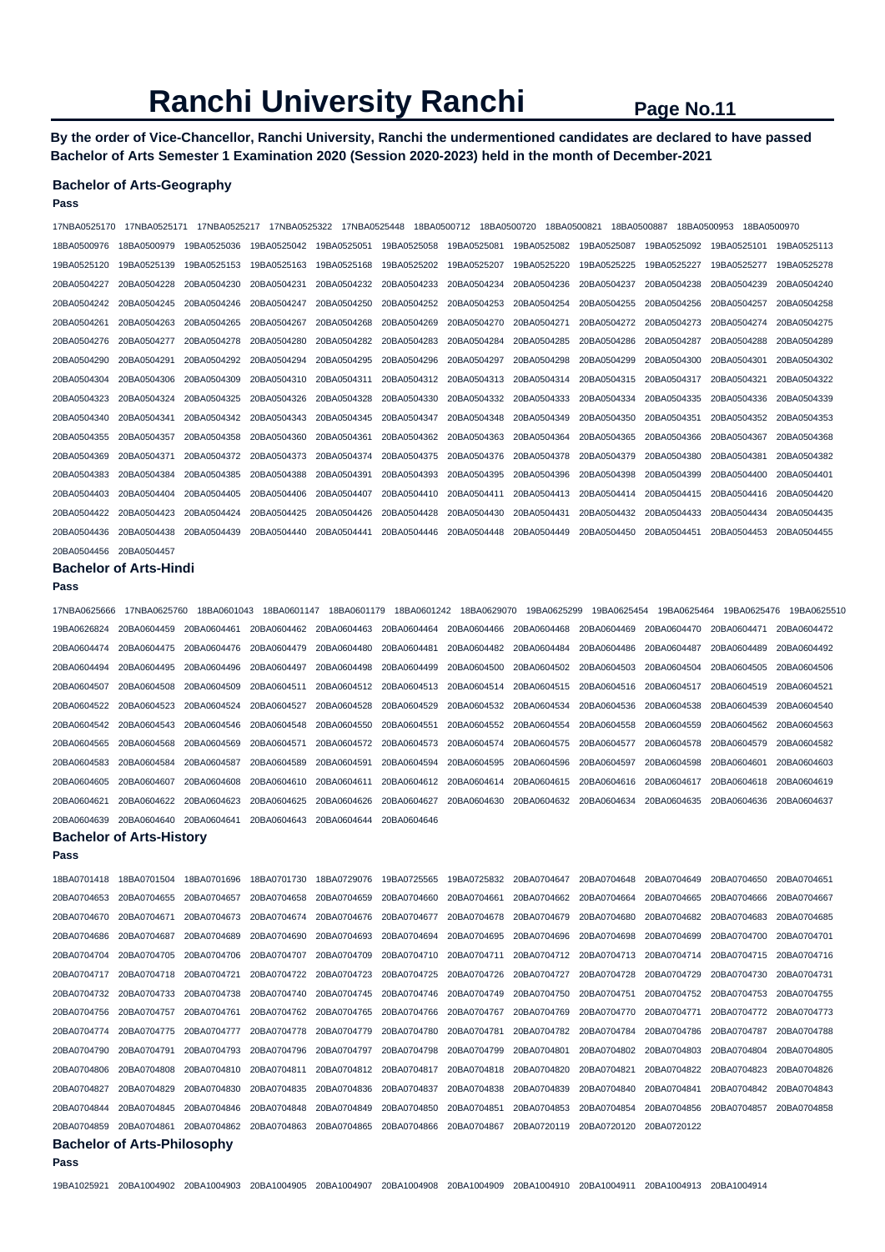**By the order of Vice-Chancellor, Ranchi University, Ranchi the undermentioned candidates are declared to have passed Bachelor of Arts Semester 1 Examination 2020 (Session 2020-2023) held in the month of December-2021** 

### **Bachelor of Arts-Geography**

**Pass** 

| 17NBA0525170            | 17NBA0525171 | 17NBA0525217 | 17NBA0525322 | 17NBA0525448 |             | 18BA0500712<br>18BA0500720 | 18BA0500821 | 18BA0500887 | 18BA0500953 | 18BA0500970 |             |
|-------------------------|--------------|--------------|--------------|--------------|-------------|----------------------------|-------------|-------------|-------------|-------------|-------------|
| 18BA0500976             | 18BA0500979  | 19BA0525036  | 19BA0525042  | 19BA0525051  | 19BA0525058 | 19BA0525081                | 19BA0525082 | 19BA0525087 | 19BA0525092 | 19BA0525101 | 19BA0525113 |
| 19BA0525120             | 19BA0525139  | 19BA0525153  | 19BA0525163  | 19BA0525168  | 19BA0525202 | 19BA0525207                | 19BA0525220 | 19BA0525225 | 19BA0525227 | 19BA0525277 | 19BA0525278 |
| 20BA0504227             | 20BA0504228  | 20BA0504230  | 20BA0504231  | 20BA0504232  | 20BA0504233 | 20BA0504234                | 20BA0504236 | 20BA0504237 | 20BA0504238 | 20BA0504239 | 20BA0504240 |
| 20BA0504242             | 20BA0504245  | 20BA0504246  | 20BA0504247  | 20BA0504250  | 20BA0504252 | 20BA0504253                | 20BA0504254 | 20BA0504255 | 20BA0504256 | 20BA0504257 | 20BA0504258 |
| 20BA0504261             | 20BA0504263  | 20BA0504265  | 20BA0504267  | 20BA0504268  | 20BA0504269 | 20BA0504270                | 20BA0504271 | 20BA0504272 | 20BA0504273 | 20BA0504274 | 20BA0504275 |
| 20BA0504276             | 20BA0504277  | 20BA0504278  | 20BA0504280  | 20BA0504282  | 20BA0504283 | 20BA0504284                | 20BA0504285 | 20BA0504286 | 20BA0504287 | 20BA0504288 | 20BA0504289 |
| 20BA0504290             | 20BA0504291  | 20BA0504292  | 20BA0504294  | 20BA0504295  | 20BA0504296 | 20BA0504297                | 20BA0504298 | 20BA0504299 | 20BA0504300 | 20BA0504301 | 20BA0504302 |
| 20BA0504304             | 20BA0504306  | 20BA0504309  | 20BA0504310  | 20BA0504311  | 20BA0504312 | 20BA0504313                | 20BA0504314 | 20BA0504315 | 20BA0504317 | 20BA0504321 | 20BA0504322 |
| 20BA0504323             | 20BA0504324  | 20BA0504325  | 20BA0504326  | 20BA0504328  | 20BA0504330 | 20BA0504332                | 20BA0504333 | 20BA0504334 | 20BA0504335 | 20BA0504336 | 20BA0504339 |
| 20BA0504340             | 20BA0504341  | 20BA0504342  | 20BA0504343  | 20BA0504345  | 20BA0504347 | 20BA0504348                | 20BA0504349 | 20BA0504350 | 20BA0504351 | 20BA0504352 | 20BA0504353 |
| 20BA0504355             | 20BA0504357  | 20BA0504358  | 20BA0504360  | 20BA0504361  | 20BA0504362 | 20BA0504363                | 20BA0504364 | 20BA0504365 | 20BA0504366 | 20BA0504367 | 20BA0504368 |
| 20BA0504369             | 20BA0504371  | 20BA0504372  | 20BA0504373  | 20BA0504374  | 20BA0504375 | 20BA0504376                | 20BA0504378 | 20BA0504379 | 20BA0504380 | 20BA0504381 | 20BA0504382 |
| 20BA0504383             | 20BA0504384  | 20BA0504385  | 20BA0504388  | 20BA0504391  | 20BA0504393 | 20BA0504395                | 20BA0504396 | 20BA0504398 | 20BA0504399 | 20BA0504400 | 20BA0504401 |
| 20BA0504403             | 20BA0504404  | 20BA0504405  | 20BA0504406  | 20BA0504407  | 20BA0504410 | 20BA0504411                | 20BA0504413 | 20BA0504414 | 20BA0504415 | 20BA0504416 | 20BA0504420 |
| 20BA0504422             | 20BA0504423  | 20BA0504424  | 20BA0504425  | 20BA0504426  | 20BA0504428 | 20BA0504430                | 20BA0504431 | 20BA0504432 | 20BA0504433 | 20BA0504434 | 20BA0504435 |
| 20BA0504436             | 20BA0504438  | 20BA0504439  | 20BA0504440  | 20BA0504441  | 20BA0504446 | 20BA0504448                | 20BA0504449 | 20BA0504450 | 20BA0504451 | 20BA0504453 | 20BA0504455 |
| 20BA0504456 20BA0504457 |              |              |              |              |             |                            |             |             |             |             |             |

#### **Bachelor of Arts-Hindi**

#### **Pass**

17NBA0625666 17NBA0625760 18BA0601043 18BA0601147 18BA0601179 18BA0601242 18BA0629070 19BA0625299 19BA0625454 19BA0625464 19BA0625476 19BA0625510 19BA0626824 20BA0604459 20BA0604461 20BA0604462 20BA0604463 20BA0604464 20BA0604466 20BA0604468 20BA0604469 20BA0604470 20BA0604471 20BA0604472 20BA0604474 20BA0604475 20BA0604476 20BA0604479 20BA0604480 20BA0604481 20BA0604482 20BA0604484 20BA0604486 20BA0604487 20BA0604489 20BA0604492 20BA0604494 20BA0604495 20BA0604496 20BA0604497 20BA0604498 20BA0604499 20BA0604500 20BA0604502 20BA0604503 20BA0604504 20BA0604505 20BA0604506 20BA0604507 20BA0604508 20BA0604509 20BA0604511 20BA0604512 20BA0604513 20BA0604514 20BA0604515 20BA0604516 20BA0604517 20BA0604519 20BA0604521 20BA0604522 20BA0604523 20BA0604524 20BA0604527 20BA0604528 20BA0604529 20BA0604532 20BA0604534 20BA0604536 20BA0604538 20BA0604539 20BA0604540 20BA0604542 20BA0604543 20BA0604546 20BA0604548 20BA0604550 20BA0604551 20BA0604552 20BA0604554 20BA0604558 20BA0604559 20BA0604562 20BA0604563 20BA0604565 20BA0604568 20BA0604569 20BA0604571 20BA0604572 20BA0604573 20BA0604574 20BA0604575 20BA0604577 20BA0604578 20BA0604579 20BA0604582 20BA0604583 20BA0604584 20BA0604587 20BA0604589 20BA0604591 20BA0604594 20BA0604595 20BA0604596 20BA0604597 20BA0604598 20BA0604601 20BA0604603 20BA0604605 20BA0604607 20BA0604608 20BA0604610 20BA0604611 20BA0604612 20BA0604614 20BA0604615 20BA0604616 20BA0604617 20BA0604618 20BA0604619 20BA0604621 20BA0604622 20BA0604623 20BA0604625 20BA0604626 20BA0604627 20BA0604630 20BA0604632 20BA0604634 20BA0604635 20BA0604636 20BA0604637 20BA0604639 20BA0604640 20BA0604641 20BA0604643 20BA0604644 20BA0604646

#### **Bachelor of Arts-History**

|             | <b>Bachelor of Arts-Philosophy</b> |             |                         |             |             |             |                         |             |             |             |             |
|-------------|------------------------------------|-------------|-------------------------|-------------|-------------|-------------|-------------------------|-------------|-------------|-------------|-------------|
| 20BA0704859 | 20BA0704861                        | 20BA0704862 | 20BA0704863             | 20BA0704865 | 20BA0704866 | 20BA0704867 | 20BA0720119             | 20BA0720120 | 20BA0720122 |             |             |
| 20BA0704844 | 20BA0704845                        | 20BA0704846 | 20BA0704848             | 20BA0704849 | 20BA0704850 | 20BA0704851 | 20BA0704853             | 20BA0704854 | 20BA0704856 | 20BA0704857 | 20BA0704858 |
| 20BA0704827 | 20BA0704829                        | 20BA0704830 | 20BA0704835             | 20BA0704836 | 20BA0704837 | 20BA0704838 | 20BA0704839             | 20BA0704840 | 20BA0704841 | 20BA0704842 | 20BA0704843 |
| 20BA0704806 | 20BA0704808                        | 20BA0704810 | 20BA0704811             | 20BA0704812 | 20BA0704817 | 20BA0704818 | 20BA0704820             | 20BA0704821 | 20BA0704822 | 20BA0704823 | 20BA0704826 |
| 20BA0704790 | 20BA0704791                        | 20BA0704793 | 20BA0704796             | 20BA0704797 | 20BA0704798 | 20BA0704799 | 20BA0704801             | 20BA0704802 | 20BA0704803 | 20BA0704804 | 20BA0704805 |
| 20BA0704774 | 20BA0704775                        | 20BA0704777 | 20BA0704778             | 20BA0704779 | 20BA0704780 | 20BA0704781 | 20BA0704782             | 20BA0704784 | 20BA0704786 | 20BA0704787 | 20BA0704788 |
| 20BA0704756 | 20BA0704757                        | 20BA0704761 | 20BA0704762 20BA0704765 |             | 20BA0704766 | 20BA0704767 | 20BA0704769             | 20BA0704770 | 20BA0704771 | 20BA0704772 | 20BA0704773 |
| 20BA0704732 | 20BA0704733                        | 20BA0704738 | 20BA0704740             | 20BA0704745 | 20BA0704746 | 20BA0704749 | 20BA0704750             | 20BA0704751 | 20BA0704752 | 20BA0704753 | 20BA0704755 |
| 20BA0704717 | 20BA0704718                        | 20BA0704721 | 20BA0704722             | 20BA0704723 | 20BA0704725 |             | 20BA0704726 20BA0704727 | 20BA0704728 | 20BA0704729 | 20BA0704730 | 20BA0704731 |
| 20BA0704704 | 20BA0704705                        | 20BA0704706 | 20BA0704707             | 20BA0704709 | 20BA0704710 | 20BA0704711 | 20BA0704712             | 20BA0704713 | 20BA0704714 | 20BA0704715 | 20BA0704716 |
| 20BA0704686 | 20BA0704687                        | 20BA0704689 | 20BA0704690             | 20BA0704693 | 20BA0704694 | 20BA0704695 | 20BA0704696             | 20BA0704698 | 20BA0704699 | 20BA0704700 | 20BA0704701 |
| 20BA0704670 | 20BA0704671                        | 20BA0704673 | 20BA0704674             | 20BA0704676 | 20BA0704677 | 20BA0704678 | 20BA0704679             | 20BA0704680 | 20BA0704682 | 20BA0704683 | 20BA0704685 |
| 20BA0704653 | 20BA0704655                        | 20BA0704657 | 20BA0704658             | 20BA0704659 | 20BA0704660 | 20BA0704661 | 20BA0704662             | 20BA0704664 | 20BA0704665 | 20BA0704666 | 20BA0704667 |
| 18BA0701418 | 18BA0701504                        | 18BA0701696 | 18BA0701730             | 18BA0729076 | 19BA0725565 | 19BA0725832 | 20BA0704647             | 20BA0704648 | 20BA0704649 | 20BA0704650 | 20BA0704651 |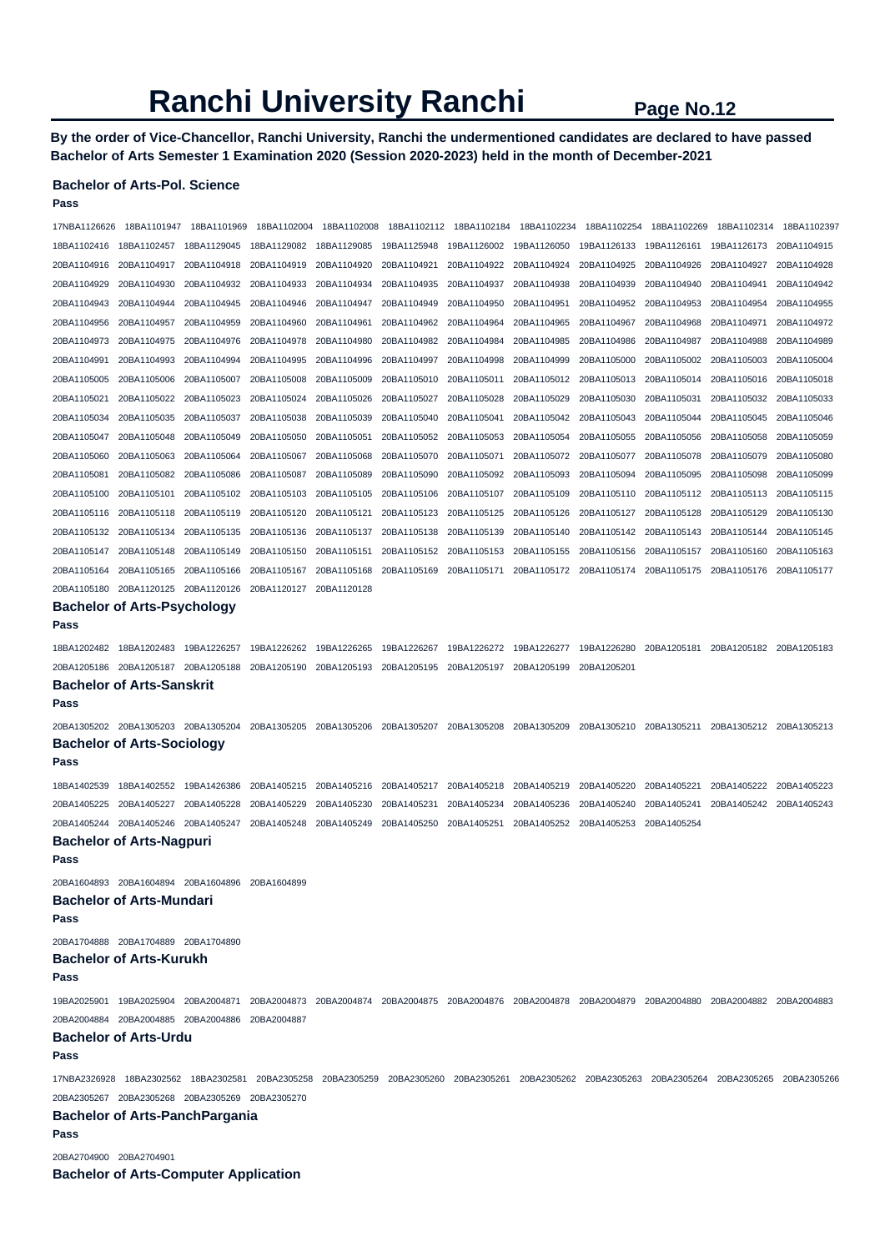**By the order of Vice-Chancellor, Ranchi University, Ranchi the undermentioned candidates are declared to have passed Bachelor of Arts Semester 1 Examination 2020 (Session 2020-2023) held in the month of December-2021** 

# **Bachelor of Arts-Pol. Science**

**Pass** 

| 17NBA1126626 | 18BA1101947                                                                        | 18BA1101969 | 18BA1102004 | 18BA1102008 | 18BA1102112 | 18BA1102184 | 18BA1102234                                                                                                                                                  | 18BA1102254 | 18BA1102269 | 18BA1102314 | 18BA1102397 |
|--------------|------------------------------------------------------------------------------------|-------------|-------------|-------------|-------------|-------------|--------------------------------------------------------------------------------------------------------------------------------------------------------------|-------------|-------------|-------------|-------------|
| 18BA1102416  | 18BA1102457                                                                        | 18BA1129045 | 18BA1129082 | 18BA1129085 | 19BA1125948 | 19BA1126002 | 19BA1126050                                                                                                                                                  | 19BA1126133 | 19BA1126161 | 19BA1126173 | 20BA1104915 |
| 20BA1104916  | 20BA1104917                                                                        | 20BA1104918 | 20BA1104919 | 20BA1104920 | 20BA1104921 | 20BA1104922 | 20BA1104924                                                                                                                                                  | 20BA1104925 | 20BA1104926 | 20BA1104927 | 20BA1104928 |
| 20BA1104929  | 20BA1104930                                                                        | 20BA1104932 | 20BA1104933 | 20BA1104934 | 20BA1104935 | 20BA1104937 | 20BA1104938                                                                                                                                                  | 20BA1104939 | 20BA1104940 | 20BA1104941 | 20BA1104942 |
| 20BA1104943  | 20BA1104944                                                                        | 20BA1104945 | 20BA1104946 | 20BA1104947 | 20BA1104949 | 20BA1104950 | 20BA1104951                                                                                                                                                  | 20BA1104952 | 20BA1104953 | 20BA1104954 | 20BA1104955 |
| 20BA1104956  | 20BA1104957                                                                        | 20BA1104959 | 20BA1104960 | 20BA1104961 | 20BA1104962 | 20BA1104964 | 20BA1104965                                                                                                                                                  | 20BA1104967 | 20BA1104968 | 20BA1104971 | 20BA1104972 |
| 20BA1104973  | 20BA1104975                                                                        | 20BA1104976 | 20BA1104978 | 20BA1104980 | 20BA1104982 | 20BA1104984 | 20BA1104985                                                                                                                                                  | 20BA1104986 | 20BA1104987 | 20BA1104988 | 20BA1104989 |
| 20BA1104991  | 20BA1104993                                                                        | 20BA1104994 | 20BA1104995 | 20BA1104996 | 20BA1104997 | 20BA1104998 | 20BA1104999                                                                                                                                                  | 20BA1105000 | 20BA1105002 | 20BA1105003 | 20BA1105004 |
| 20BA1105005  | 20BA1105006                                                                        | 20BA1105007 | 20BA1105008 | 20BA1105009 | 20BA1105010 | 20BA1105011 | 20BA1105012                                                                                                                                                  | 20BA1105013 | 20BA1105014 | 20BA1105016 | 20BA1105018 |
| 20BA1105021  | 20BA1105022                                                                        | 20BA1105023 | 20BA1105024 | 20BA1105026 | 20BA1105027 | 20BA1105028 | 20BA1105029                                                                                                                                                  | 20BA1105030 | 20BA1105031 | 20BA1105032 | 20BA1105033 |
| 20BA1105034  | 20BA1105035                                                                        | 20BA1105037 | 20BA1105038 | 20BA1105039 | 20BA1105040 | 20BA1105041 | 20BA1105042                                                                                                                                                  | 20BA1105043 | 20BA1105044 | 20BA1105045 | 20BA1105046 |
| 20BA1105047  | 20BA1105048                                                                        | 20BA1105049 | 20BA1105050 | 20BA1105051 | 20BA1105052 | 20BA1105053 | 20BA1105054                                                                                                                                                  | 20BA1105055 | 20BA1105056 | 20BA1105058 | 20BA1105059 |
| 20BA1105060  | 20BA1105063                                                                        | 20BA1105064 | 20BA1105067 | 20BA1105068 | 20BA1105070 | 20BA1105071 | 20BA1105072                                                                                                                                                  | 20BA1105077 | 20BA1105078 | 20BA1105079 | 20BA1105080 |
| 20BA1105081  | 20BA1105082                                                                        | 20BA1105086 | 20BA1105087 | 20BA1105089 | 20BA1105090 | 20BA1105092 | 20BA1105093                                                                                                                                                  | 20BA1105094 | 20BA1105095 | 20BA1105098 | 20BA1105099 |
| 20BA1105100  | 20BA1105101                                                                        | 20BA1105102 | 20BA1105103 | 20BA1105105 | 20BA1105106 | 20BA1105107 | 20BA1105109                                                                                                                                                  | 20BA1105110 | 20BA1105112 | 20BA1105113 | 20BA1105115 |
| 20BA1105116  | 20BA1105118                                                                        | 20BA1105119 | 20BA1105120 | 20BA1105121 | 20BA1105123 | 20BA1105125 | 20BA1105126                                                                                                                                                  | 20BA1105127 | 20BA1105128 | 20BA1105129 | 20BA1105130 |
| 20BA1105132  | 20BA1105134                                                                        | 20BA1105135 | 20BA1105136 | 20BA1105137 | 20BA1105138 | 20BA1105139 | 20BA1105140                                                                                                                                                  | 20BA1105142 | 20BA1105143 | 20BA1105144 | 20BA1105145 |
| 20BA1105147  | 20BA1105148                                                                        | 20BA1105149 | 20BA1105150 | 20BA1105151 | 20BA1105152 | 20BA1105153 | 20BA1105155                                                                                                                                                  | 20BA1105156 | 20BA1105157 | 20BA1105160 | 20BA1105163 |
| 20BA1105164  | 20BA1105165                                                                        | 20BA1105166 | 20BA1105167 | 20BA1105168 | 20BA1105169 | 20BA1105171 | 20BA1105172                                                                                                                                                  | 20BA1105174 | 20BA1105175 | 20BA1105176 | 20BA1105177 |
| 20BA1105180  | 20BA1120125                                                                        | 20BA1120126 | 20BA1120127 | 20BA1120128 |             |             |                                                                                                                                                              |             |             |             |             |
| Pass         | <b>Bachelor of Arts-Psychology</b>                                                 |             |             |             |             |             |                                                                                                                                                              |             |             |             |             |
|              |                                                                                    |             |             |             |             |             |                                                                                                                                                              |             |             |             |             |
| 18BA1202482  | 18BA1202483                                                                        | 19BA1226257 | 19BA1226262 | 19BA1226265 | 19BA1226267 | 19BA1226272 | 19BA1226277                                                                                                                                                  | 19BA1226280 | 20BA1205181 | 20BA1205182 | 20BA1205183 |
| 20BA1205186  | 20BA1205187 20BA1205188                                                            |             | 20BA1205190 | 20BA1205193 | 20BA1205195 | 20BA1205197 | 20BA1205199                                                                                                                                                  | 20BA1205201 |             |             |             |
| Pass         | <b>Bachelor of Arts-Sanskrit</b>                                                   |             |             |             |             |             |                                                                                                                                                              |             |             |             |             |
|              |                                                                                    |             |             |             |             |             |                                                                                                                                                              |             |             |             |             |
|              | 20BA1305202 20BA1305203 20BA1305204                                                |             | 20BA1305205 | 20BA1305206 | 20BA1305207 | 20BA1305208 | 20BA1305209                                                                                                                                                  | 20BA1305210 | 20BA1305211 | 20BA1305212 | 20BA1305213 |
| Pass         | <b>Bachelor of Arts-Sociology</b>                                                  |             |             |             |             |             |                                                                                                                                                              |             |             |             |             |
|              |                                                                                    |             |             |             |             |             |                                                                                                                                                              |             |             |             |             |
| 18BA1402539  | 18BA1402552                                                                        | 19BA1426386 | 20BA1405215 | 20BA1405216 | 20BA1405217 | 20BA1405218 | 20BA1405219                                                                                                                                                  | 20BA1405220 | 20BA1405221 | 20BA1405222 | 20BA1405223 |
| 20BA1405225  | 20BA1405227                                                                        | 20BA1405228 | 20BA1405229 | 20BA1405230 | 20BA1405231 | 20BA1405234 | 20BA1405236                                                                                                                                                  | 20BA1405240 | 20BA1405241 | 20BA1405242 | 20BA1405243 |
| 20BA1405244  | 20BA1405246<br><b>Bachelor of Arts-Nagpuri</b>                                     | 20BA1405247 | 20BA1405248 | 20BA1405249 | 20BA1405250 | 20BA1405251 | 20BA1405252                                                                                                                                                  | 20BA1405253 | 20BA1405254 |             |             |
| Pass         |                                                                                    |             |             |             |             |             |                                                                                                                                                              |             |             |             |             |
|              |                                                                                    |             |             |             |             |             |                                                                                                                                                              |             |             |             |             |
|              | 20BA1604893 20BA1604894 20BA1604896 20BA1604899<br><b>Bachelor of Arts-Mundari</b> |             |             |             |             |             |                                                                                                                                                              |             |             |             |             |
| Pass         |                                                                                    |             |             |             |             |             |                                                                                                                                                              |             |             |             |             |
|              | 20BA1704888 20BA1704889 20BA1704890                                                |             |             |             |             |             |                                                                                                                                                              |             |             |             |             |
|              | <b>Bachelor of Arts-Kurukh</b>                                                     |             |             |             |             |             |                                                                                                                                                              |             |             |             |             |
| Pass         |                                                                                    |             |             |             |             |             |                                                                                                                                                              |             |             |             |             |
|              |                                                                                    |             |             |             |             |             |                                                                                                                                                              |             |             |             |             |
|              | 20BA2004884 20BA2004885 20BA2004886 20BA2004887                                    |             |             |             |             |             | 19BA2025901 19BA2025904 20BA2004871 20BA2004873 20BA2004874 20BA2004875 20BA2004876 20BA2004878 20BA2004879 20BA2004880 20BA2004882 20BA2004883              |             |             |             |             |
|              | <b>Bachelor of Arts-Urdu</b>                                                       |             |             |             |             |             |                                                                                                                                                              |             |             |             |             |
| Pass         |                                                                                    |             |             |             |             |             |                                                                                                                                                              |             |             |             |             |
|              |                                                                                    |             |             |             |             |             | 17NBA2326928 18BA2302562 18BA2302581 20BA2305258 20BA2305259 20BA2305260 20BA2305261 20BA2305262 20BA2305263 20BA2305264 20BA2305265 20BA2305265 20BA2305265 |             |             |             |             |
|              | 20BA2305267 20BA2305268 20BA2305269 20BA2305270                                    |             |             |             |             |             |                                                                                                                                                              |             |             |             |             |
|              | <b>Bachelor of Arts-PanchPargania</b>                                              |             |             |             |             |             |                                                                                                                                                              |             |             |             |             |
| Pass         |                                                                                    |             |             |             |             |             |                                                                                                                                                              |             |             |             |             |
|              |                                                                                    |             |             |             |             |             |                                                                                                                                                              |             |             |             |             |

20BA2704900 20BA2704901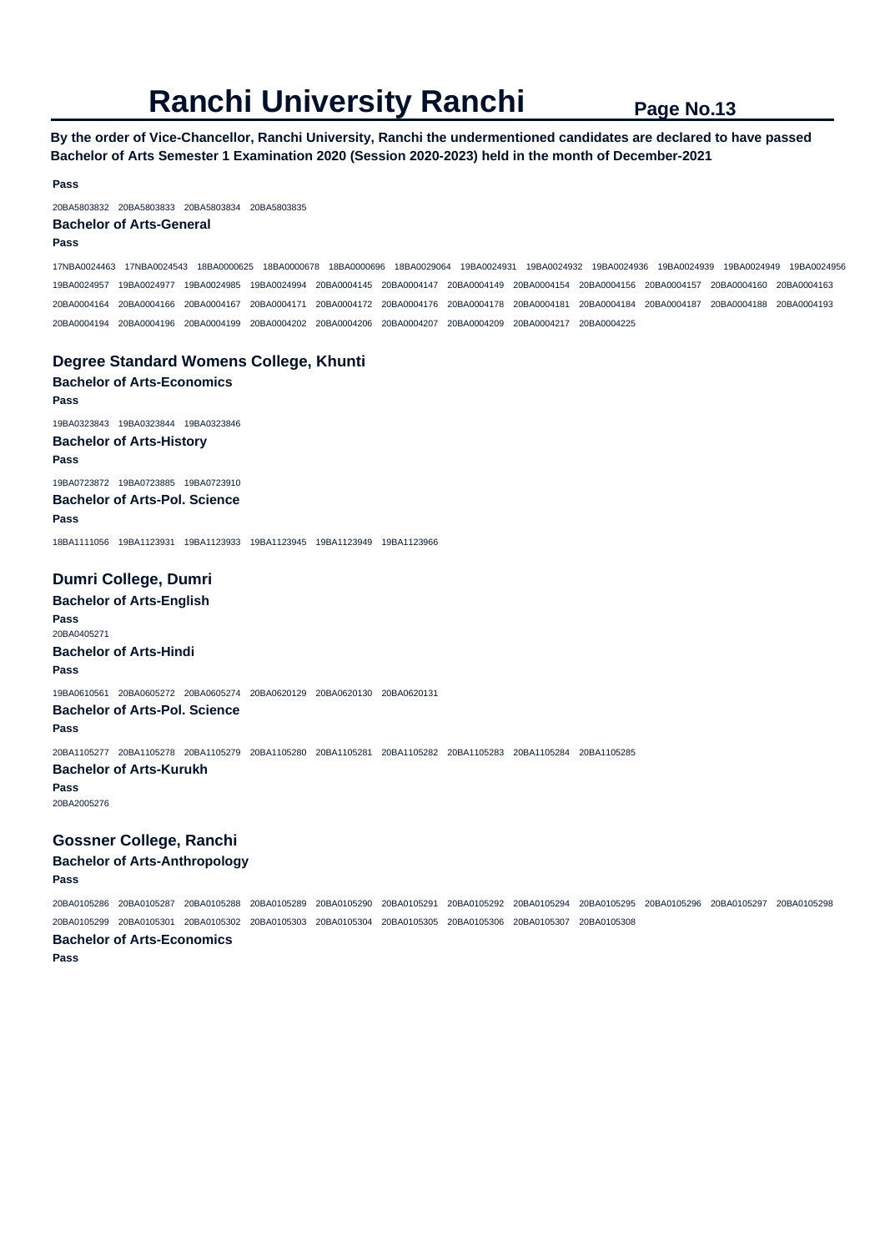**By the order of Vice-Chancellor, Ranchi University, Ranchi the undermentioned candidates are declared to have passed Bachelor of Arts Semester 1 Examination 2020 (Session 2020-2023) held in the month of December-2021** 

**Pass** 

20BA5803832 20BA5803833 20BA5803834 20BA5803835

### **Bachelor of Arts-General**

**Pass** 

17NBA0024463 17NBA0024543 18BA0000625 18BA0000678 18BA0000696 18BA0029064 19BA0024931 19BA0024932 19BA0024936 19BA0024939 19BA0024949 19BA0024956 19BA0024957 19BA0024977 19BA0024985 19BA0024994 20BA0004145 20BA0004147 20BA0004149 20BA0004154 20BA0004156 20BA0004157 20BA0004160 20BA0004163 20BA0004164 20BA0004166 20BA0004167 20BA0004171 20BA0004172 20BA0004176 20BA0004178 20BA0004181 20BA0004184 20BA0004187 20BA0004188 20BA0004193 20BA0004194 20BA0004196 20BA0004199 20BA0004202 20BA0004206 20BA0004207 20BA0004209 20BA0004217 20BA0004225

### **Degree Standard Womens College, Khunti**

**Bachelor of Arts-Economics Pass**  19BA0323843 19BA0323844 19BA0323846 **Bachelor of Arts-History Pass**  19BA0723872 19BA0723885 19BA0723910 **Bachelor of Arts-Pol. Science Pass** 

18BA1111056 19BA1123931 19BA1123933 19BA1123945 19BA1123949 19BA1123966

# **Dumri College, Dumri**

**Bachelor of Arts-English Pass**  20BA0405271 **Bachelor of Arts-Hindi Pass**  19BA0610561 20BA0605272 20BA0605274 20BA0620129 20BA0620130 20BA0620131 **Bachelor of Arts-Pol. Science Pass**  20BA1105277 20BA1105278 20BA1105279 20BA1105280 20BA1105281 20BA1105282 20BA1105283 20BA1105284 20BA1105285

#### **Bachelor of Arts-Kurukh**

**Pass** 

20BA2005276

# **Gossner College, Ranchi**

**Bachelor of Arts-Anthropology** 

# **Pass**

20BA0105286 20BA0105287 20BA0105288 20BA0105289 20BA0105290 20BA0105291 20BA0105292 20BA0105294 20BA0105295 20BA0105296 20BA0105297 20BA0105298 20BA0105299 20BA0105301 20BA0105302 20BA0105303 20BA0105304 20BA0105305 20BA0105306 20BA0105307 20BA0105308 **Bachelor of Arts-Economics Pass**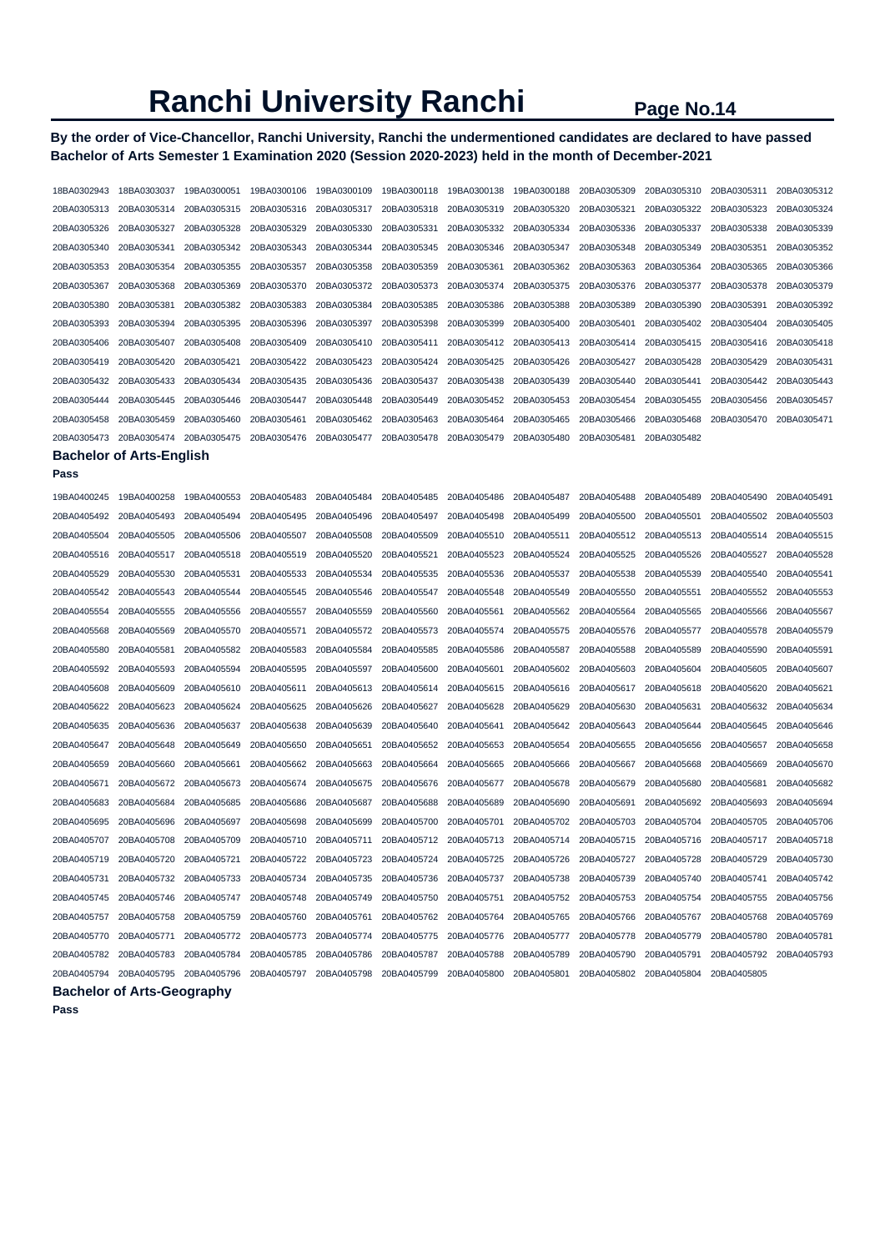# **By the order of Vice-Chancellor, Ranchi University, Ranchi the undermentioned candidates are declared to have passed Bachelor of Arts Semester 1 Examination 2020 (Session 2020-2023) held in the month of December-2021**

| 18BA0302943 | 18BA0303037                       | 19BA0300051 | 19BA0300106 | 19BA0300109             | 19BA0300118 | 19BA0300138 | 19BA0300188             | 20BA0305309 | 20BA0305310 | 20BA0305311 | 20BA0305312 |
|-------------|-----------------------------------|-------------|-------------|-------------------------|-------------|-------------|-------------------------|-------------|-------------|-------------|-------------|
| 20BA0305313 | 20BA0305314                       | 20BA0305315 | 20BA0305316 | 20BA0305317             | 20BA0305318 | 20BA0305319 | 20BA0305320             | 20BA0305321 | 20BA0305322 | 20BA0305323 | 20BA0305324 |
| 20BA0305326 | 20BA0305327                       | 20BA0305328 | 20BA0305329 | 20BA0305330             | 20BA0305331 | 20BA0305332 | 20BA0305334             | 20BA0305336 | 20BA0305337 | 20BA0305338 | 20BA0305339 |
| 20BA0305340 | 20BA0305341                       | 20BA0305342 | 20BA0305343 | 20BA0305344             | 20BA0305345 | 20BA0305346 | 20BA0305347             | 20BA0305348 | 20BA0305349 | 20BA0305351 | 20BA0305352 |
| 20BA0305353 | 20BA0305354                       | 20BA0305355 | 20BA0305357 | 20BA0305358             | 20BA0305359 | 20BA0305361 | 20BA0305362             | 20BA0305363 | 20BA0305364 | 20BA0305365 | 20BA0305366 |
| 20BA0305367 | 20BA0305368                       | 20BA0305369 | 20BA0305370 | 20BA0305372             | 20BA0305373 | 20BA0305374 | 20BA0305375             | 20BA0305376 | 20BA0305377 | 20BA0305378 | 20BA0305379 |
| 20BA0305380 | 20BA0305381                       | 20BA0305382 | 20BA0305383 | 20BA0305384             | 20BA0305385 | 20BA0305386 | 20BA0305388             | 20BA0305389 | 20BA0305390 | 20BA0305391 | 20BA0305392 |
| 20BA0305393 | 20BA0305394                       | 20BA0305395 | 20BA0305396 | 20BA0305397             | 20BA0305398 | 20BA0305399 | 20BA0305400             | 20BA0305401 | 20BA0305402 | 20BA0305404 | 20BA0305405 |
| 20BA0305406 | 20BA0305407                       | 20BA0305408 | 20BA0305409 | 20BA0305410             | 20BA0305411 | 20BA0305412 | 20BA0305413             | 20BA0305414 | 20BA0305415 | 20BA0305416 | 20BA0305418 |
| 20BA0305419 | 20BA0305420                       | 20BA0305421 | 20BA0305422 | 20BA0305423             | 20BA0305424 | 20BA0305425 | 20BA0305426             | 20BA0305427 | 20BA0305428 | 20BA0305429 | 20BA0305431 |
| 20BA0305432 | 20BA0305433                       | 20BA0305434 | 20BA0305435 | 20BA0305436             | 20BA0305437 | 20BA0305438 | 20BA0305439             | 20BA0305440 | 20BA0305441 | 20BA0305442 | 20BA0305443 |
| 20BA0305444 | 20BA0305445                       | 20BA0305446 | 20BA0305447 | 20BA0305448             | 20BA0305449 | 20BA0305452 | 20BA0305453             | 20BA0305454 | 20BA0305455 | 20BA0305456 | 20BA0305457 |
| 20BA0305458 | 20BA0305459                       | 20BA0305460 | 20BA0305461 | 20BA0305462             | 20BA0305463 | 20BA0305464 | 20BA0305465             | 20BA0305466 | 20BA0305468 | 20BA0305470 | 20BA0305471 |
| 20BA0305473 | 20BA0305474                       | 20BA0305475 | 20BA0305476 | 20BA0305477             | 20BA0305478 | 20BA0305479 | 20BA0305480             | 20BA0305481 | 20BA0305482 |             |             |
|             | <b>Bachelor of Arts-English</b>   |             |             |                         |             |             |                         |             |             |             |             |
| Pass        |                                   |             |             |                         |             |             |                         |             |             |             |             |
| 19BA0400245 | 19BA0400258                       | 19BA0400553 | 20BA0405483 | 20BA0405484             | 20BA0405485 | 20BA0405486 | 20BA0405487             | 20BA0405488 | 20BA0405489 | 20BA0405490 | 20BA0405491 |
| 20BA0405492 | 20BA0405493                       | 20BA0405494 | 20BA0405495 | 20BA0405496             | 20BA0405497 | 20BA0405498 | 20BA0405499             | 20BA0405500 | 20BA0405501 | 20BA0405502 | 20BA0405503 |
| 20BA0405504 | 20BA0405505                       | 20BA0405506 | 20BA0405507 | 20BA0405508             | 20BA0405509 | 20BA0405510 | 20BA0405511             | 20BA0405512 | 20BA0405513 | 20BA0405514 | 20BA0405515 |
| 20BA0405516 | 20BA0405517                       | 20BA0405518 | 20BA0405519 | 20BA0405520             | 20BA0405521 | 20BA0405523 | 20BA0405524             | 20BA0405525 | 20BA0405526 | 20BA0405527 | 20BA0405528 |
| 20BA0405529 | 20BA0405530                       | 20BA0405531 | 20BA0405533 | 20BA0405534             | 20BA0405535 | 20BA0405536 | 20BA0405537             | 20BA0405538 | 20BA0405539 | 20BA0405540 | 20BA0405541 |
| 20BA0405542 | 20BA0405543                       | 20BA0405544 | 20BA0405545 | 20BA0405546             | 20BA0405547 | 20BA0405548 | 20BA0405549             | 20BA0405550 | 20BA0405551 | 20BA0405552 | 20BA0405553 |
| 20BA0405554 | 20BA0405555                       | 20BA0405556 | 20BA0405557 | 20BA0405559             | 20BA0405560 | 20BA0405561 | 20BA0405562             | 20BA0405564 | 20BA0405565 | 20BA0405566 | 20BA0405567 |
| 20BA0405568 | 20BA0405569                       | 20BA0405570 | 20BA0405571 | 20BA0405572             | 20BA0405573 | 20BA0405574 | 20BA0405575             | 20BA0405576 | 20BA0405577 | 20BA0405578 | 20BA0405579 |
| 20BA0405580 | 20BA0405581                       | 20BA0405582 | 20BA0405583 | 20BA0405584             | 20BA0405585 | 20BA0405586 | 20BA0405587             | 20BA0405588 | 20BA0405589 | 20BA0405590 | 20BA0405591 |
| 20BA0405592 | 20BA0405593                       | 20BA0405594 | 20BA0405595 | 20BA0405597             | 20BA0405600 | 20BA0405601 | 20BA0405602             | 20BA0405603 | 20BA0405604 | 20BA0405605 | 20BA0405607 |
| 20BA0405608 | 20BA0405609                       | 20BA0405610 | 20BA0405611 | 20BA0405613             | 20BA0405614 | 20BA0405615 | 20BA0405616             | 20BA0405617 | 20BA0405618 | 20BA0405620 | 20BA0405621 |
| 20BA0405622 | 20BA0405623                       | 20BA0405624 | 20BA0405625 | 20BA0405626             | 20BA0405627 | 20BA0405628 | 20BA0405629             | 20BA0405630 | 20BA0405631 | 20BA0405632 | 20BA0405634 |
| 20BA0405635 | 20BA0405636                       | 20BA0405637 | 20BA0405638 | 20BA0405639             | 20BA0405640 | 20BA0405641 | 20BA0405642             | 20BA0405643 | 20BA0405644 | 20BA0405645 | 20BA0405646 |
| 20BA0405647 | 20BA0405648                       | 20BA0405649 | 20BA0405650 | 20BA0405651             | 20BA0405652 | 20BA0405653 | 20BA0405654             | 20BA0405655 | 20BA0405656 | 20BA0405657 | 20BA0405658 |
| 20BA0405659 | 20BA0405660                       | 20BA0405661 | 20BA0405662 | 20BA0405663             | 20BA0405664 | 20BA0405665 | 20BA0405666             | 20BA0405667 | 20BA0405668 | 20BA0405669 | 20BA0405670 |
| 20BA0405671 | 20BA0405672                       | 20BA0405673 | 20BA0405674 | 20BA0405675             | 20BA0405676 | 20BA0405677 | 20BA0405678             | 20BA0405679 | 20BA0405680 | 20BA0405681 | 20BA0405682 |
| 20BA0405683 | 20BA0405684                       | 20BA0405685 | 20BA0405686 | 20BA0405687             | 20BA0405688 | 20BA0405689 | 20BA0405690             | 20BA0405691 | 20BA0405692 | 20BA0405693 | 20BA0405694 |
| 20BA0405695 | 20BA0405696                       | 20BA0405697 | 20BA0405698 | 20BA0405699             | 20BA0405700 | 20BA0405701 | 20BA0405702             | 20BA0405703 | 20BA0405704 | 20BA0405705 | 20BA0405706 |
| 20BA0405707 | 20BA0405708                       | 20BA0405709 | 20BA0405710 | 20BA0405711             | 20BA0405712 | 20BA0405713 | 20BA0405714             | 20BA0405715 | 20BA0405716 | 20BA0405717 | 20BA0405718 |
| 20BA0405719 | 20BA0405720                       | 20BA0405721 | 20BA0405722 | 20BA0405723             | 20BA0405724 |             | 20BA0405725 20BA0405726 | 20BA0405727 | 20BA0405728 | 20BA0405729 | 20BA0405730 |
| 20BA0405731 | 20BA0405732                       | 20BA0405733 | 20BA0405734 | 20BA0405735             | 20BA0405736 | 20BA0405737 | 20BA0405738             | 20BA0405739 | 20BA0405740 | 20BA0405741 | 20BA0405742 |
| 20BA0405745 | 20BA0405746                       | 20BA0405747 | 20BA0405748 | 20BA0405749             | 20BA0405750 | 20BA0405751 | 20BA0405752             | 20BA0405753 | 20BA0405754 | 20BA0405755 | 20BA0405756 |
| 20BA0405757 | 20BA0405758                       | 20BA0405759 | 20BA0405760 | 20BA0405761             | 20BA0405762 | 20BA0405764 | 20BA0405765             | 20BA0405766 | 20BA0405767 | 20BA0405768 | 20BA0405769 |
| 20BA0405770 | 20BA0405771                       | 20BA0405772 | 20BA0405773 | 20BA0405774             | 20BA0405775 | 20BA0405776 | 20BA0405777             | 20BA0405778 | 20BA0405779 | 20BA0405780 | 20BA0405781 |
| 20BA0405782 | 20BA0405783                       | 20BA0405784 | 20BA0405785 | 20BA0405786             | 20BA0405787 | 20BA0405788 | 20BA0405789             | 20BA0405790 | 20BA0405791 | 20BA0405792 | 20BA0405793 |
| 20BA0405794 | 20BA0405795                       | 20BA0405796 |             | 20BA0405797 20BA0405798 | 20BA0405799 | 20BA0405800 | 20BA0405801             | 20BA0405802 | 20BA0405804 | 20BA0405805 |             |
|             | <b>Bachelor of Arts-Geography</b> |             |             |                         |             |             |                         |             |             |             |             |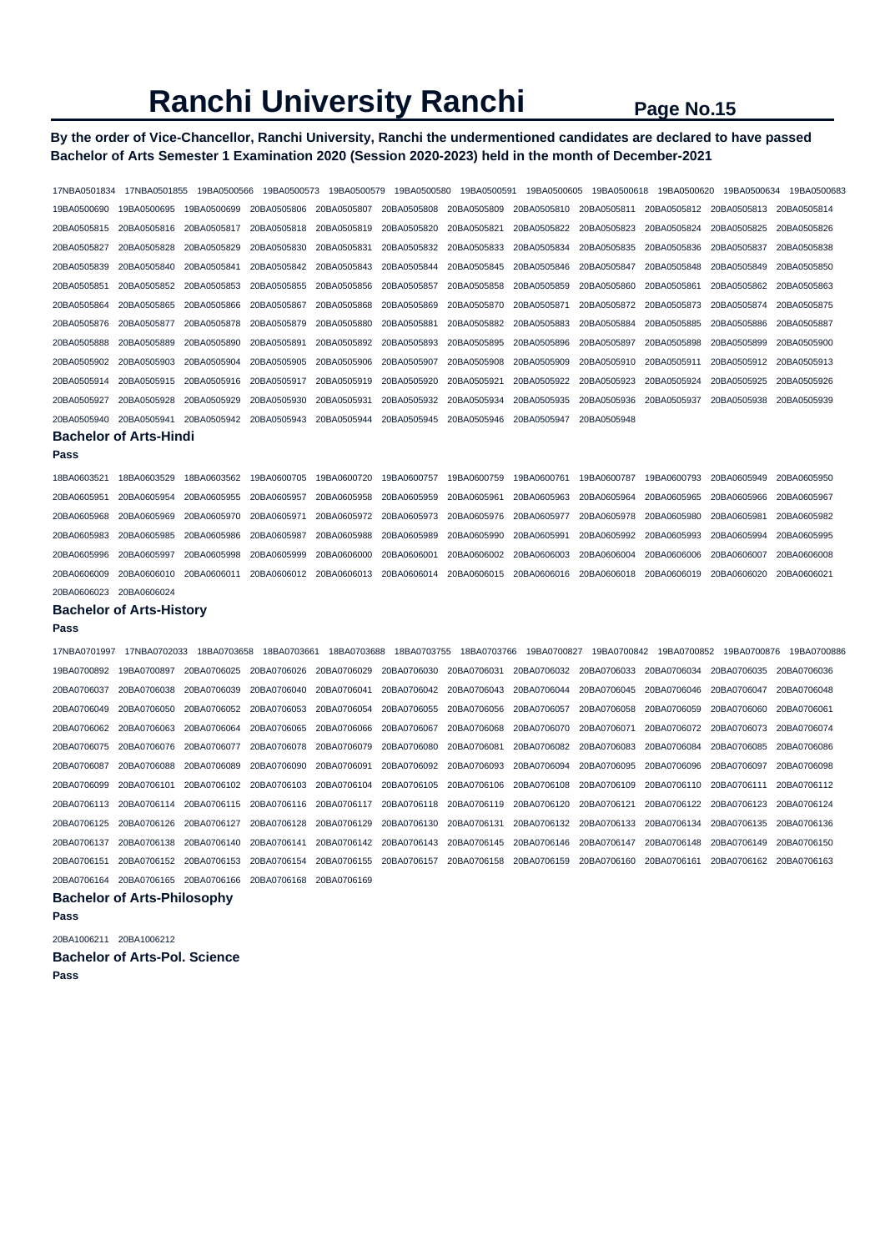# **By the order of Vice-Chancellor, Ranchi University, Ranchi the undermentioned candidates are declared to have passed Bachelor of Arts Semester 1 Examination 2020 (Session 2020-2023) held in the month of December-2021**

| 17NBA0501834 | 17NBA0501855                       | 19BA0500566 | 19BA0500573 | 19BA0500579 | 19BA0500580 | 19BA0500591 | 19BA0500605 | 19BA0500618 | 19BA0500620 | 19BA0500634 | 19BA0500683 |
|--------------|------------------------------------|-------------|-------------|-------------|-------------|-------------|-------------|-------------|-------------|-------------|-------------|
| 19BA0500690  | 19BA0500695                        | 19BA0500699 | 20BA0505806 | 20BA0505807 | 20BA0505808 | 20BA0505809 | 20BA0505810 | 20BA0505811 | 20BA0505812 | 20BA0505813 | 20BA0505814 |
| 20BA0505815  | 20BA0505816                        | 20BA0505817 | 20BA0505818 | 20BA0505819 | 20BA0505820 | 20BA0505821 | 20BA0505822 | 20BA0505823 | 20BA0505824 | 20BA0505825 | 20BA0505826 |
| 20BA0505827  | 20BA0505828                        | 20BA0505829 | 20BA0505830 | 20BA0505831 | 20BA0505832 | 20BA0505833 | 20BA0505834 | 20BA0505835 | 20BA0505836 | 20BA0505837 | 20BA0505838 |
| 20BA0505839  | 20BA0505840                        | 20BA0505841 | 20BA0505842 | 20BA0505843 | 20BA0505844 | 20BA0505845 | 20BA0505846 | 20BA0505847 | 20BA0505848 | 20BA0505849 | 20BA0505850 |
| 20BA0505851  | 20BA0505852                        | 20BA0505853 | 20BA0505855 | 20BA0505856 | 20BA0505857 | 20BA0505858 | 20BA0505859 | 20BA0505860 | 20BA0505861 | 20BA0505862 | 20BA0505863 |
| 20BA0505864  | 20BA0505865                        | 20BA0505866 | 20BA0505867 | 20BA0505868 | 20BA0505869 | 20BA0505870 | 20BA0505871 | 20BA0505872 | 20BA0505873 | 20BA0505874 | 20BA0505875 |
| 20BA0505876  | 20BA0505877                        | 20BA0505878 | 20BA0505879 | 20BA0505880 | 20BA0505881 | 20BA0505882 | 20BA0505883 | 20BA0505884 | 20BA0505885 | 20BA0505886 | 20BA0505887 |
| 20BA0505888  | 20BA0505889                        | 20BA0505890 | 20BA0505891 | 20BA0505892 | 20BA0505893 | 20BA0505895 | 20BA0505896 | 20BA0505897 | 20BA0505898 | 20BA0505899 | 20BA0505900 |
| 20BA0505902  | 20BA0505903                        | 20BA0505904 | 20BA0505905 | 20BA0505906 | 20BA0505907 | 20BA0505908 | 20BA0505909 | 20BA0505910 | 20BA0505911 | 20BA0505912 | 20BA0505913 |
| 20BA0505914  | 20BA0505915                        | 20BA0505916 | 20BA0505917 | 20BA0505919 | 20BA0505920 | 20BA0505921 | 20BA0505922 | 20BA0505923 | 20BA0505924 | 20BA0505925 | 20BA0505926 |
| 20BA0505927  | 20BA0505928                        | 20BA0505929 | 20BA0505930 | 20BA0505931 | 20BA0505932 | 20BA0505934 | 20BA0505935 | 20BA0505936 | 20BA0505937 | 20BA0505938 | 20BA0505939 |
| 20BA0505940  | 20BA0505941                        | 20BA0505942 | 20BA0505943 | 20BA0505944 | 20BA0505945 | 20BA0505946 | 20BA0505947 | 20BA0505948 |             |             |             |
|              | <b>Bachelor of Arts-Hindi</b>      |             |             |             |             |             |             |             |             |             |             |
| Pass         |                                    |             |             |             |             |             |             |             |             |             |             |
| 18BA0603521  | 18BA0603529                        | 18BA0603562 | 19BA0600705 | 19BA0600720 | 19BA0600757 | 19BA0600759 | 19BA0600761 | 19BA0600787 | 19BA0600793 | 20BA0605949 | 20BA0605950 |
| 20BA0605951  | 20BA0605954                        | 20BA0605955 | 20BA0605957 | 20BA0605958 | 20BA0605959 | 20BA0605961 | 20BA0605963 | 20BA0605964 | 20BA0605965 | 20BA0605966 | 20BA0605967 |
| 20BA0605968  | 20BA0605969                        | 20BA0605970 | 20BA0605971 | 20BA0605972 | 20BA0605973 | 20BA0605976 | 20BA0605977 | 20BA0605978 | 20BA0605980 | 20BA0605981 | 20BA0605982 |
| 20BA0605983  | 20BA0605985                        | 20BA0605986 | 20BA0605987 | 20BA0605988 | 20BA0605989 | 20BA0605990 | 20BA0605991 | 20BA0605992 | 20BA0605993 | 20BA0605994 | 20BA0605995 |
| 20BA0605996  | 20BA0605997                        | 20BA0605998 | 20BA0605999 | 20BA0606000 | 20BA0606001 | 20BA0606002 | 20BA0606003 | 20BA0606004 | 20BA0606006 | 20BA0606007 | 20BA0606008 |
| 20BA0606009  | 20BA0606010                        | 20BA0606011 | 20BA0606012 | 20BA0606013 | 20BA0606014 | 20BA0606015 | 20BA0606016 | 20BA0606018 | 20BA0606019 | 20BA0606020 | 20BA0606021 |
| 20BA0606023  | 20BA0606024                        |             |             |             |             |             |             |             |             |             |             |
|              | <b>Bachelor of Arts-History</b>    |             |             |             |             |             |             |             |             |             |             |
| Pass         |                                    |             |             |             |             |             |             |             |             |             |             |
| 17NBA0701997 | 17NBA0702033                       | 18BA0703658 | 18BA0703661 | 18BA0703688 | 18BA0703755 | 18BA0703766 | 19BA0700827 | 19BA0700842 | 19BA0700852 | 19BA0700876 | 19BA0700886 |
| 19BA0700892  | 19BA0700897                        | 20BA0706025 | 20BA0706026 | 20BA0706029 | 20BA0706030 | 20BA0706031 | 20BA0706032 | 20BA0706033 | 20BA0706034 | 20BA0706035 | 20BA0706036 |
| 20BA0706037  | 20BA0706038                        | 20BA0706039 | 20BA0706040 | 20BA0706041 | 20BA0706042 | 20BA0706043 | 20BA0706044 | 20BA0706045 | 20BA0706046 | 20BA0706047 | 20BA0706048 |
| 20BA0706049  | 20BA0706050                        | 20BA0706052 | 20BA0706053 | 20BA0706054 | 20BA0706055 | 20BA0706056 | 20BA0706057 | 20BA0706058 | 20BA0706059 | 20BA0706060 | 20BA0706061 |
| 20BA0706062  | 20BA0706063                        | 20BA0706064 | 20BA0706065 | 20BA0706066 | 20BA0706067 | 20BA0706068 | 20BA0706070 | 20BA0706071 | 20BA0706072 | 20BA0706073 | 20BA0706074 |
| 20BA0706075  | 20BA0706076                        | 20BA0706077 | 20BA0706078 | 20BA0706079 | 20BA0706080 | 20BA0706081 | 20BA0706082 | 20BA0706083 | 20BA0706084 | 20BA0706085 | 20BA0706086 |
| 20BA0706087  | 20BA0706088                        | 20BA0706089 | 20BA0706090 | 20BA0706091 | 20BA0706092 | 20BA0706093 | 20BA0706094 | 20BA0706095 | 20BA0706096 | 20BA0706097 | 20BA0706098 |
| 20BA0706099  | 20BA0706101                        | 20BA0706102 | 20BA0706103 | 20BA0706104 | 20BA0706105 | 20BA0706106 | 20BA0706108 | 20BA0706109 | 20BA0706110 | 20BA0706111 | 20BA0706112 |
| 20BA0706113  | 20BA0706114                        | 20BA0706115 | 20BA0706116 | 20BA0706117 | 20BA0706118 | 20BA0706119 | 20BA0706120 | 20BA0706121 | 20BA0706122 | 20BA0706123 | 20BA0706124 |
| 20BA0706125  | 20BA0706126                        | 20BA0706127 | 20BA0706128 | 20BA0706129 | 20BA0706130 | 20BA0706131 | 20BA0706132 | 20BA0706133 | 20BA0706134 | 20BA0706135 | 20BA0706136 |
| 20BA0706137  | 20BA0706138                        | 20BA0706140 | 20BA0706141 | 20BA0706142 | 20BA0706143 | 20BA0706145 | 20BA0706146 | 20BA0706147 | 20BA0706148 | 20BA0706149 | 20BA0706150 |
| 20BA0706151  | 20BA0706152                        | 20BA0706153 | 20BA0706154 | 20BA0706155 | 20BA0706157 | 20BA0706158 | 20BA0706159 | 20BA0706160 | 20BA0706161 | 20BA0706162 | 20BA0706163 |
| 20BA0706164  | 20BA0706165                        | 20BA0706166 | 20BA0706168 | 20BA0706169 |             |             |             |             |             |             |             |
|              | <b>Bachelor of Arts-Philosophy</b> |             |             |             |             |             |             |             |             |             |             |
| Pass         |                                    |             |             |             |             |             |             |             |             |             |             |

20BA1006211 20BA1006212

**Bachelor of Arts-Pol. Science Pass**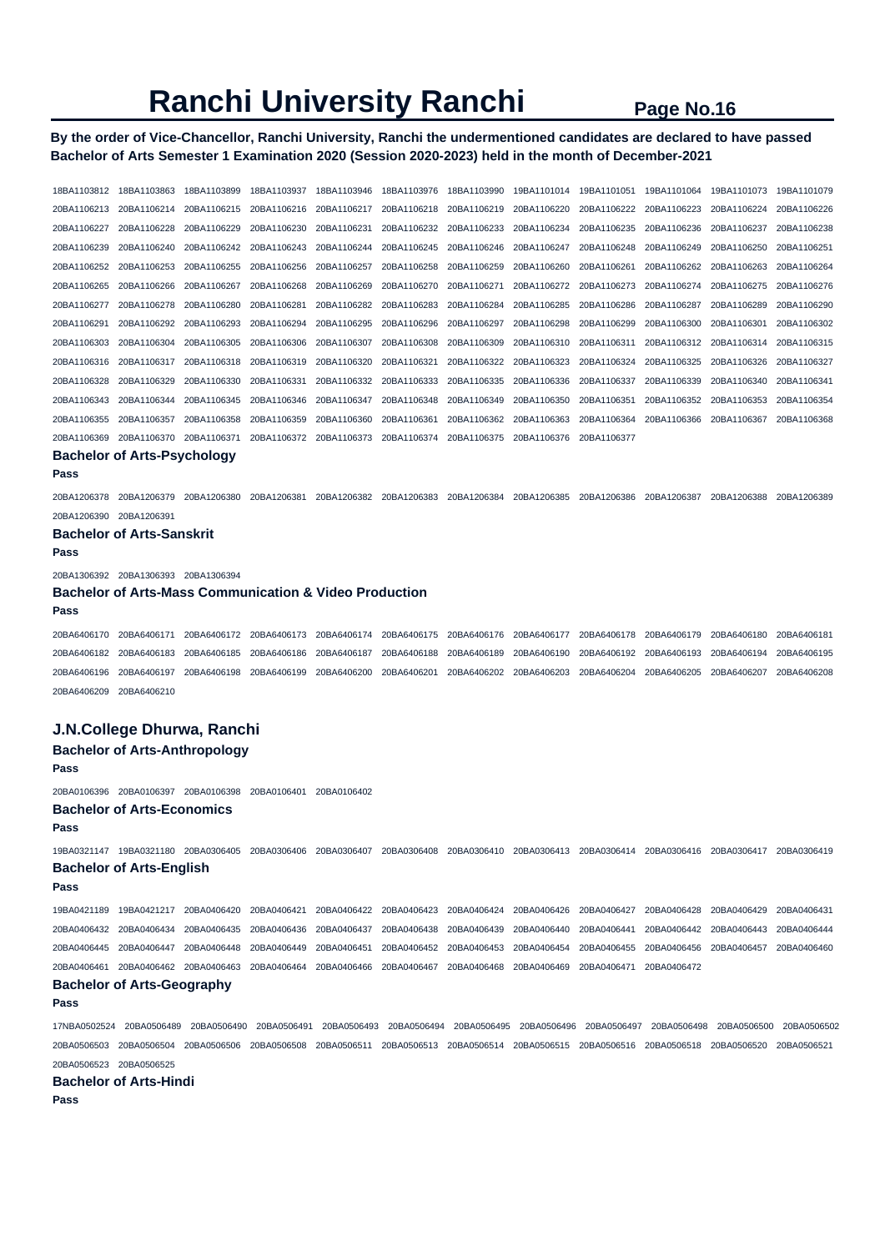# **By the order of Vice-Chancellor, Ranchi University, Ranchi the undermentioned candidates are declared to have passed Bachelor of Arts Semester 1 Examination 2020 (Session 2020-2023) held in the month of December-2021**

18BA1103812 18BA1103863 18BA1103899 18BA1103937 18BA1103946 18BA1103976 18BA1103990 19BA1101014 19BA1101051 19BA1101064 19BA1101073 19BA1101079 20BA1106213 20BA1106214 20BA1106215 20BA1106216 20BA1106217 20BA1106218 20BA1106219 20BA1106220 20BA1106222 20BA1106223 20BA1106224 20BA1106226 20BA1106227 20BA1106228 20BA1106229 20BA1106230 20BA1106231 20BA1106232 20BA1106233 20BA1106234 20BA1106235 20BA1106236 20BA1106237 20BA1106238 20BA1106239 20BA1106240 20BA1106242 20BA1106243 20BA1106244 20BA1106245 20BA1106246 20BA1106247 20BA1106248 20BA1106249 20BA1106250 20BA1106251 20BA1106252 20BA1106253 20BA1106255 20BA1106256 20BA1106257 20BA1106258 20BA1106259 20BA1106260 20BA1106261 20BA1106262 20BA1106263 20BA1106264 20BA1106265 20BA1106266 20BA1106267 20BA1106268 20BA1106269 20BA1106270 20BA1106271 20BA1106272 20BA1106273 20BA1106274 20BA1106275 20BA1106276 20BA1106277 20BA1106278 20BA1106280 20BA1106281 20BA1106282 20BA1106283 20BA1106284 20BA1106285 20BA1106286 20BA1106287 20BA1106289 20BA1106290 20BA1106291 20BA1106292 20BA1106293 20BA1106294 20BA1106295 20BA1106296 20BA1106297 20BA1106298 20BA1106299 20BA1106300 20BA1106301 20BA1106302 20BA1106303 20BA1106304 20BA1106305 20BA1106306 20BA1106307 20BA1106308 20BA1106309 20BA1106310 20BA1106311 20BA1106312 20BA1106314 20BA1106315 20BA1106316 20BA1106317 20BA1106318 20BA1106319 20BA1106320 20BA1106321 20BA1106322 20BA1106323 20BA1106324 20BA1106325 20BA1106326 20BA1106327 20BA1106328 20BA1106329 20BA1106330 20BA1106331 20BA1106332 20BA1106333 20BA1106335 20BA1106336 20BA1106337 20BA1106339 20BA1106340 20BA1106341 20BA1106343 20BA1106344 20BA1106345 20BA1106346 20BA1106347 20BA1106348 20BA1106349 20BA1106350 20BA1106351 20BA1106352 20BA1106353 20BA1106354 20BA1106355 20BA1106357 20BA1106358 20BA1106359 20BA1106360 20BA1106361 20BA1106362 20BA1106363 20BA1106364 20BA1106366 20BA1106367 20BA1106368 20BA1106369 20BA1106370 20BA1106371 20BA1106372 20BA1106373 20BA1106374 20BA1106375 20BA1106376 20BA1106377 **Bachelor of Arts-Psychology Pass**  20BA1206378 20BA1206379 20BA1206380 20BA1206381 20BA1206382 20BA1206383 20BA1206384 20BA1206385 20BA1206386 20BA1206387 20BA1206388 20BA1206389 20BA1206390 20BA1206391 **Bachelor of Arts-Sanskrit Pass**  20BA1306392 20BA1306393 20BA1306394 **Bachelor of Arts-Mass Communication & Video Production Pass**  20BA6406170 20BA6406171 20BA6406172 20BA6406173 20BA6406174 20BA6406175 20BA6406176 20BA6406177 20BA6406178 20BA6406179 20BA6406180 20BA6406181 20BA6406182 20BA6406183 20BA6406185 20BA6406186 20BA6406187 20BA6406188 20BA6406189 20BA6406190 20BA6406192 20BA6406193 20BA6406194 20BA6406195 20BA6406196 20BA6406197 20BA6406198 20BA6406199 20BA6406200 20BA6406201 20BA6406202 20BA6406203 20BA6406204 20BA6406205 20BA6406207 20BA6406208 20BA6406209 20BA6406210 **J.N.College Dhurwa, Ranchi Bachelor of Arts-Anthropology Pass**  20BA0106396 20BA0106397 20BA0106398 20BA0106401 20BA0106402 **Bachelor of Arts-Economics Pass**  19BA0321147 19BA0321180 20BA0306405 20BA0306406 20BA0306407 20BA0306408 20BA0306410 20BA0306413 20BA0306414 20BA0306416 20BA0306417 20BA0306419 **Bachelor of Arts-English Pass**  19BA0421189 19BA0421217 20BA0406420 20BA0406421 20BA0406422 20BA0406423 20BA0406424 20BA0406426 20BA0406427 20BA0406428 20BA0406429 20BA0406431 20BA0406432 20BA0406434 20BA0406435 20BA0406436 20BA0406437 20BA0406438 20BA0406439 20BA0406440 20BA0406441 20BA0406442 20BA0406443 20BA0406444 20BA0406445 20BA0406447 20BA0406448 20BA0406449 20BA0406451 20BA0406452 20BA0406453 20BA0406454 20BA0406455 20BA0406456 20BA0406457 20BA0406460 20BA0406461 20BA0406462 20BA0406463 20BA0406464 20BA0406466 20BA0406467 20BA0406468 20BA0406469 20BA0406471 20BA0406472 **Bachelor of Arts-Geography Pass**  17NBA0502524 20BA0506489 20BA0506490 20BA0506491 20BA0506493 20BA0506494 20BA0506495 20BA0506496 20BA0506497 20BA0506498 20BA0506500 20BA0506502 20BA0506503 20BA0506504 20BA0506506 20BA0506508 20BA0506511 20BA0506513 20BA0506514 20BA0506515 20BA0506516 20BA0506518 20BA0506520 20BA0506521 20BA0506523 20BA0506525 **Bachelor of Arts-Hindi Pass**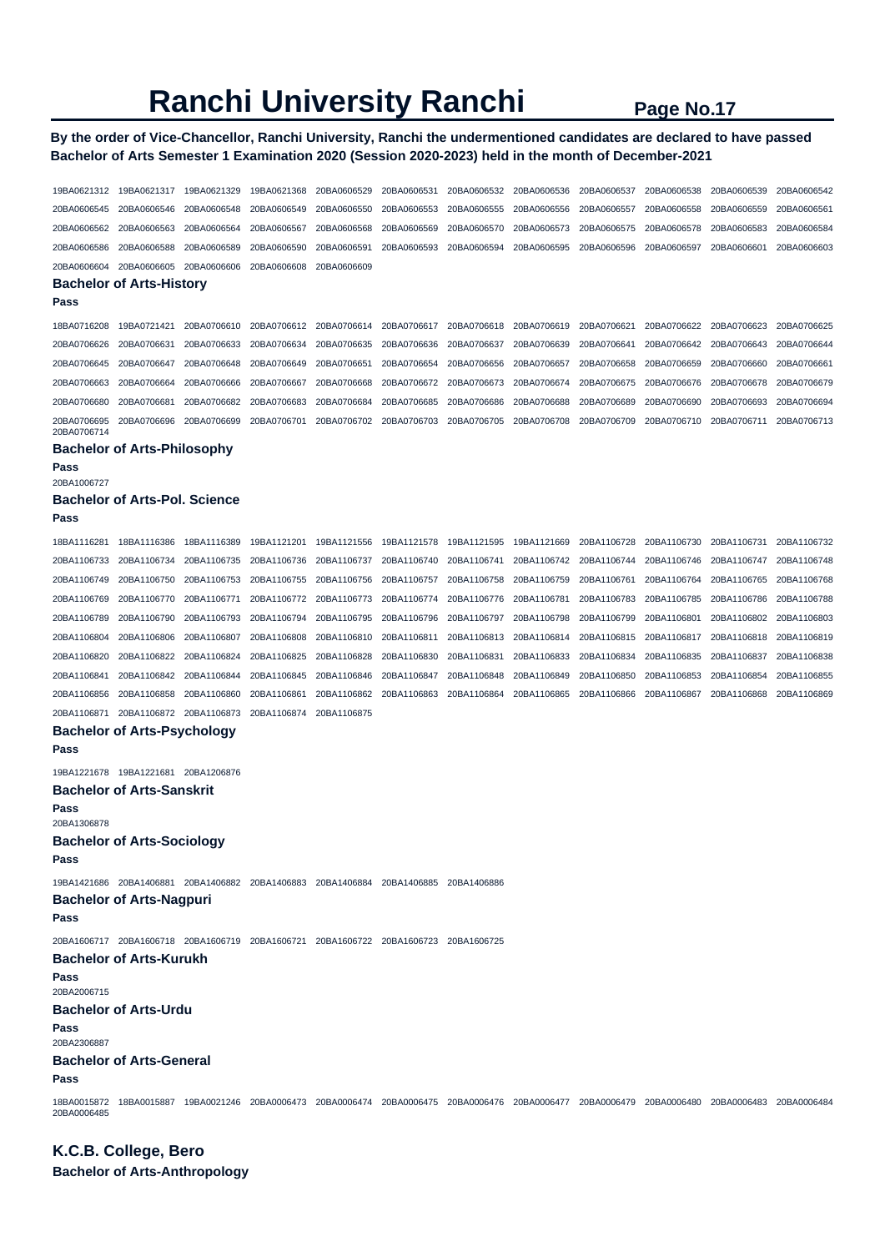# **By the order of Vice-Chancellor, Ranchi University, Ranchi the undermentioned candidates are declared to have passed Bachelor of Arts Semester 1 Examination 2020 (Session 2020-2023) held in the month of December-2021**

| 19BA0621312         | 19BA0621317                                                                                                                                     | 19BA0621329 | 19BA0621368 | 20BA0606529 | 20BA0606531 | 20BA0606532 | 20BA0606536 | 20BA0606537 | 20BA0606538 | 20BA0606539 | 20BA0606542 |
|---------------------|-------------------------------------------------------------------------------------------------------------------------------------------------|-------------|-------------|-------------|-------------|-------------|-------------|-------------|-------------|-------------|-------------|
| 20BA0606545         | 20BA0606546                                                                                                                                     | 20BA0606548 | 20BA0606549 | 20BA0606550 | 20BA0606553 | 20BA0606555 | 20BA0606556 | 20BA0606557 | 20BA0606558 | 20BA0606559 | 20BA0606561 |
| 20BA0606562         | 20BA0606563                                                                                                                                     | 20BA0606564 | 20BA0606567 | 20BA0606568 | 20BA0606569 | 20BA0606570 | 20BA0606573 | 20BA0606575 | 20BA0606578 | 20BA0606583 | 20BA0606584 |
| 20BA0606586         | 20BA0606588                                                                                                                                     | 20BA0606589 | 20BA0606590 | 20BA0606591 | 20BA0606593 | 20BA0606594 | 20BA0606595 | 20BA0606596 | 20BA0606597 | 20BA0606601 | 20BA0606603 |
| 20BA0606604         | 20BA0606605                                                                                                                                     | 20BA0606606 | 20BA0606608 | 20BA0606609 |             |             |             |             |             |             |             |
|                     | <b>Bachelor of Arts-History</b>                                                                                                                 |             |             |             |             |             |             |             |             |             |             |
| Pass                |                                                                                                                                                 |             |             |             |             |             |             |             |             |             |             |
| 18BA0716208         | 19BA0721421                                                                                                                                     | 20BA0706610 | 20BA0706612 | 20BA0706614 | 20BA0706617 | 20BA0706618 | 20BA0706619 | 20BA0706621 | 20BA0706622 | 20BA0706623 | 20BA0706625 |
| 20BA0706626         | 20BA0706631                                                                                                                                     | 20BA0706633 | 20BA0706634 | 20BA0706635 | 20BA0706636 | 20BA0706637 | 20BA0706639 | 20BA0706641 | 20BA0706642 | 20BA0706643 | 20BA0706644 |
| 20BA0706645         | 20BA0706647                                                                                                                                     | 20BA0706648 | 20BA0706649 | 20BA0706651 | 20BA0706654 | 20BA0706656 | 20BA0706657 | 20BA0706658 | 20BA0706659 | 20BA0706660 | 20BA0706661 |
| 20BA0706663         | 20BA0706664                                                                                                                                     | 20BA0706666 | 20BA0706667 | 20BA0706668 | 20BA0706672 | 20BA0706673 | 20BA0706674 | 20BA0706675 | 20BA0706676 | 20BA0706678 | 20BA0706679 |
| 20BA0706680         | 20BA0706681                                                                                                                                     | 20BA0706682 | 20BA0706683 | 20BA0706684 | 20BA0706685 | 20BA0706686 | 20BA0706688 | 20BA0706689 | 20BA0706690 | 20BA0706693 | 20BA0706694 |
| 20BA0706695         | 20BA0706696                                                                                                                                     | 20BA0706699 | 20BA0706701 | 20BA0706702 | 20BA0706703 | 20BA0706705 | 20BA0706708 | 20BA0706709 | 20BA0706710 | 20BA0706711 | 20BA0706713 |
| 20BA0706714         |                                                                                                                                                 |             |             |             |             |             |             |             |             |             |             |
|                     | <b>Bachelor of Arts-Philosophy</b>                                                                                                              |             |             |             |             |             |             |             |             |             |             |
| Pass<br>20BA1006727 |                                                                                                                                                 |             |             |             |             |             |             |             |             |             |             |
|                     | <b>Bachelor of Arts-Pol. Science</b>                                                                                                            |             |             |             |             |             |             |             |             |             |             |
| Pass                |                                                                                                                                                 |             |             |             |             |             |             |             |             |             |             |
| 18BA1116281         | 18BA1116386                                                                                                                                     | 18BA1116389 | 19BA1121201 | 19BA1121556 | 19BA1121578 | 19BA1121595 | 19BA1121669 | 20BA1106728 | 20BA1106730 | 20BA1106731 | 20BA1106732 |
| 20BA1106733         | 20BA1106734                                                                                                                                     | 20BA1106735 | 20BA1106736 | 20BA1106737 | 20BA1106740 | 20BA1106741 | 20BA1106742 | 20BA1106744 | 20BA1106746 | 20BA1106747 | 20BA1106748 |
| 20BA1106749         | 20BA1106750                                                                                                                                     | 20BA1106753 | 20BA1106755 | 20BA1106756 | 20BA1106757 | 20BA1106758 | 20BA1106759 | 20BA1106761 | 20BA1106764 | 20BA1106765 | 20BA1106768 |
| 20BA1106769         | 20BA1106770                                                                                                                                     | 20BA1106771 | 20BA1106772 | 20BA1106773 | 20BA1106774 | 20BA1106776 | 20BA1106781 | 20BA1106783 | 20BA1106785 | 20BA1106786 | 20BA1106788 |
| 20BA1106789         | 20BA1106790                                                                                                                                     | 20BA1106793 | 20BA1106794 | 20BA1106795 | 20BA1106796 | 20BA1106797 | 20BA1106798 | 20BA1106799 | 20BA1106801 | 20BA1106802 | 20BA1106803 |
| 20BA1106804         | 20BA1106806                                                                                                                                     | 20BA1106807 | 20BA1106808 | 20BA1106810 | 20BA1106811 | 20BA1106813 | 20BA1106814 | 20BA1106815 | 20BA1106817 | 20BA1106818 | 20BA1106819 |
| 20BA1106820         | 20BA1106822                                                                                                                                     | 20BA1106824 | 20BA1106825 | 20BA1106828 | 20BA1106830 | 20BA1106831 | 20BA1106833 | 20BA1106834 | 20BA1106835 | 20BA1106837 | 20BA1106838 |
| 20BA1106841         | 20BA1106842                                                                                                                                     | 20BA1106844 | 20BA1106845 | 20BA1106846 | 20BA1106847 | 20BA1106848 | 20BA1106849 | 20BA1106850 | 20BA1106853 | 20BA1106854 | 20BA1106855 |
| 20BA1106856         | 20BA1106858                                                                                                                                     | 20BA1106860 | 20BA1106861 | 20BA1106862 | 20BA1106863 | 20BA1106864 | 20BA1106865 | 20BA1106866 | 20BA1106867 | 20BA1106868 | 20BA1106869 |
| 20BA1106871         | 20BA1106872                                                                                                                                     | 20BA1106873 | 20BA1106874 | 20BA1106875 |             |             |             |             |             |             |             |
| Pass                | <b>Bachelor of Arts-Psychology</b>                                                                                                              |             |             |             |             |             |             |             |             |             |             |
|                     | 19BA1221678 19BA1221681                                                                                                                         | 20BA1206876 |             |             |             |             |             |             |             |             |             |
|                     | <b>Bachelor of Arts-Sanskrit</b>                                                                                                                |             |             |             |             |             |             |             |             |             |             |
| Pass<br>20BA1306878 |                                                                                                                                                 |             |             |             |             |             |             |             |             |             |             |
|                     | <b>Bachelor of Arts-Sociology</b>                                                                                                               |             |             |             |             |             |             |             |             |             |             |
| Pass                |                                                                                                                                                 |             |             |             |             |             |             |             |             |             |             |
|                     | 19BA1421686 20BA1406881 20BA1406882 20BA1406883 20BA1406884 20BA1406885 20BA1406886                                                             |             |             |             |             |             |             |             |             |             |             |
| Pass                | <b>Bachelor of Arts-Nagpuri</b>                                                                                                                 |             |             |             |             |             |             |             |             |             |             |
|                     | 20BA1606717 20BA1606718 20BA1606719 20BA1606721 20BA1606722 20BA1606723 20BA1606725                                                             |             |             |             |             |             |             |             |             |             |             |
|                     | <b>Bachelor of Arts-Kurukh</b>                                                                                                                  |             |             |             |             |             |             |             |             |             |             |
| Pass<br>20BA2006715 |                                                                                                                                                 |             |             |             |             |             |             |             |             |             |             |
|                     | <b>Bachelor of Arts-Urdu</b>                                                                                                                    |             |             |             |             |             |             |             |             |             |             |
| Pass                |                                                                                                                                                 |             |             |             |             |             |             |             |             |             |             |
| 20BA2306887         |                                                                                                                                                 |             |             |             |             |             |             |             |             |             |             |
| Pass                | <b>Bachelor of Arts-General</b>                                                                                                                 |             |             |             |             |             |             |             |             |             |             |
| 20BA0006485         | 18BA0015872 18BA0015887 19BA0021246 20BA0006473 20BA0006474 20BA0006475 20BA0006476 20BA0006477 20BA0006479 20BA0006480 20BA0006483 20BA0006484 |             |             |             |             |             |             |             |             |             |             |

**K.C.B. College, Bero Bachelor of Arts-Anthropology**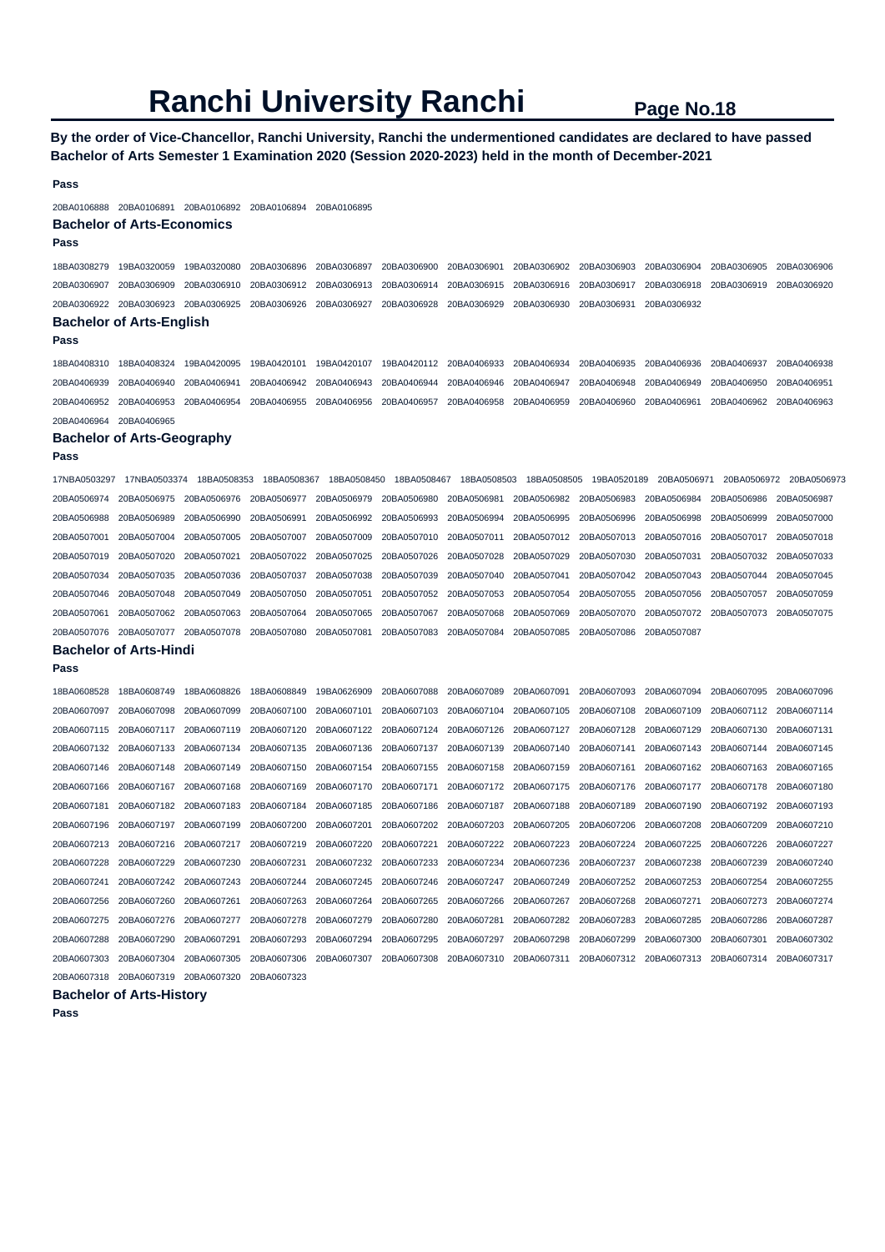**By the order of Vice-Chancellor, Ranchi University, Ranchi the undermentioned candidates are declared to have passed Bachelor of Arts Semester 1 Examination 2020 (Session 2020-2023) held in the month of December-2021** 

#### **Pass**

20BA0106888 20BA0106891 20BA0106892 20BA0106894 20BA0106895

### **Bachelor of Arts-Economics**

**Pass** 

18BA0308279 19BA0320059 19BA0320080 20BA0306896 20BA0306897 20BA0306900 20BA0306901 20BA0306902 20BA0306903 20BA0306904 20BA0306905 20BA0306906 20BA0306907 20BA0306909 20BA0306910 20BA0306912 20BA0306913 20BA0306914 20BA0306915 20BA0306916 20BA0306917 20BA0306918 20BA0306919 20BA0306920 20BA0306922 20BA0306923 20BA0306925 20BA0306926 20BA0306927 20BA0306928 20BA0306929 20BA0306930 20BA0306931 20BA0306932 **Bachelor of Arts-English** 

#### **Pass**

18BA0408310 18BA0408324 19BA0420095 19BA0420101 19BA0420107 19BA0420112 20BA0406933 20BA0406934 20BA0406935 20BA0406936 20BA0406937 20BA0406938 20BA0406939 20BA0406940 20BA0406941 20BA0406942 20BA0406943 20BA0406944 20BA0406946 20BA0406947 20BA0406948 20BA0406949 20BA0406950 20BA0406951 20BA0406952 20BA0406953 20BA0406954 20BA0406955 20BA0406956 20BA0406957 20BA0406958 20BA0406959 20BA0406960 20BA0406961 20BA0406962 20BA0406963 20BA0406964 20BA0406965

#### **Bachelor of Arts-Geography**

**Pass** 

| 17NBA0503297 | 17NBA0503374                  | 18BA0508353 | 18BA0508367 | 18BA0508450 | 18BA0508467             | 18BA0508503 | 18BA0508505                         | 19BA0520189 | 20BA0506971 |             | 20BA0506972 20BA0506973 |
|--------------|-------------------------------|-------------|-------------|-------------|-------------------------|-------------|-------------------------------------|-------------|-------------|-------------|-------------------------|
| 20BA0506974  | 20BA0506975                   | 20BA0506976 | 20BA0506977 | 20BA0506979 | 20BA0506980             | 20BA0506981 | 20BA0506982                         | 20BA0506983 | 20BA0506984 | 20BA0506986 | 20BA0506987             |
| 20BA0506988  | 20BA0506989                   | 20BA0506990 | 20BA0506991 | 20BA0506992 | 20BA0506993             | 20BA0506994 | 20BA0506995                         | 20BA0506996 | 20BA0506998 | 20BA0506999 | 20BA0507000             |
| 20BA0507001  | 20BA0507004                   | 20BA0507005 | 20BA0507007 | 20BA0507009 | 20BA0507010             | 20BA0507011 | 20BA0507012                         | 20BA0507013 | 20BA0507016 | 20BA0507017 | 20BA0507018             |
| 20BA0507019  | 20BA0507020                   | 20BA0507021 | 20BA0507022 | 20BA0507025 | 20BA0507026 20BA0507028 |             | 20BA0507029                         | 20BA0507030 | 20BA0507031 | 20BA0507032 | 20BA0507033             |
| 20BA0507034  | 20BA0507035                   | 20BA0507036 | 20BA0507037 | 20BA0507038 | 20BA0507039             | 20BA0507040 | 20BA0507041                         | 20BA0507042 | 20BA0507043 | 20BA0507044 | 20BA0507045             |
| 20BA0507046  | 20BA0507048                   | 20BA0507049 | 20BA0507050 | 20BA0507051 |                         |             | 20BA0507052 20BA0507053 20BA0507054 | 20BA0507055 | 20BA0507056 | 20BA0507057 | 20BA0507059             |
| 20BA0507061  | 20BA0507062                   | 20BA0507063 | 20BA0507064 | 20BA0507065 | 20BA0507067             | 20BA0507068 | 20BA0507069                         | 20BA0507070 | 20BA0507072 | 20BA0507073 | 20BA0507075             |
| 20BA0507076  | 20BA0507077                   | 20BA0507078 | 20BA0507080 | 20BA0507081 | 20BA0507083             | 20BA0507084 | 20BA0507085                         | 20BA0507086 | 20BA0507087 |             |                         |
|              | <b>Bachelor of Arts-Hindi</b> |             |             |             |                         |             |                                     |             |             |             |                         |

#### **Pass**

| 18BA0608528 | 18BA0608749 | 18BA0608826 | 18BA0608849 | 19BA0626909 | 20BA0607088 | 20BA0607089             | 20BA0607091 | 20BA0607093 | 20BA0607094 | 20BA0607095 | 20BA0607096 |
|-------------|-------------|-------------|-------------|-------------|-------------|-------------------------|-------------|-------------|-------------|-------------|-------------|
| 20BA0607097 | 20BA0607098 | 20BA0607099 | 20BA0607100 | 20BA0607101 | 20BA0607103 | 20BA0607104             | 20BA0607105 | 20BA0607108 | 20BA0607109 | 20BA0607112 | 20BA0607114 |
| 20BA0607115 | 20BA0607117 | 20BA0607119 | 20BA0607120 | 20BA0607122 | 20BA0607124 | 20BA0607126             | 20BA0607127 | 20BA0607128 | 20BA0607129 | 20BA0607130 | 20BA0607131 |
| 20BA0607132 | 20BA0607133 | 20BA0607134 | 20BA0607135 | 20BA0607136 | 20BA0607137 | 20BA0607139             | 20BA0607140 | 20BA0607141 | 20BA0607143 | 20BA0607144 | 20BA0607145 |
| 20BA0607146 | 20BA0607148 | 20BA0607149 | 20BA0607150 | 20BA0607154 | 20BA0607155 | 20BA0607158             | 20BA0607159 | 20BA0607161 | 20BA0607162 | 20BA0607163 | 20BA0607165 |
| 20BA0607166 | 20BA0607167 | 20BA0607168 | 20BA0607169 | 20BA0607170 | 20BA0607171 | 20BA0607172 20BA0607175 |             | 20BA0607176 | 20BA0607177 | 20BA0607178 | 20BA0607180 |
| 20BA0607181 | 20BA0607182 | 20BA0607183 | 20BA0607184 | 20BA0607185 | 20BA0607186 | 20BA0607187             | 20BA0607188 | 20BA0607189 | 20BA0607190 | 20BA0607192 | 20BA0607193 |
| 20BA0607196 | 20BA0607197 | 20BA0607199 | 20BA0607200 | 20BA0607201 | 20BA0607202 | 20BA0607203             | 20BA0607205 | 20BA0607206 | 20BA0607208 | 20BA0607209 | 20BA0607210 |
| 20BA0607213 | 20BA0607216 | 20BA0607217 | 20BA0607219 | 20BA0607220 | 20BA0607221 | 20BA0607222             | 20BA0607223 | 20BA0607224 | 20BA0607225 | 20BA0607226 | 20BA0607227 |
| 20BA0607228 | 20BA0607229 | 20BA0607230 | 20BA0607231 | 20BA0607232 | 20BA0607233 | 20BA0607234             | 20BA0607236 | 20BA0607237 | 20BA0607238 | 20BA0607239 | 20BA0607240 |
| 20BA0607241 | 20BA0607242 | 20BA0607243 | 20BA0607244 | 20BA0607245 | 20BA0607246 | 20BA0607247             | 20BA0607249 | 20BA0607252 | 20BA0607253 | 20BA0607254 | 20BA0607255 |
| 20BA0607256 | 20BA0607260 | 20BA0607261 | 20BA0607263 | 20BA0607264 | 20BA0607265 | 20BA0607266             | 20BA0607267 | 20BA0607268 | 20BA0607271 | 20BA0607273 | 20BA0607274 |
| 20BA0607275 | 20BA0607276 | 20BA0607277 | 20BA0607278 | 20BA0607279 | 20BA0607280 | 20BA0607281             | 20BA0607282 | 20BA0607283 | 20BA0607285 | 20BA0607286 | 20BA0607287 |
| 20BA0607288 | 20BA0607290 | 20BA0607291 | 20BA0607293 | 20BA0607294 | 20BA0607295 | 20BA0607297             | 20BA0607298 | 20BA0607299 | 20BA0607300 | 20BA0607301 | 20BA0607302 |
| 20BA0607303 | 20BA0607304 | 20BA0607305 | 20BA0607306 | 20BA0607307 | 20BA0607308 | 20BA0607310             | 20BA0607311 | 20BA0607312 | 20BA0607313 | 20BA0607314 | 20BA0607317 |
| 20BA0607318 | 20BA0607319 | 20BA0607320 | 20BA0607323 |             |             |                         |             |             |             |             |             |

#### **Bachelor of Arts-History**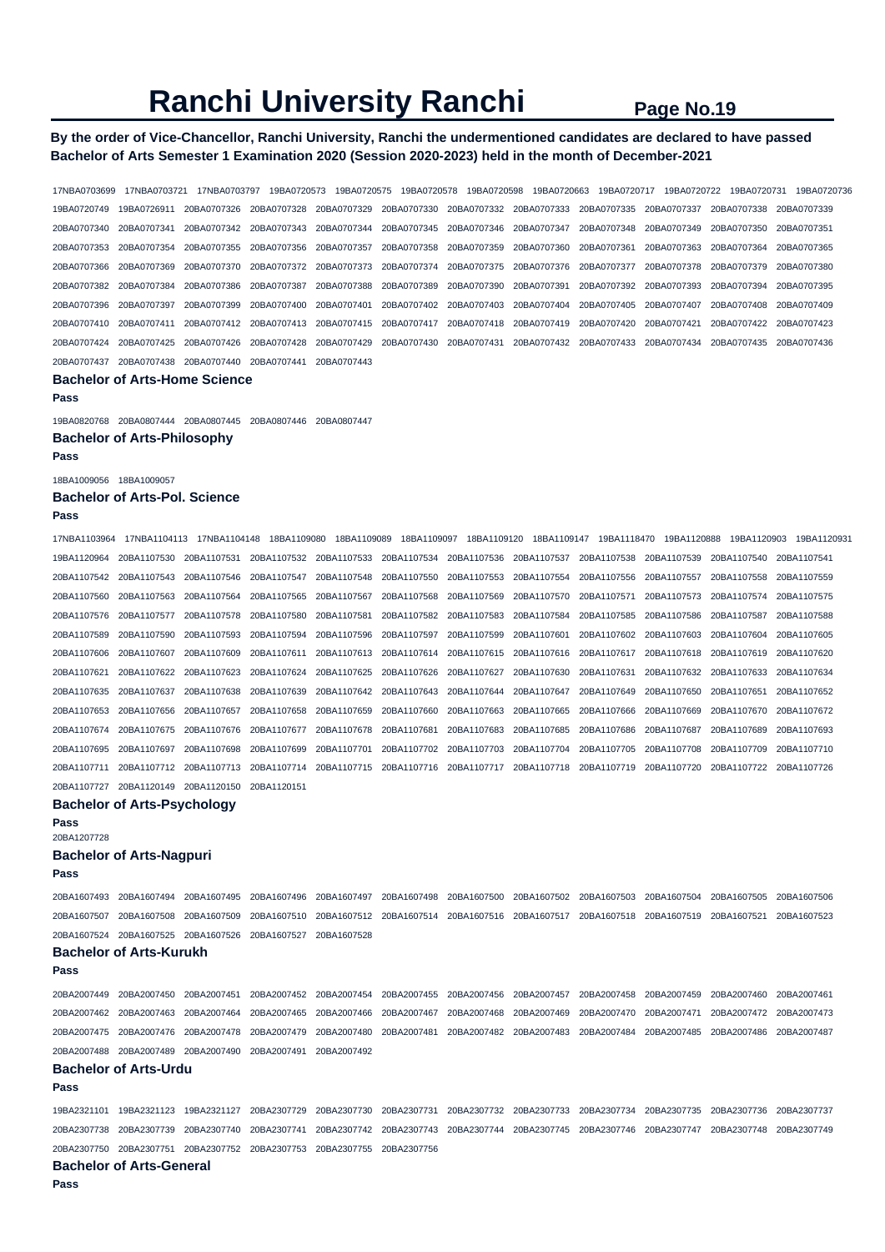# **By the order of Vice-Chancellor, Ranchi University, Ranchi the undermentioned candidates are declared to have passed Bachelor of Arts Semester 1 Examination 2020 (Session 2020-2023) held in the month of December-2021**

17NBA0703699 17NBA0703721 17NBA0703797 19BA0720573 19BA0720575 19BA0720578 19BA0720598 19BA0720663 19BA0720717 19BA0720722 19BA0720731 19BA0720736 19BA0720749 19BA0726911 20BA0707326 20BA0707328 20BA0707329 20BA0707330 20BA0707332 20BA0707333 20BA0707335 20BA0707337 20BA0707338 20BA0707339 20BA0707340 20BA0707341 20BA0707342 20BA0707343 20BA0707344 20BA0707345 20BA0707346 20BA0707347 20BA0707348 20BA0707349 20BA0707350 20BA0707351 20BA0707353 20BA0707354 20BA0707355 20BA0707356 20BA0707357 20BA0707358 20BA0707359 20BA0707360 20BA0707361 20BA0707363 20BA0707364 20BA0707365 20BA0707366 20BA0707369 20BA0707370 20BA0707372 20BA0707373 20BA0707374 20BA0707375 20BA0707376 20BA0707377 20BA0707378 20BA0707379 20BA0707380 20BA0707382 20BA0707384 20BA0707386 20BA0707387 20BA0707388 20BA0707389 20BA0707390 20BA0707391 20BA0707392 20BA0707393 20BA0707394 20BA0707395 20BA0707396 20BA0707397 20BA0707399 20BA0707400 20BA0707401 20BA0707402 20BA0707403 20BA0707404 20BA0707405 20BA0707407 20BA0707408 20BA0707409 20BA0707410 20BA0707411 20BA0707412 20BA0707413 20BA0707415 20BA0707417 20BA0707418 20BA0707419 20BA0707420 20BA0707421 20BA0707422 20BA0707423 20BA0707424 20BA0707425 20BA0707426 20BA0707428 20BA0707429 20BA0707430 20BA0707431 20BA0707432 20BA0707433 20BA0707434 20BA0707435 20BA0707436 20BA0707437 20BA0707438 20BA0707440 20BA0707441 20BA0707443 **Bachelor of Arts-Home Science Pass**  19BA0820768 20BA0807444 20BA0807445 20BA0807446 20BA0807447 **Bachelor of Arts-Philosophy Pass**  18BA1009056 18BA1009057 **Bachelor of Arts-Pol. Science Pass**  17NBA1103964 17NBA1104113 17NBA1104148 18BA1109080 18BA1109089 18BA1109097 18BA1109120 18BA1109147 19BA1118470 19BA1120888 19BA1120903 19BA1120931 19BA1120964 20BA1107530 20BA1107531 20BA1107532 20BA1107533 20BA1107534 20BA1107536 20BA1107537 20BA1107538 20BA1107539 20BA1107540 20BA1107541 20BA1107542 20BA1107543 20BA1107546 20BA1107547 20BA1107548 20BA1107550 20BA1107553 20BA1107554 20BA1107556 20BA1107557 20BA1107558 20BA1107559 20BA1107560 20BA1107563 20BA1107564 20BA1107565 20BA1107567 20BA1107568 20BA1107569 20BA1107570 20BA1107571 20BA1107573 20BA1107574 20BA1107575 20BA1107576 20BA1107577 20BA1107578 20BA1107580 20BA1107581 20BA1107582 20BA1107583 20BA1107584 20BA1107585 20BA1107586 20BA1107587 20BA1107588 20BA1107589 20BA1107590 20BA1107593 20BA1107594 20BA1107596 20BA1107597 20BA1107599 20BA1107601 20BA1107602 20BA1107603 20BA1107604 20BA1107605 20BA1107606 20BA1107607 20BA1107609 20BA1107611 20BA1107613 20BA1107614 20BA1107615 20BA1107616 20BA1107617 20BA1107618 20BA1107619 20BA1107620 20BA1107621 20BA1107622 20BA1107623 20BA1107624 20BA1107625 20BA1107626 20BA1107627 20BA1107630 20BA1107631 20BA1107632 20BA1107633 20BA1107634 20BA1107635 20BA1107637 20BA1107638 20BA1107639 20BA1107642 20BA1107643 20BA1107644 20BA1107647 20BA1107649 20BA1107650 20BA1107651 20BA1107652 20BA1107653 20BA1107656 20BA1107657 20BA1107658 20BA1107659 20BA1107660 20BA1107663 20BA1107665 20BA1107666 20BA1107669 20BA1107670 20BA1107672 20BA1107674 20BA1107675 20BA1107676 20BA1107677 20BA1107678 20BA1107681 20BA1107683 20BA1107685 20BA1107686 20BA1107687 20BA1107689 20BA1107693 20BA1107695 20BA1107697 20BA1107698 20BA1107699 20BA1107701 20BA1107702 20BA1107703 20BA1107704 20BA1107705 20BA1107708 20BA1107709 20BA1107710 20BA1107711 20BA1107712 20BA1107713 20BA1107714 20BA1107715 20BA1107716 20BA1107717 20BA1107718 20BA1107719 20BA1107720 20BA1107722 20BA1107726 20BA1107727 20BA1120149 20BA1120150 20BA1120151 **Bachelor of Arts-Psychology Pass**  20BA1207728 **Bachelor of Arts-Nagpuri Pass**  20BA1607493 20BA1607494 20BA1607495 20BA1607496 20BA1607497 20BA1607498 20BA1607500 20BA1607502 20BA1607503 20BA1607504 20BA1607505 20BA1607506 20BA1607507 20BA1607508 20BA1607509 20BA1607510 20BA1607512 20BA1607514 20BA1607516 20BA1607517 20BA1607518 20BA1607519 20BA1607521 20BA1607523 20BA1607524 20BA1607525 20BA1607526 20BA1607527 20BA1607528 **Bachelor of Arts-Kurukh Pass**  20BA2007449 20BA2007450 20BA2007451 20BA2007452 20BA2007454 20BA2007455 20BA2007456 20BA2007457 20BA2007458 20BA2007459 20BA2007460 20BA2007461 20BA2007462 20BA2007463 20BA2007464 20BA2007465 20BA2007466 20BA2007467 20BA2007468 20BA2007469 20BA2007470 20BA2007471 20BA2007472 20BA2007473 20BA2007475 20BA2007476 20BA2007478 20BA2007479 20BA2007480 20BA2007481 20BA2007482 20BA2007483 20BA2007484 20BA2007485 20BA2007486 20BA2007487 20BA2007488 20BA2007489 20BA2007490 20BA2007491 20BA2007492 **Bachelor of Arts-Urdu Pass**  19BA2321101 19BA2321123 19BA2321127 20BA2307729 20BA2307730 20BA2307731 20BA2307732 20BA2307733 20BA2307734 20BA2307735 20BA2307736 20BA2307737 20BA2307738 20BA2307739 20BA2307740 20BA2307741 20BA2307742 20BA2307743 20BA2307744 20BA2307745 20BA2307746 20BA2307747 20BA2307748 20BA2307749 20BA2307750 20BA2307751 20BA2307752 20BA2307753 20BA2307755 20BA2307756 **Bachelor of Arts-General Pass**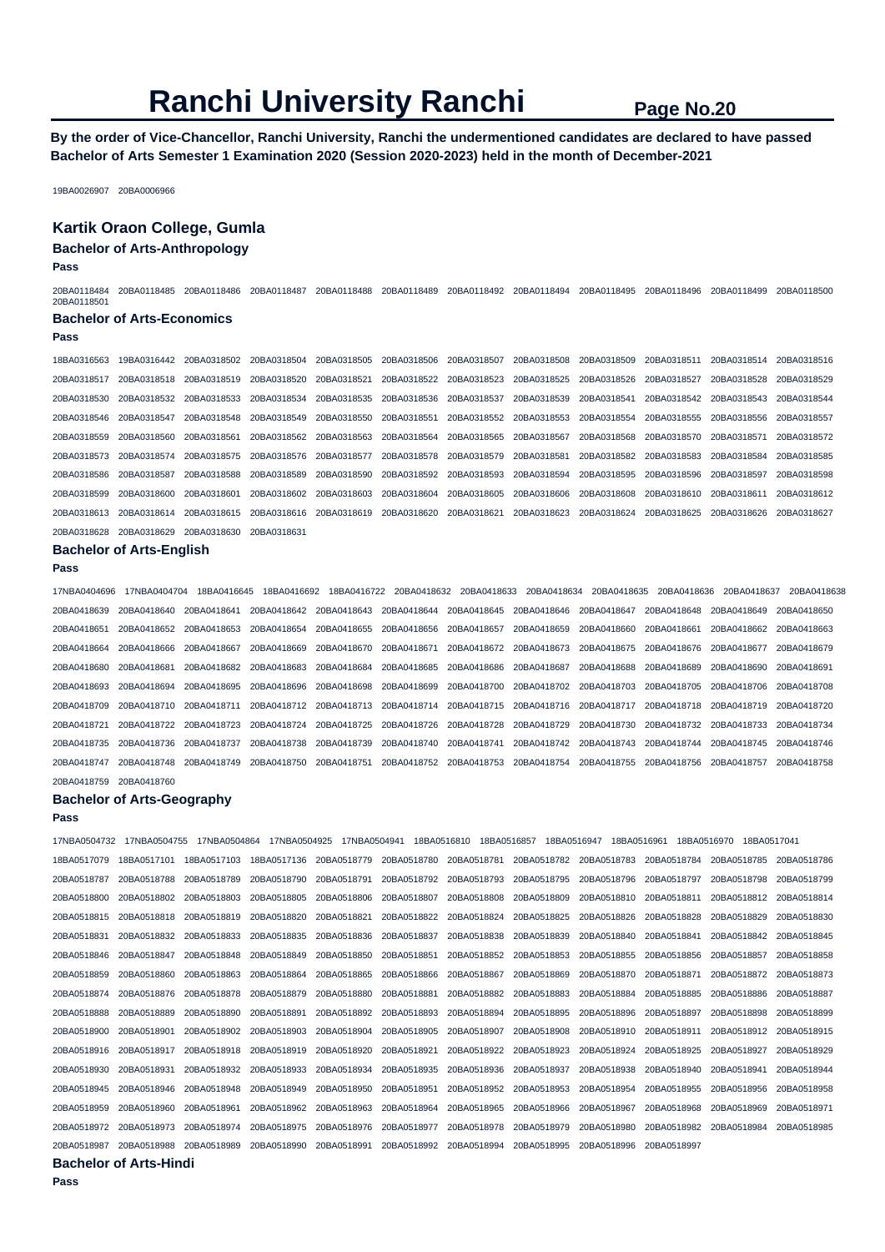**By the order of Vice-Chancellor, Ranchi University, Ranchi the undermentioned candidates are declared to have passed Bachelor of Arts Semester 1 Examination 2020 (Session 2020-2023) held in the month of December-2021** 

19BA0026907 20BA0006966

#### **Kartik Oraon College, Gumla**

#### **Bachelor of Arts-Anthropology**

**Pass** 

| 20BA0118484<br>20BA0118501 | 20BA0118485                       | 20BA0118486 | 20BA0118487 | 20BA0118488 | 20BA0118489 | 20BA0118492 | 20BA0118494 | 20BA0118495 | 20BA0118496 | 20BA0118499 | 20BA0118500 |
|----------------------------|-----------------------------------|-------------|-------------|-------------|-------------|-------------|-------------|-------------|-------------|-------------|-------------|
|                            | <b>Bachelor of Arts-Economics</b> |             |             |             |             |             |             |             |             |             |             |
| Pass                       |                                   |             |             |             |             |             |             |             |             |             |             |
| 18BA0316563                | 19BA0316442                       | 20BA0318502 | 20BA0318504 | 20BA0318505 | 20BA0318506 | 20BA0318507 | 20BA0318508 | 20BA0318509 | 20BA0318511 | 20BA0318514 | 20BA0318516 |
| 20BA0318517                | 20BA0318518                       | 20BA0318519 | 20BA0318520 | 20BA0318521 | 20BA0318522 | 20BA0318523 | 20BA0318525 | 20BA0318526 | 20BA0318527 | 20BA0318528 | 20BA0318529 |
| 20BA0318530                | 20BA0318532                       | 20BA0318533 | 20BA0318534 | 20BA0318535 | 20BA0318536 | 20BA0318537 | 20BA0318539 | 20BA0318541 | 20BA0318542 | 20BA0318543 | 20BA0318544 |
| 20BA0318546                | 20BA0318547                       | 20BA0318548 | 20BA0318549 | 20BA0318550 | 20BA0318551 | 20BA0318552 | 20BA0318553 | 20BA0318554 | 20BA0318555 | 20BA0318556 | 20BA0318557 |
| 20BA0318559                | 20BA0318560                       | 20BA0318561 | 20BA0318562 | 20BA0318563 | 20BA0318564 | 20BA0318565 | 20BA0318567 | 20BA0318568 | 20BA0318570 | 20BA0318571 | 20BA0318572 |
| 20BA0318573                | 20BA0318574                       | 20BA0318575 | 20BA0318576 | 20BA0318577 | 20BA0318578 | 20BA0318579 | 20BA0318581 | 20BA0318582 | 20BA0318583 | 20BA0318584 | 20BA0318585 |
| 20BA0318586                | 20BA0318587                       | 20BA0318588 | 20BA0318589 | 20BA0318590 | 20BA0318592 | 20BA0318593 | 20BA0318594 | 20BA0318595 | 20BA0318596 | 20BA0318597 | 20BA0318598 |
| 20BA0318599                | 20BA0318600                       | 20BA0318601 | 20BA0318602 | 20BA0318603 | 20BA0318604 | 20BA0318605 | 20BA0318606 | 20BA0318608 | 20BA0318610 | 20BA0318611 | 20BA0318612 |
| 20BA0318613                | 20BA0318614                       | 20BA0318615 | 20BA0318616 | 20BA0318619 | 20BA0318620 | 20BA0318621 | 20BA0318623 | 20BA0318624 | 20BA0318625 | 20BA0318626 | 20BA0318627 |
| 20BA0318628                | 20BA0318629                       | 20BA0318630 | 20BA0318631 |             |             |             |             |             |             |             |             |

**Bachelor of Arts-English** 

### **Pass**

17NBA0404696 17NBA0404704 18BA0416645 18BA0416692 18BA0416722 20BA0418632 20BA0418633 20BA0418634 20BA0418635 20BA0418636 20BA0418637 20BA0418638 20BA0418639 20BA0418640 20BA0418641 20BA0418642 20BA0418643 20BA0418644 20BA0418645 20BA0418646 20BA0418647 20BA0418648 20BA0418649 20BA0418650 20BA0418651 20BA0418652 20BA0418653 20BA0418654 20BA0418655 20BA0418656 20BA0418657 20BA0418659 20BA0418660 20BA0418661 20BA0418662 20BA0418663 20BA0418664 20BA0418666 20BA0418667 20BA0418669 20BA0418670 20BA0418671 20BA0418672 20BA0418673 20BA0418675 20BA0418676 20BA0418677 20BA0418679 20BA0418680 20BA0418681 20BA0418682 20BA0418683 20BA0418684 20BA0418685 20BA0418686 20BA0418687 20BA0418688 20BA0418689 20BA0418690 20BA0418691 20BA0418693 20BA0418694 20BA0418695 20BA0418696 20BA0418698 20BA0418699 20BA0418700 20BA0418702 20BA0418703 20BA0418705 20BA0418706 20BA0418708 20BA0418709 20BA0418710 20BA0418711 20BA0418712 20BA0418713 20BA0418714 20BA0418715 20BA0418716 20BA0418717 20BA0418718 20BA0418719 20BA0418720 20BA0418721 20BA0418722 20BA0418723 20BA0418724 20BA0418725 20BA0418726 20BA0418728 20BA0418729 20BA0418730 20BA0418732 20BA0418733 20BA0418734 20BA0418735 20BA0418736 20BA0418737 20BA0418738 20BA0418739 20BA0418740 20BA0418741 20BA0418742 20BA0418743 20BA0418744 20BA0418745 20BA0418746 20BA0418747 20BA0418748 20BA0418749 20BA0418750 20BA0418751 20BA0418752 20BA0418753 20BA0418754 20BA0418755 20BA0418756 20BA0418757 20BA0418758

#### **Bachelor of Arts-Geography**

20BA0418759 20BA0418760

#### **Pass**

17NBA0504732 17NBA0504755 17NBA0504864 17NBA0504925 17NBA0504941 18BA0516810 18BA0516857 18BA0516947 18BA0516961 18BA0516970 18BA0517041 18BA0517079 18BA0517101 18BA0517103 18BA0517136 20BA0518779 20BA0518780 20BA0518781 20BA0518782 20BA0518783 20BA0518784 20BA0518785 20BA0518786 20BA0518787 20BA0518788 20BA0518789 20BA0518790 20BA0518791 20BA0518792 20BA0518793 20BA0518795 20BA0518796 20BA0518797 20BA0518798 20BA0518799 20BA0518800 20BA0518802 20BA0518803 20BA0518805 20BA0518806 20BA0518807 20BA0518808 20BA0518809 20BA0518810 20BA0518811 20BA0518812 20BA0518814 20BA0518815 20BA0518818 20BA0518819 20BA0518820 20BA0518821 20BA0518822 20BA0518824 20BA0518825 20BA0518826 20BA0518828 20BA0518829 20BA0518830 20BA0518831 20BA0518832 20BA0518833 20BA0518835 20BA0518836 20BA0518837 20BA0518838 20BA0518839 20BA0518840 20BA0518841 20BA0518842 20BA0518845 20BA0518846 20BA0518847 20BA0518848 20BA0518849 20BA0518850 20BA0518851 20BA0518852 20BA0518853 20BA0518855 20BA0518856 20BA0518857 20BA0518858 20BA0518859 20BA0518860 20BA0518863 20BA0518864 20BA0518865 20BA0518866 20BA0518867 20BA0518869 20BA0518870 20BA0518871 20BA0518872 20BA0518873 20BA0518874 20BA0518876 20BA0518878 20BA0518879 20BA0518880 20BA0518881 20BA0518882 20BA0518883 20BA0518884 20BA0518885 20BA0518886 20BA0518887 20BA0518888 20BA0518889 20BA0518890 20BA0518891 20BA0518892 20BA0518893 20BA0518894 20BA0518895 20BA0518896 20BA0518897 20BA0518898 20BA0518899 20BA0518900 20BA0518901 20BA0518902 20BA0518903 20BA0518904 20BA0518905 20BA0518907 20BA0518908 20BA0518910 20BA0518911 20BA0518912 20BA0518915 20BA0518916 20BA0518917 20BA0518918 20BA0518919 20BA0518920 20BA0518921 20BA0518922 20BA0518923 20BA0518924 20BA0518925 20BA0518927 20BA0518929 20BA0518930 20BA0518931 20BA0518932 20BA0518933 20BA0518934 20BA0518935 20BA0518936 20BA0518937 20BA0518938 20BA0518940 20BA0518941 20BA0518944 20BA0518945 20BA0518946 20BA0518948 20BA0518949 20BA0518950 20BA0518951 20BA0518952 20BA0518953 20BA0518954 20BA0518955 20BA0518956 20BA0518958 20BA0518959 20BA0518960 20BA0518961 20BA0518962 20BA0518963 20BA0518964 20BA0518965 20BA0518966 20BA0518967 20BA0518968 20BA0518969 20BA0518971 20BA0518972 20BA0518973 20BA0518974 20BA0518975 20BA0518976 20BA0518977 20BA0518978 20BA0518979 20BA0518980 20BA0518982 20BA0518984 20BA0518985 20BA0518987 20BA0518988 20BA0518989 20BA0518990 20BA0518991 20BA0518992 20BA0518994 20BA0518995 20BA0518996 20BA0518997

**Bachelor of Arts-Hindi**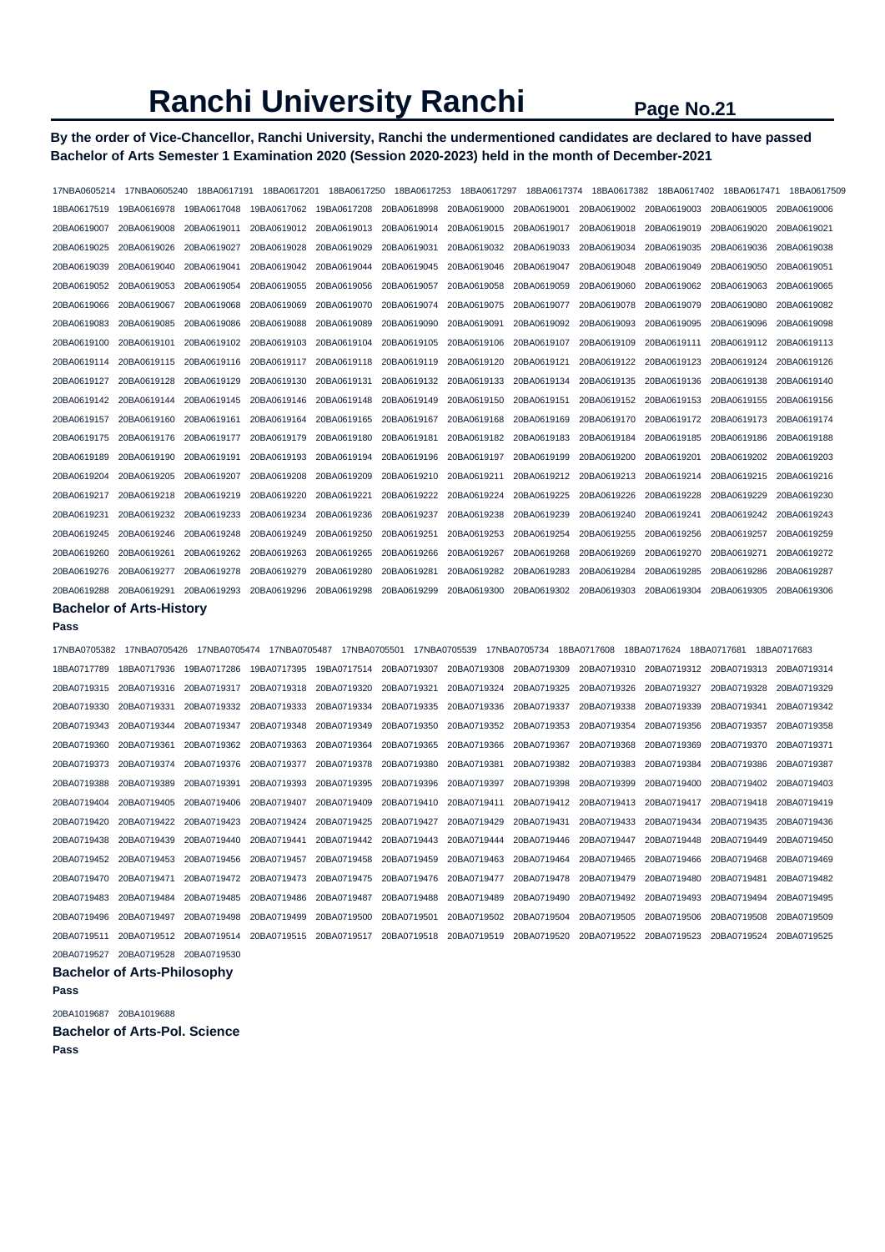# **By the order of Vice-Chancellor, Ranchi University, Ranchi the undermentioned candidates are declared to have passed Bachelor of Arts Semester 1 Examination 2020 (Session 2020-2023) held in the month of December-2021**

| 17NBA0605214            | 17NBA0605240                    | 18BA0617191 | 18BA0617201             | 18BA0617250             | 18BA0617253 | 18BA0617297 | 18BA0617374 | 18BA0617382             | 18BA0617402             | 18BA0617471             | 18BA0617509 |
|-------------------------|---------------------------------|-------------|-------------------------|-------------------------|-------------|-------------|-------------|-------------------------|-------------------------|-------------------------|-------------|
| 18BA0617519             | 19BA0616978                     | 19BA0617048 | 19BA0617062             | 19BA0617208             | 20BA0618998 | 20BA0619000 | 20BA0619001 | 20BA0619002             | 20BA0619003             | 20BA0619005             | 20BA0619006 |
| 20BA0619007             | 20BA0619008                     | 20BA0619011 | 20BA0619012 20BA0619013 |                         | 20BA0619014 | 20BA0619015 | 20BA0619017 | 20BA0619018             | 20BA0619019             | 20BA0619020             | 20BA0619021 |
| 20BA0619025             | 20BA0619026                     | 20BA0619027 | 20BA0619028             | 20BA0619029             | 20BA0619031 | 20BA0619032 | 20BA0619033 | 20BA0619034             | 20BA0619035             | 20BA0619036             | 20BA0619038 |
| 20BA0619039             | 20BA0619040                     | 20BA0619041 | 20BA0619042             | 20BA0619044             | 20BA0619045 | 20BA0619046 | 20BA0619047 | 20BA0619048             | 20BA0619049             | 20BA0619050             | 20BA0619051 |
| 20BA0619052             | 20BA0619053                     | 20BA0619054 | 20BA0619055             | 20BA0619056             | 20BA0619057 | 20BA0619058 | 20BA0619059 | 20BA0619060             | 20BA0619062             | 20BA0619063             | 20BA0619065 |
| 20BA0619066             | 20BA0619067                     | 20BA0619068 | 20BA0619069             | 20BA0619070             | 20BA0619074 | 20BA0619075 | 20BA0619077 | 20BA0619078             | 20BA0619079             | 20BA0619080             | 20BA0619082 |
| 20BA0619083             | 20BA0619085                     | 20BA0619086 | 20BA0619088             | 20BA0619089             | 20BA0619090 | 20BA0619091 | 20BA0619092 | 20BA0619093             | 20BA0619095             | 20BA0619096             | 20BA0619098 |
| 20BA0619100             | 20BA0619101                     | 20BA0619102 | 20BA0619103             | 20BA0619104             | 20BA0619105 | 20BA0619106 | 20BA0619107 | 20BA0619109             | 20BA0619111             | 20BA0619112             | 20BA0619113 |
| 20BA0619114             | 20BA0619115                     | 20BA0619116 | 20BA0619117             | 20BA0619118 20BA0619119 |             | 20BA0619120 | 20BA0619121 | 20BA0619122 20BA0619123 |                         | 20BA0619124             | 20BA0619126 |
| 20BA0619127             | 20BA0619128                     | 20BA0619129 | 20BA0619130             | 20BA0619131             | 20BA0619132 | 20BA0619133 | 20BA0619134 | 20BA0619135             | 20BA0619136             | 20BA0619138             | 20BA0619140 |
| 20BA0619142 20BA0619144 |                                 | 20BA0619145 | 20BA0619146             | 20BA0619148             | 20BA0619149 | 20BA0619150 | 20BA0619151 |                         | 20BA0619152 20BA0619153 | 20BA0619155 20BA0619156 |             |
| 20BA0619157             | 20BA0619160                     | 20BA0619161 | 20BA0619164             | 20BA0619165             | 20BA0619167 | 20BA0619168 | 20BA0619169 | 20BA0619170             | 20BA0619172             | 20BA0619173             | 20BA0619174 |
| 20BA0619175             | 20BA0619176                     | 20BA0619177 | 20BA0619179             | 20BA0619180             | 20BA0619181 | 20BA0619182 | 20BA0619183 | 20BA0619184             | 20BA0619185             | 20BA0619186             | 20BA0619188 |
| 20BA0619189             | 20BA0619190                     | 20BA0619191 | 20BA0619193             | 20BA0619194             | 20BA0619196 | 20BA0619197 | 20BA0619199 | 20BA0619200             | 20BA0619201             | 20BA0619202             | 20BA0619203 |
| 20BA0619204             | 20BA0619205                     | 20BA0619207 | 20BA0619208             | 20BA0619209             | 20BA0619210 | 20BA0619211 | 20BA0619212 | 20BA0619213             | 20BA0619214             | 20BA0619215             | 20BA0619216 |
| 20BA0619217             | 20BA0619218                     | 20BA0619219 | 20BA0619220             | 20BA0619221             | 20BA0619222 | 20BA0619224 | 20BA0619225 | 20BA0619226             | 20BA0619228             | 20BA0619229             | 20BA0619230 |
| 20BA0619231             | 20BA0619232                     | 20BA0619233 | 20BA0619234             | 20BA0619236             | 20BA0619237 | 20BA0619238 | 20BA0619239 | 20BA0619240             | 20BA0619241             | 20BA0619242             | 20BA0619243 |
| 20BA0619245             | 20BA0619246                     | 20BA0619248 | 20BA0619249             | 20BA0619250             | 20BA0619251 | 20BA0619253 | 20BA0619254 | 20BA0619255             | 20BA0619256             | 20BA0619257             | 20BA0619259 |
| 20BA0619260             | 20BA0619261                     | 20BA0619262 | 20BA0619263             | 20BA0619265             | 20BA0619266 | 20BA0619267 | 20BA0619268 | 20BA0619269             | 20BA0619270             | 20BA0619271             | 20BA0619272 |
| 20BA0619276             | 20BA0619277                     | 20BA0619278 | 20BA0619279             | 20BA0619280             | 20BA0619281 | 20BA0619282 | 20BA0619283 | 20BA0619284             | 20BA0619285             | 20BA0619286             | 20BA0619287 |
| 20BA0619288             | 20BA0619291                     | 20BA0619293 | 20BA0619296             | 20BA0619298             | 20BA0619299 | 20BA0619300 | 20BA0619302 | 20BA0619303             | 20BA0619304             | 20BA0619305             | 20BA0619306 |
|                         | <b>Bachelor of Arts-History</b> |             |                         |                         |             |             |             |                         |                         |                         |             |

#### **Pass**

17NBA0705382 17NBA0705426 17NBA0705474 17NBA0705487 17NBA0705501 17NBA0705539 17NBA0705734 18BA0717608 18BA0717624 18BA0717681 18BA0717683 18BA0717789 18BA0717936 19BA0717286 19BA0717395 19BA0717514 20BA0719307 20BA0719308 20BA0719309 20BA0719310 20BA0719312 20BA0719313 20BA0719314 20BA0719315 20BA0719316 20BA0719317 20BA0719318 20BA0719320 20BA0719321 20BA0719324 20BA0719325 20BA0719326 20BA0719327 20BA0719328 20BA0719329 20BA0719330 20BA0719331 20BA0719332 20BA0719333 20BA0719334 20BA0719335 20BA0719336 20BA0719337 20BA0719338 20BA0719339 20BA0719341 20BA0719342 20BA0719343 20BA0719344 20BA0719347 20BA0719348 20BA0719349 20BA0719350 20BA0719352 20BA0719353 20BA0719354 20BA0719356 20BA0719357 20BA0719358 20BA0719360 20BA0719361 20BA0719362 20BA0719363 20BA0719364 20BA0719365 20BA0719366 20BA0719367 20BA0719368 20BA0719369 20BA0719370 20BA0719371 20BA0719373 20BA0719374 20BA0719376 20BA0719377 20BA0719378 20BA0719380 20BA0719381 20BA0719382 20BA0719383 20BA0719384 20BA0719386 20BA0719387 20BA0719388 20BA0719389 20BA0719391 20BA0719393 20BA0719395 20BA0719396 20BA0719397 20BA0719398 20BA0719399 20BA0719400 20BA0719402 20BA0719403 20BA0719404 20BA0719405 20BA0719406 20BA0719407 20BA0719409 20BA0719410 20BA0719411 20BA0719412 20BA0719413 20BA0719417 20BA0719418 20BA0719419 20BA0719420 20BA0719422 20BA0719423 20BA0719424 20BA0719425 20BA0719427 20BA0719429 20BA0719431 20BA0719433 20BA0719434 20BA0719435 20BA0719436 20BA0719438 20BA0719439 20BA0719440 20BA0719441 20BA0719442 20BA0719443 20BA0719444 20BA0719446 20BA0719447 20BA0719448 20BA0719449 20BA0719450 20BA0719452 20BA0719453 20BA0719456 20BA0719457 20BA0719458 20BA0719459 20BA0719463 20BA0719464 20BA0719465 20BA0719466 20BA0719468 20BA0719469 20BA0719470 20BA0719471 20BA0719472 20BA0719473 20BA0719475 20BA0719476 20BA0719477 20BA0719478 20BA0719479 20BA0719480 20BA0719481 20BA0719482 20BA0719483 20BA0719484 20BA0719485 20BA0719486 20BA0719487 20BA0719488 20BA0719489 20BA0719490 20BA0719492 20BA0719493 20BA0719494 20BA0719495 20BA0719496 20BA0719497 20BA0719498 20BA0719499 20BA0719500 20BA0719501 20BA0719502 20BA0719504 20BA0719505 20BA0719506 20BA0719508 20BA0719509 20BA0719511 20BA0719512 20BA0719514 20BA0719515 20BA0719517 20BA0719518 20BA0719519 20BA0719520 20BA0719522 20BA0719523 20BA0719524 20BA0719525 20BA0719527 20BA0719528 20BA0719530

#### **Bachelor of Arts-Philosophy**

### **Pass**

20BA1019687 20BA1019688

**Bachelor of Arts-Pol. Science**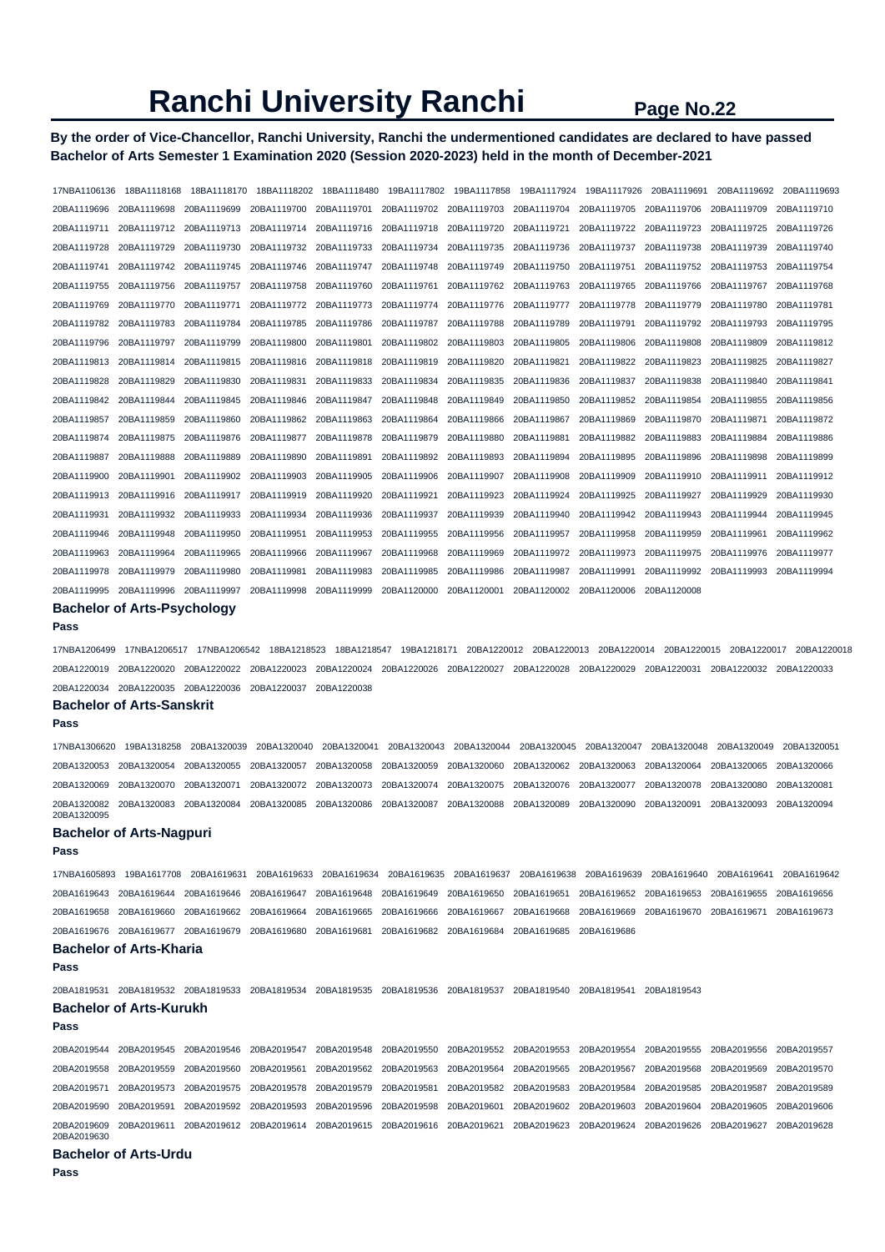# **By the order of Vice-Chancellor, Ranchi University, Ranchi the undermentioned candidates are declared to have passed Bachelor of Arts Semester 1 Examination 2020 (Session 2020-2023) held in the month of December-2021**

17NBA1106136 18BA1118168 18BA1118170 18BA1118202 18BA1118480 19BA1117802 19BA1117858 19BA1117924 19BA1117926 20BA1119691 20BA1119692 20BA1119693 20BA1119696 20BA1119698 20BA1119699 20BA1119700 20BA1119701 20BA1119702 20BA1119703 20BA1119704 20BA1119705 20BA1119706 20BA1119709 20BA1119710 20BA1119711 20BA1119712 20BA1119713 20BA1119714 20BA1119716 20BA1119718 20BA1119720 20BA1119721 20BA1119722 20BA1119723 20BA1119725 20BA1119726 20BA1119728 20BA1119729 20BA1119730 20BA1119732 20BA1119733 20BA1119734 20BA1119735 20BA1119736 20BA1119737 20BA1119738 20BA1119739 20BA1119740 20BA1119741 20BA1119742 20BA1119745 20BA1119746 20BA1119747 20BA1119748 20BA1119749 20BA1119750 20BA1119751 20BA1119752 20BA1119753 20BA1119754 20BA1119755 20BA1119756 20BA1119757 20BA1119758 20BA1119760 20BA1119761 20BA1119762 20BA1119763 20BA1119765 20BA1119766 20BA1119767 20BA1119768 20BA1119769 20BA1119770 20BA1119771 20BA1119772 20BA1119773 20BA1119774 20BA1119776 20BA1119777 20BA1119778 20BA1119779 20BA1119780 20BA1119781 20BA1119782 20BA1119783 20BA1119784 20BA1119785 20BA1119786 20BA1119787 20BA1119788 20BA1119789 20BA1119791 20BA1119792 20BA1119793 20BA1119795 20BA1119796 20BA1119797 20BA1119799 20BA1119800 20BA1119801 20BA1119802 20BA1119803 20BA1119805 20BA1119806 20BA1119808 20BA1119809 20BA1119812 20BA1119813 20BA1119814 20BA1119815 20BA1119816 20BA1119818 20BA1119819 20BA1119820 20BA1119821 20BA1119822 20BA1119823 20BA1119825 20BA1119827 20BA1119828 20BA1119829 20BA1119830 20BA1119831 20BA1119833 20BA1119834 20BA1119835 20BA1119836 20BA1119837 20BA1119838 20BA1119840 20BA1119841 20BA1119842 20BA1119844 20BA1119845 20BA1119846 20BA1119847 20BA1119848 20BA1119849 20BA1119850 20BA1119852 20BA1119854 20BA1119855 20BA1119856 20BA1119857 20BA1119859 20BA1119860 20BA1119862 20BA1119863 20BA1119864 20BA1119866 20BA1119867 20BA1119869 20BA1119870 20BA1119871 20BA1119872 20BA1119874 20BA1119875 20BA1119876 20BA1119877 20BA1119878 20BA1119879 20BA1119880 20BA1119881 20BA1119882 20BA1119883 20BA1119884 20BA1119886 20BA1119887 20BA1119888 20BA1119889 20BA1119890 20BA1119891 20BA1119892 20BA1119893 20BA1119894 20BA1119895 20BA1119896 20BA1119898 20BA1119899 20BA1119900 20BA1119901 20BA1119902 20BA1119903 20BA1119905 20BA1119906 20BA1119907 20BA1119908 20BA1119909 20BA1119910 20BA1119911 20BA1119912 20BA1119913 20BA1119916 20BA1119917 20BA1119919 20BA1119920 20BA1119921 20BA1119923 20BA1119924 20BA1119925 20BA1119927 20BA1119929 20BA1119930 20BA1119931 20BA1119932 20BA1119933 20BA1119934 20BA1119936 20BA1119937 20BA1119939 20BA1119940 20BA1119942 20BA1119943 20BA1119944 20BA1119945 20BA1119946 20BA1119948 20BA1119950 20BA1119951 20BA1119953 20BA1119955 20BA1119956 20BA1119957 20BA1119958 20BA1119959 20BA1119961 20BA1119962 20BA1119963 20BA1119964 20BA1119965 20BA1119966 20BA1119967 20BA1119968 20BA1119969 20BA1119972 20BA1119973 20BA1119975 20BA1119976 20BA1119977 20BA1119978 20BA1119979 20BA1119980 20BA1119981 20BA1119983 20BA1119985 20BA1119986 20BA1119987 20BA1119991 20BA1119992 20BA1119993 20BA1119994 20BA1119995 20BA1119996 20BA1119997 20BA1119998 20BA1119999 20BA1120000 20BA1120001 20BA1120002 20BA1120006 20BA1120008

#### **Bachelor of Arts-Psychology Pass**

17NBA1206499 17NBA1206517 17NBA1206542 18BA1218523 18BA1218547 19BA1218171 20BA1220012 20BA1220013 20BA1220014 20BA1220015 20BA1220017 20BA1220018 20BA1220019 20BA1220020 20BA1220022 20BA1220023 20BA1220024 20BA1220026 20BA1220027 20BA1220028 20BA1220029 20BA1220031 20BA1220032 20BA1220033 20BA1220034 20BA1220035 20BA1220036 20BA1220037 20BA1220038

#### **Bachelor of Arts-Sanskrit**

#### **Pass**

17NBA1306620 19BA1318258 20BA1320039 20BA1320040 20BA1320041 20BA1320043 20BA1320044 20BA1320045 20BA1320047 20BA1320048 20BA1320049 20BA1320051 20BA1320053 20BA1320054 20BA1320055 20BA1320057 20BA1320058 20BA1320059 20BA1320060 20BA1320062 20BA1320063 20BA1320064 20BA1320065 20BA1320066 20BA1320069 20BA1320070 20BA1320071 20BA1320072 20BA1320073 20BA1320074 20BA1320075 20BA1320076 20BA1320077 20BA1320078 20BA1320080 20BA1320081 20BA1320082 20BA1320083 20BA1320084 20BA1320085 20BA1320086 20BA1320087 20BA1320088 20BA1320089 20BA1320090 20BA1320091 20BA1320093 20BA1320094 20BA1320095

### **Bachelor of Arts-Nagpuri**

#### **Pass**

17NBA1605893 19BA1617708 20BA1619631 20BA1619633 20BA1619634 20BA1619635 20BA1619637 20BA1619638 20BA1619639 20BA1619640 20BA1619641 20BA1619642 20BA1619643 20BA1619644 20BA1619646 20BA1619647 20BA1619648 20BA1619649 20BA1619650 20BA1619651 20BA1619652 20BA1619653 20BA1619655 20BA1619656 20BA1619658 20BA1619660 20BA1619662 20BA1619664 20BA1619665 20BA1619666 20BA1619667 20BA1619668 20BA1619669 20BA1619670 20BA1619671 20BA1619673 20BA1619676 20BA1619677 20BA1619679 20BA1619680 20BA1619681 20BA1619682 20BA1619684 20BA1619685 20BA1619686

# **Bachelor of Arts-Kharia**

#### **Pass**

20BA1819531 20BA1819532 20BA1819533 20BA1819534 20BA1819535 20BA1819536 20BA1819537 20BA1819540 20BA1819541 20BA1819543 **Bachelor of Arts-Kurukh** 

# **Pass**

20BA2019544 20BA2019545 20BA2019546 20BA2019547 20BA2019548 20BA2019550 20BA2019552 20BA2019553 20BA2019554 20BA2019555 20BA2019556 20BA2019557 20BA2019558 20BA2019559 20BA2019560 20BA2019561 20BA2019562 20BA2019563 20BA2019564 20BA2019565 20BA2019567 20BA2019568 20BA2019569 20BA2019570 20BA2019571 20BA2019573 20BA2019575 20BA2019578 20BA2019579 20BA2019581 20BA2019582 20BA2019583 20BA2019584 20BA2019585 20BA2019587 20BA2019589 20BA2019590 20BA2019591 20BA2019592 20BA2019593 20BA2019596 20BA2019598 20BA2019601 20BA2019602 20BA2019603 20BA2019604 20BA2019605 20BA2019606 20BA2019609 20BA2019611 20BA2019612 20BA2019614 20BA2019615 20BA2019616 20BA2019621 20BA2019623 20BA2019624 20BA2019626 20BA2019627 20BA2019628 20BA2019630

### **Bachelor of Arts-Urdu**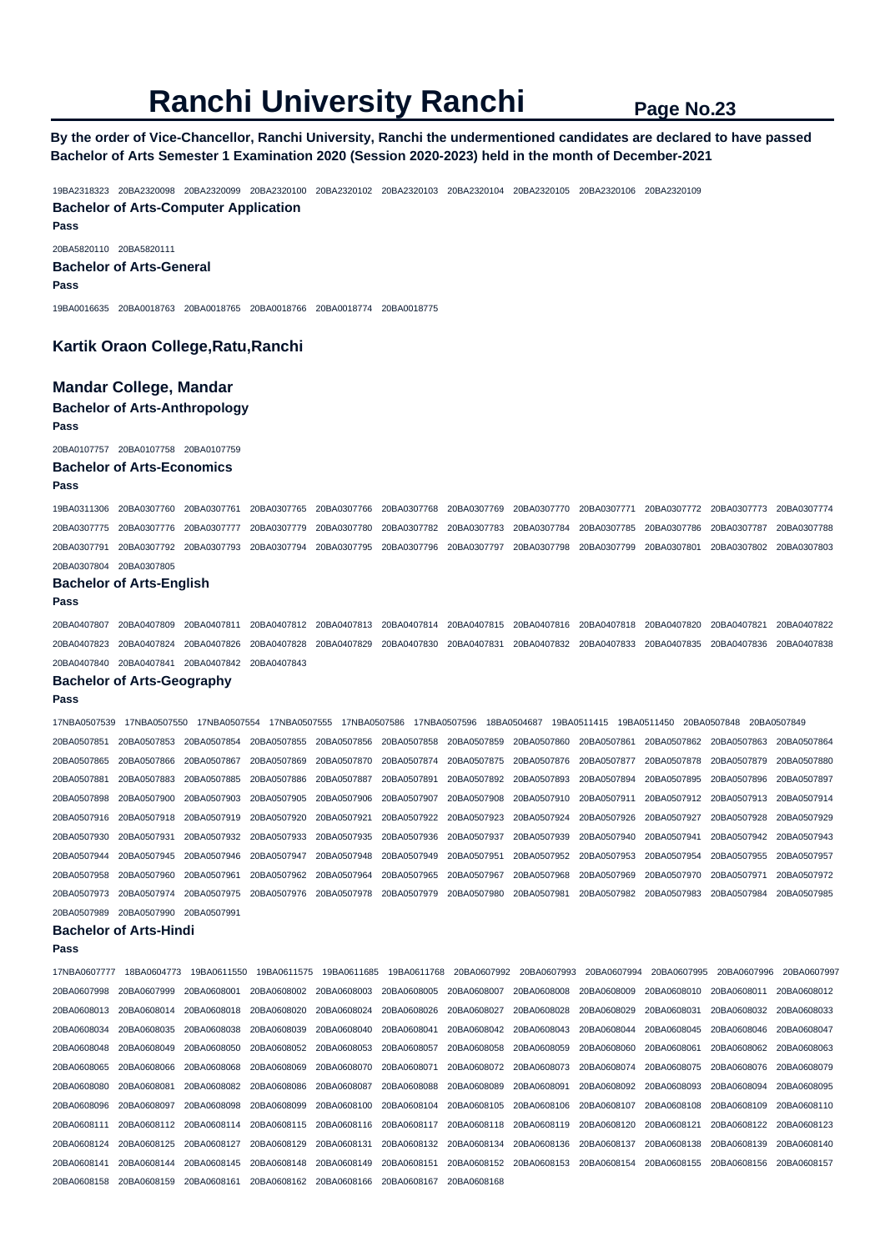# **By the order of Vice-Chancellor, Ranchi University, Ranchi the undermentioned candidates are declared to have passed Bachelor of Arts Semester 1 Examination 2020 (Session 2020-2023) held in the month of December-2021**

19BA2318323 20BA2320098 20BA2320099 20BA2320100 20BA2320102 20BA2320103 20BA2320104 20BA2320105 20BA2320106 20BA2320109 **Bachelor of Arts-Computer Application** 

20BA5820110 20BA5820111 **Bachelor of Arts-General** 

**Pass** 

**Pass** 

19BA0016635 20BA0018763 20BA0018765 20BA0018766 20BA0018774 20BA0018775

### **Kartik Oraon College,Ratu,Ranchi**

### **Mandar College, Mandar**

### **Bachelor of Arts-Anthropology**

**Pass** 

20BA0107757 20BA0107758 20BA0107759

#### **Bachelor of Arts-Economics**

**Pass** 

19BA0311306 20BA0307760 20BA0307761 20BA0307765 20BA0307766 20BA0307768 20BA0307769 20BA0307770 20BA0307771 20BA0307772 20BA0307773 20BA0307774 20BA0307775 20BA0307776 20BA0307777 20BA0307779 20BA0307780 20BA0307782 20BA0307783 20BA0307784 20BA0307785 20BA0307786 20BA0307787 20BA0307788 20BA0307791 20BA0307792 20BA0307793 20BA0307794 20BA0307795 20BA0307796 20BA0307797 20BA0307798 20BA0307799 20BA0307801 20BA0307802 20BA0307803 20BA0307804 20BA0307805

#### **Bachelor of Arts-English**

**Pass** 

20BA0407807 20BA0407809 20BA0407811 20BA0407812 20BA0407813 20BA0407814 20BA0407815 20BA0407816 20BA0407818 20BA0407820 20BA0407821 20BA0407822 20BA0407823 20BA0407824 20BA0407826 20BA0407828 20BA0407829 20BA0407830 20BA0407831 20BA0407832 20BA0407833 20BA0407835 20BA0407836 20BA0407838 20BA0407840 20BA0407841 20BA0407842 20BA0407843

## **Bachelor of Arts-Geography**

#### **Pass**

17NBA0507539 17NBA0507550 17NBA0507554 17NBA0507555 17NBA0507586 17NBA0507596 18BA0504687 19BA0511415 19BA0511450 20BA0507848 20BA0507849 20BA0507851 20BA0507853 20BA0507854 20BA0507855 20BA0507856 20BA0507858 20BA0507859 20BA0507860 20BA0507861 20BA0507862 20BA0507863 20BA0507864 20BA0507865 20BA0507866 20BA0507867 20BA0507869 20BA0507870 20BA0507874 20BA0507875 20BA0507876 20BA0507877 20BA0507878 20BA0507879 20BA0507880 20BA0507881 20BA0507883 20BA0507885 20BA0507886 20BA0507887 20BA0507891 20BA0507892 20BA0507893 20BA0507894 20BA0507895 20BA0507896 20BA0507897 20BA0507898 20BA0507900 20BA0507903 20BA0507905 20BA0507906 20BA0507907 20BA0507908 20BA0507910 20BA0507911 20BA0507912 20BA0507913 20BA0507914 20BA0507916 20BA0507918 20BA0507919 20BA0507920 20BA0507921 20BA0507922 20BA0507923 20BA0507924 20BA0507926 20BA0507927 20BA0507928 20BA0507929 20BA0507930 20BA0507931 20BA0507932 20BA0507933 20BA0507935 20BA0507936 20BA0507937 20BA0507939 20BA0507940 20BA0507941 20BA0507942 20BA0507943 20BA0507944 20BA0507945 20BA0507946 20BA0507947 20BA0507948 20BA0507949 20BA0507951 20BA0507952 20BA0507953 20BA0507954 20BA0507955 20BA0507957 20BA0507958 20BA0507960 20BA0507961 20BA0507962 20BA0507964 20BA0507965 20BA0507967 20BA0507968 20BA0507969 20BA0507970 20BA0507971 20BA0507972 20BA0507973 20BA0507974 20BA0507975 20BA0507976 20BA0507978 20BA0507979 20BA0507980 20BA0507981 20BA0507982 20BA0507983 20BA0507984 20BA0507985 20BA0507989 20BA0507990 20BA0507991

#### **Bachelor of Arts-Hindi**

| 17NBA0607777 | 18BA0604773 | 19BA0611550 | 19BA0611575 | 19BA0611685 |             |             | 19BA0611768 20BA0607992 20BA0607993 | 20BA0607994 | 20BA0607995 | 20BA0607996 | 20BA0607997 |
|--------------|-------------|-------------|-------------|-------------|-------------|-------------|-------------------------------------|-------------|-------------|-------------|-------------|
| 20BA0607998  | 20BA0607999 | 20BA0608001 | 20BA0608002 | 20BA0608003 | 20BA0608005 | 20BA0608007 | 20BA0608008                         | 20BA0608009 | 20BA0608010 | 20BA0608011 | 20BA0608012 |
| 20BA0608013  | 20BA0608014 | 20BA0608018 | 20BA0608020 | 20BA0608024 | 20BA0608026 | 20BA0608027 | 20BA0608028                         | 20BA0608029 | 20BA0608031 | 20BA0608032 | 20BA0608033 |
| 20BA0608034  | 20BA0608035 | 20BA0608038 | 20BA0608039 | 20BA0608040 | 20BA0608041 | 20BA0608042 | 20BA0608043                         | 20BA0608044 | 20BA0608045 | 20BA0608046 | 20BA0608047 |
| 20BA0608048  | 20BA0608049 | 20BA0608050 | 20BA0608052 | 20BA0608053 | 20BA0608057 | 20BA0608058 | 20BA0608059                         | 20BA0608060 | 20BA0608061 | 20BA0608062 | 20BA0608063 |
| 20BA0608065  | 20BA0608066 | 20BA0608068 | 20BA0608069 | 20BA0608070 | 20BA0608071 | 20BA0608072 | 20BA0608073                         | 20BA0608074 | 20BA0608075 | 20BA0608076 | 20BA0608079 |
| 20BA0608080  | 20BA0608081 | 20BA0608082 | 20BA0608086 | 20BA0608087 | 20BA0608088 | 20BA0608089 | 20BA0608091                         | 20BA0608092 | 20BA0608093 | 20BA0608094 | 20BA0608095 |
| 20BA0608096  | 20BA0608097 | 20BA0608098 | 20BA0608099 | 20BA0608100 | 20BA0608104 | 20BA0608105 | 20BA0608106                         | 20BA0608107 | 20BA0608108 | 20BA0608109 | 20BA0608110 |
| 20BA0608111  | 20BA0608112 | 20BA0608114 | 20BA0608115 | 20BA0608116 | 20BA0608117 | 20BA0608118 | 20BA0608119                         | 20BA0608120 | 20BA0608121 | 20BA0608122 | 20BA0608123 |
| 20BA0608124  | 20BA0608125 | 20BA0608127 | 20BA0608129 | 20BA0608131 | 20BA0608132 | 20BA0608134 | 20BA0608136                         | 20BA0608137 | 20BA0608138 | 20BA0608139 | 20BA0608140 |
| 20BA0608141  | 20BA0608144 | 20BA0608145 | 20BA0608148 | 20BA0608149 | 20BA0608151 | 20BA0608152 | 20BA0608153                         | 20BA0608154 | 20BA0608155 | 20BA0608156 | 20BA0608157 |
| 20BA0608158  | 20BA0608159 | 20BA0608161 | 20BA0608162 | 20BA0608166 | 20BA0608167 | 20BA0608168 |                                     |             |             |             |             |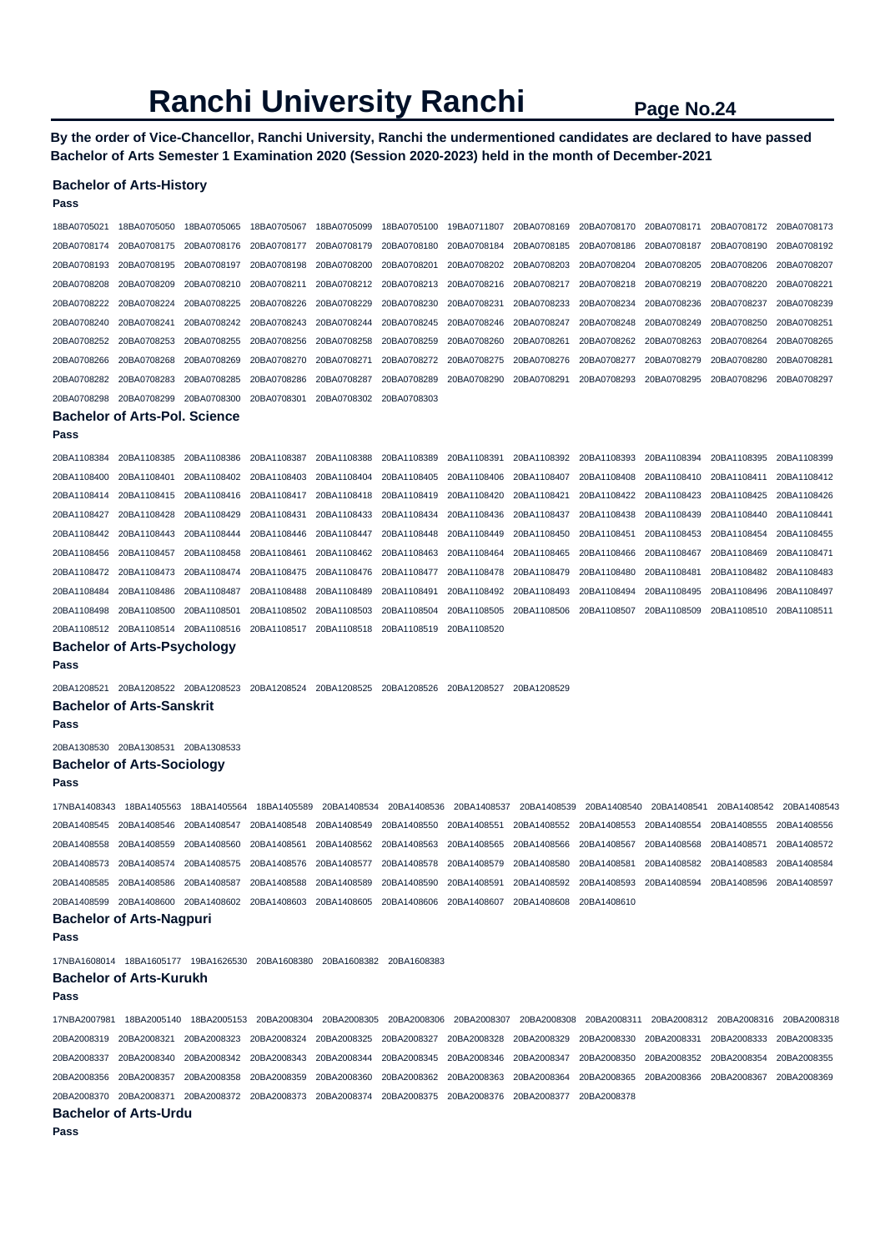**By the order of Vice-Chancellor, Ranchi University, Ranchi the undermentioned candidates are declared to have passed Bachelor of Arts Semester 1 Examination 2020 (Session 2020-2023) held in the month of December-2021** 

### **Bachelor of Arts-History**

| Pass         |                                                                                                         |                                                                                                                                     |             |                         |             |             |                                     |                                                 |             |             |             |
|--------------|---------------------------------------------------------------------------------------------------------|-------------------------------------------------------------------------------------------------------------------------------------|-------------|-------------------------|-------------|-------------|-------------------------------------|-------------------------------------------------|-------------|-------------|-------------|
| 18BA0705021  | 18BA0705050                                                                                             | 18BA0705065                                                                                                                         | 18BA0705067 | 18BA0705099             | 18BA0705100 | 19BA0711807 | 20BA0708169                         | 20BA0708170                                     | 20BA0708171 | 20BA0708172 | 20BA0708173 |
| 20BA0708174  | 20BA0708175                                                                                             | 20BA0708176                                                                                                                         | 20BA0708177 | 20BA0708179             | 20BA0708180 | 20BA0708184 | 20BA0708185                         | 20BA0708186                                     | 20BA0708187 | 20BA0708190 | 20BA0708192 |
| 20BA0708193  | 20BA0708195                                                                                             | 20BA0708197                                                                                                                         | 20BA0708198 | 20BA0708200             | 20BA0708201 | 20BA0708202 | 20BA0708203                         | 20BA0708204                                     | 20BA0708205 | 20BA0708206 | 20BA0708207 |
| 20BA0708208  | 20BA0708209                                                                                             | 20BA0708210                                                                                                                         | 20BA0708211 | 20BA0708212             | 20BA0708213 | 20BA0708216 | 20BA0708217                         | 20BA0708218                                     | 20BA0708219 | 20BA0708220 | 20BA0708221 |
| 20BA0708222  | 20BA0708224                                                                                             | 20BA0708225                                                                                                                         | 20BA0708226 | 20BA0708229             | 20BA0708230 | 20BA0708231 | 20BA0708233                         | 20BA0708234                                     | 20BA0708236 | 20BA0708237 | 20BA0708239 |
| 20BA0708240  | 20BA0708241                                                                                             | 20BA0708242                                                                                                                         | 20BA0708243 | 20BA0708244             | 20BA0708245 | 20BA0708246 | 20BA0708247                         | 20BA0708248                                     | 20BA0708249 | 20BA0708250 | 20BA0708251 |
| 20BA0708252  | 20BA0708253                                                                                             | 20BA0708255                                                                                                                         | 20BA0708256 | 20BA0708258             | 20BA0708259 | 20BA0708260 | 20BA0708261                         | 20BA0708262                                     | 20BA0708263 | 20BA0708264 | 20BA0708265 |
| 20BA0708266  | 20BA0708268                                                                                             | 20BA0708269                                                                                                                         | 20BA0708270 | 20BA0708271             | 20BA0708272 | 20BA0708275 | 20BA0708276                         | 20BA0708277                                     | 20BA0708279 | 20BA0708280 | 20BA0708281 |
| 20BA0708282  | 20BA0708283                                                                                             | 20BA0708285                                                                                                                         | 20BA0708286 | 20BA0708287             | 20BA0708289 | 20BA0708290 | 20BA0708291                         | 20BA0708293                                     | 20BA0708295 | 20BA0708296 | 20BA0708297 |
| 20BA0708298  | 20BA0708299                                                                                             | 20BA0708300                                                                                                                         | 20BA0708301 | 20BA0708302             | 20BA0708303 |             |                                     |                                                 |             |             |             |
|              | <b>Bachelor of Arts-Pol. Science</b>                                                                    |                                                                                                                                     |             |                         |             |             |                                     |                                                 |             |             |             |
| Pass         |                                                                                                         |                                                                                                                                     |             |                         |             |             |                                     |                                                 |             |             |             |
| 20BA1108384  | 20BA1108385                                                                                             | 20BA1108386                                                                                                                         | 20BA1108387 | 20BA1108388             | 20BA1108389 | 20BA1108391 | 20BA1108392                         | 20BA1108393                                     | 20BA1108394 | 20BA1108395 | 20BA1108399 |
| 20BA1108400  | 20BA1108401                                                                                             | 20BA1108402                                                                                                                         | 20BA1108403 | 20BA1108404             | 20BA1108405 | 20BA1108406 | 20BA1108407                         | 20BA1108408                                     | 20BA1108410 | 20BA1108411 | 20BA1108412 |
| 20BA1108414  | 20BA1108415                                                                                             | 20BA1108416                                                                                                                         | 20BA1108417 | 20BA1108418             | 20BA1108419 | 20BA1108420 | 20BA1108421                         | 20BA1108422                                     | 20BA1108423 | 20BA1108425 | 20BA1108426 |
| 20BA1108427  | 20BA1108428                                                                                             | 20BA1108429                                                                                                                         | 20BA1108431 | 20BA1108433             | 20BA1108434 | 20BA1108436 | 20BA1108437                         | 20BA1108438                                     | 20BA1108439 | 20BA1108440 | 20BA1108441 |
| 20BA1108442  | 20BA1108443                                                                                             | 20BA1108444                                                                                                                         | 20BA1108446 | 20BA1108447             | 20BA1108448 | 20BA1108449 | 20BA1108450                         | 20BA1108451                                     | 20BA1108453 | 20BA1108454 | 20BA1108455 |
| 20BA1108456  | 20BA1108457                                                                                             | 20BA1108458                                                                                                                         | 20BA1108461 | 20BA1108462             | 20BA1108463 | 20BA1108464 | 20BA1108465                         | 20BA1108466                                     | 20BA1108467 | 20BA1108469 | 20BA1108471 |
| 20BA1108472  | 20BA1108473                                                                                             | 20BA1108474                                                                                                                         | 20BA1108475 | 20BA1108476             | 20BA1108477 | 20BA1108478 | 20BA1108479                         | 20BA1108480                                     | 20BA1108481 | 20BA1108482 | 20BA1108483 |
| 20BA1108484  | 20BA1108486                                                                                             | 20BA1108487                                                                                                                         | 20BA1108488 | 20BA1108489             | 20BA1108491 | 20BA1108492 | 20BA1108493                         | 20BA1108494                                     | 20BA1108495 | 20BA1108496 | 20BA1108497 |
| 20BA1108498  | 20BA1108500                                                                                             | 20BA1108501                                                                                                                         | 20BA1108502 | 20BA1108503             | 20BA1108504 | 20BA1108505 | 20BA1108506                         | 20BA1108507                                     | 20BA1108509 | 20BA1108510 | 20BA1108511 |
|              | 20BA1108512 20BA1108514<br><b>Bachelor of Arts-Psychology</b>                                           | 20BA1108516                                                                                                                         | 20BA1108517 | 20BA1108518             | 20BA1108519 | 20BA1108520 |                                     |                                                 |             |             |             |
| Pass         |                                                                                                         |                                                                                                                                     |             |                         |             |             |                                     |                                                 |             |             |             |
| 20BA1208521  | 20BA1208522 20BA1208523                                                                                 |                                                                                                                                     | 20BA1208524 | 20BA1208525             | 20BA1208526 | 20BA1208527 | 20BA1208529                         |                                                 |             |             |             |
|              | <b>Bachelor of Arts-Sanskrit</b>                                                                        |                                                                                                                                     |             |                         |             |             |                                     |                                                 |             |             |             |
| Pass         |                                                                                                         |                                                                                                                                     |             |                         |             |             |                                     |                                                 |             |             |             |
|              | 20BA1308530 20BA1308531 20BA1308533                                                                     |                                                                                                                                     |             |                         |             |             |                                     |                                                 |             |             |             |
|              | <b>Bachelor of Arts-Sociology</b>                                                                       |                                                                                                                                     |             |                         |             |             |                                     |                                                 |             |             |             |
| Pass         |                                                                                                         |                                                                                                                                     |             |                         |             |             |                                     |                                                 |             |             |             |
| 17NBA1408343 | 18BA1405563                                                                                             | 18BA1405564                                                                                                                         | 18BA1405589 | 20BA1408534             | 20BA1408536 | 20BA1408537 | 20BA1408539                         | 20BA1408540                                     | 20BA1408541 | 20BA1408542 | 20BA1408543 |
| 20BA1408545  | 20BA1408546                                                                                             | 20BA1408547                                                                                                                         | 20BA1408548 | 20BA1408549             | 20BA1408550 | 20BA1408551 | 20BA1408552                         | 20BA1408553                                     | 20BA1408554 | 20BA1408555 | 20BA1408556 |
| 20BA1408558  | 20BA1408559                                                                                             | 20BA1408560                                                                                                                         | 20BA1408561 | 20BA1408562             | 20BA1408563 | 20BA1408565 | 20BA1408566                         | 20BA1408567                                     | 20BA1408568 | 20BA1408571 | 20BA1408572 |
| 20BA1408573  | 20BA1408574                                                                                             | 20BA1408575                                                                                                                         | 20BA1408576 | 20BA1408577             | 20BA1408578 | 20BA1408579 | 20BA1408580                         | 20BA1408581                                     | 20BA1408582 | 20BA1408583 | 20BA1408584 |
|              | 20BA1408585 20BA1408586 20BA1408587 20BA1408588                                                         |                                                                                                                                     |             | 20BA1408589 20BA1408590 |             | 20BA1408591 | 20BA1408592                         | 20BA1408593 20BA1408594 20BA1408596 20BA1408597 |             |             |             |
|              | 20BA1408599 20BA1408600 20BA1408602 20BA1408603 20BA1408605 20BA1408606                                 |                                                                                                                                     |             |                         |             | 20BA1408607 | 20BA1408608                         | 20BA1408610                                     |             |             |             |
|              | <b>Bachelor of Arts-Nagpuri</b>                                                                         |                                                                                                                                     |             |                         |             |             |                                     |                                                 |             |             |             |
| Pass         |                                                                                                         |                                                                                                                                     |             |                         |             |             |                                     |                                                 |             |             |             |
|              | 17NBA1608014 18BA1605177 19BA1626530 20BA1608380 20BA1608382 20BA1608383                                |                                                                                                                                     |             |                         |             |             |                                     |                                                 |             |             |             |
|              | <b>Bachelor of Arts-Kurukh</b>                                                                          |                                                                                                                                     |             |                         |             |             |                                     |                                                 |             |             |             |
| Pass         |                                                                                                         |                                                                                                                                     |             |                         |             |             |                                     |                                                 |             |             |             |
| 17NBA2007981 |                                                                                                         | 18BA2005140 18BA2005153 20BA2008304 20BA2008305 20BA2008306 20BA2008307 20BA2008308 20BA2008311 20BA2008312 20BA2008316 20BA2008318 |             |                         |             |             |                                     |                                                 |             |             |             |
|              | 20BA2008319 20BA2008321                                                                                 | 20BA2008323                                                                                                                         | 20BA2008324 | 20BA2008325             | 20BA2008327 | 20BA2008328 | 20BA2008329                         | 20BA2008330                                     | 20BA2008331 | 20BA2008333 | 20BA2008335 |
|              | 20BA2008337 20BA2008340                                                                                 | 20BA2008342                                                                                                                         | 20BA2008343 | 20BA2008344             | 20BA2008345 | 20BA2008346 | 20BA2008347                         | 20BA2008350                                     | 20BA2008352 | 20BA2008354 | 20BA2008355 |
|              | 20BA2008356 20BA2008357                                                                                 | 20BA2008358                                                                                                                         | 20BA2008359 | 20BA2008360             | 20BA2008362 | 20BA2008363 | 20BA2008364                         | 20BA2008365 20BA2008366                         |             | 20BA2008367 | 20BA2008369 |
|              | 20BA2008370 20BA2008371 20BA2008372 20BA2008373 20BA2008374 20BA2008375<br><b>Bachelor of Arts-Urdu</b> |                                                                                                                                     |             |                         |             |             | 20BA2008376 20BA2008377 20BA2008378 |                                                 |             |             |             |
| Pass         |                                                                                                         |                                                                                                                                     |             |                         |             |             |                                     |                                                 |             |             |             |
|              |                                                                                                         |                                                                                                                                     |             |                         |             |             |                                     |                                                 |             |             |             |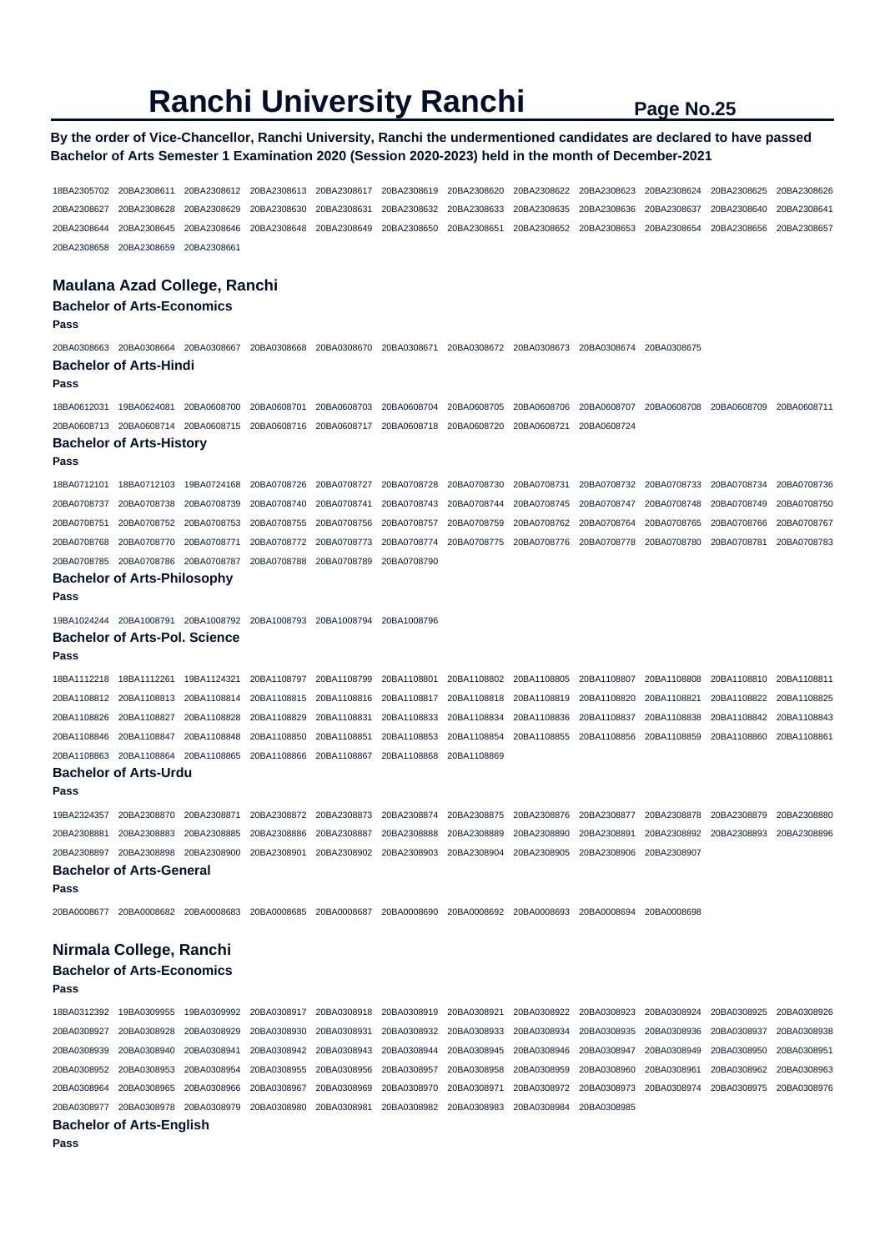# **By the order of Vice-Chancellor, Ranchi University, Ranchi the undermentioned candidates are declared to have passed Bachelor of Arts Semester 1 Examination 2020 (Session 2020-2023) held in the month of December-2021**

18BA2305702 20BA2308611 20BA2308612 20BA2308613 20BA2308617 20BA2308619 20BA2308620 20BA2308622 20BA2308623 20BA2308624 20BA2308625 20BA2308626 20BA2308627 20BA2308628 20BA2308629 20BA2308630 20BA2308631 20BA2308632 20BA2308633 20BA2308635 20BA2308636 20BA2308637 20BA2308640 20BA2308641 20BA2308644 20BA2308645 20BA2308646 20BA2308648 20BA2308649 20BA2308650 20BA2308651 20BA2308652 20BA2308653 20BA2308654 20BA2308656 20BA2308657 20BA2308658 20BA2308659 20BA2308661

# **Maulana Azad College, Ranchi**

# **Bachelor of Arts-Economics**

**Pass** 

20BA0308663 20BA0308664 20BA0308667 20BA0308668 20BA0308670 20BA0308671 20BA0308672 20BA0308673 20BA0308674 20BA0308675 **Bachelor of Arts-Hindi** 

#### **Pass**

18BA0612031 19BA0624081 20BA0608700 20BA0608701 20BA0608703 20BA0608704 20BA0608705 20BA0608706 20BA0608707 20BA0608708 20BA0608709 20BA0608711 20BA0608713 20BA0608714 20BA0608715 20BA0608716 20BA0608717 20BA0608718 20BA0608720 20BA0608721 20BA0608724

# **Bachelor of Arts-History**

**Pass** 

18BA0712101 18BA0712103 19BA0724168 20BA0708726 20BA0708727 20BA0708728 20BA0708730 20BA0708731 20BA0708732 20BA0708733 20BA0708734 20BA0708736 20BA0708737 20BA0708738 20BA0708739 20BA0708740 20BA0708741 20BA0708743 20BA0708744 20BA0708745 20BA0708747 20BA0708748 20BA0708749 20BA0708750 20BA0708751 20BA0708752 20BA0708753 20BA0708755 20BA0708756 20BA0708757 20BA0708759 20BA0708762 20BA0708764 20BA0708765 20BA0708766 20BA0708767 20BA0708768 20BA0708770 20BA0708771 20BA0708772 20BA0708773 20BA0708774 20BA0708775 20BA0708776 20BA0708778 20BA0708780 20BA0708781 20BA0708783 20BA0708785 20BA0708786 20BA0708787 20BA0708788 20BA0708789 20BA0708790

### **Bachelor of Arts-Philosophy**

**Pass** 

19BA1024244 20BA1008791 20BA1008792 20BA1008793 20BA1008794 20BA1008796

### **Bachelor of Arts-Pol. Science**

**Pass** 

18BA1112218 18BA1112261 19BA1124321 20BA1108797 20BA1108799 20BA1108801 20BA1108802 20BA1108805 20BA1108807 20BA1108808 20BA1108810 20BA1108811 20BA1108812 20BA1108813 20BA1108814 20BA1108815 20BA1108816 20BA1108817 20BA1108818 20BA1108819 20BA1108820 20BA1108821 20BA1108822 20BA1108825 20BA1108826 20BA1108827 20BA1108828 20BA1108829 20BA1108831 20BA1108833 20BA1108834 20BA1108836 20BA1108837 20BA1108838 20BA1108842 20BA1108843 20BA1108846 20BA1108847 20BA1108848 20BA1108850 20BA1108851 20BA1108853 20BA1108854 20BA1108855 20BA1108856 20BA1108859 20BA1108860 20BA1108861 20BA1108863 20BA1108864 20BA1108865 20BA1108866 20BA1108867 20BA1108868 20BA1108869

# **Bachelor of Arts-Urdu**

19BA2324357 20BA2308870 20BA2308871 20BA2308872 20BA2308873 20BA2308874 20BA2308875 20BA2308876 20BA2308877 20BA2308878 20BA2308879 20BA2308880 20BA2308881 20BA2308883 20BA2308885 20BA2308886 20BA2308887 20BA2308888 20BA2308889 20BA2308890 20BA2308891 20BA2308892 20BA2308893 20BA2308896 20BA2308897 20BA2308898 20BA2308900 20BA2308901 20BA2308902 20BA2308903 20BA2308904 20BA2308905 20BA2308906 20BA2308907

# **Bachelor of Arts-General**

**Pass** 

**Pass** 

20BA0008677 20BA0008682 20BA0008683 20BA0008685 20BA0008687 20BA0008690 20BA0008692 20BA0008693 20BA0008694 20BA0008698

# **Nirmala College, Ranchi**

#### **Bachelor of Arts-Economics Pass**

18BA0312392 19BA0309955 19BA0309992 20BA0308917 20BA0308918 20BA0308919 20BA0308921 20BA0308922 20BA0308923 20BA0308924 20BA0308925 20BA0308926 20BA0308927 20BA0308928 20BA0308929 20BA0308930 20BA0308931 20BA0308932 20BA0308933 20BA0308934 20BA0308935 20BA0308936 20BA0308937 20BA0308938 20BA0308939 20BA0308940 20BA0308941 20BA0308942 20BA0308943 20BA0308944 20BA0308945 20BA0308946 20BA0308947 20BA0308949 20BA0308950 20BA0308951 20BA0308952 20BA0308953 20BA0308954 20BA0308955 20BA0308956 20BA0308957 20BA0308958 20BA0308959 20BA0308960 20BA0308961 20BA0308962 20BA0308963 20BA0308964 20BA0308965 20BA0308966 20BA0308967 20BA0308969 20BA0308970 20BA0308971 20BA0308972 20BA0308973 20BA0308974 20BA0308975 20BA0308976 20BA0308977 20BA0308978 20BA0308979 20BA0308980 20BA0308981 20BA0308982 20BA0308983 20BA0308984 20BA0308985 **Bachelor of Arts-English**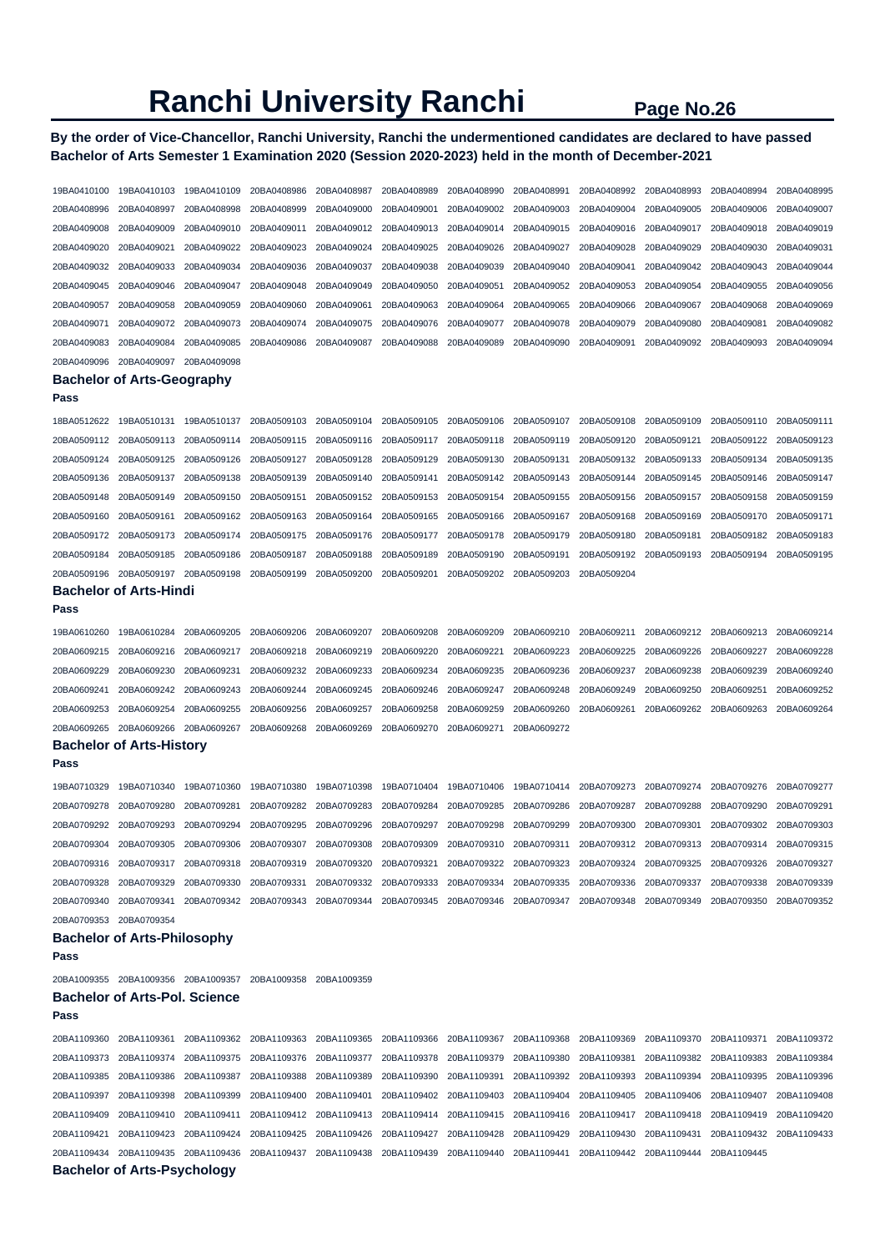**By the order of Vice-Chancellor, Ranchi University, Ranchi the undermentioned candidates are declared to have passed Bachelor of Arts Semester 1 Examination 2020 (Session 2020-2023) held in the month of December-2021** 

| 19BA0410100 | 19BA0410103                          | 19BA0410109 | 20BA0408986 | 20BA0408987 | 20BA0408989 | 20BA0408990 | 20BA0408991 | 20BA0408992 | 20BA0408993 | 20BA0408994 | 20BA0408995 |
|-------------|--------------------------------------|-------------|-------------|-------------|-------------|-------------|-------------|-------------|-------------|-------------|-------------|
| 20BA0408996 | 20BA0408997                          | 20BA0408998 | 20BA0408999 | 20BA0409000 | 20BA0409001 | 20BA0409002 | 20BA0409003 | 20BA0409004 | 20BA0409005 | 20BA0409006 | 20BA0409007 |
| 20BA0409008 | 20BA0409009                          | 20BA0409010 | 20BA0409011 | 20BA0409012 | 20BA0409013 | 20BA0409014 | 20BA0409015 | 20BA0409016 | 20BA0409017 | 20BA0409018 | 20BA0409019 |
| 20BA0409020 | 20BA0409021                          | 20BA0409022 | 20BA0409023 | 20BA0409024 | 20BA0409025 | 20BA0409026 | 20BA0409027 | 20BA0409028 | 20BA0409029 | 20BA0409030 | 20BA0409031 |
| 20BA0409032 | 20BA0409033                          | 20BA0409034 | 20BA0409036 | 20BA0409037 | 20BA0409038 | 20BA0409039 | 20BA0409040 | 20BA0409041 | 20BA0409042 | 20BA0409043 | 20BA0409044 |
| 20BA0409045 | 20BA0409046                          | 20BA0409047 | 20BA0409048 | 20BA0409049 | 20BA0409050 | 20BA0409051 | 20BA0409052 | 20BA0409053 | 20BA0409054 | 20BA0409055 | 20BA0409056 |
| 20BA0409057 | 20BA0409058                          | 20BA0409059 | 20BA0409060 | 20BA0409061 | 20BA0409063 | 20BA0409064 | 20BA0409065 | 20BA0409066 | 20BA0409067 | 20BA0409068 | 20BA0409069 |
| 20BA0409071 | 20BA0409072                          | 20BA0409073 | 20BA0409074 | 20BA0409075 | 20BA0409076 | 20BA0409077 | 20BA0409078 | 20BA0409079 | 20BA0409080 | 20BA0409081 | 20BA0409082 |
| 20BA0409083 | 20BA0409084                          | 20BA0409085 | 20BA0409086 | 20BA0409087 | 20BA0409088 | 20BA0409089 | 20BA0409090 | 20BA0409091 | 20BA0409092 | 20BA0409093 | 20BA0409094 |
| 20BA0409096 | 20BA0409097                          | 20BA0409098 |             |             |             |             |             |             |             |             |             |
|             | <b>Bachelor of Arts-Geography</b>    |             |             |             |             |             |             |             |             |             |             |
| Pass        |                                      |             |             |             |             |             |             |             |             |             |             |
| 18BA0512622 | 19BA0510131                          | 19BA0510137 | 20BA0509103 | 20BA0509104 | 20BA0509105 | 20BA0509106 | 20BA0509107 | 20BA0509108 | 20BA0509109 | 20BA0509110 | 20BA0509111 |
| 20BA0509112 | 20BA0509113                          | 20BA0509114 | 20BA0509115 | 20BA0509116 | 20BA0509117 | 20BA0509118 | 20BA0509119 | 20BA0509120 | 20BA0509121 | 20BA0509122 | 20BA0509123 |
| 20BA0509124 | 20BA0509125                          | 20BA0509126 | 20BA0509127 | 20BA0509128 | 20BA0509129 | 20BA0509130 | 20BA0509131 | 20BA0509132 | 20BA0509133 | 20BA0509134 | 20BA0509135 |
| 20BA0509136 | 20BA0509137                          | 20BA0509138 | 20BA0509139 | 20BA0509140 | 20BA0509141 | 20BA0509142 | 20BA0509143 | 20BA0509144 | 20BA0509145 | 20BA0509146 | 20BA0509147 |
| 20BA0509148 | 20BA0509149                          | 20BA0509150 | 20BA0509151 | 20BA0509152 | 20BA0509153 | 20BA0509154 | 20BA0509155 | 20BA0509156 | 20BA0509157 | 20BA0509158 | 20BA0509159 |
| 20BA0509160 | 20BA0509161                          | 20BA0509162 | 20BA0509163 | 20BA0509164 | 20BA0509165 | 20BA0509166 | 20BA0509167 | 20BA0509168 | 20BA0509169 | 20BA0509170 | 20BA0509171 |
| 20BA0509172 | 20BA0509173                          | 20BA0509174 | 20BA0509175 | 20BA0509176 | 20BA0509177 | 20BA0509178 | 20BA0509179 | 20BA0509180 | 20BA0509181 | 20BA0509182 | 20BA0509183 |
| 20BA0509184 | 20BA0509185                          | 20BA0509186 | 20BA0509187 | 20BA0509188 | 20BA0509189 | 20BA0509190 | 20BA0509191 | 20BA0509192 | 20BA0509193 | 20BA0509194 | 20BA0509195 |
| 20BA0509196 | 20BA0509197                          | 20BA0509198 | 20BA0509199 | 20BA0509200 | 20BA0509201 | 20BA0509202 | 20BA0509203 | 20BA0509204 |             |             |             |
|             | <b>Bachelor of Arts-Hindi</b>        |             |             |             |             |             |             |             |             |             |             |
| Pass        |                                      |             |             |             |             |             |             |             |             |             |             |
| 19BA0610260 | 19BA0610284                          | 20BA0609205 | 20BA0609206 | 20BA0609207 | 20BA0609208 | 20BA0609209 | 20BA0609210 | 20BA0609211 | 20BA0609212 | 20BA0609213 | 20BA0609214 |
| 20BA0609215 | 20BA0609216                          | 20BA0609217 | 20BA0609218 | 20BA0609219 | 20BA0609220 | 20BA0609221 | 20BA0609223 | 20BA0609225 | 20BA0609226 | 20BA0609227 | 20BA0609228 |
| 20BA0609229 | 20BA0609230                          | 20BA0609231 | 20BA0609232 | 20BA0609233 | 20BA0609234 | 20BA0609235 | 20BA0609236 | 20BA0609237 | 20BA0609238 | 20BA0609239 | 20BA0609240 |
| 20BA0609241 | 20BA0609242                          | 20BA0609243 | 20BA0609244 | 20BA0609245 | 20BA0609246 | 20BA0609247 | 20BA0609248 | 20BA0609249 | 20BA0609250 | 20BA0609251 | 20BA0609252 |
| 20BA0609253 | 20BA0609254                          | 20BA0609255 | 20BA0609256 | 20BA0609257 | 20BA0609258 | 20BA0609259 | 20BA0609260 | 20BA0609261 | 20BA0609262 | 20BA0609263 | 20BA0609264 |
| 20BA0609265 | 20BA0609266                          | 20BA0609267 | 20BA0609268 | 20BA0609269 | 20BA0609270 | 20BA0609271 | 20BA0609272 |             |             |             |             |
|             | <b>Bachelor of Arts-History</b>      |             |             |             |             |             |             |             |             |             |             |
| Pass        |                                      |             |             |             |             |             |             |             |             |             |             |
| 19BA0710329 | 19BA0710340                          | 19BA0710360 | 19BA0710380 | 19BA0710398 | 19BA0710404 | 19BA0710406 | 19BA0710414 | 20BA0709273 | 20BA0709274 | 20BA0709276 | 20BA0709277 |
| 20BA0709278 | 20BA0709280                          | 20BA0709281 | 20BA0709282 | 20BA0709283 | 20BA0709284 | 20BA0709285 | 20BA0709286 | 20BA0709287 | 20BA0709288 | 20BA0709290 | 20BA0709291 |
| 20BA0709292 | 20BA0709293                          | 20BA0709294 | 20BA0709295 | 20BA0709296 | 20BA0709297 | 20BA0709298 | 20BA0709299 | 20BA0709300 | 20BA0709301 | 20BA0709302 | 20BA0709303 |
| 20BA0709304 | 20BA0709305                          | 20BA0709306 | 20BA0709307 | 20BA0709308 | 20BA0709309 | 20BA0709310 | 20BA0709311 | 20BA0709312 | 20BA0709313 | 20BA0709314 | 20BA0709315 |
|             | 20BA0709316 20BA0709317              | 20BA0709318 | 20BA0709319 | 20BA0709320 | 20BA0709321 | 20BA0709322 | 20BA0709323 | 20BA0709324 | 20BA0709325 | 20BA0709326 | 20BA0709327 |
| 20BA0709328 | 20BA0709329                          | 20BA0709330 | 20BA0709331 | 20BA0709332 | 20BA0709333 | 20BA0709334 | 20BA0709335 | 20BA0709336 | 20BA0709337 | 20BA0709338 | 20BA0709339 |
| 20BA0709340 | 20BA0709341                          | 20BA0709342 | 20BA0709343 | 20BA0709344 | 20BA0709345 | 20BA0709346 | 20BA0709347 | 20BA0709348 | 20BA0709349 | 20BA0709350 | 20BA0709352 |
| 20BA0709353 | 20BA0709354                          |             |             |             |             |             |             |             |             |             |             |
|             | <b>Bachelor of Arts-Philosophy</b>   |             |             |             |             |             |             |             |             |             |             |
| Pass        |                                      |             |             |             |             |             |             |             |             |             |             |
|             | 20BA1009355 20BA1009356 20BA1009357  |             | 20BA1009358 | 20BA1009359 |             |             |             |             |             |             |             |
|             | <b>Bachelor of Arts-Pol. Science</b> |             |             |             |             |             |             |             |             |             |             |
| Pass        |                                      |             |             |             |             |             |             |             |             |             |             |
| 20BA1109360 | 20BA1109361                          | 20BA1109362 | 20BA1109363 | 20BA1109365 | 20BA1109366 | 20BA1109367 | 20BA1109368 | 20BA1109369 | 20BA1109370 | 20BA1109371 | 20BA1109372 |
| 20BA1109373 | 20BA1109374                          | 20BA1109375 | 20BA1109376 | 20BA1109377 | 20BA1109378 | 20BA1109379 | 20BA1109380 | 20BA1109381 | 20BA1109382 | 20BA1109383 | 20BA1109384 |
| 20BA1109385 | 20BA1109386                          | 20BA1109387 | 20BA1109388 | 20BA1109389 | 20BA1109390 | 20BA1109391 | 20BA1109392 | 20BA1109393 | 20BA1109394 | 20BA1109395 | 20BA1109396 |
| 20BA1109397 | 20BA1109398                          | 20BA1109399 | 20BA1109400 | 20BA1109401 | 20BA1109402 | 20BA1109403 | 20BA1109404 | 20BA1109405 | 20BA1109406 | 20BA1109407 | 20BA1109408 |
| 20BA1109409 | 20BA1109410                          | 20BA1109411 | 20BA1109412 | 20BA1109413 | 20BA1109414 | 20BA1109415 | 20BA1109416 | 20BA1109417 | 20BA1109418 | 20BA1109419 | 20BA1109420 |
| 20BA1109421 | 20BA1109423                          | 20BA1109424 | 20BA1109425 | 20BA1109426 | 20BA1109427 | 20BA1109428 | 20BA1109429 | 20BA1109430 | 20BA1109431 | 20BA1109432 | 20BA1109433 |
| 20BA1109434 | 20BA1109435                          | 20BA1109436 | 20BA1109437 | 20BA1109438 | 20BA1109439 | 20BA1109440 | 20BA1109441 | 20BA1109442 | 20BA1109444 | 20BA1109445 |             |
|             | <b>Bachelor of Arts-Psychology</b>   |             |             |             |             |             |             |             |             |             |             |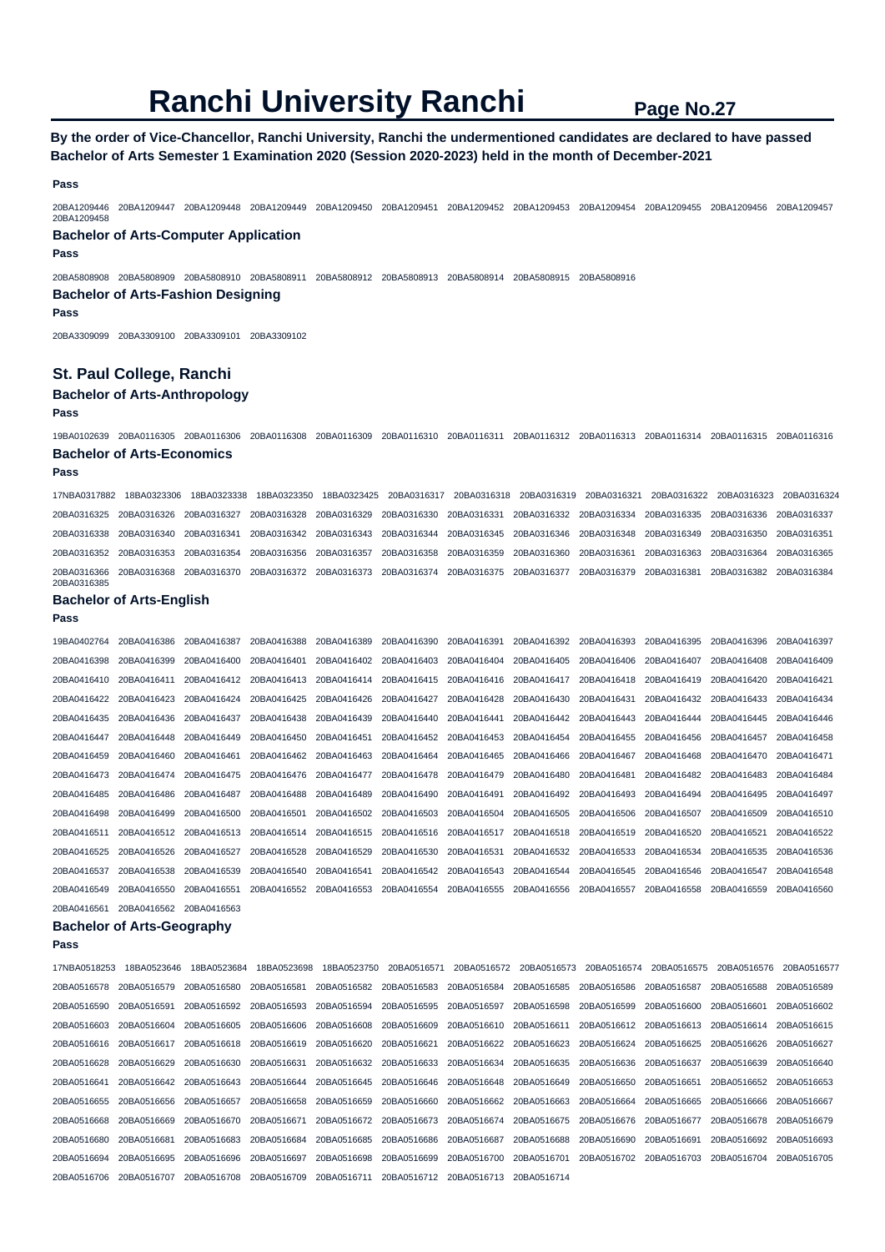# **By the order of Vice-Chancellor, Ranchi University, Ranchi the undermentioned candidates are declared to have passed Bachelor of Arts Semester 1 Examination 2020 (Session 2020-2023) held in the month of December-2021**

**Pass** 

20BA1209446 20BA1209447 20BA1209448 20BA1209449 20BA1209450 20BA1209451 20BA1209452 20BA1209453 20BA1209454 20BA1209455 20BA1209456 20BA1209457 20BA1209458

### **Bachelor of Arts-Computer Application Pass**

20BA5808908 20BA5808909 20BA5808910 20BA5808911 20BA5808912 20BA5808913 20BA5808914 20BA5808915 20BA5808916

# **Bachelor of Arts-Fashion Designing**

#### **Pass**

20BA3309099 20BA3309100 20BA3309101 20BA3309102

### **St. Paul College, Ranchi**

### **Bachelor of Arts-Anthropology**

**Pass** 

19BA0102639 20BA0116305 20BA0116306 20BA0116308 20BA0116309 20BA0116310 20BA0116311 20BA0116312 20BA0116313 20BA0116314 20BA0116315 20BA0116316 **Bachelor of Arts-Economics** 

#### **Pass**

17NBA0317882 18BA0323306 18BA0323338 18BA0323350 18BA0323425 20BA0316317 20BA0316318 20BA0316319 20BA0316321 20BA0316322 20BA0316323 20BA0316324 20BA0316325 20BA0316326 20BA0316327 20BA0316328 20BA0316329 20BA0316330 20BA0316331 20BA0316332 20BA0316334 20BA0316335 20BA0316336 20BA0316337 20BA0316338 20BA0316340 20BA0316341 20BA0316342 20BA0316343 20BA0316344 20BA0316345 20BA0316346 20BA0316348 20BA0316349 20BA0316350 20BA0316351 20BA0316352 20BA0316353 20BA0316354 20BA0316356 20BA0316357 20BA0316358 20BA0316359 20BA0316360 20BA0316361 20BA0316363 20BA0316364 20BA0316365 20BA0316366 20BA0316368 20BA0316370 20BA0316372 20BA0316373 20BA0316374 20BA0316375 20BA0316377 20BA0316379 20BA0316381 20BA0316382 20BA0316384 20BA0316385

#### **Bachelor of Arts-English**

**Pass** 

| 19BA0402764 | 20BA0416386 | 20BA0416387 | 20BA0416388 | 20BA0416389 | 20BA0416390 | 20BA0416391 | 20BA0416392 | 20BA0416393 | 20BA0416395 | 20BA0416396 | 20BA0416397 |
|-------------|-------------|-------------|-------------|-------------|-------------|-------------|-------------|-------------|-------------|-------------|-------------|
| 20BA0416398 | 20BA0416399 | 20BA0416400 | 20BA0416401 | 20BA0416402 | 20BA0416403 | 20BA0416404 | 20BA0416405 | 20BA0416406 | 20BA0416407 | 20BA0416408 | 20BA0416409 |
| 20BA0416410 | 20BA0416411 | 20BA0416412 | 20BA0416413 | 20BA0416414 | 20BA0416415 | 20BA0416416 | 20BA0416417 | 20BA0416418 | 20BA0416419 | 20BA0416420 | 20BA0416421 |
| 20BA0416422 | 20BA0416423 | 20BA0416424 | 20BA0416425 | 20BA0416426 | 20BA0416427 | 20BA0416428 | 20BA0416430 | 20BA0416431 | 20BA0416432 | 20BA0416433 | 20BA0416434 |
| 20BA0416435 | 20BA0416436 | 20BA0416437 | 20BA0416438 | 20BA0416439 | 20BA0416440 | 20BA0416441 | 20BA0416442 | 20BA0416443 | 20BA0416444 | 20BA0416445 | 20BA0416446 |
| 20BA0416447 | 20BA0416448 | 20BA0416449 | 20BA0416450 | 20BA0416451 | 20BA0416452 | 20BA0416453 | 20BA0416454 | 20BA0416455 | 20BA0416456 | 20BA0416457 | 20BA0416458 |
| 20BA0416459 | 20BA0416460 | 20BA0416461 | 20BA0416462 | 20BA0416463 | 20BA0416464 | 20BA0416465 | 20BA0416466 | 20BA0416467 | 20BA0416468 | 20BA0416470 | 20BA0416471 |
| 20BA0416473 | 20BA0416474 | 20BA0416475 | 20BA0416476 | 20BA0416477 | 20BA0416478 | 20BA0416479 | 20BA0416480 | 20BA0416481 | 20BA0416482 | 20BA0416483 | 20BA0416484 |
| 20BA0416485 | 20BA0416486 | 20BA0416487 | 20BA0416488 | 20BA0416489 | 20BA0416490 | 20BA0416491 | 20BA0416492 | 20BA0416493 | 20BA0416494 | 20BA0416495 | 20BA0416497 |
| 20BA0416498 | 20BA0416499 | 20BA0416500 | 20BA0416501 | 20BA0416502 | 20BA0416503 | 20BA0416504 | 20BA0416505 | 20BA0416506 | 20BA0416507 | 20BA0416509 | 20BA0416510 |
| 20BA0416511 | 20BA0416512 | 20BA0416513 | 20BA0416514 | 20BA0416515 | 20BA0416516 | 20BA0416517 | 20BA0416518 | 20BA0416519 | 20BA0416520 | 20BA0416521 | 20BA0416522 |
| 20BA0416525 | 20BA0416526 | 20BA0416527 | 20BA0416528 | 20BA0416529 | 20BA0416530 | 20BA0416531 | 20BA0416532 | 20BA0416533 | 20BA0416534 | 20BA0416535 | 20BA0416536 |
| 20BA0416537 | 20BA0416538 | 20BA0416539 | 20BA0416540 | 20BA0416541 | 20BA0416542 | 20BA0416543 | 20BA0416544 | 20BA0416545 | 20BA0416546 | 20BA0416547 | 20BA0416548 |
| 20BA0416549 | 20BA0416550 | 20BA0416551 | 20BA0416552 | 20BA0416553 | 20BA0416554 | 20BA0416555 | 20BA0416556 | 20BA0416557 | 20BA0416558 | 20BA0416559 | 20BA0416560 |
| 20BA0416561 | 20BA0416562 | 20BA0416563 |             |             |             |             |             |             |             |             |             |

#### **Bachelor of Arts-Geography**

| 17NBA0518253            | 18BA0523646 | 18BA0523684 | 18BA0523698                         | 18BA0523750             | 20BA0516571             |             | 20BA0516572 20BA0516573 | 20BA0516574             | 20BA0516575                         | 20BA0516576 | 20BA0516577 |
|-------------------------|-------------|-------------|-------------------------------------|-------------------------|-------------------------|-------------|-------------------------|-------------------------|-------------------------------------|-------------|-------------|
| 20BA0516578             | 20BA0516579 | 20BA0516580 | 20BA0516581                         | 20BA0516582 20BA0516583 |                         | 20BA0516584 | 20BA0516585             | 20BA0516586 20BA0516587 |                                     | 20BA0516588 | 20BA0516589 |
| 20BA0516590             | 20BA0516591 | 20BA0516592 | 20BA0516593                         | 20BA0516594             | 20BA0516595             | 20BA0516597 | 20BA0516598             | 20BA0516599 20BA0516600 |                                     | 20BA0516601 | 20BA0516602 |
| 20BA0516603             | 20BA0516604 | 20BA0516605 | 20BA0516606 20BA0516608 20BA0516609 |                         |                         | 20BA0516610 | 20BA0516611             |                         | 20BA0516612 20BA0516613 20BA0516614 |             | 20BA0516615 |
| 20BA0516616 20BA0516617 |             | 20BA0516618 | 20BA0516619                         | 20BA0516620             | 20BA0516621             | 20BA0516622 | 20BA0516623             | 20BA0516624 20BA0516625 |                                     | 20BA0516626 | 20BA0516627 |
| 20BA0516628             | 20BA0516629 | 20BA0516630 | 20BA0516631                         | 20BA0516632 20BA0516633 |                         | 20BA0516634 | 20BA0516635             | 20BA0516636 20BA0516637 |                                     | 20BA0516639 | 20BA0516640 |
| 20BA0516641             | 20BA0516642 | 20BA0516643 | 20BA0516644                         | 20BA0516645             | 20BA0516646 20BA0516648 |             | 20BA0516649             | 20BA0516650             | 20BA0516651                         | 20BA0516652 | 20BA0516653 |
| 20BA0516655             | 20BA0516656 | 20BA0516657 | 20BA0516658                         | 20BA0516659             | 20BA0516660             | 20BA0516662 | 20BA0516663             | 20BA0516664             | 20BA0516665                         | 20BA0516666 | 20BA0516667 |
| 20BA0516668             | 20BA0516669 | 20BA0516670 | 20BA0516671                         | 20BA0516672 20BA0516673 |                         | 20BA0516674 | 20BA0516675             | 20BA0516676 20BA0516677 |                                     | 20BA0516678 | 20BA0516679 |
| 20BA0516680             | 20BA0516681 | 20BA0516683 | 20BA0516684                         | 20BA0516685             | 20BA0516686             | 20BA0516687 | 20BA0516688             | 20BA0516690 20BA0516691 |                                     | 20BA0516692 | 20BA0516693 |
| 20BA0516694             | 20BA0516695 | 20BA0516696 | 20BA0516697                         | 20BA0516698             | 20BA0516699             | 20BA0516700 | 20BA0516701             | 20BA0516702 20BA0516703 |                                     | 20BA0516704 | 20BA0516705 |
| 20BA0516706             | 20BA0516707 | 20BA0516708 | 20BA0516709                         | 20BA0516711             | 20BA0516712             | 20BA0516713 | 20BA0516714             |                         |                                     |             |             |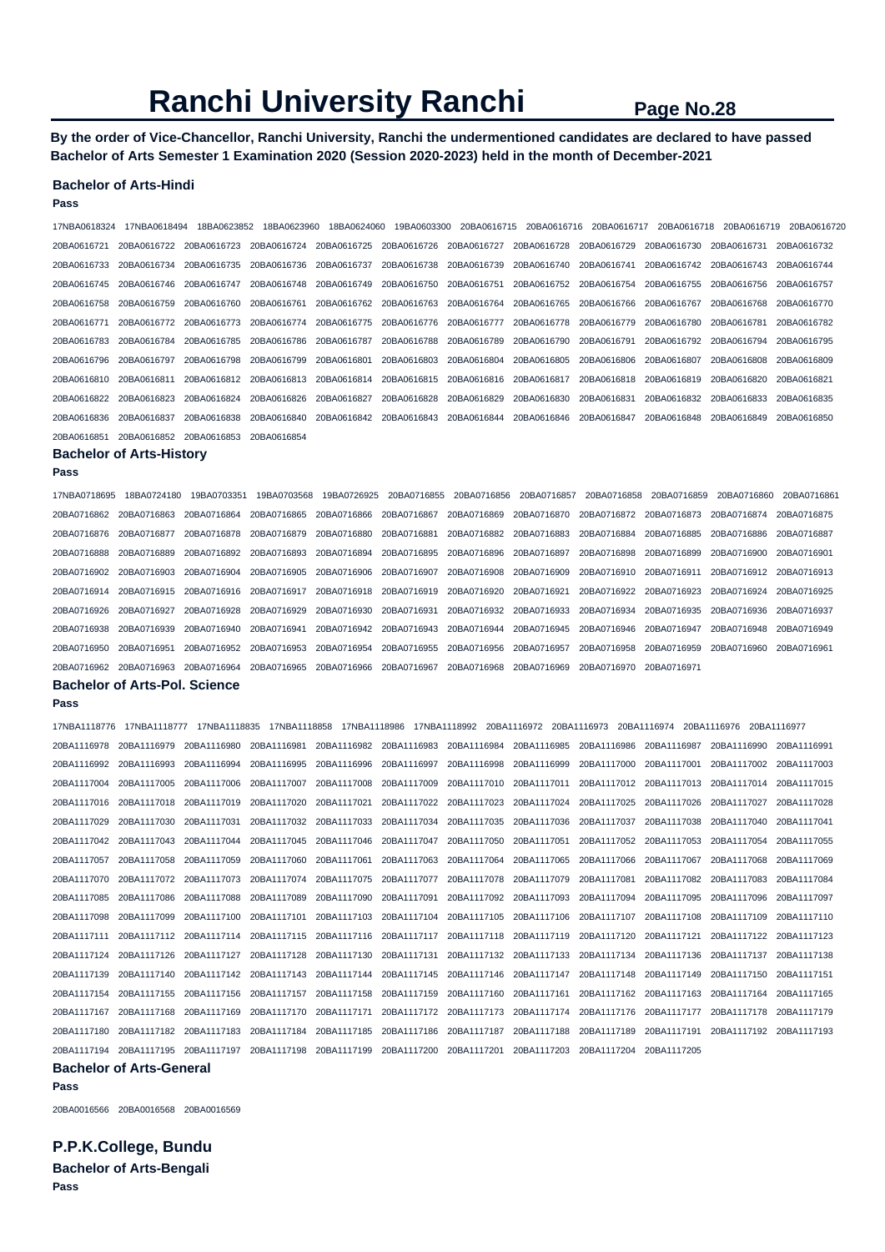**By the order of Vice-Chancellor, Ranchi University, Ranchi the undermentioned candidates are declared to have passed Bachelor of Arts Semester 1 Examination 2020 (Session 2020-2023) held in the month of December-2021** 

#### **Bachelor of Arts-Hindi**

**Pass** 

17NBA0618324 17NBA0618494 18BA0623852 18BA0623960 18BA0624060 19BA0603300 20BA0616715 20BA0616716 20BA0616717 20BA0616718 20BA0616719 20BA0616720 20BA0616721 20BA0616722 20BA0616723 20BA0616724 20BA0616725 20BA0616726 20BA0616727 20BA0616728 20BA0616729 20BA0616730 20BA0616731 20BA0616732 20BA0616733 20BA0616734 20BA0616735 20BA0616736 20BA0616737 20BA0616738 20BA0616739 20BA0616740 20BA0616741 20BA0616742 20BA0616743 20BA0616744 20BA0616745 20BA0616746 20BA0616747 20BA0616748 20BA0616749 20BA0616750 20BA0616751 20BA0616752 20BA0616754 20BA0616755 20BA0616756 20BA0616757 20BA0616758 20BA0616759 20BA0616760 20BA0616761 20BA0616762 20BA0616763 20BA0616764 20BA0616765 20BA0616766 20BA0616767 20BA0616768 20BA0616770 20BA0616771 20BA0616772 20BA0616773 20BA0616774 20BA0616775 20BA0616776 20BA0616777 20BA0616778 20BA0616779 20BA0616780 20BA0616781 20BA0616782 20BA0616783 20BA0616784 20BA0616785 20BA0616786 20BA0616787 20BA0616788 20BA0616789 20BA0616790 20BA0616791 20BA0616792 20BA0616794 20BA0616795 20BA0616796 20BA0616797 20BA0616798 20BA0616799 20BA0616801 20BA0616803 20BA0616804 20BA0616805 20BA0616806 20BA0616807 20BA0616808 20BA0616809 20BA0616810 20BA0616811 20BA0616812 20BA0616813 20BA0616814 20BA0616815 20BA0616816 20BA0616817 20BA0616818 20BA0616819 20BA0616820 20BA0616821 20BA0616822 20BA0616823 20BA0616824 20BA0616826 20BA0616827 20BA0616828 20BA0616829 20BA0616830 20BA0616831 20BA0616832 20BA0616833 20BA0616835 20BA0616836 20BA0616837 20BA0616838 20BA0616840 20BA0616842 20BA0616843 20BA0616844 20BA0616846 20BA0616847 20BA0616848 20BA0616849 20BA0616850 20BA0616851 20BA0616852 20BA0616853 20BA0616854

#### **Bachelor of Arts-History Pass**

17NBA0718695 18BA0724180 19BA0703351 19BA0703568 19BA0726925 20BA0716855 20BA0716856 20BA0716857 20BA0716858 20BA0716859 20BA0716860 20BA0716861 20BA0716862 20BA0716863 20BA0716864 20BA0716865 20BA0716866 20BA0716867 20BA0716869 20BA0716870 20BA0716872 20BA0716873 20BA0716874 20BA0716875 20BA0716876 20BA0716877 20BA0716878 20BA0716879 20BA0716880 20BA0716881 20BA0716882 20BA0716883 20BA0716884 20BA0716885 20BA0716886 20BA0716887 20BA0716888 20BA0716889 20BA0716892 20BA0716893 20BA0716894 20BA0716895 20BA0716896 20BA0716897 20BA0716898 20BA0716899 20BA0716900 20BA0716901 20BA0716902 20BA0716903 20BA0716904 20BA0716905 20BA0716906 20BA0716907 20BA0716908 20BA0716909 20BA0716910 20BA0716911 20BA0716912 20BA0716913 20BA0716914 20BA0716915 20BA0716916 20BA0716917 20BA0716918 20BA0716919 20BA0716920 20BA0716921 20BA0716922 20BA0716923 20BA0716924 20BA0716925 20BA0716926 20BA0716927 20BA0716928 20BA0716929 20BA0716930 20BA0716931 20BA0716932 20BA0716933 20BA0716934 20BA0716935 20BA0716936 20BA0716937 20BA0716938 20BA0716939 20BA0716940 20BA0716941 20BA0716942 20BA0716943 20BA0716944 20BA0716945 20BA0716946 20BA0716947 20BA0716948 20BA0716949 20BA0716950 20BA0716951 20BA0716952 20BA0716953 20BA0716954 20BA0716955 20BA0716956 20BA0716957 20BA0716958 20BA0716959 20BA0716960 20BA0716961 20BA0716962 20BA0716963 20BA0716964 20BA0716965 20BA0716966 20BA0716967 20BA0716968 20BA0716969 20BA0716970 20BA0716971 **Bachelor of Arts-Pol. Science** 

#### **Pass**

| 17NBA1118776 | 17NBA1118777 | 17NBA1118835 | 17NBA1118858                                                            |                         |                                     |             | 20BA1116972                                                                         | 20BA1116973                         | 20BA1116974 | 20BA1116976 20BA1116977 |             |
|--------------|--------------|--------------|-------------------------------------------------------------------------|-------------------------|-------------------------------------|-------------|-------------------------------------------------------------------------------------|-------------------------------------|-------------|-------------------------|-------------|
| 20BA1116978  | 20BA1116979  | 20BA1116980  | 20BA1116981                                                             |                         | 20BA1116982 20BA1116983             |             | 20BA1116984 20BA1116985                                                             | 20BA1116986                         | 20BA1116987 | 20BA1116990             | 20BA1116991 |
| 20BA1116992  | 20BA1116993  | 20BA1116994  | 20BA1116995                                                             | 20BA1116996             | 20BA1116997                         | 20BA1116998 | 20BA1116999                                                                         | 20BA1117000                         | 20BA1117001 | 20BA1117002             | 20BA1117003 |
| 20BA1117004  | 20BA1117005  | 20BA1117006  | 20BA1117007                                                             | 20BA1117008             | 20BA1117009                         |             | 20BA1117010 20BA1117011 20BA1117012 20BA1117013                                     |                                     |             | 20BA1117014             | 20BA1117015 |
| 20BA1117016  | 20BA1117018  | 20BA1117019  | 20BA1117020 20BA1117021                                                 |                         | 20BA1117022                         | 20BA1117023 | 20BA1117024                                                                         | 20BA1117025                         | 20BA1117026 | 20BA1117027             | 20BA1117028 |
| 20BA1117029  | 20BA1117030  | 20BA1117031  | 20BA1117032                                                             | 20BA1117033             | 20BA1117034                         | 20BA1117035 | 20BA1117036                                                                         | 20BA1117037                         | 20BA1117038 | 20BA1117040             | 20BA1117041 |
| 20BA1117042  | 20BA1117043  | 20BA1117044  | 20BA1117045                                                             | 20BA1117046             | 20BA1117047                         | 20BA1117050 | 20BA1117051                                                                         | 20BA1117052                         | 20BA1117053 | 20BA1117054             | 20BA1117055 |
| 20BA1117057  | 20BA1117058  | 20BA1117059  | 20BA1117060                                                             | 20BA1117061             | 20BA1117063                         |             | 20BA1117064 20BA1117065                                                             | 20BA1117066                         | 20BA1117067 | 20BA1117068             | 20BA1117069 |
| 20BA1117070  | 20BA1117072  | 20BA1117073  | 20BA1117074                                                             | 20BA1117075             | 20BA1117077                         |             | 20BA1117078 20BA1117079                                                             | 20BA1117081                         | 20BA1117082 | 20BA1117083             | 20BA1117084 |
| 20BA1117085  | 20BA1117086  | 20BA1117088  | 20BA1117089                                                             | 20BA1117090             | 20BA1117091                         |             | 20BA1117092 20BA1117093                                                             | 20BA1117094                         | 20BA1117095 | 20BA1117096             | 20BA1117097 |
| 20BA1117098  | 20BA1117099  | 20BA1117100  | 20BA1117101                                                             | 20BA1117103             | 20BA1117104 20BA1117105             |             | 20BA1117106                                                                         | 20BA1117107                         | 20BA1117108 | 20BA1117109             | 20BA1117110 |
| 20BA1117111  | 20BA1117112  | 20BA1117114  |                                                                         |                         | 20BA1117115 20BA1117116 20BA1117117 |             | 20BA1117118 20BA1117119                                                             | 20BA1117120                         | 20BA1117121 | 20BA1117122             | 20BA1117123 |
| 20BA1117124  | 20BA1117126  | 20BA1117127  |                                                                         |                         |                                     |             | 20BA1117128 20BA1117130 20BA1117131 20BA1117132 20BA1117133 20BA1117134 20BA1117136 |                                     |             | 20BA1117137             | 20BA1117138 |
| 20BA1117139  | 20BA1117140  | 20BA1117142  |                                                                         | 20BA1117143 20BA1117144 |                                     |             | 20BA1117145 20BA1117146 20BA1117147                                                 | 20BA1117148                         | 20BA1117149 | 20BA1117150             | 20BA1117151 |
| 20BA1117154  | 20BA1117155  | 20BA1117156  | 20BA1117157                                                             | 20BA1117158             | 20BA1117159                         | 20BA1117160 | 20BA1117161                                                                         | 20BA1117162                         | 20BA1117163 | 20BA1117164             | 20BA1117165 |
| 20BA1117167  | 20BA1117168  | 20BA1117169  |                                                                         | 20BA1117170 20BA1117171 |                                     |             | 20BA1117172 20BA1117173 20BA1117174 20BA1117176                                     |                                     | 20BA1117177 | 20BA1117178             | 20BA1117179 |
| 20BA1117180  | 20BA1117182  | 20BA1117183  |                                                                         | 20BA1117184 20BA1117185 | 20BA1117186 20BA1117187             |             |                                                                                     | 20BA1117188 20BA1117189 20BA1117191 |             | 20BA1117192 20BA1117193 |             |
|              |              |              | 20BA1117194 20BA1117195 20BA1117197 20BA1117198 20BA1117199 20BA1117200 |                         |                                     | 20BA1117201 |                                                                                     | 20BA1117203 20BA1117204 20BA1117205 |             |                         |             |

#### **Bachelor of Arts-General**

**Pass** 

20BA0016566 20BA0016568 20BA0016569

**P.P.K.College, Bundu Bachelor of Arts-Bengali Pass**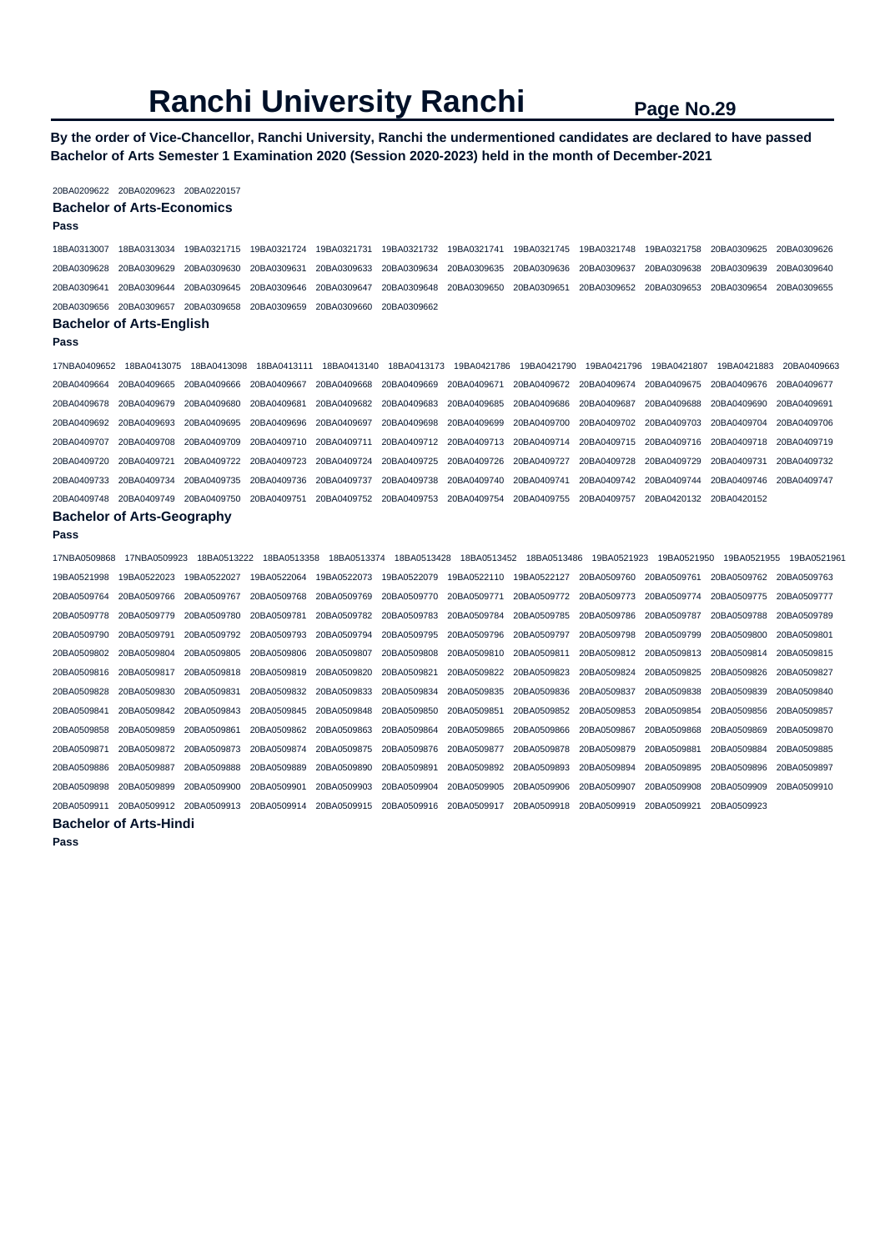**By the order of Vice-Chancellor, Ranchi University, Ranchi the undermentioned candidates are declared to have passed Bachelor of Arts Semester 1 Examination 2020 (Session 2020-2023) held in the month of December-2021** 

#### 20BA0209622 20BA0209623 20BA0220157 **Bachelor of Arts-Economics**

# **Pass**

| ٧ | ×<br>٠ | .,<br>۰,<br>---- |  |
|---|--------|------------------|--|
|   |        |                  |  |

18BA0313007 18BA0313034 19BA0321715 19BA0321724 19BA0321731 19BA0321732 19BA0321741 19BA0321745 19BA0321748 19BA0321758 20BA0309625 20BA0309626 20BA0309628 20BA0309629 20BA0309630 20BA0309631 20BA0309633 20BA0309634 20BA0309635 20BA0309636 20BA0309637 20BA0309638 20BA0309639 20BA0309640 20BA0309641 20BA0309644 20BA0309645 20BA0309646 20BA0309647 20BA0309648 20BA0309650 20BA0309651 20BA0309652 20BA0309653 20BA0309654 20BA0309655 20BA0309656 20BA0309657 20BA0309658 20BA0309659 20BA0309660 20BA0309662

#### **Bachelor of Arts-English Pass**

17NBA0409652 18BA0413075 18BA0413098 18BA0413111 18BA0413140 18BA0413173 19BA0421786 19BA0421790 19BA0421796 19BA0421807 19BA0421883 20BA0409663 20BA0409664 20BA0409665 20BA0409666 20BA0409667 20BA0409668 20BA0409669 20BA0409671 20BA0409672 20BA0409674 20BA0409675 20BA0409676 20BA0409677 20BA0409678 20BA0409679 20BA0409680 20BA0409681 20BA0409682 20BA0409683 20BA0409685 20BA0409686 20BA0409687 20BA0409688 20BA0409690 20BA0409691 20BA0409692 20BA0409693 20BA0409695 20BA0409696 20BA0409697 20BA0409698 20BA0409699 20BA0409700 20BA0409702 20BA0409703 20BA0409704 20BA0409706 20BA0409707 20BA0409708 20BA0409709 20BA0409710 20BA0409711 20BA0409712 20BA0409713 20BA0409714 20BA0409715 20BA0409716 20BA0409718 20BA0409719 20BA0409720 20BA0409721 20BA0409722 20BA0409723 20BA0409724 20BA0409725 20BA0409726 20BA0409727 20BA0409728 20BA0409729 20BA0409731 20BA0409732 20BA0409733 20BA0409734 20BA0409735 20BA0409736 20BA0409737 20BA0409738 20BA0409740 20BA0409741 20BA0409742 20BA0409744 20BA0409746 20BA0409747 20BA0409748 20BA0409749 20BA0409750 20BA0409751 20BA0409752 20BA0409753 20BA0409754 20BA0409755 20BA0409757 20BA0420132 20BA0420152

### **Bachelor of Arts-Geography**

**Pass** 

| 17NBA0509868 | 17NBA0509923 | 18BA0513222 | 18BA0513358 | 18BA0513374 | 18BA0513428 | 18BA0513452 | 18BA0513486 | 19BA0521923 | 19BA0521950 | 19BA0521955 | 19BA0521961 |
|--------------|--------------|-------------|-------------|-------------|-------------|-------------|-------------|-------------|-------------|-------------|-------------|
| 19BA0521998  | 19BA0522023  | 19BA0522027 | 19BA0522064 | 19BA0522073 | 19BA0522079 | 19BA0522110 | 19BA0522127 | 20BA0509760 | 20BA0509761 | 20BA0509762 | 20BA0509763 |
| 20BA0509764  | 20BA0509766  | 20BA0509767 | 20BA0509768 | 20BA0509769 | 20BA0509770 | 20BA0509771 | 20BA0509772 | 20BA0509773 | 20BA0509774 | 20BA0509775 | 20BA0509777 |
| 20BA0509778  | 20BA0509779  | 20BA0509780 | 20BA0509781 | 20BA0509782 | 20BA0509783 | 20BA0509784 | 20BA0509785 | 20BA0509786 | 20BA0509787 | 20BA0509788 | 20BA0509789 |
| 20BA0509790  | 20BA0509791  | 20BA0509792 | 20BA0509793 | 20BA0509794 | 20BA0509795 | 20BA0509796 | 20BA0509797 | 20BA0509798 | 20BA0509799 | 20BA0509800 | 20BA0509801 |
| 20BA0509802  | 20BA0509804  | 20BA0509805 | 20BA0509806 | 20BA0509807 | 20BA0509808 | 20BA0509810 | 20BA0509811 | 20BA0509812 | 20BA0509813 | 20BA0509814 | 20BA0509815 |
| 20BA0509816  | 20BA0509817  | 20BA0509818 | 20BA0509819 | 20BA0509820 | 20BA0509821 | 20BA0509822 | 20BA0509823 | 20BA0509824 | 20BA0509825 | 20BA0509826 | 20BA0509827 |
| 20BA0509828  | 20BA0509830  | 20BA0509831 | 20BA0509832 | 20BA0509833 | 20BA0509834 | 20BA0509835 | 20BA0509836 | 20BA0509837 | 20BA0509838 | 20BA0509839 | 20BA0509840 |
| 20BA0509841  | 20BA0509842  | 20BA0509843 | 20BA0509845 | 20BA0509848 | 20BA0509850 | 20BA0509851 | 20BA0509852 | 20BA0509853 | 20BA0509854 | 20BA0509856 | 20BA0509857 |
| 20BA0509858  | 20BA0509859  | 20BA0509861 | 20BA0509862 | 20BA0509863 | 20BA0509864 | 20BA0509865 | 20BA0509866 | 20BA0509867 | 20BA0509868 | 20BA0509869 | 20BA0509870 |
| 20BA0509871  | 20BA0509872  | 20BA0509873 | 20BA0509874 | 20BA0509875 | 20BA0509876 | 20BA0509877 | 20BA0509878 | 20BA0509879 | 20BA0509881 | 20BA0509884 | 20BA0509885 |
| 20BA0509886  | 20BA0509887  | 20BA0509888 | 20BA0509889 | 20BA0509890 | 20BA0509891 | 20BA0509892 | 20BA0509893 | 20BA0509894 | 20BA0509895 | 20BA0509896 | 20BA0509897 |
| 20BA0509898  | 20BA0509899  | 20BA0509900 | 20BA0509901 | 20BA0509903 | 20BA0509904 | 20BA0509905 | 20BA0509906 | 20BA0509907 | 20BA0509908 | 20BA0509909 | 20BA0509910 |
| 20BA0509911  | 20BA0509912  | 20BA0509913 | 20BA0509914 | 20BA0509915 | 20BA0509916 | 20BA0509917 | 20BA0509918 | 20BA0509919 | 20BA0509921 | 20BA0509923 |             |

### **Bachelor of Arts-Hindi**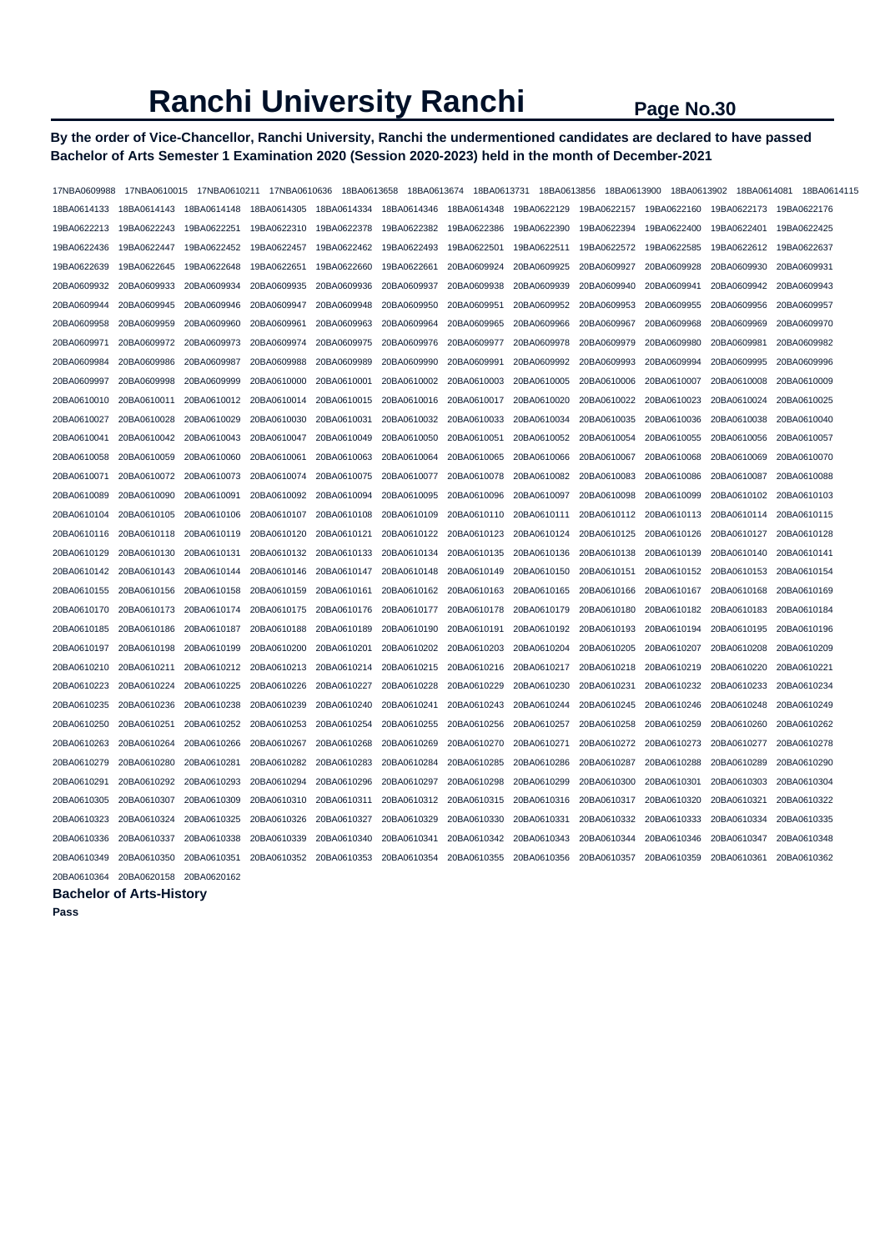# **By the order of Vice-Chancellor, Ranchi University, Ranchi the undermentioned candidates are declared to have passed Bachelor of Arts Semester 1 Examination 2020 (Session 2020-2023) held in the month of December-2021**

| 17NBA0609988 | 17NBA0610015 | 17NBA0610211 | 17NBA0610636 | 18BA0613658 | 18BA0613674 | 18BA0613731 | 18BA0613856 | 18BA0613900 | 18BA0613902 | 18BA0614081 | 18BA0614115 |
|--------------|--------------|--------------|--------------|-------------|-------------|-------------|-------------|-------------|-------------|-------------|-------------|
| 18BA0614133  | 18BA0614143  | 18BA0614148  | 18BA0614305  | 18BA0614334 | 18BA0614346 | 18BA0614348 | 19BA0622129 | 19BA0622157 | 19BA0622160 | 19BA0622173 | 19BA0622176 |
| 19BA0622213  | 19BA0622243  | 19BA0622251  | 19BA0622310  | 19BA0622378 | 19BA0622382 | 19BA0622386 | 19BA0622390 | 19BA0622394 | 19BA0622400 | 19BA0622401 | 19BA0622425 |
| 19BA0622436  | 19BA0622447  | 19BA0622452  | 19BA0622457  | 19BA0622462 | 19BA0622493 | 19BA0622501 | 19BA0622511 | 19BA0622572 | 19BA0622585 | 19BA0622612 | 19BA0622637 |
| 19BA0622639  | 19BA0622645  | 19BA0622648  | 19BA0622651  | 19BA0622660 | 19BA0622661 | 20BA0609924 | 20BA0609925 | 20BA0609927 | 20BA0609928 | 20BA0609930 | 20BA0609931 |
| 20BA0609932  | 20BA0609933  | 20BA0609934  | 20BA0609935  | 20BA0609936 | 20BA0609937 | 20BA0609938 | 20BA0609939 | 20BA0609940 | 20BA0609941 | 20BA0609942 | 20BA0609943 |
| 20BA0609944  | 20BA0609945  | 20BA0609946  | 20BA0609947  | 20BA0609948 | 20BA0609950 | 20BA0609951 | 20BA0609952 | 20BA0609953 | 20BA0609955 | 20BA0609956 | 20BA0609957 |
| 20BA0609958  | 20BA0609959  | 20BA0609960  | 20BA0609961  | 20BA0609963 | 20BA0609964 | 20BA0609965 | 20BA0609966 | 20BA0609967 | 20BA0609968 | 20BA0609969 | 20BA0609970 |
| 20BA0609971  | 20BA0609972  | 20BA0609973  | 20BA0609974  | 20BA0609975 | 20BA0609976 | 20BA0609977 | 20BA0609978 | 20BA0609979 | 20BA0609980 | 20BA0609981 | 20BA0609982 |
| 20BA0609984  | 20BA0609986  | 20BA0609987  | 20BA0609988  | 20BA0609989 | 20BA0609990 | 20BA0609991 | 20BA0609992 | 20BA0609993 | 20BA0609994 | 20BA0609995 | 20BA0609996 |
| 20BA0609997  | 20BA0609998  | 20BA0609999  | 20BA0610000  | 20BA0610001 | 20BA0610002 | 20BA0610003 | 20BA0610005 | 20BA0610006 | 20BA0610007 | 20BA0610008 | 20BA0610009 |
| 20BA0610010  | 20BA0610011  | 20BA0610012  | 20BA0610014  | 20BA0610015 | 20BA0610016 | 20BA0610017 | 20BA0610020 | 20BA0610022 | 20BA0610023 | 20BA0610024 | 20BA0610025 |
| 20BA0610027  | 20BA0610028  | 20BA0610029  | 20BA0610030  | 20BA0610031 | 20BA0610032 | 20BA0610033 | 20BA0610034 | 20BA0610035 | 20BA0610036 | 20BA0610038 | 20BA0610040 |
| 20BA0610041  | 20BA0610042  | 20BA0610043  | 20BA0610047  | 20BA0610049 | 20BA0610050 | 20BA0610051 | 20BA0610052 | 20BA0610054 | 20BA0610055 | 20BA0610056 | 20BA0610057 |
| 20BA0610058  | 20BA0610059  | 20BA0610060  | 20BA0610061  | 20BA0610063 | 20BA0610064 | 20BA0610065 | 20BA0610066 | 20BA0610067 | 20BA0610068 | 20BA0610069 | 20BA0610070 |
| 20BA0610071  | 20BA0610072  | 20BA0610073  | 20BA0610074  | 20BA0610075 | 20BA0610077 | 20BA0610078 | 20BA0610082 | 20BA0610083 | 20BA0610086 | 20BA0610087 | 20BA0610088 |
| 20BA0610089  | 20BA0610090  | 20BA0610091  | 20BA0610092  | 20BA0610094 | 20BA0610095 | 20BA0610096 | 20BA0610097 | 20BA0610098 | 20BA0610099 | 20BA0610102 | 20BA0610103 |
| 20BA0610104  | 20BA0610105  | 20BA0610106  | 20BA0610107  | 20BA0610108 | 20BA0610109 | 20BA0610110 | 20BA0610111 | 20BA0610112 | 20BA0610113 | 20BA0610114 | 20BA0610115 |
| 20BA0610116  | 20BA0610118  | 20BA0610119  | 20BA0610120  | 20BA0610121 | 20BA0610122 | 20BA0610123 | 20BA0610124 | 20BA0610125 | 20BA0610126 | 20BA0610127 | 20BA0610128 |
| 20BA0610129  | 20BA0610130  | 20BA0610131  | 20BA0610132  | 20BA0610133 | 20BA0610134 | 20BA0610135 | 20BA0610136 | 20BA0610138 | 20BA0610139 | 20BA0610140 | 20BA0610141 |
| 20BA0610142  | 20BA0610143  | 20BA0610144  | 20BA0610146  | 20BA0610147 | 20BA0610148 | 20BA0610149 | 20BA0610150 | 20BA0610151 | 20BA0610152 | 20BA0610153 | 20BA0610154 |
| 20BA0610155  | 20BA0610156  | 20BA0610158  | 20BA0610159  | 20BA0610161 | 20BA0610162 | 20BA0610163 | 20BA0610165 | 20BA0610166 | 20BA0610167 | 20BA0610168 | 20BA0610169 |
| 20BA0610170  | 20BA0610173  | 20BA0610174  | 20BA0610175  | 20BA0610176 | 20BA0610177 | 20BA0610178 | 20BA0610179 | 20BA0610180 | 20BA0610182 | 20BA0610183 | 20BA0610184 |
| 20BA0610185  | 20BA0610186  | 20BA0610187  | 20BA0610188  | 20BA0610189 | 20BA0610190 | 20BA0610191 | 20BA0610192 | 20BA0610193 | 20BA0610194 | 20BA0610195 | 20BA0610196 |
| 20BA0610197  | 20BA0610198  | 20BA0610199  | 20BA0610200  | 20BA0610201 | 20BA0610202 | 20BA0610203 | 20BA0610204 | 20BA0610205 | 20BA0610207 | 20BA0610208 | 20BA0610209 |
| 20BA0610210  | 20BA0610211  | 20BA0610212  | 20BA0610213  | 20BA0610214 | 20BA0610215 | 20BA0610216 | 20BA0610217 | 20BA0610218 | 20BA0610219 | 20BA0610220 | 20BA0610221 |
| 20BA0610223  | 20BA0610224  | 20BA0610225  | 20BA0610226  | 20BA0610227 | 20BA0610228 | 20BA0610229 | 20BA0610230 | 20BA0610231 | 20BA0610232 | 20BA0610233 | 20BA0610234 |
| 20BA0610235  | 20BA0610236  | 20BA0610238  | 20BA0610239  | 20BA0610240 | 20BA0610241 | 20BA0610243 | 20BA0610244 | 20BA0610245 | 20BA0610246 | 20BA0610248 | 20BA0610249 |
| 20BA0610250  | 20BA0610251  | 20BA0610252  | 20BA0610253  | 20BA0610254 | 20BA0610255 | 20BA0610256 | 20BA0610257 | 20BA0610258 | 20BA0610259 | 20BA0610260 | 20BA0610262 |
| 20BA0610263  | 20BA0610264  | 20BA0610266  | 20BA0610267  | 20BA0610268 | 20BA0610269 | 20BA0610270 | 20BA0610271 | 20BA0610272 | 20BA0610273 | 20BA0610277 | 20BA0610278 |
| 20BA0610279  | 20BA0610280  | 20BA0610281  | 20BA0610282  | 20BA0610283 | 20BA0610284 | 20BA0610285 | 20BA0610286 | 20BA0610287 | 20BA0610288 | 20BA0610289 | 20BA0610290 |
| 20BA0610291  | 20BA0610292  | 20BA0610293  | 20BA0610294  | 20BA0610296 | 20BA0610297 | 20BA0610298 | 20BA0610299 | 20BA0610300 | 20BA0610301 | 20BA0610303 | 20BA0610304 |
| 20BA0610305  | 20BA0610307  | 20BA0610309  | 20BA0610310  | 20BA0610311 | 20BA0610312 | 20BA0610315 | 20BA0610316 | 20BA0610317 | 20BA0610320 | 20BA0610321 | 20BA0610322 |
| 20BA0610323  | 20BA0610324  | 20BA0610325  | 20BA0610326  | 20BA0610327 | 20BA0610329 | 20BA0610330 | 20BA0610331 | 20BA0610332 | 20BA0610333 | 20BA0610334 | 20BA0610335 |
| 20BA0610336  | 20BA0610337  | 20BA0610338  | 20BA0610339  | 20BA0610340 | 20BA0610341 | 20BA0610342 | 20BA0610343 | 20BA0610344 | 20BA0610346 | 20BA0610347 | 20BA0610348 |
| 20BA0610349  | 20BA0610350  | 20BA0610351  | 20BA0610352  | 20BA0610353 | 20BA0610354 | 20BA0610355 | 20BA0610356 | 20BA0610357 | 20BA0610359 | 20BA0610361 | 20BA0610362 |
| 20BA0610364  | 20BA0620158  | 20BA0620162  |              |             |             |             |             |             |             |             |             |

### **Bachelor of Arts-History**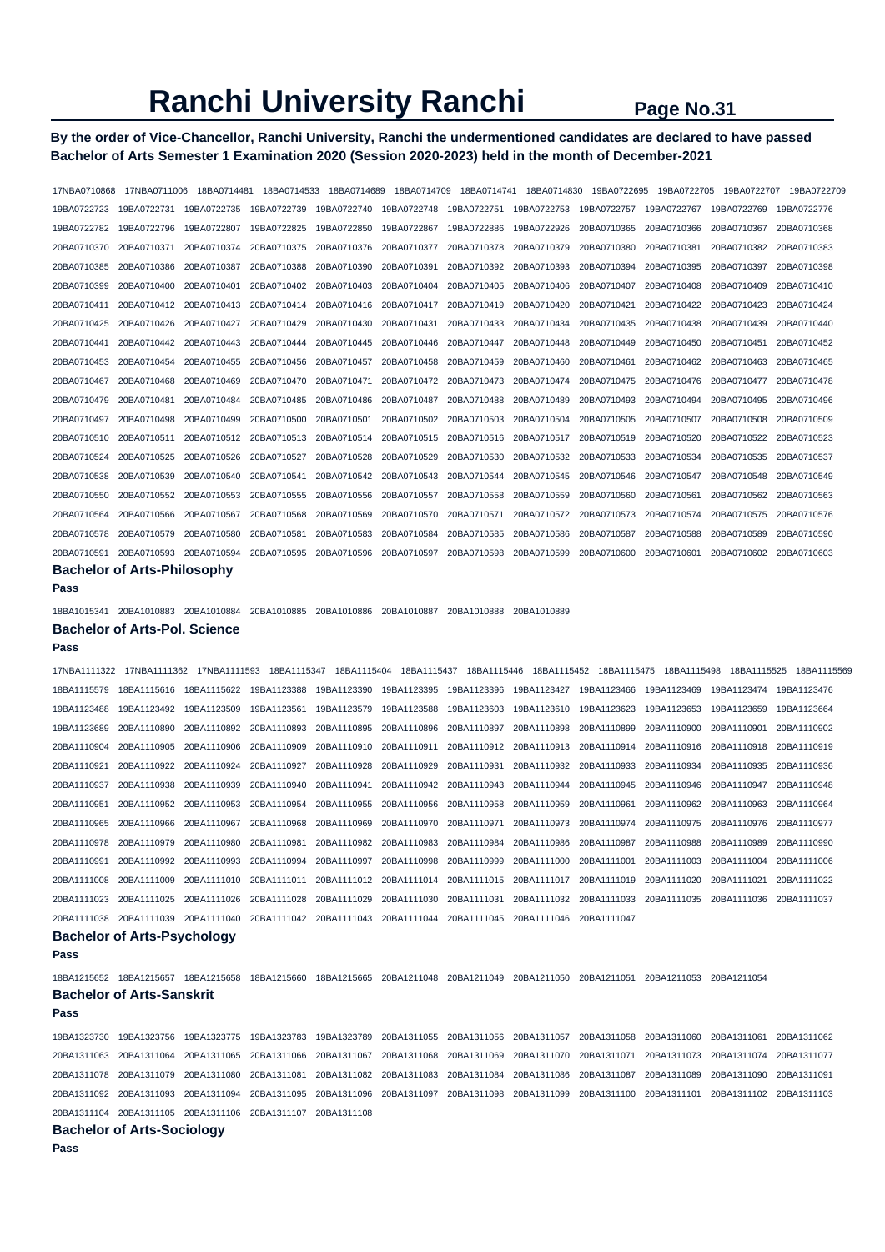# **By the order of Vice-Chancellor, Ranchi University, Ranchi the undermentioned candidates are declared to have passed Bachelor of Arts Semester 1 Examination 2020 (Session 2020-2023) held in the month of December-2021**

17NBA0710868 17NBA0711006 18BA0714481 18BA0714533 18BA0714689 18BA0714709 18BA0714741 18BA0714830 19BA0722695 19BA0722705 19BA0722707 19BA0722709 19BA0722723 19BA0722731 19BA0722735 19BA0722739 19BA0722740 19BA0722748 19BA0722751 19BA0722753 19BA0722757 19BA0722767 19BA0722769 19BA0722776 19BA0722782 19BA0722796 19BA0722807 19BA0722825 19BA0722850 19BA0722867 19BA0722886 19BA0722926 20BA0710365 20BA0710366 20BA0710367 20BA0710368 20BA0710370 20BA0710371 20BA0710374 20BA0710375 20BA0710376 20BA0710377 20BA0710378 20BA0710379 20BA0710380 20BA0710381 20BA0710382 20BA0710383 20BA0710385 20BA0710386 20BA0710387 20BA0710388 20BA0710390 20BA0710391 20BA0710392 20BA0710393 20BA0710394 20BA0710395 20BA0710397 20BA0710398 20BA0710399 20BA0710400 20BA0710401 20BA0710402 20BA0710403 20BA0710404 20BA0710405 20BA0710406 20BA0710407 20BA0710408 20BA0710409 20BA0710410 20BA0710411 20BA0710412 20BA0710413 20BA0710414 20BA0710416 20BA0710417 20BA0710419 20BA0710420 20BA0710421 20BA0710422 20BA0710423 20BA0710424 20BA0710425 20BA0710426 20BA0710427 20BA0710429 20BA0710430 20BA0710431 20BA0710433 20BA0710434 20BA0710435 20BA0710438 20BA0710439 20BA0710440 20BA0710441 20BA0710442 20BA0710443 20BA0710444 20BA0710445 20BA0710446 20BA0710447 20BA0710448 20BA0710449 20BA0710450 20BA0710451 20BA0710452 20BA0710453 20BA0710454 20BA0710455 20BA0710456 20BA0710457 20BA0710458 20BA0710459 20BA0710460 20BA0710461 20BA0710462 20BA0710463 20BA0710465 20BA0710467 20BA0710468 20BA0710469 20BA0710470 20BA0710471 20BA0710472 20BA0710473 20BA0710474 20BA0710475 20BA0710476 20BA0710477 20BA0710478 20BA0710479 20BA0710481 20BA0710484 20BA0710485 20BA0710486 20BA0710487 20BA0710488 20BA0710489 20BA0710493 20BA0710494 20BA0710495 20BA0710496 20BA0710497 20BA0710498 20BA0710499 20BA0710500 20BA0710501 20BA0710502 20BA0710503 20BA0710504 20BA0710505 20BA0710507 20BA0710508 20BA0710509 20BA0710510 20BA0710511 20BA0710512 20BA0710513 20BA0710514 20BA0710515 20BA0710516 20BA0710517 20BA0710519 20BA0710520 20BA0710522 20BA0710523 20BA0710524 20BA0710525 20BA0710526 20BA0710527 20BA0710528 20BA0710529 20BA0710530 20BA0710532 20BA0710533 20BA0710534 20BA0710535 20BA0710537 20BA0710538 20BA0710539 20BA0710540 20BA0710541 20BA0710542 20BA0710543 20BA0710544 20BA0710545 20BA0710546 20BA0710547 20BA0710548 20BA0710549 20BA0710550 20BA0710552 20BA0710553 20BA0710555 20BA0710556 20BA0710557 20BA0710558 20BA0710559 20BA0710560 20BA0710561 20BA0710562 20BA0710563 20BA0710564 20BA0710566 20BA0710567 20BA0710568 20BA0710569 20BA0710570 20BA0710571 20BA0710572 20BA0710573 20BA0710574 20BA0710575 20BA0710576 20BA0710578 20BA0710579 20BA0710580 20BA0710581 20BA0710583 20BA0710584 20BA0710585 20BA0710586 20BA0710587 20BA0710588 20BA0710589 20BA0710590 20BA0710591 20BA0710593 20BA0710594 20BA0710595 20BA0710596 20BA0710597 20BA0710598 20BA0710599 20BA0710600 20BA0710601 20BA0710602 20BA0710603

#### **Bachelor of Arts-Philosophy**

**Pass** 

18BA1015341 20BA1010883 20BA1010884 20BA1010885 20BA1010886 20BA1010887 20BA1010888 20BA1010889 **Bachelor of Arts-Pol. Science** 

#### **Pass**

17NBA1111322 17NBA1111362 17NBA1111593 18BA1115347 18BA1115404 18BA1115437 18BA1115446 18BA1115452 18BA1115475 18BA1115498 18BA1115525 18BA1115569 18BA1115579 18BA1115616 18BA1115622 19BA1123388 19BA1123390 19BA1123395 19BA1123396 19BA1123427 19BA1123466 19BA1123469 19BA1123474 19BA1123476 19BA1123488 19BA1123492 19BA1123509 19BA1123561 19BA1123579 19BA1123588 19BA1123603 19BA1123610 19BA1123623 19BA1123653 19BA1123659 19BA1123664 19BA1123689 20BA1110890 20BA1110892 20BA1110893 20BA1110895 20BA1110896 20BA1110897 20BA1110898 20BA1110899 20BA1110900 20BA1110901 20BA1110902 20BA1110904 20BA1110905 20BA1110906 20BA1110909 20BA1110910 20BA1110911 20BA1110912 20BA1110913 20BA1110914 20BA1110916 20BA1110918 20BA1110919 20BA1110921 20BA1110922 20BA1110924 20BA1110927 20BA1110928 20BA1110929 20BA1110931 20BA1110932 20BA1110933 20BA1110934 20BA1110935 20BA1110936 20BA1110937 20BA1110938 20BA1110939 20BA1110940 20BA1110941 20BA1110942 20BA1110943 20BA1110944 20BA1110945 20BA1110946 20BA1110947 20BA1110948 20BA1110951 20BA1110952 20BA1110953 20BA1110954 20BA1110955 20BA1110956 20BA1110958 20BA1110959 20BA1110961 20BA1110962 20BA1110963 20BA1110964 20BA1110965 20BA1110966 20BA1110967 20BA1110968 20BA1110969 20BA1110970 20BA1110971 20BA1110973 20BA1110974 20BA1110975 20BA1110976 20BA1110977 20BA1110978 20BA1110979 20BA1110980 20BA1110981 20BA1110982 20BA1110983 20BA1110984 20BA1110986 20BA1110987 20BA1110988 20BA1110989 20BA1110990 20BA1110991 20BA1110992 20BA1110993 20BA1110994 20BA1110997 20BA1110998 20BA1110999 20BA1111000 20BA1111001 20BA1111003 20BA1111004 20BA1111006 20BA1111008 20BA1111009 20BA1111010 20BA1111011 20BA1111012 20BA1111014 20BA1111015 20BA1111017 20BA1111019 20BA1111020 20BA1111021 20BA1111022 20BA1111023 20BA1111025 20BA1111026 20BA1111028 20BA1111029 20BA1111030 20BA1111031 20BA1111032 20BA1111033 20BA1111035 20BA1111036 20BA1111037 20BA1111038 20BA1111039 20BA1111040 20BA1111042 20BA1111043 20BA1111044 20BA1111045 20BA1111046 20BA1111047 **Bachelor of Arts-Psychology** 

#### **Pass**

18BA1215652 18BA1215657 18BA1215658 18BA1215660 18BA1215665 20BA1211048 20BA1211049 20BA1211050 20BA1211051 20BA1211053 20BA1211054 **Bachelor of Arts-Sanskrit** 

**Pass** 

19BA1323730 19BA1323756 19BA1323775 19BA1323783 19BA1323789 20BA1311055 20BA1311056 20BA1311057 20BA1311058 20BA1311060 20BA1311061 20BA1311062 20BA1311063 20BA1311064 20BA1311065 20BA1311066 20BA1311067 20BA1311068 20BA1311069 20BA1311070 20BA1311071 20BA1311073 20BA1311074 20BA1311077 20BA1311078 20BA1311079 20BA1311080 20BA1311081 20BA1311082 20BA1311083 20BA1311084 20BA1311086 20BA1311087 20BA1311089 20BA1311090 20BA1311091 20BA1311092 20BA1311093 20BA1311094 20BA1311095 20BA1311096 20BA1311097 20BA1311098 20BA1311099 20BA1311100 20BA1311101 20BA1311102 20BA1311103 20BA1311104 20BA1311105 20BA1311106 20BA1311107 20BA1311108

# **Bachelor of Arts-Sociology**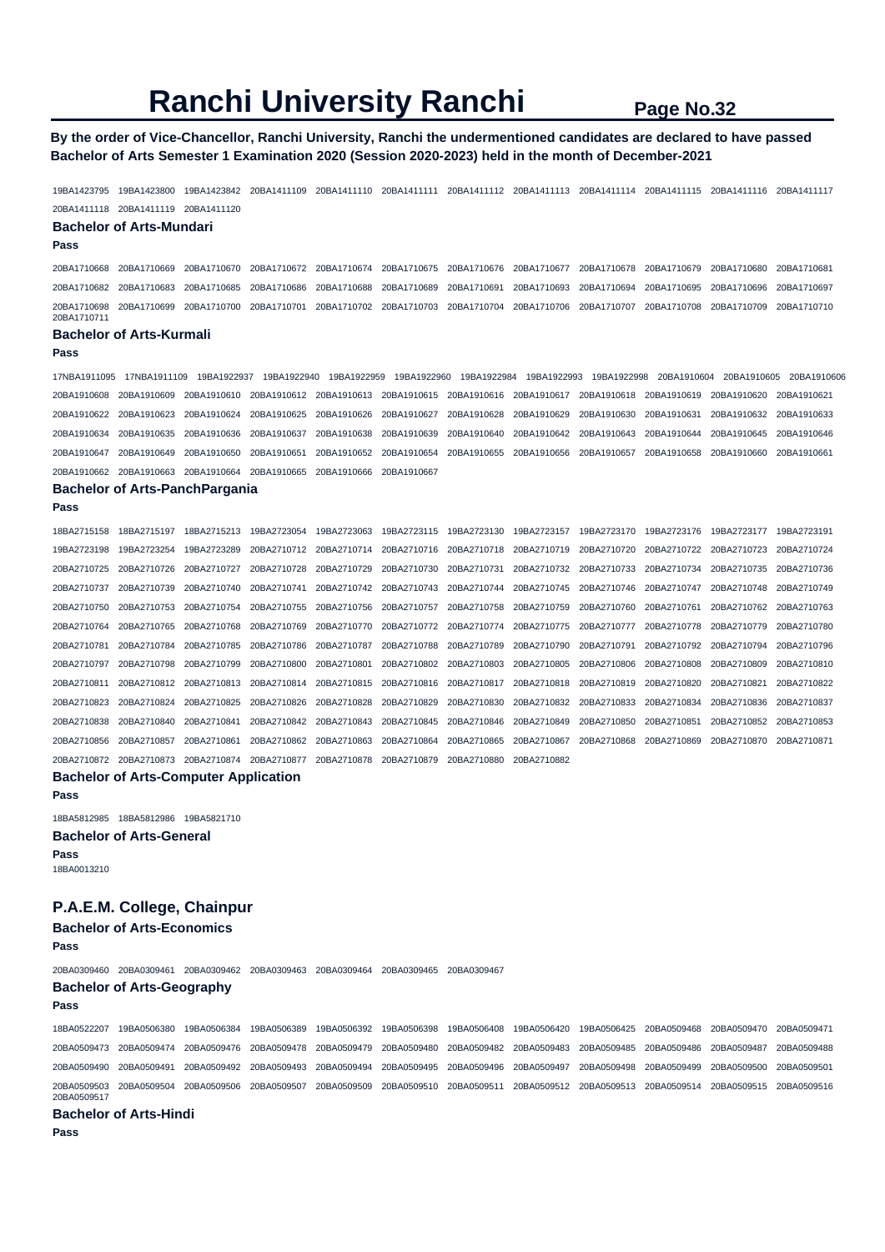### **By the order of Vice-Chancellor, Ranchi University, Ranchi the undermentioned candidates are declared to have passed Bachelor of Arts Semester 1 Examination 2020 (Session 2020-2023) held in the month of December-2021**

19BA1423795 19BA1423800 19BA1423842 20BA1411109 20BA1411110 20BA1411111 20BA1411112 20BA1411113 20BA1411114 20BA1411115 20BA1411116 20BA1411117 20BA1411118 20BA1411119 20BA1411120

#### **Bachelor of Arts-Mundari**

#### **Pass**

20BA1710668 20BA1710669 20BA1710670 20BA1710672 20BA1710674 20BA1710675 20BA1710676 20BA1710677 20BA1710678 20BA1710679 20BA1710680 20BA1710681 20BA1710682 20BA1710683 20BA1710685 20BA1710686 20BA1710688 20BA1710689 20BA1710691 20BA1710693 20BA1710694 20BA1710695 20BA1710696 20BA1710697 20BA1710698 20BA1710699 20BA1710700 20BA1710701 20BA1710702 20BA1710703 20BA1710704 20BA1710706 20BA1710707 20BA1710708 20BA1710709 20BA1710710 20BA1710711

### **Bachelor of Arts-Kurmali**

**Pass** 

17NBA1911095 17NBA1911109 19BA1922937 19BA1922940 19BA1922959 19BA1922960 19BA1922984 19BA1922993 19BA1922998 20BA1910604 20BA1910605 20BA1910606 20BA1910608 20BA1910609 20BA1910610 20BA1910612 20BA1910613 20BA1910615 20BA1910616 20BA1910617 20BA1910618 20BA1910619 20BA1910620 20BA1910621 20BA1910622 20BA1910623 20BA1910624 20BA1910625 20BA1910626 20BA1910627 20BA1910628 20BA1910629 20BA1910630 20BA1910631 20BA1910632 20BA1910633 20BA1910634 20BA1910635 20BA1910636 20BA1910637 20BA1910638 20BA1910639 20BA1910640 20BA1910642 20BA1910643 20BA1910644 20BA1910645 20BA1910646 20BA1910647 20BA1910649 20BA1910650 20BA1910651 20BA1910652 20BA1910654 20BA1910655 20BA1910656 20BA1910657 20BA1910658 20BA1910660 20BA1910661 20BA1910662 20BA1910663 20BA1910664 20BA1910665 20BA1910666 20BA1910667

#### **Bachelor of Arts-PanchPargania**

| ---- |
|------|
|------|

|                         | 18BA2715158 18BA2715197                                                                                                                                                                                                        |             |  |  | 18BA2715213 19BA2723054 19BA2723063 19BA2723115 19BA2723130 19BA2723157 19BA2723170 19BA2723176 19BA2723177 19BA2723191 |  |                         |             |
|-------------------------|--------------------------------------------------------------------------------------------------------------------------------------------------------------------------------------------------------------------------------|-------------|--|--|-------------------------------------------------------------------------------------------------------------------------|--|-------------------------|-------------|
| 19BA2723198 19BA2723254 |                                                                                                                                                                                                                                |             |  |  | 19BA2723289 20BA2710712 20BA2710714 20BA2710716 20BA2710718 20BA2710719 20BA2710720 20BA2710722 20BA2710723 20BA2710724 |  |                         |             |
|                         | 20BA2710725 20BA2710726                                                                                                                                                                                                        | 20BA2710727 |  |  | 20BA2710728 20BA2710729 20BA2710730 20BA2710731 20BA2710732 20BA2710733 20BA2710734 20BA2710735 20BA2710736             |  |                         |             |
| 20BA2710737             | 20BA2710739                                                                                                                                                                                                                    |             |  |  | 20BA2710740 20BA2710741 20BA2710742 20BA2710743 20BA2710744 20BA2710745 20BA2710746 20BA2710747 20BA2710748 20BA2710749 |  |                         |             |
|                         | 20BA2710750 20BA2710753                                                                                                                                                                                                        |             |  |  | 20BA2710754 20BA2710755 20BA2710756 20BA2710757 20BA2710758 20BA2710759 20BA2710760 20BA2710761                         |  | 20BA2710762 20BA2710763 |             |
|                         | 20BA2710764 20BA2710765 20BA2710768 20BA2710769 20BA2710770 20BA2710772 20BA2710774 20BA2710775 20BA2710777 20BA2710778 20BA2710779 20BA2710779 20BA2710779 20BA2710779 20BA2710778 20BA2710779 20BA2710778 20BA2710778 20BA27 |             |  |  |                                                                                                                         |  |                         |             |
|                         | 20BA2710781 20BA2710784                                                                                                                                                                                                        |             |  |  | 20BA2710785 20BA2710786 20BA2710787 20BA2710788 20BA2710789 20BA2710790 20BA2710791 20BA2710792 20BA2710794 20BA2710796 |  |                         |             |
|                         | 20BA2710797 20BA2710798                                                                                                                                                                                                        |             |  |  | 20BA2710799 20BA2710800 20BA2710801 20BA2710802 20BA2710803 20BA2710805 20BA2710806 20BA2710808 20BA2710809 20BA2710810 |  |                         |             |
|                         | 20BA2710811 20BA2710812 20BA2710813 20BA2710814 20BA2710815 20BA2710816 20BA2710817 20BA2710818 20BA2710819 20BA2710820 20BA2710821                                                                                            |             |  |  |                                                                                                                         |  |                         | 20BA2710822 |
|                         | 20BA2710823 20BA2710824                                                                                                                                                                                                        | 20BA2710825 |  |  | 20BA2710826 20BA2710828 20BA2710829 20BA2710830 20BA2710832 20BA2710833 20BA2710834 20BA2710836 20BA2710837             |  |                         |             |
|                         | 20BA2710838 20BA2710840                                                                                                                                                                                                        | 20BA2710841 |  |  | 20BA2710842 20BA2710843 20BA2710845 20BA2710846 20BA2710849 20BA2710850 20BA2710851                                     |  | 20BA2710852 20BA2710853 |             |
| 20BA2710856 20BA2710857 |                                                                                                                                                                                                                                | 20BA2710861 |  |  | 20BA2710862 20BA2710863 20BA2710864 20BA2710865 20BA2710867 20BA2710868 20BA2710869 20BA2710870 20BA2710871             |  |                         |             |
|                         | 20BA2710872 20BA2710873 20BA2710874 20BA2710877 20BA2710878 20BA2710879 20BA2710880 20BA2710882                                                                                                                                |             |  |  |                                                                                                                         |  |                         |             |

#### **Bachelor of Arts-Computer Application**

**Pass**  18BA5812985 18BA5812986 19BA5821710 **Bachelor of Arts-General** 

**Pass**  18BA0013210

# **P.A.E.M. College, Chainpur**

**Bachelor of Arts-Economics** 

**Pass** 

20BA0309460 20BA0309461 20BA0309462 20BA0309463 20BA0309464 20BA0309465 20BA0309467

#### **Bachelor of Arts-Geography Pass**

18BA0522207 19BA0506380 19BA0506384 19BA0506389 19BA0506392 19BA0506398 19BA0506408 19BA0506420 19BA0506425 20BA0509468 20BA0509470 20BA0509471 20BA0509473 20BA0509474 20BA0509476 20BA0509478 20BA0509479 20BA0509480 20BA0509482 20BA0509483 20BA0509485 20BA0509486 20BA0509487 20BA0509488 20BA0509490 20BA0509491 20BA0509492 20BA0509493 20BA0509494 20BA0509495 20BA0509496 20BA0509497 20BA0509498 20BA0509499 20BA0509500 20BA0509501 20BA0509503 20BA0509504 20BA0509506 20BA0509507 20BA0509509 20BA0509510 20BA0509511 20BA0509512 20BA0509513 20BA0509514 20BA0509515 20BA0509516 20BA0509517

#### **Bachelor of Arts-Hindi**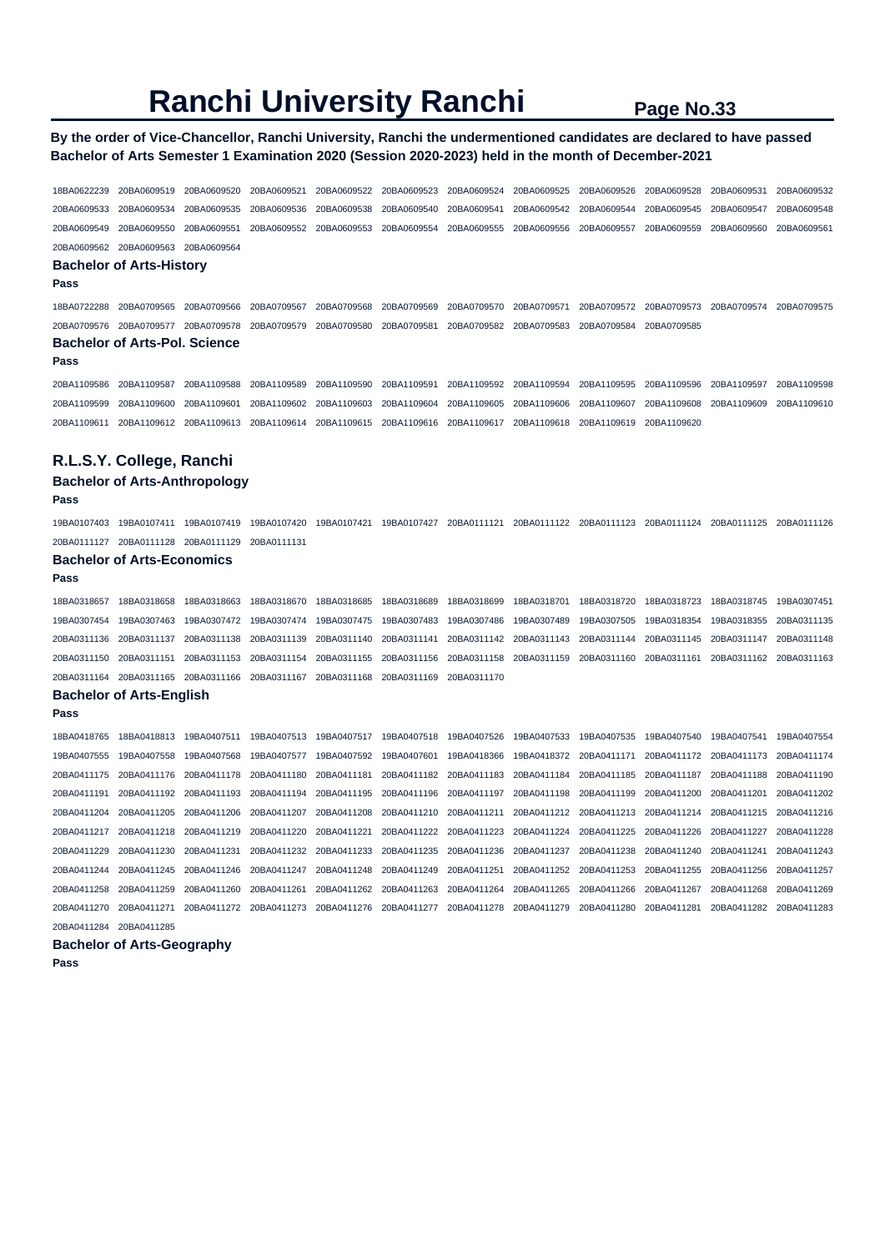## **By the order of Vice-Chancellor, Ranchi University, Ranchi the undermentioned candidates are declared to have passed Bachelor of Arts Semester 1 Examination 2020 (Session 2020-2023) held in the month of December-2021**

18BA0622239 20BA0609519 20BA0609520 20BA0609521 20BA0609522 20BA0609523 20BA0609524 20BA0609525 20BA0609526 20BA0609528 20BA0609531 20BA0609532 20BA0609533 20BA0609534 20BA0609535 20BA0609536 20BA0609538 20BA0609540 20BA0609541 20BA0609542 20BA0609544 20BA0609545 20BA0609547 20BA0609548 20BA0609549 20BA0609550 20BA0609551 20BA0609552 20BA0609553 20BA0609554 20BA0609555 20BA0609556 20BA0609557 20BA0609559 20BA0609560 20BA0609561 20BA0609562 20BA0609563 20BA0609564 **Bachelor of Arts-History Pass**  18BA0722288 20BA0709565 20BA0709566 20BA0709567 20BA0709568 20BA0709569 20BA0709570 20BA0709571 20BA0709572 20BA0709573 20BA0709574 20BA0709575 20BA0709576 20BA0709577 20BA0709578 20BA0709579 20BA0709580 20BA0709581 20BA0709582 20BA0709583 20BA0709584 20BA0709585 **Bachelor of Arts-Pol. Science Pass**  20BA1109586 20BA1109587 20BA1109588 20BA1109589 20BA1109590 20BA1109591 20BA1109592 20BA1109594 20BA1109595 20BA1109596 20BA1109597 20BA1109598 20BA1109599 20BA1109600 20BA1109601 20BA1109602 20BA1109603 20BA1109604 20BA1109605 20BA1109606 20BA1109607 20BA1109608 20BA1109609 20BA1109610 20BA1109611 20BA1109612 20BA1109613 20BA1109614 20BA1109615 20BA1109616 20BA1109617 20BA1109618 20BA1109619 20BA1109620 **R.L.S.Y. College, Ranchi Bachelor of Arts-Anthropology Pass**  19BA0107403 19BA0107411 19BA0107419 19BA0107420 19BA0107421 19BA0107427 20BA0111121 20BA0111122 20BA0111123 20BA0111124 20BA0111125 20BA0111126 20BA0111127 20BA0111128 20BA0111129 20BA0111131 **Bachelor of Arts-Economics Pass**  18BA0318657 18BA0318658 18BA0318663 18BA0318670 18BA0318685 18BA0318689 18BA0318699 18BA0318701 18BA0318720 18BA0318723 18BA0318745 19BA0307451 19BA0307454 19BA0307463 19BA0307472 19BA0307474 19BA0307475 19BA0307483 19BA0307486 19BA0307489 19BA0307505 19BA0318354 19BA0318355 20BA0311135 20BA0311136 20BA0311137 20BA0311138 20BA0311139 20BA0311140 20BA0311141 20BA0311142 20BA0311143 20BA0311144 20BA0311145 20BA0311147 20BA0311148 20BA0311150 20BA0311151 20BA0311153 20BA0311154 20BA0311155 20BA0311156 20BA0311158 20BA0311159 20BA0311160 20BA0311161 20BA0311162 20BA0311163 20BA0311164 20BA0311165 20BA0311166 20BA0311167 20BA0311168 20BA0311169 20BA0311170 **Bachelor of Arts-English Pass**  18BA0418765 18BA0418813 19BA0407511 19BA0407513 19BA0407517 19BA0407518 19BA0407526 19BA0407533 19BA0407535 19BA0407540 19BA0407541 19BA0407554 19BA0407555 19BA0407558 19BA0407568 19BA0407577 19BA0407592 19BA0407601 19BA0418366 19BA0418372 20BA0411171 20BA0411172 20BA0411173 20BA0411174 20BA0411175 20BA0411176 20BA0411178 20BA0411180 20BA0411181 20BA0411182 20BA0411183 20BA0411184 20BA0411185 20BA0411187 20BA0411188 20BA0411190 20BA0411191 20BA0411192 20BA0411193 20BA0411194 20BA0411195 20BA0411196 20BA0411197 20BA0411198 20BA0411199 20BA0411200 20BA0411201 20BA0411202 20BA0411204 20BA0411205 20BA0411206 20BA0411207 20BA0411208 20BA0411210 20BA0411211 20BA0411212 20BA0411213 20BA0411214 20BA0411215 20BA0411216 20BA0411217 20BA0411218 20BA0411219 20BA0411220 20BA0411221 20BA0411222 20BA0411223 20BA0411224 20BA0411225 20BA0411226 20BA0411227 20BA0411228 20BA0411229 20BA0411230 20BA0411231 20BA0411232 20BA0411233 20BA0411235 20BA0411236 20BA0411237 20BA0411238 20BA0411240 20BA0411241 20BA0411243 20BA0411244 20BA0411245 20BA0411246 20BA0411247 20BA0411248 20BA0411249 20BA0411251 20BA0411252 20BA0411253 20BA0411255 20BA0411256 20BA0411257 20BA0411258 20BA0411259 20BA0411260 20BA0411261 20BA0411262 20BA0411263 20BA0411264 20BA0411265 20BA0411266 20BA0411267 20BA0411268 20BA0411269 20BA0411270 20BA0411271 20BA0411272 20BA0411273 20BA0411276 20BA0411277 20BA0411278 20BA0411279 20BA0411280 20BA0411281 20BA0411282 20BA0411283 20BA0411284 20BA0411285 **Bachelor of Arts-Geography**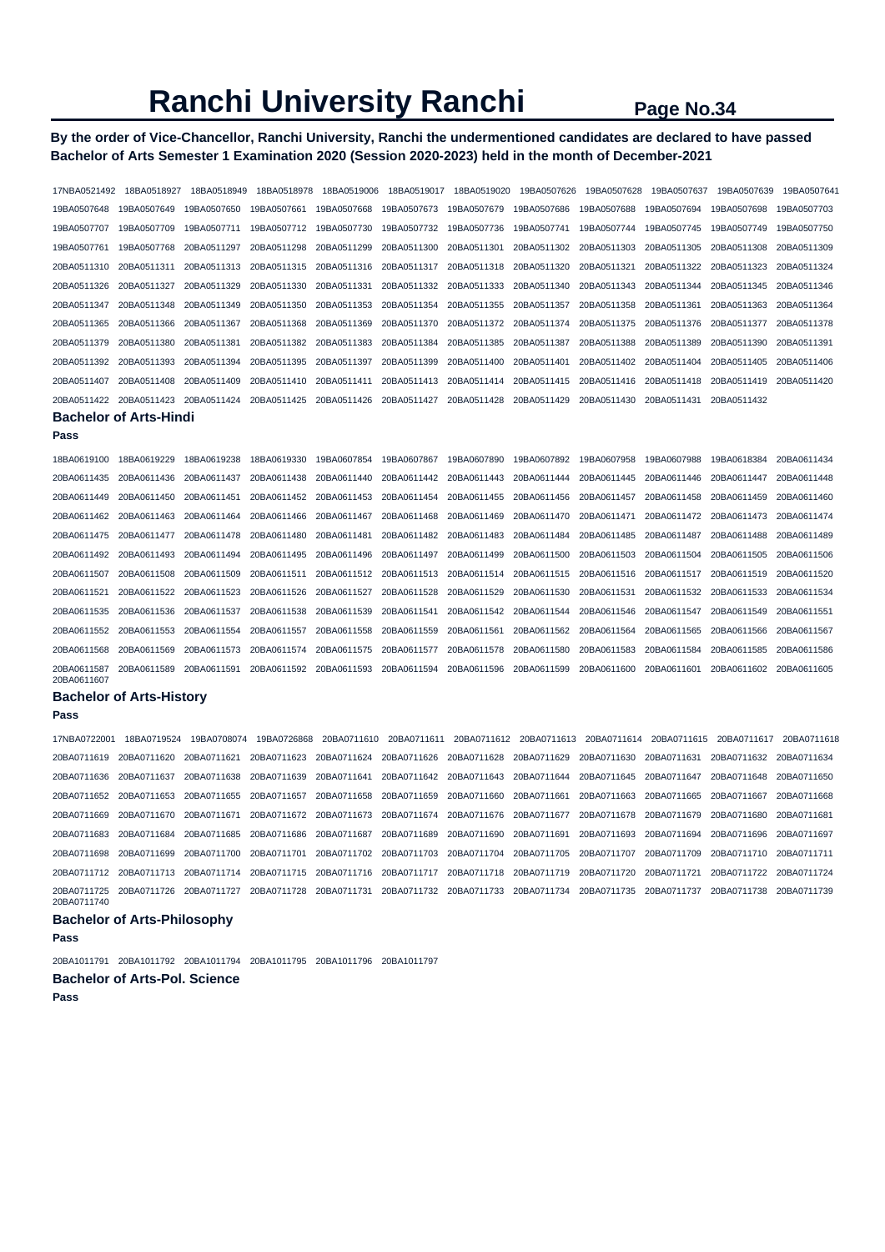# **By the order of Vice-Chancellor, Ranchi University, Ranchi the undermentioned candidates are declared to have passed Bachelor of Arts Semester 1 Examination 2020 (Session 2020-2023) held in the month of December-2021**

| 17NBA0521492               | 18BA0518927                        | 18BA0518949 | 18BA0518978 | 18BA0519006 | 18BA0519017 | 18BA0519020 | 19BA0507626 | 19BA0507628 | 19BA0507637 | 19BA0507639 | 19BA0507641 |
|----------------------------|------------------------------------|-------------|-------------|-------------|-------------|-------------|-------------|-------------|-------------|-------------|-------------|
| 19BA0507648                | 19BA0507649                        | 19BA0507650 | 19BA0507661 | 19BA0507668 | 19BA0507673 | 19BA0507679 | 19BA0507686 | 19BA0507688 | 19BA0507694 | 19BA0507698 | 19BA0507703 |
| 19BA0507707                | 19BA0507709                        | 19BA0507711 | 19BA0507712 | 19BA0507730 | 19BA0507732 | 19BA0507736 | 19BA0507741 | 19BA0507744 | 19BA0507745 | 19BA0507749 | 19BA0507750 |
| 19BA0507761                | 19BA0507768                        | 20BA0511297 | 20BA0511298 | 20BA0511299 | 20BA0511300 | 20BA0511301 | 20BA0511302 | 20BA0511303 | 20BA0511305 | 20BA0511308 | 20BA0511309 |
| 20BA0511310                | 20BA0511311                        | 20BA0511313 | 20BA0511315 | 20BA0511316 | 20BA0511317 | 20BA0511318 | 20BA0511320 | 20BA0511321 | 20BA0511322 | 20BA0511323 | 20BA0511324 |
| 20BA0511326                | 20BA0511327                        | 20BA0511329 | 20BA0511330 | 20BA0511331 | 20BA0511332 | 20BA0511333 | 20BA0511340 | 20BA0511343 | 20BA0511344 | 20BA0511345 | 20BA0511346 |
| 20BA0511347                | 20BA0511348                        | 20BA0511349 | 20BA0511350 | 20BA0511353 | 20BA0511354 | 20BA0511355 | 20BA0511357 | 20BA0511358 | 20BA0511361 | 20BA0511363 | 20BA0511364 |
| 20BA0511365                | 20BA0511366                        | 20BA0511367 | 20BA0511368 | 20BA0511369 | 20BA0511370 | 20BA0511372 | 20BA0511374 | 20BA0511375 | 20BA0511376 | 20BA0511377 | 20BA0511378 |
| 20BA0511379                | 20BA0511380                        | 20BA0511381 | 20BA0511382 | 20BA0511383 | 20BA0511384 | 20BA0511385 | 20BA0511387 | 20BA0511388 | 20BA0511389 | 20BA0511390 | 20BA0511391 |
| 20BA0511392                | 20BA0511393                        | 20BA0511394 | 20BA0511395 | 20BA0511397 | 20BA0511399 | 20BA0511400 | 20BA0511401 | 20BA0511402 | 20BA0511404 | 20BA0511405 | 20BA0511406 |
| 20BA0511407                | 20BA0511408                        | 20BA0511409 | 20BA0511410 | 20BA0511411 | 20BA0511413 | 20BA0511414 | 20BA0511415 | 20BA0511416 | 20BA0511418 | 20BA0511419 | 20BA0511420 |
| 20BA0511422                | 20BA0511423                        | 20BA0511424 | 20BA0511425 | 20BA0511426 | 20BA0511427 | 20BA0511428 | 20BA0511429 | 20BA0511430 | 20BA0511431 | 20BA0511432 |             |
|                            | <b>Bachelor of Arts-Hindi</b>      |             |             |             |             |             |             |             |             |             |             |
| Pass                       |                                    |             |             |             |             |             |             |             |             |             |             |
| 18BA0619100                | 18BA0619229                        | 18BA0619238 | 18BA0619330 | 19BA0607854 | 19BA0607867 | 19BA0607890 | 19BA0607892 | 19BA0607958 | 19BA0607988 | 19BA0618384 | 20BA0611434 |
| 20BA0611435                | 20BA0611436                        | 20BA0611437 | 20BA0611438 | 20BA0611440 | 20BA0611442 | 20BA0611443 | 20BA0611444 | 20BA0611445 | 20BA0611446 | 20BA0611447 | 20BA0611448 |
| 20BA0611449                | 20BA0611450                        | 20BA0611451 | 20BA0611452 | 20BA0611453 | 20BA0611454 | 20BA0611455 | 20BA0611456 | 20BA0611457 | 20BA0611458 | 20BA0611459 | 20BA0611460 |
| 20BA0611462                | 20BA0611463                        | 20BA0611464 | 20BA0611466 | 20BA0611467 | 20BA0611468 | 20BA0611469 | 20BA0611470 | 20BA0611471 | 20BA0611472 | 20BA0611473 | 20BA0611474 |
| 20BA0611475                | 20BA0611477                        | 20BA0611478 | 20BA0611480 | 20BA0611481 | 20BA0611482 | 20BA0611483 | 20BA0611484 | 20BA0611485 | 20BA0611487 | 20BA0611488 | 20BA0611489 |
| 20BA0611492                | 20BA0611493                        | 20BA0611494 | 20BA0611495 | 20BA0611496 | 20BA0611497 | 20BA0611499 | 20BA0611500 | 20BA0611503 | 20BA0611504 | 20BA0611505 | 20BA0611506 |
| 20BA0611507                | 20BA0611508                        | 20BA0611509 | 20BA0611511 | 20BA0611512 | 20BA0611513 | 20BA0611514 | 20BA0611515 | 20BA0611516 | 20BA0611517 | 20BA0611519 | 20BA0611520 |
| 20BA0611521                | 20BA0611522                        | 20BA0611523 | 20BA0611526 | 20BA0611527 | 20BA0611528 | 20BA0611529 | 20BA0611530 | 20BA0611531 | 20BA0611532 | 20BA0611533 | 20BA0611534 |
| 20BA0611535                | 20BA0611536                        | 20BA0611537 | 20BA0611538 | 20BA0611539 | 20BA0611541 | 20BA0611542 | 20BA0611544 | 20BA0611546 | 20BA0611547 | 20BA0611549 | 20BA0611551 |
| 20BA0611552                | 20BA0611553                        | 20BA0611554 | 20BA0611557 | 20BA0611558 | 20BA0611559 | 20BA0611561 | 20BA0611562 | 20BA0611564 | 20BA0611565 | 20BA0611566 | 20BA0611567 |
| 20BA0611568                | 20BA0611569                        | 20BA0611573 | 20BA0611574 | 20BA0611575 | 20BA0611577 | 20BA0611578 | 20BA0611580 | 20BA0611583 | 20BA0611584 | 20BA0611585 | 20BA0611586 |
| 20BA0611587<br>20BA0611607 | 20BA0611589                        | 20BA0611591 | 20BA0611592 | 20BA0611593 | 20BA0611594 | 20BA0611596 | 20BA0611599 | 20BA0611600 | 20BA0611601 | 20BA0611602 | 20BA0611605 |
|                            | <b>Bachelor of Arts-History</b>    |             |             |             |             |             |             |             |             |             |             |
| Pass                       |                                    |             |             |             |             |             |             |             |             |             |             |
| 17NBA0722001               | 18BA0719524                        | 19BA0708074 | 19BA0726868 | 20BA0711610 | 20BA0711611 | 20BA0711612 | 20BA0711613 | 20BA0711614 | 20BA0711615 | 20BA0711617 | 20BA0711618 |
| 20BA0711619                | 20BA0711620                        | 20BA0711621 | 20BA0711623 | 20BA0711624 | 20BA0711626 | 20BA0711628 | 20BA0711629 | 20BA0711630 | 20BA0711631 | 20BA0711632 | 20BA0711634 |
| 20BA0711636                | 20BA0711637                        | 20BA0711638 | 20BA0711639 | 20BA0711641 | 20BA0711642 | 20BA0711643 | 20BA0711644 | 20BA0711645 | 20BA0711647 | 20BA0711648 | 20BA0711650 |
| 20BA0711652                | 20BA0711653                        | 20BA0711655 | 20BA0711657 | 20BA0711658 | 20BA0711659 | 20BA0711660 | 20BA0711661 | 20BA0711663 | 20BA0711665 | 20BA0711667 | 20BA0711668 |
| 20BA0711669                | 20BA0711670                        | 20BA0711671 | 20BA0711672 | 20BA0711673 | 20BA0711674 | 20BA0711676 | 20BA0711677 | 20BA0711678 | 20BA0711679 | 20BA0711680 | 20BA0711681 |
| 20BA0711683                | 20BA0711684                        | 20BA0711685 | 20BA0711686 | 20BA0711687 | 20BA0711689 | 20BA0711690 | 20BA0711691 | 20BA0711693 | 20BA0711694 | 20BA0711696 | 20BA0711697 |
| 20BA0711698                | 20BA0711699                        | 20BA0711700 | 20BA0711701 | 20BA0711702 | 20BA0711703 | 20BA0711704 | 20BA0711705 | 20BA0711707 | 20BA0711709 | 20BA0711710 | 20BA0711711 |
| 20BA0711712                | 20BA0711713                        | 20BA0711714 | 20BA0711715 | 20BA0711716 | 20BA0711717 | 20BA0711718 | 20BA0711719 | 20BA0711720 | 20BA0711721 | 20BA0711722 | 20BA0711724 |
| 20BA0711725<br>20BA0711740 | 20BA0711726                        | 20BA0711727 | 20BA0711728 | 20BA0711731 | 20BA0711732 | 20BA0711733 | 20BA0711734 | 20BA0711735 | 20BA0711737 | 20BA0711738 | 20BA0711739 |
|                            | <b>Bachelor of Arts-Philosophy</b> |             |             |             |             |             |             |             |             |             |             |
| Pass                       |                                    |             |             |             |             |             |             |             |             |             |             |

```
20BA1011791 20BA1011792 20BA1011794 20BA1011795 20BA1011796 20BA1011797 
Bachelor of Arts-Pol. Science
```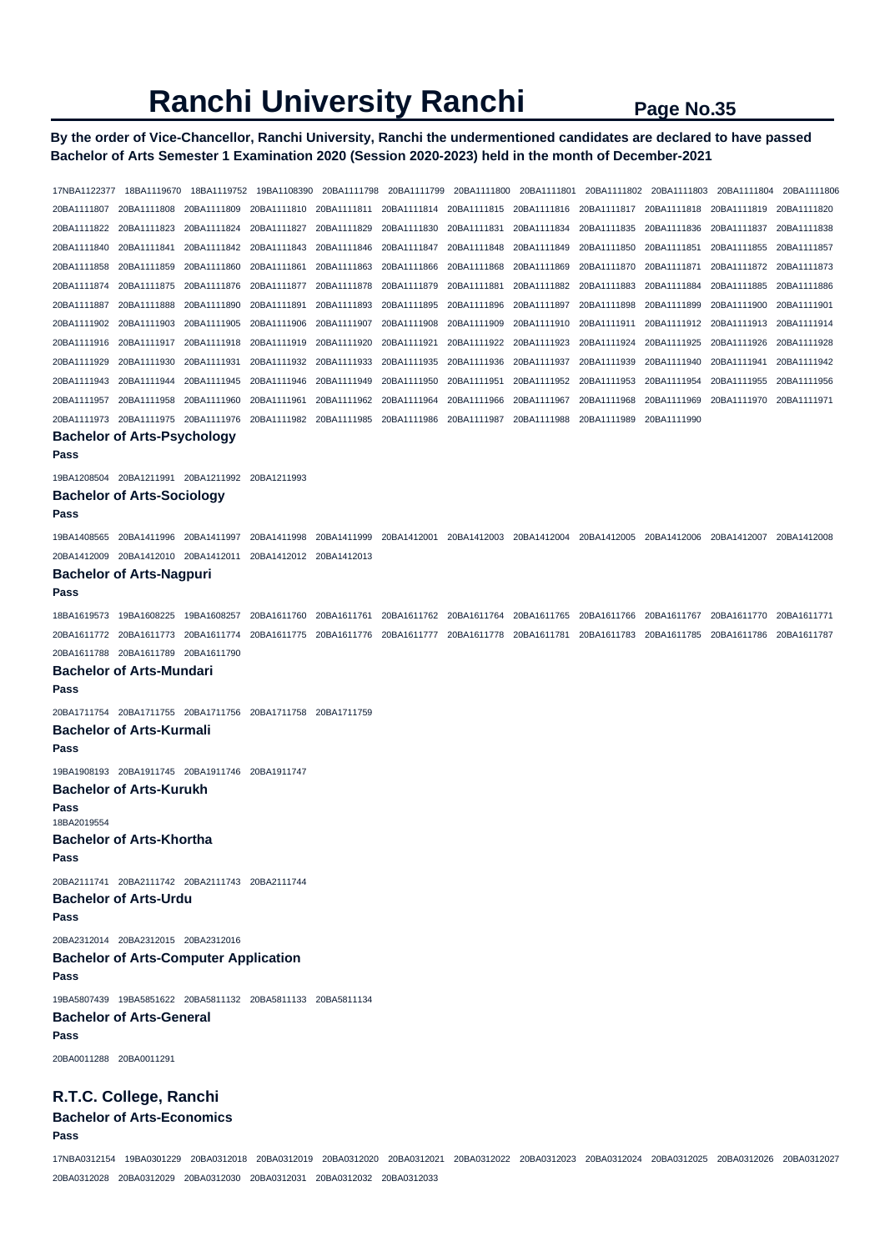# **By the order of Vice-Chancellor, Ranchi University, Ranchi the undermentioned candidates are declared to have passed Bachelor of Arts Semester 1 Examination 2020 (Session 2020-2023) held in the month of December-2021**

17NBA1122377 18BA1119670 18BA1119752 19BA1108390 20BA1111798 20BA1111799 20BA1111800 20BA1111801 20BA1111802 20BA1111803 20BA1111804 20BA1111806 20BA1111807 20BA1111808 20BA1111809 20BA1111810 20BA1111811 20BA1111814 20BA1111815 20BA1111816 20BA1111817 20BA1111818 20BA1111819 20BA1111820 20BA1111822 20BA1111823 20BA1111824 20BA1111827 20BA1111829 20BA1111830 20BA1111831 20BA1111834 20BA1111835 20BA1111836 20BA1111837 20BA1111838 20BA1111840 20BA1111841 20BA1111842 20BA1111843 20BA1111846 20BA1111847 20BA1111848 20BA1111849 20BA1111850 20BA1111851 20BA1111855 20BA1111857 20BA1111858 20BA1111859 20BA1111860 20BA1111861 20BA1111863 20BA1111866 20BA1111868 20BA1111869 20BA1111870 20BA1111871 20BA1111872 20BA1111873 20BA1111874 20BA1111875 20BA1111876 20BA1111877 20BA1111878 20BA1111879 20BA1111881 20BA1111882 20BA1111883 20BA1111884 20BA1111885 20BA1111886 20BA1111887 20BA1111888 20BA1111890 20BA1111891 20BA1111893 20BA1111895 20BA1111896 20BA1111897 20BA1111898 20BA1111899 20BA1111900 20BA1111901 20BA1111902 20BA1111903 20BA1111905 20BA1111906 20BA1111907 20BA1111908 20BA1111909 20BA1111910 20BA1111911 20BA1111912 20BA1111913 20BA1111914 20BA1111916 20BA1111917 20BA1111918 20BA1111919 20BA1111920 20BA1111921 20BA1111922 20BA1111923 20BA1111924 20BA1111925 20BA1111926 20BA1111928 20BA1111929 20BA1111930 20BA1111931 20BA1111932 20BA1111933 20BA1111935 20BA1111936 20BA1111937 20BA1111939 20BA1111940 20BA1111941 20BA1111942 20BA1111943 20BA1111944 20BA1111945 20BA1111946 20BA1111949 20BA1111950 20BA1111951 20BA1111952 20BA1111953 20BA1111954 20BA1111955 20BA1111956 20BA1111957 20BA1111958 20BA1111960 20BA1111961 20BA1111962 20BA1111964 20BA1111966 20BA1111967 20BA1111968 20BA1111969 20BA1111970 20BA1111971 20BA1111973 20BA1111975 20BA1111976 20BA1111982 20BA1111985 20BA1111986 20BA1111987 20BA1111988 20BA1111989 20BA1111990 **Bachelor of Arts-Psychology Pass**  19BA1208504 20BA1211991 20BA1211992 20BA1211993 **Bachelor of Arts-Sociology Pass**  19BA1408565 20BA1411996 20BA1411997 20BA1411998 20BA1411999 20BA1412001 20BA1412003 20BA1412004 20BA1412005 20BA1412006 20BA1412007 20BA1412008 20BA1412009 20BA1412010 20BA1412011 20BA1412012 20BA1412013 **Bachelor of Arts-Nagpuri Pass**  18BA1619573 19BA1608225 19BA1608257 20BA1611760 20BA1611761 20BA1611762 20BA1611764 20BA1611765 20BA1611766 20BA1611767 20BA1611770 20BA1611771 20BA1611772 20BA1611773 20BA1611774 20BA1611775 20BA1611776 20BA1611777 20BA1611778 20BA1611781 20BA1611783 20BA1611785 20BA1611786 20BA1611787 20BA1611788 20BA1611789 20BA1611790 **Bachelor of Arts-Mundari Pass**  20BA1711754 20BA1711755 20BA1711756 20BA1711758 20BA1711759 **Bachelor of Arts-Kurmali Pass**  19BA1908193 20BA1911745 20BA1911746 20BA1911747 **Bachelor of Arts-Kurukh Pass**  18BA2019554 **Bachelor of Arts-Khortha Pass**  20BA2111741 20BA2111742 20BA2111743 20BA2111744 **Bachelor of Arts-Urdu Pass**  20BA2312014 20BA2312015 20BA2312016 **Bachelor of Arts-Computer Application Pass**  19BA5807439 19BA5851622 20BA5811132 20BA5811133 20BA5811134 **Bachelor of Arts-General Pass**  20BA0011288 20BA0011291 **R.T.C. College, Ranchi Bachelor of Arts-Economics** 

**Pass** 

17NBA0312154 19BA0301229 20BA0312018 20BA0312019 20BA0312020 20BA0312021 20BA0312022 20BA0312023 20BA0312024 20BA0312025 20BA0312026 20BA0312027 20BA0312028 20BA0312029 20BA0312030 20BA0312031 20BA0312032 20BA0312033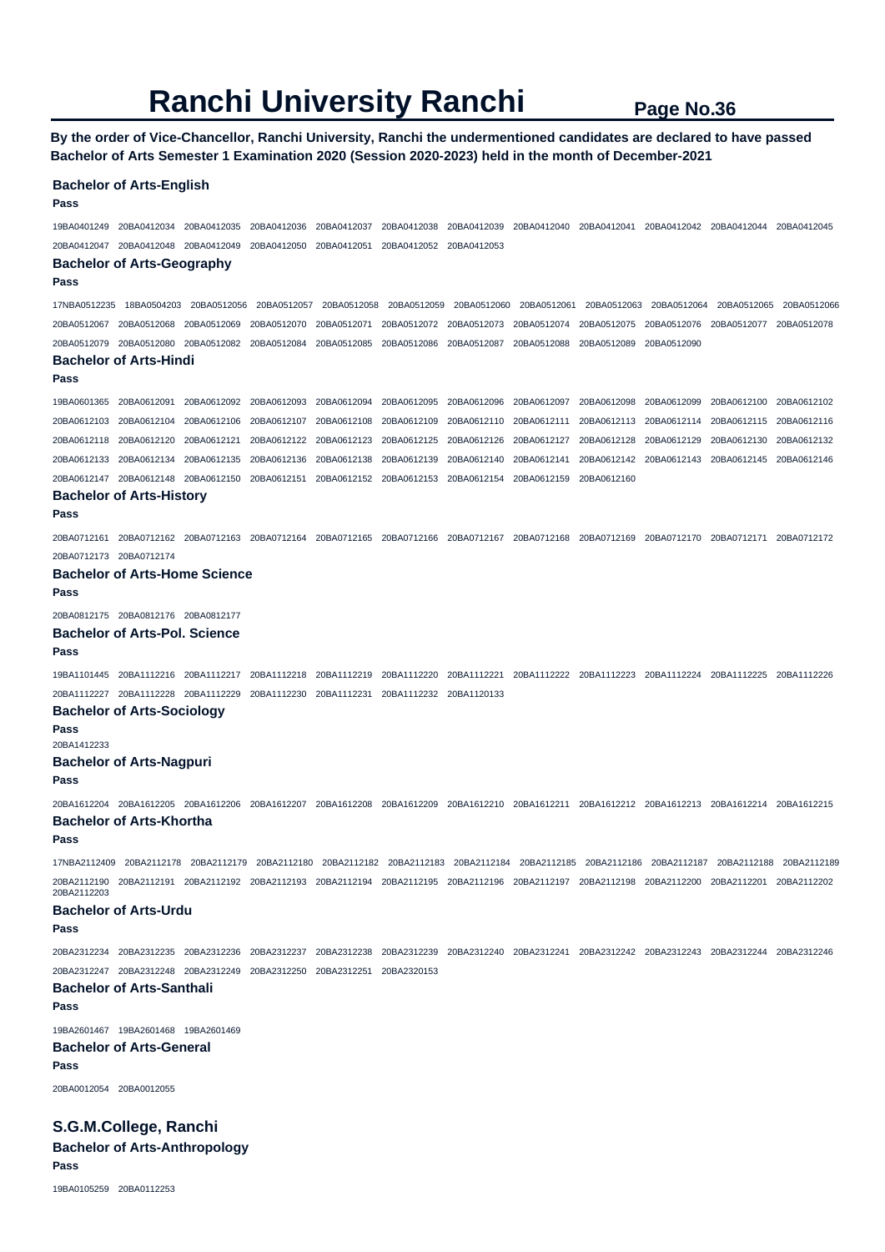**By the order of Vice-Chancellor, Ranchi University, Ranchi the undermentioned candidates are declared to have passed Bachelor of Arts Semester 1 Examination 2020 (Session 2020-2023) held in the month of December-2021** 

#### **Bachelor of Arts-English**

**Pass** 

19BA0401249 20BA0412034 20BA0412035 20BA0412036 20BA0412037 20BA0412038 20BA0412039 20BA0412040 20BA0412041 20BA0412042 20BA0412044 20BA0412045 20BA0412047 20BA0412048 20BA0412049 20BA0412050 20BA0412051 20BA0412052 20BA0412053

### **Bachelor of Arts-Geography**

**Pass** 

17NBA0512235 18BA0504203 20BA0512056 20BA0512057 20BA0512058 20BA0512059 20BA0512060 20BA0512061 20BA0512063 20BA0512064 20BA0512065 20BA0512066 20BA0512067 20BA0512068 20BA0512069 20BA0512070 20BA0512071 20BA0512072 20BA0512073 20BA0512074 20BA0512075 20BA0512076 20BA0512077 20BA0512078 20BA0512079 20BA0512080 20BA0512082 20BA0512084 20BA0512085 20BA0512086 20BA0512087 20BA0512088 20BA0512089 20BA0512090

### **Bachelor of Arts-Hindi**

**Pass** 

19BA0601365 20BA0612091 20BA0612092 20BA0612093 20BA0612094 20BA0612095 20BA0612096 20BA0612097 20BA0612098 20BA0612099 20BA0612100 20BA0612102 20BA0612103 20BA0612104 20BA0612106 20BA0612107 20BA0612108 20BA0612109 20BA0612110 20BA0612111 20BA0612113 20BA0612114 20BA0612115 20BA0612116 20BA0612118 20BA0612120 20BA0612121 20BA0612122 20BA0612123 20BA0612125 20BA0612126 20BA0612127 20BA0612128 20BA0612129 20BA0612130 20BA0612132 20BA0612133 20BA0612134 20BA0612135 20BA0612136 20BA0612138 20BA0612139 20BA0612140 20BA0612141 20BA0612142 20BA0612143 20BA0612145 20BA0612146 20BA0612147 20BA0612148 20BA0612150 20BA0612151 20BA0612152 20BA0612153 20BA0612154 20BA0612159 20BA0612160

### **Bachelor of Arts-History**

**Pass** 

20BA0712161 20BA0712162 20BA0712163 20BA0712164 20BA0712165 20BA0712166 20BA0712167 20BA0712168 20BA0712169 20BA0712170 20BA0712171 20BA0712172 20BA0712173 20BA0712174

#### **Bachelor of Arts-Home Science**

**Pass** 

20BA0812175 20BA0812176 20BA0812177

#### **Bachelor of Arts-Pol. Science**

### **Pass**

19BA1101445 20BA1112216 20BA1112217 20BA1112218 20BA1112219 20BA1112220 20BA1112221 20BA1112222 20BA1112223 20BA1112224 20BA1112225 20BA1112226 20BA1112227 20BA1112228 20BA1112229 20BA1112230 20BA1112231 20BA1112232 20BA1120133

#### **Bachelor of Arts-Sociology**

**Pass** 

20BA1412233

### **Bachelor of Arts-Nagpuri**

**Pass** 

20BA1612204 20BA1612205 20BA1612206 20BA1612207 20BA1612208 20BA1612209 20BA1612210 20BA1612211 20BA1612212 20BA1612213 20BA1612214 20BA1612215 **Bachelor of Arts-Khortha** 

#### **Pass**

17NBA2112409 20BA2112178 20BA2112179 20BA2112180 20BA2112182 20BA2112183 20BA2112184 20BA2112185 20BA2112186 20BA2112187 20BA2112188 20BA2112189 20BA2112190 20BA2112191 20BA2112192 20BA2112193 20BA2112194 20BA2112195 20BA2112196 20BA2112197 20BA2112198 20BA2112200 20BA2112201 20BA2112202 20BA2112203

### **Bachelor of Arts-Urdu**

**Pass** 

20BA2312234 20BA2312235 20BA2312236 20BA2312237 20BA2312238 20BA2312239 20BA2312240 20BA2312241 20BA2312242 20BA2312243 20BA2312244 20BA2312246 20BA2312247 20BA2312248 20BA2312249 20BA2312250 20BA2312251 20BA2320153

### **Bachelor of Arts-Santhali**

19BA2601467 19BA2601468 19BA2601469 **Bachelor of Arts-General** 

# **Pass**

**Pass** 

20BA0012054 20BA0012055

**S.G.M.College, Ranchi Bachelor of Arts-Anthropology Pass** 

19BA0105259 20BA0112253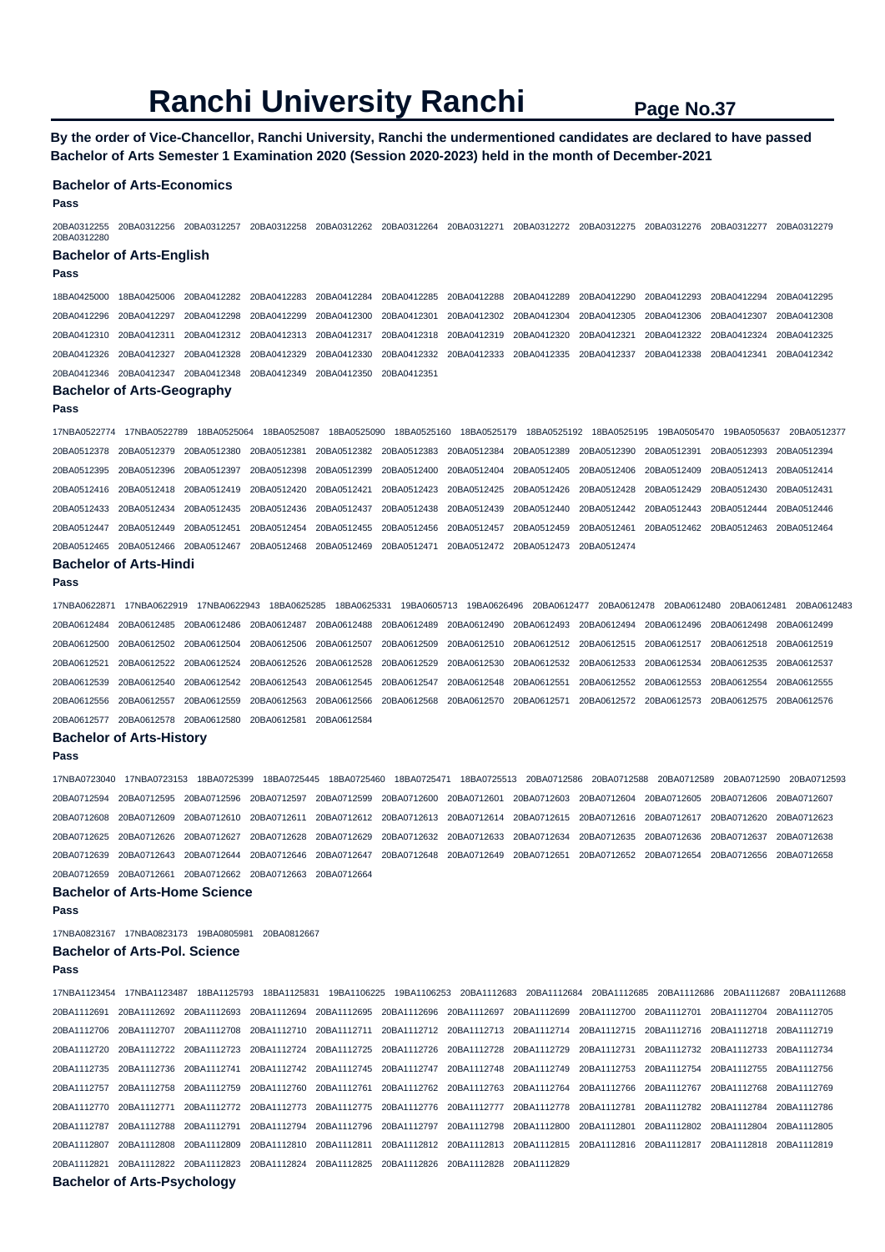**By the order of Vice-Chancellor, Ranchi University, Ranchi the undermentioned candidates are declared to have passed Bachelor of Arts Semester 1 Examination 2020 (Session 2020-2023) held in the month of December-2021** 

#### **Bachelor of Arts-Economics**

**Pass** 

20BA0312255 20BA0312256 20BA0312257 20BA0312258 20BA0312262 20BA0312264 20BA0312271 20BA0312272 20BA0312275 20BA0312276 20BA0312277 20BA0312279 20BA0312280

#### **Bachelor of Arts-English**

#### **Pass**

18BA0425000 18BA0425006 20BA0412282 20BA0412283 20BA0412284 20BA0412285 20BA0412288 20BA0412289 20BA0412290 20BA0412293 20BA0412294 20BA0412295 20BA0412296 20BA0412297 20BA0412298 20BA0412299 20BA0412300 20BA0412301 20BA0412302 20BA0412304 20BA0412305 20BA0412306 20BA0412307 20BA0412308 20BA0412310 20BA0412311 20BA0412312 20BA0412313 20BA0412317 20BA0412318 20BA0412319 20BA0412320 20BA0412321 20BA0412322 20BA0412324 20BA0412325 20BA0412326 20BA0412327 20BA0412328 20BA0412329 20BA0412330 20BA0412332 20BA0412333 20BA0412335 20BA0412337 20BA0412338 20BA0412341 20BA0412342 20BA0412346 20BA0412347 20BA0412348 20BA0412349 20BA0412350 20BA0412351

### **Bachelor of Arts-Geography**

**Pass** 

17NBA0522774 17NBA0522789 18BA0525064 18BA0525087 18BA0525090 18BA0525160 18BA0525179 18BA0525192 18BA0525195 19BA0505470 19BA0505637 20BA0512377 20BA0512378 20BA0512379 20BA0512380 20BA0512381 20BA0512382 20BA0512383 20BA0512384 20BA0512389 20BA0512390 20BA0512391 20BA0512393 20BA0512394 20BA0512395 20BA0512396 20BA0512397 20BA0512398 20BA0512399 20BA0512400 20BA0512404 20BA0512405 20BA0512406 20BA0512409 20BA0512413 20BA0512414 20BA0512416 20BA0512418 20BA0512419 20BA0512420 20BA0512421 20BA0512423 20BA0512425 20BA0512426 20BA0512428 20BA0512429 20BA0512430 20BA0512431 20BA0512433 20BA0512434 20BA0512435 20BA0512436 20BA0512437 20BA0512438 20BA0512439 20BA0512440 20BA0512442 20BA0512443 20BA0512444 20BA0512446 20BA0512447 20BA0512449 20BA0512451 20BA0512454 20BA0512455 20BA0512456 20BA0512457 20BA0512459 20BA0512461 20BA0512462 20BA0512463 20BA0512464 20BA0512465 20BA0512466 20BA0512467 20BA0512468 20BA0512469 20BA0512471 20BA0512472 20BA0512473 20BA0512474

#### **Bachelor of Arts-Hindi**

**Pass** 

17NBA0622871 17NBA0622919 17NBA0622943 18BA0625285 18BA0625331 19BA0605713 19BA0626496 20BA0612477 20BA0612478 20BA0612480 20BA0612481 20BA0612483 20BA0612484 20BA0612485 20BA0612486 20BA0612487 20BA0612488 20BA0612489 20BA0612490 20BA0612493 20BA0612494 20BA0612496 20BA0612498 20BA0612499 20BA0612500 20BA0612502 20BA0612504 20BA0612506 20BA0612507 20BA0612509 20BA0612510 20BA0612512 20BA0612515 20BA0612517 20BA0612518 20BA0612519 20BA0612521 20BA0612522 20BA0612524 20BA0612526 20BA0612528 20BA0612529 20BA0612530 20BA0612532 20BA0612533 20BA0612534 20BA0612535 20BA0612537 20BA0612539 20BA0612540 20BA0612542 20BA0612543 20BA0612545 20BA0612547 20BA0612548 20BA0612551 20BA0612552 20BA0612553 20BA0612554 20BA0612555 20BA0612556 20BA0612557 20BA0612559 20BA0612563 20BA0612566 20BA0612568 20BA0612570 20BA0612571 20BA0612572 20BA0612573 20BA0612575 20BA0612576 20BA0612577 20BA0612578 20BA0612580 20BA0612581 20BA0612584

# **Bachelor of Arts-History**

**Pass** 

17NBA0723040 17NBA0723153 18BA0725399 18BA0725445 18BA0725460 18BA0725471 18BA0725513 20BA0712586 20BA0712588 20BA0712589 20BA0712590 20BA0712593 20BA0712594 20BA0712595 20BA0712596 20BA0712597 20BA0712599 20BA0712600 20BA0712601 20BA0712603 20BA0712604 20BA0712605 20BA0712606 20BA0712607 20BA0712608 20BA0712609 20BA0712610 20BA0712611 20BA0712612 20BA0712613 20BA0712614 20BA0712615 20BA0712616 20BA0712617 20BA0712620 20BA0712623 20BA0712625 20BA0712626 20BA0712627 20BA0712628 20BA0712629 20BA0712632 20BA0712633 20BA0712634 20BA0712635 20BA0712636 20BA0712637 20BA0712638 20BA0712639 20BA0712643 20BA0712644 20BA0712646 20BA0712647 20BA0712648 20BA0712649 20BA0712651 20BA0712652 20BA0712654 20BA0712656 20BA0712658 20BA0712659 20BA0712661 20BA0712662 20BA0712663 20BA0712664

### **Bachelor of Arts-Home Science**

**Pass** 

17NBA0823167 17NBA0823173 19BA0805981 20BA0812667

### **Bachelor of Arts-Pol. Science**

**Pass** 

17NBA1123454 17NBA1123487 18BA1125793 18BA1125831 19BA1106225 19BA1106253 20BA1112683 20BA1112684 20BA1112685 20BA1112686 20BA1112687 20BA1112688 20BA1112691 20BA1112692 20BA1112693 20BA1112694 20BA1112695 20BA1112696 20BA1112697 20BA1112699 20BA1112700 20BA1112701 20BA1112704 20BA1112705 20BA1112706 20BA1112707 20BA1112708 20BA1112710 20BA1112711 20BA1112712 20BA1112713 20BA1112714 20BA1112715 20BA1112716 20BA1112718 20BA1112719 20BA1112720 20BA1112722 20BA1112723 20BA1112724 20BA1112725 20BA1112726 20BA1112728 20BA1112729 20BA1112731 20BA1112732 20BA1112733 20BA1112734 20BA1112735 20BA1112736 20BA1112741 20BA1112742 20BA1112745 20BA1112747 20BA1112748 20BA1112749 20BA1112753 20BA1112754 20BA1112755 20BA1112756 20BA1112757 20BA1112758 20BA1112759 20BA1112760 20BA1112761 20BA1112762 20BA1112763 20BA1112764 20BA1112766 20BA1112767 20BA1112768 20BA1112769 20BA1112770 20BA1112771 20BA1112772 20BA1112773 20BA1112775 20BA1112776 20BA1112777 20BA1112778 20BA1112781 20BA1112782 20BA1112784 20BA1112786 20BA1112787 20BA1112788 20BA1112791 20BA1112794 20BA1112796 20BA1112797 20BA1112798 20BA1112800 20BA1112801 20BA1112802 20BA1112804 20BA1112805 20BA1112807 20BA1112808 20BA1112809 20BA1112810 20BA1112811 20BA1112812 20BA1112813 20BA1112815 20BA1112816 20BA1112817 20BA1112818 20BA1112819 20BA1112821 20BA1112822 20BA1112823 20BA1112824 20BA1112825 20BA1112826 20BA1112828 20BA1112829

**Bachelor of Arts-Psychology**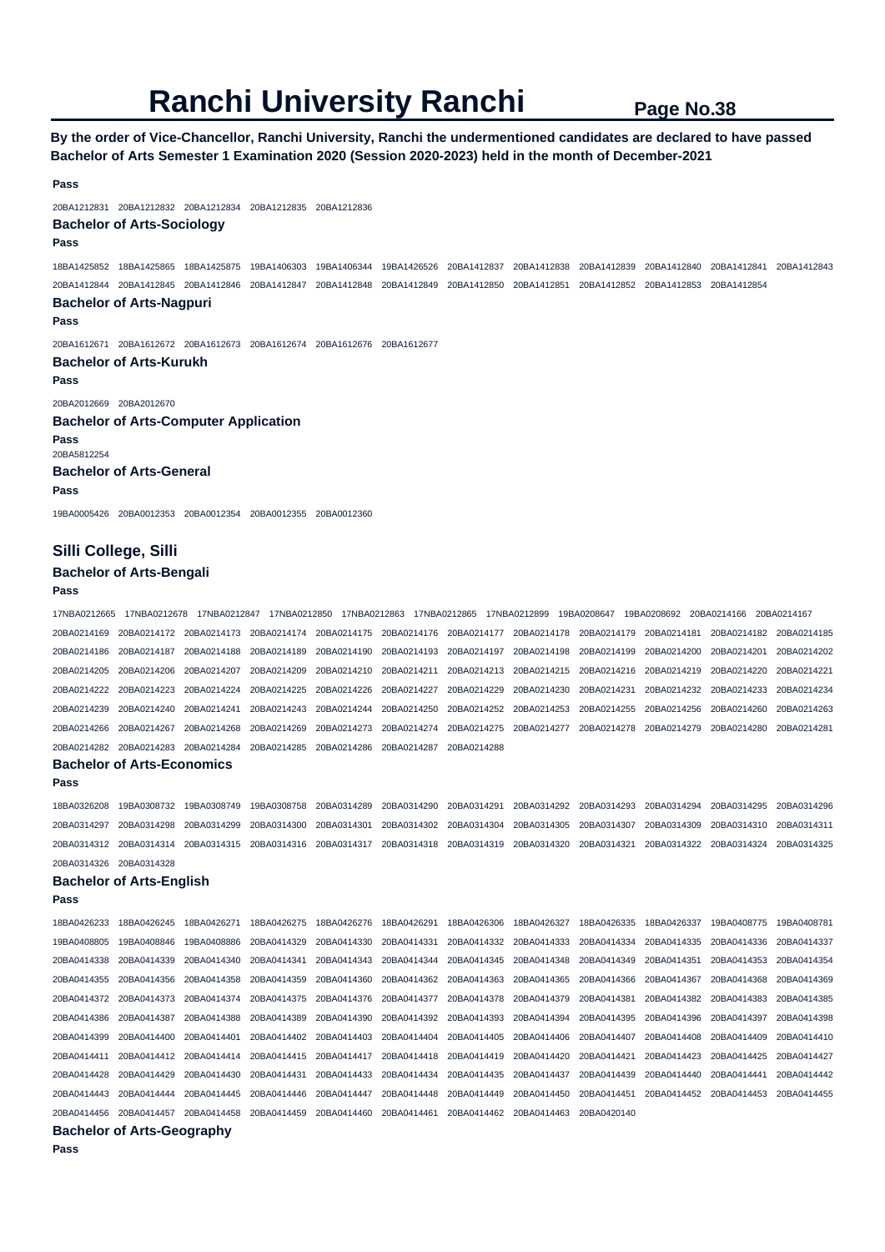**By the order of Vice-Chancellor, Ranchi University, Ranchi the undermentioned candidates are declared to have passed Bachelor of Arts Semester 1 Examination 2020 (Session 2020-2023) held in the month of December-2021** 

#### **Pass**

20BA1212831 20BA1212832 20BA1212834 20BA1212835 20BA1212836

#### **Bachelor of Arts-Sociology**

**Pass** 

18BA1425852 18BA1425865 18BA1425875 19BA1406303 19BA1406344 19BA1426526 20BA1412837 20BA1412838 20BA1412839 20BA1412840 20BA1412841 20BA1412843 20BA1412844 20BA1412845 20BA1412846 20BA1412847 20BA1412848 20BA1412849 20BA1412850 20BA1412851 20BA1412852 20BA1412853 20BA1412854

#### **Bachelor of Arts-Nagpuri**

**Pass** 

20BA1612671 20BA1612672 20BA1612673 20BA1612674 20BA1612676 20BA1612677

**Bachelor of Arts-Kurukh Pass** 

20BA2012669 20BA2012670 **Bachelor of Arts-Computer Application Pass**  20BA5812254 **Bachelor of Arts-General Pass**  19BA0005426 20BA0012353 20BA0012354 20BA0012355 20BA0012360

# **Silli College, Silli**

**Bachelor of Arts-Bengali** 

# **Pass**

17NBA0212665 17NBA0212678 17NBA0212847 17NBA0212850 17NBA0212863 17NBA0212865 17NBA0212899 19BA0208647 19BA0208692 20BA0214166 20BA0214167 20BA0214169 20BA0214172 20BA0214173 20BA0214174 20BA0214175 20BA0214176 20BA0214177 20BA0214178 20BA0214179 20BA0214181 20BA0214182 20BA0214185 20BA0214186 20BA0214187 20BA0214188 20BA0214189 20BA0214190 20BA0214193 20BA0214197 20BA0214198 20BA0214199 20BA0214200 20BA0214201 20BA0214202 20BA0214205 20BA0214206 20BA0214207 20BA0214209 20BA0214210 20BA0214211 20BA0214213 20BA0214215 20BA0214216 20BA0214219 20BA0214220 20BA0214221 20BA0214222 20BA0214223 20BA0214224 20BA0214225 20BA0214226 20BA0214227 20BA0214229 20BA0214230 20BA0214231 20BA0214232 20BA0214233 20BA0214234 20BA0214239 20BA0214240 20BA0214241 20BA0214243 20BA0214244 20BA0214250 20BA0214252 20BA0214253 20BA0214255 20BA0214256 20BA0214260 20BA0214263 20BA0214266 20BA0214267 20BA0214268 20BA0214269 20BA0214273 20BA0214274 20BA0214275 20BA0214277 20BA0214278 20BA0214279 20BA0214280 20BA0214281 20BA0214282 20BA0214283 20BA0214284 20BA0214285 20BA0214286 20BA0214287 20BA0214288

# **Bachelor of Arts-Economics**

**Pass** 

18BA0326208 19BA0308732 19BA0308749 19BA0308758 20BA0314289 20BA0314290 20BA0314291 20BA0314292 20BA0314293 20BA0314294 20BA0314295 20BA0314296 20BA0314297 20BA0314298 20BA0314299 20BA0314300 20BA0314301 20BA0314302 20BA0314304 20BA0314305 20BA0314307 20BA0314309 20BA0314310 20BA0314311 20BA0314312 20BA0314314 20BA0314315 20BA0314316 20BA0314317 20BA0314318 20BA0314319 20BA0314320 20BA0314321 20BA0314322 20BA0314324 20BA0314325 20BA0314326 20BA0314328

#### **Bachelor of Arts-English**

**Pass** 

|                         | <b>Bachelor of Arts-Geography</b> |             |                                     |                                                                                     |             |                                     |                                                 |             |                         |             |             |
|-------------------------|-----------------------------------|-------------|-------------------------------------|-------------------------------------------------------------------------------------|-------------|-------------------------------------|-------------------------------------------------|-------------|-------------------------|-------------|-------------|
| 20BA0414456             | 20BA0414457                       |             | 20BA0414458 20BA0414459 20BA0414460 |                                                                                     | 20BA0414461 |                                     | 20BA0414462 20BA0414463 20BA0420140             |             |                         |             |             |
| 20BA0414443             | 20BA0414444                       | 20BA0414445 | 20BA0414446 20BA0414447             |                                                                                     | 20BA0414448 | 20BA0414449                         | 20BA0414450                                     | 20BA0414451 | 20BA0414452             | 20BA0414453 | 20BA0414455 |
| 20BA0414428             | 20BA0414429                       | 20BA0414430 | 20BA0414431                         | 20BA0414433                                                                         | 20BA0414434 | 20BA0414435 20BA0414437             |                                                 | 20BA0414439 | 20BA0414440             | 20BA0414441 | 20BA0414442 |
| 20BA0414411             | 20BA0414412                       | 20BA0414414 |                                     | 20BA0414415 20BA0414417                                                             |             |                                     |                                                 |             | 20BA0414423             | 20BA0414425 | 20BA0414427 |
| 20BA0414399             | 20BA0414400                       | 20BA0414401 |                                     | 20BA0414402 20BA0414403 20BA0414404                                                 |             |                                     |                                                 |             | 20BA0414408 20BA0414409 |             | 20BA0414410 |
| 20BA0414386 20BA0414387 |                                   | 20BA0414388 |                                     | 20BA0414389 20BA0414390                                                             | 20BA0414392 | 20BA0414393 20BA0414394 20BA0414395 |                                                 |             | 20BA0414396             | 20BA0414397 | 20BA0414398 |
|                         | 20BA0414372 20BA0414373           | 20BA0414374 |                                     | 20BA0414375 20BA0414376 20BA0414377                                                 |             | 20BA0414378 20BA0414379 20BA0414381 |                                                 |             | 20BA0414382 20BA0414383 |             | 20BA0414385 |
| 20BA0414355 20BA0414356 |                                   | 20BA0414358 |                                     | 20BA0414359 20BA0414360 20BA0414362 20BA0414363 20BA0414365 20BA0414366 20BA0414367 |             |                                     |                                                 |             |                         | 20BA0414368 | 20BA0414369 |
| 20BA0414338             | 20BA0414339                       | 20BA0414340 | 20BA0414341                         | 20BA0414343 20BA0414344                                                             |             | 20BA0414345 20BA0414348 20BA0414349 |                                                 |             | 20BA0414351             | 20BA0414353 | 20BA0414354 |
| 19BA0408805             | 19BA0408846                       | 19BA0408886 | 20BA0414329                         | 20BA0414330                                                                         | 20BA0414331 |                                     | 20BA0414332 20BA0414333 20BA0414334 20BA0414335 |             |                         | 20BA0414336 | 20BA0414337 |
| 18BA0426233             | 18BA0426245                       | 18BA0426271 | 18BA0426275                         | 18BA0426276                                                                         | 18BA0426291 |                                     | 18BA0426306 18BA0426327                         | 18BA0426335 | 18BA0426337             | 19BA0408775 | 19BA0408781 |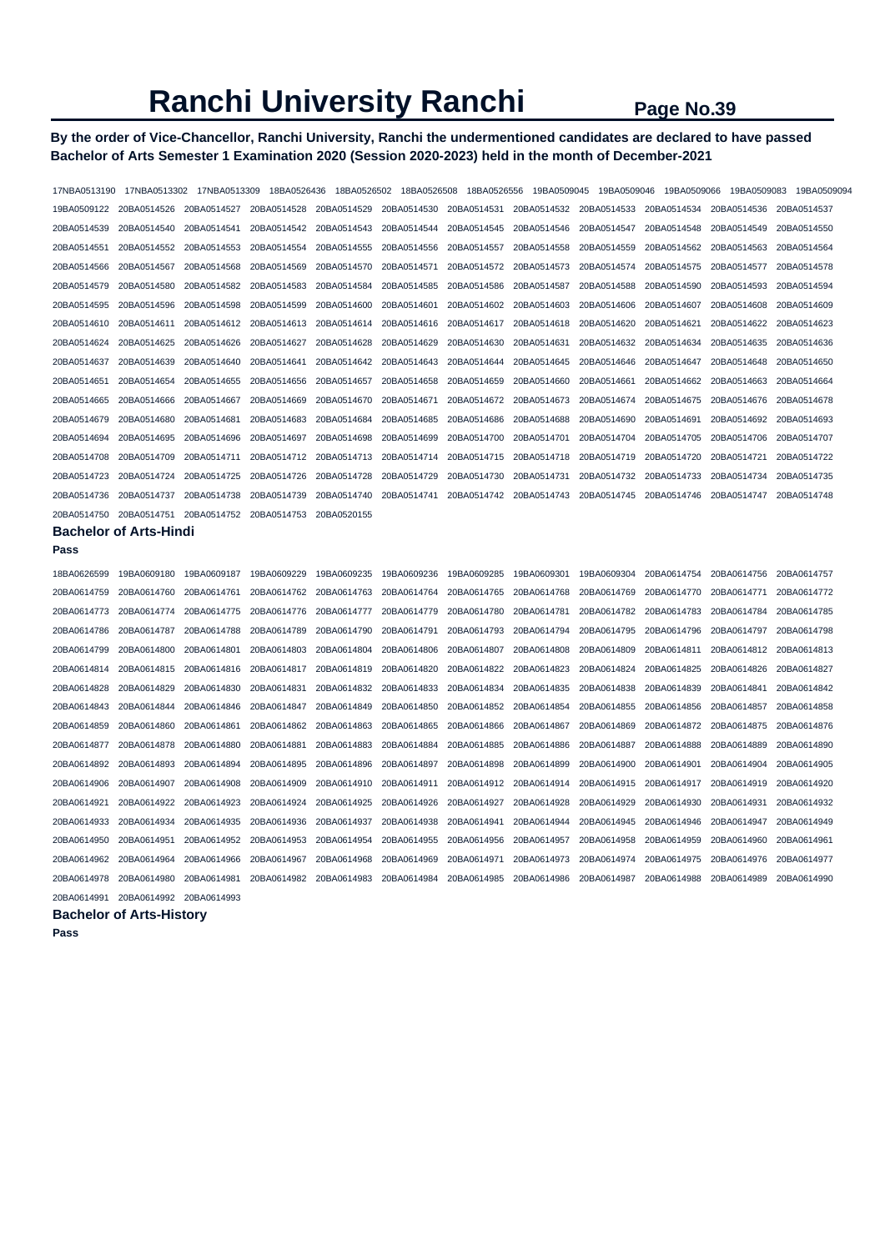# **By the order of Vice-Chancellor, Ranchi University, Ranchi the undermentioned candidates are declared to have passed Bachelor of Arts Semester 1 Examination 2020 (Session 2020-2023) held in the month of December-2021**

| 17NBA0513190 | 17NBA0513302                  | 17NBA0513309 | 18BA0526436 | 18BA0526502 | 18BA0526508 | 18BA0526556 | 19BA0509045 | 19BA0509046 | 19BA0509066 | 19BA0509083 | 19BA0509094 |
|--------------|-------------------------------|--------------|-------------|-------------|-------------|-------------|-------------|-------------|-------------|-------------|-------------|
| 19BA0509122  | 20BA0514526                   | 20BA0514527  | 20BA0514528 | 20BA0514529 | 20BA0514530 | 20BA0514531 | 20BA0514532 | 20BA0514533 | 20BA0514534 | 20BA0514536 | 20BA0514537 |
| 20BA0514539  | 20BA0514540                   | 20BA0514541  | 20BA0514542 | 20BA0514543 | 20BA0514544 | 20BA0514545 | 20BA0514546 | 20BA0514547 | 20BA0514548 | 20BA0514549 | 20BA0514550 |
| 20BA0514551  | 20BA0514552                   | 20BA0514553  | 20BA0514554 | 20BA0514555 | 20BA0514556 | 20BA0514557 | 20BA0514558 | 20BA0514559 | 20BA0514562 | 20BA0514563 | 20BA0514564 |
| 20BA0514566  | 20BA0514567                   | 20BA0514568  | 20BA0514569 | 20BA0514570 | 20BA0514571 | 20BA0514572 | 20BA0514573 | 20BA0514574 | 20BA0514575 | 20BA0514577 | 20BA0514578 |
| 20BA0514579  | 20BA0514580                   | 20BA0514582  | 20BA0514583 | 20BA0514584 | 20BA0514585 | 20BA0514586 | 20BA0514587 | 20BA0514588 | 20BA0514590 | 20BA0514593 | 20BA0514594 |
| 20BA0514595  | 20BA0514596                   | 20BA0514598  | 20BA0514599 | 20BA0514600 | 20BA0514601 | 20BA0514602 | 20BA0514603 | 20BA0514606 | 20BA0514607 | 20BA0514608 | 20BA0514609 |
| 20BA0514610  | 20BA0514611                   | 20BA0514612  | 20BA0514613 | 20BA0514614 | 20BA0514616 | 20BA0514617 | 20BA0514618 | 20BA0514620 | 20BA0514621 | 20BA0514622 | 20BA0514623 |
| 20BA0514624  | 20BA0514625                   | 20BA0514626  | 20BA0514627 | 20BA0514628 | 20BA0514629 | 20BA0514630 | 20BA0514631 | 20BA0514632 | 20BA0514634 | 20BA0514635 | 20BA0514636 |
| 20BA0514637  | 20BA0514639                   | 20BA0514640  | 20BA0514641 | 20BA0514642 | 20BA0514643 | 20BA0514644 | 20BA0514645 | 20BA0514646 | 20BA0514647 | 20BA0514648 | 20BA0514650 |
| 20BA0514651  | 20BA0514654                   | 20BA0514655  | 20BA0514656 | 20BA0514657 | 20BA0514658 | 20BA0514659 | 20BA0514660 | 20BA0514661 | 20BA0514662 | 20BA0514663 | 20BA0514664 |
| 20BA0514665  | 20BA0514666                   | 20BA0514667  | 20BA0514669 | 20BA0514670 | 20BA0514671 | 20BA0514672 | 20BA0514673 | 20BA0514674 | 20BA0514675 | 20BA0514676 | 20BA0514678 |
| 20BA0514679  | 20BA0514680                   | 20BA0514681  | 20BA0514683 | 20BA0514684 | 20BA0514685 | 20BA0514686 | 20BA0514688 | 20BA0514690 | 20BA0514691 | 20BA0514692 | 20BA0514693 |
| 20BA0514694  | 20BA0514695                   | 20BA0514696  | 20BA0514697 | 20BA0514698 | 20BA0514699 | 20BA0514700 | 20BA0514701 | 20BA0514704 | 20BA0514705 | 20BA0514706 | 20BA0514707 |
| 20BA0514708  | 20BA0514709                   | 20BA0514711  | 20BA0514712 | 20BA0514713 | 20BA0514714 | 20BA0514715 | 20BA0514718 | 20BA0514719 | 20BA0514720 | 20BA0514721 | 20BA0514722 |
| 20BA0514723  | 20BA0514724                   | 20BA0514725  | 20BA0514726 | 20BA0514728 | 20BA0514729 | 20BA0514730 | 20BA0514731 | 20BA0514732 | 20BA0514733 | 20BA0514734 | 20BA0514735 |
| 20BA0514736  | 20BA0514737                   | 20BA0514738  | 20BA0514739 | 20BA0514740 | 20BA0514741 | 20BA0514742 | 20BA0514743 | 20BA0514745 | 20BA0514746 | 20BA0514747 | 20BA0514748 |
| 20BA0514750  | 20BA0514751                   | 20BA0514752  | 20BA0514753 | 20BA0520155 |             |             |             |             |             |             |             |
|              | <b>Bachelor of Arts-Hindi</b> |              |             |             |             |             |             |             |             |             |             |
| Pass         |                               |              |             |             |             |             |             |             |             |             |             |
|              |                               |              |             |             |             |             |             |             |             |             |             |
| 18BA0626599  | 19BA0609180                   | 19BA0609187  | 19BA0609229 | 19BA0609235 | 19BA0609236 | 19BA0609285 | 19BA0609301 | 19BA0609304 | 20BA0614754 | 20BA0614756 | 20BA0614757 |
| 20BA0614759  | 20BA0614760                   | 20BA0614761  | 20BA0614762 | 20BA0614763 | 20BA0614764 | 20BA0614765 | 20BA0614768 | 20BA0614769 | 20BA0614770 | 20BA0614771 | 20BA0614772 |
| 20BA0614773  | 20BA0614774                   | 20BA0614775  | 20BA0614776 | 20BA0614777 | 20BA0614779 | 20BA0614780 | 20BA0614781 | 20BA0614782 | 20BA0614783 | 20BA0614784 | 20BA0614785 |
| 20BA0614786  | 20BA0614787                   | 20BA0614788  | 20BA0614789 | 20BA0614790 | 20BA0614791 | 20BA0614793 | 20BA0614794 | 20BA0614795 | 20BA0614796 | 20BA0614797 | 20BA0614798 |
| 20BA0614799  | 20BA0614800                   | 20BA0614801  | 20BA0614803 | 20BA0614804 | 20BA0614806 | 20BA0614807 | 20BA0614808 | 20BA0614809 | 20BA0614811 | 20BA0614812 | 20BA0614813 |
| 20BA0614814  | 20BA0614815                   | 20BA0614816  | 20BA0614817 | 20BA0614819 | 20BA0614820 | 20BA0614822 | 20BA0614823 | 20BA0614824 | 20BA0614825 | 20BA0614826 | 20BA0614827 |
| 20BA0614828  | 20BA0614829                   | 20BA0614830  | 20BA0614831 | 20BA0614832 | 20BA0614833 | 20BA0614834 | 20BA0614835 | 20BA0614838 | 20BA0614839 | 20BA0614841 | 20BA0614842 |
| 20BA0614843  | 20BA0614844                   | 20BA0614846  | 20BA0614847 | 20BA0614849 | 20BA0614850 | 20BA0614852 | 20BA0614854 | 20BA0614855 | 20BA0614856 | 20BA0614857 | 20BA0614858 |
| 20BA0614859  | 20BA0614860                   | 20BA0614861  | 20BA0614862 | 20BA0614863 | 20BA0614865 | 20BA0614866 | 20BA0614867 | 20BA0614869 | 20BA0614872 | 20BA0614875 | 20BA0614876 |
| 20BA0614877  | 20BA0614878                   | 20BA0614880  | 20BA0614881 | 20BA0614883 | 20BA0614884 | 20BA0614885 | 20BA0614886 | 20BA0614887 | 20BA0614888 | 20BA0614889 | 20BA0614890 |
| 20BA0614892  | 20BA0614893                   | 20BA0614894  | 20BA0614895 | 20BA0614896 | 20BA0614897 | 20BA0614898 | 20BA0614899 | 20BA0614900 | 20BA0614901 | 20BA0614904 | 20BA0614905 |
| 20BA0614906  | 20BA0614907                   | 20BA0614908  | 20BA0614909 | 20BA0614910 | 20BA0614911 | 20BA0614912 | 20BA0614914 | 20BA0614915 | 20BA0614917 | 20BA0614919 | 20BA0614920 |
| 20BA0614921  | 20BA0614922                   | 20BA0614923  | 20BA0614924 | 20BA0614925 | 20BA0614926 | 20BA0614927 | 20BA0614928 | 20BA0614929 | 20BA0614930 | 20BA0614931 | 20BA0614932 |
| 20BA0614933  | 20BA0614934                   | 20BA0614935  | 20BA0614936 | 20BA0614937 | 20BA0614938 | 20BA0614941 | 20BA0614944 | 20BA0614945 | 20BA0614946 | 20BA0614947 | 20BA0614949 |
| 20BA0614950  | 20BA0614951                   | 20BA0614952  | 20BA0614953 | 20BA0614954 | 20BA0614955 | 20BA0614956 | 20BA0614957 | 20BA0614958 | 20BA0614959 | 20BA0614960 | 20BA0614961 |
| 20BA0614962  | 20BA0614964                   | 20BA0614966  | 20BA0614967 | 20BA0614968 | 20BA0614969 | 20BA0614971 | 20BA0614973 | 20BA0614974 | 20BA0614975 | 20BA0614976 | 20BA0614977 |
| 20BA0614978  | 20BA0614980                   | 20BA0614981  | 20BA0614982 | 20BA0614983 | 20BA0614984 | 20BA0614985 | 20BA0614986 | 20BA0614987 | 20BA0614988 | 20BA0614989 | 20BA0614990 |

**Bachelor of Arts-History**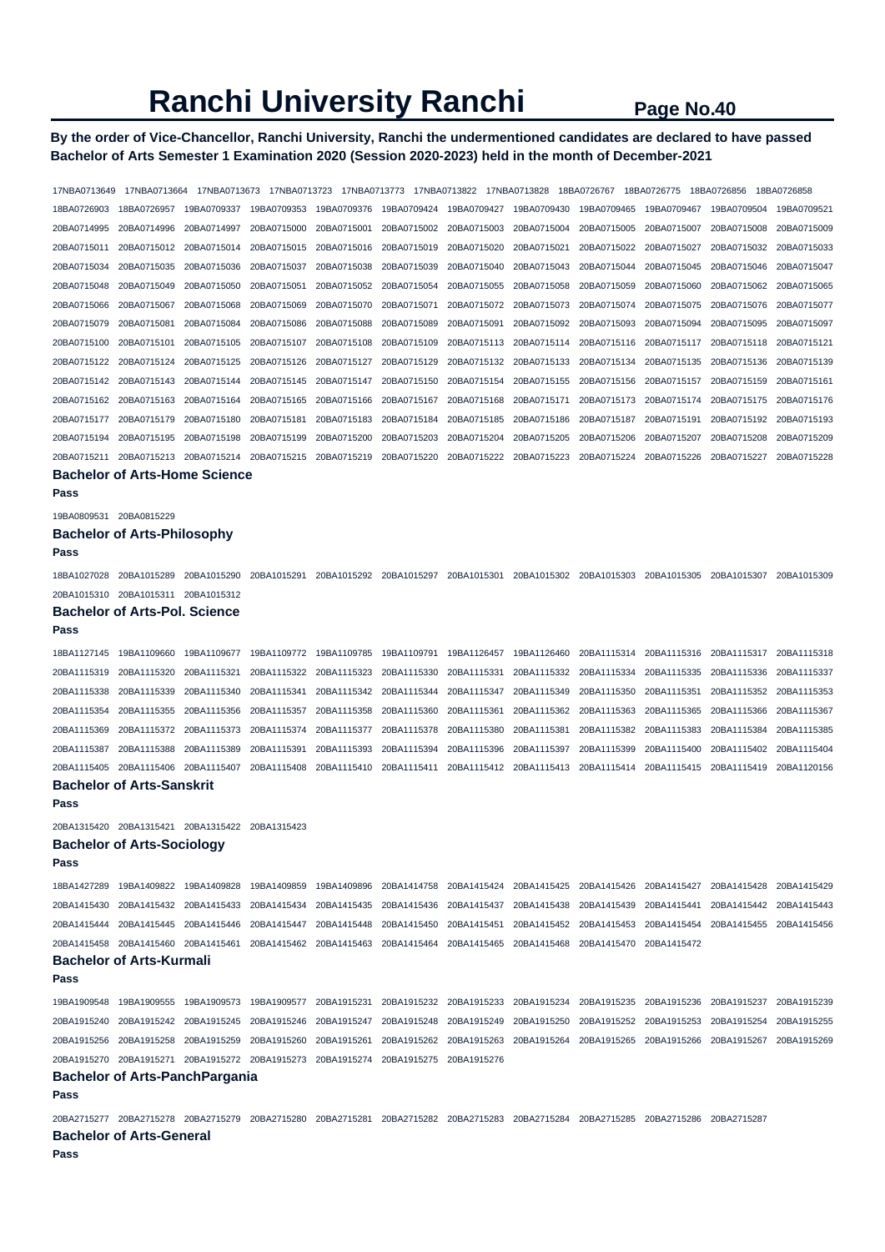# **By the order of Vice-Chancellor, Ranchi University, Ranchi the undermentioned candidates are declared to have passed Bachelor of Arts Semester 1 Examination 2020 (Session 2020-2023) held in the month of December-2021**

| 17NBA0713649                               | 17NBA0713664                  | 17NBA0713673                          |             |                                                                                                                                                             |             |             |             | 18BA0726767 18BA0726775 |             | 18BA0726856 | 18BA0726858 |
|--------------------------------------------|-------------------------------|---------------------------------------|-------------|-------------------------------------------------------------------------------------------------------------------------------------------------------------|-------------|-------------|-------------|-------------------------|-------------|-------------|-------------|
| 18BA0726903                                | 18BA0726957                   | 19BA0709337                           | 19BA0709353 | 19BA0709376                                                                                                                                                 | 19BA0709424 | 19BA0709427 | 19BA0709430 | 19BA0709465             | 19BA0709467 | 19BA0709504 | 19BA0709521 |
| 20BA0714995                                | 20BA0714996                   | 20BA0714997                           | 20BA0715000 | 20BA0715001                                                                                                                                                 | 20BA0715002 | 20BA0715003 | 20BA0715004 | 20BA0715005             | 20BA0715007 | 20BA0715008 | 20BA0715009 |
| 20BA0715011                                | 20BA0715012                   | 20BA0715014                           | 20BA0715015 | 20BA0715016                                                                                                                                                 | 20BA0715019 | 20BA0715020 | 20BA0715021 | 20BA0715022             | 20BA0715027 | 20BA0715032 | 20BA0715033 |
| 20BA0715034                                | 20BA0715035                   | 20BA0715036                           | 20BA0715037 | 20BA0715038                                                                                                                                                 | 20BA0715039 | 20BA0715040 | 20BA0715043 | 20BA0715044             | 20BA0715045 | 20BA0715046 | 20BA0715047 |
| 20BA0715048                                | 20BA0715049                   | 20BA0715050                           | 20BA0715051 | 20BA0715052                                                                                                                                                 | 20BA0715054 | 20BA0715055 | 20BA0715058 | 20BA0715059             | 20BA0715060 | 20BA0715062 | 20BA0715065 |
| 20BA0715066                                | 20BA0715067                   | 20BA0715068                           | 20BA0715069 | 20BA0715070                                                                                                                                                 | 20BA0715071 | 20BA0715072 | 20BA0715073 | 20BA0715074             | 20BA0715075 | 20BA0715076 | 20BA0715077 |
| 20BA0715079                                | 20BA0715081                   | 20BA0715084                           | 20BA0715086 | 20BA0715088                                                                                                                                                 | 20BA0715089 | 20BA0715091 | 20BA0715092 | 20BA0715093             | 20BA0715094 | 20BA0715095 | 20BA0715097 |
| 20BA0715100                                | 20BA0715101                   | 20BA0715105                           | 20BA0715107 | 20BA0715108                                                                                                                                                 | 20BA0715109 | 20BA0715113 | 20BA0715114 | 20BA0715116             | 20BA0715117 | 20BA0715118 | 20BA0715121 |
| 20BA0715122                                | 20BA0715124                   | 20BA0715125                           | 20BA0715126 | 20BA0715127                                                                                                                                                 | 20BA0715129 | 20BA0715132 | 20BA0715133 | 20BA0715134             | 20BA0715135 | 20BA0715136 | 20BA0715139 |
| 20BA0715142                                | 20BA0715143                   | 20BA0715144                           | 20BA0715145 | 20BA0715147                                                                                                                                                 | 20BA0715150 | 20BA0715154 | 20BA0715155 | 20BA0715156             | 20BA0715157 | 20BA0715159 | 20BA0715161 |
| 20BA0715162                                | 20BA0715163                   | 20BA0715164                           | 20BA0715165 | 20BA0715166                                                                                                                                                 | 20BA0715167 | 20BA0715168 | 20BA0715171 | 20BA0715173             | 20BA0715174 | 20BA0715175 | 20BA0715176 |
| 20BA0715177                                | 20BA0715179                   | 20BA0715180                           | 20BA0715181 | 20BA0715183                                                                                                                                                 | 20BA0715184 | 20BA0715185 | 20BA0715186 | 20BA0715187             | 20BA0715191 | 20BA0715192 | 20BA0715193 |
| 20BA0715194                                | 20BA0715195                   | 20BA0715198                           | 20BA0715199 | 20BA0715200                                                                                                                                                 | 20BA0715203 | 20BA0715204 | 20BA0715205 | 20BA0715206             | 20BA0715207 | 20BA0715208 | 20BA0715209 |
| 20BA0715211                                | 20BA0715213                   | 20BA0715214                           | 20BA0715215 | 20BA0715219                                                                                                                                                 | 20BA0715220 | 20BA0715222 | 20BA0715223 | 20BA0715224             | 20BA0715226 | 20BA0715227 | 20BA0715228 |
| Pass                                       |                               | <b>Bachelor of Arts-Home Science</b>  |             |                                                                                                                                                             |             |             |             |                         |             |             |             |
|                                            |                               |                                       |             |                                                                                                                                                             |             |             |             |                         |             |             |             |
| 19BA0809531 20BA0815229                    |                               |                                       |             |                                                                                                                                                             |             |             |             |                         |             |             |             |
| <b>Bachelor of Arts-Philosophy</b><br>Pass |                               |                                       |             |                                                                                                                                                             |             |             |             |                         |             |             |             |
|                                            |                               |                                       |             |                                                                                                                                                             |             |             |             |                         |             |             |             |
| 18BA1027028 20BA1015289                    |                               | 20BA1015290                           |             | 20BA1015291 20BA1015292 20BA1015297 20BA1015301 20BA1015302 20BA1015303 20BA1015305 20BA1015307                                                             |             |             |             |                         |             |             | 20BA1015309 |
| 20BA1015310 20BA1015311 20BA1015312        |                               |                                       |             |                                                                                                                                                             |             |             |             |                         |             |             |             |
|                                            | Bachelor of Arts-Pol. Science |                                       |             |                                                                                                                                                             |             |             |             |                         |             |             |             |
| Pass                                       |                               |                                       |             |                                                                                                                                                             |             |             |             |                         |             |             |             |
| 18BA1127145                                | 19BA1109660                   | 19BA1109677                           | 19BA1109772 | 19BA1109785                                                                                                                                                 | 19BA1109791 | 19BA1126457 | 19BA1126460 | 20BA1115314             | 20BA1115316 | 20BA1115317 | 20BA1115318 |
| 20BA1115319                                | 20BA1115320                   | 20BA1115321                           | 20BA1115322 | 20BA1115323                                                                                                                                                 | 20BA1115330 | 20BA1115331 | 20BA1115332 | 20BA1115334             | 20BA1115335 | 20BA1115336 | 20BA1115337 |
| 20BA1115338                                | 20BA1115339                   | 20BA1115340                           | 20BA1115341 | 20BA1115342                                                                                                                                                 | 20BA1115344 | 20BA1115347 | 20BA1115349 | 20BA1115350             | 20BA1115351 | 20BA1115352 | 20BA1115353 |
| 20BA1115354                                | 20BA1115355                   | 20BA1115356                           | 20BA1115357 | 20BA1115358                                                                                                                                                 | 20BA1115360 | 20BA1115361 | 20BA1115362 | 20BA1115363             | 20BA1115365 | 20BA1115366 | 20BA1115367 |
| 20BA1115369                                | 20BA1115372                   | 20BA1115373                           | 20BA1115374 | 20BA1115377                                                                                                                                                 | 20BA1115378 | 20BA1115380 | 20BA1115381 | 20BA1115382             | 20BA1115383 | 20BA1115384 | 20BA1115385 |
| 20BA1115387                                | 20BA1115388                   | 20BA1115389                           | 20BA1115391 | 20BA1115393                                                                                                                                                 | 20BA1115394 | 20BA1115396 | 20BA1115397 | 20BA1115399             | 20BA1115400 | 20BA1115402 | 20BA1115404 |
| 20BA1115405 20BA1115406                    |                               | 20BA1115407                           | 20BA1115408 | 20BA1115410                                                                                                                                                 | 20BA1115411 | 20BA1115412 | 20BA1115413 | 20BA1115414             | 20BA1115415 | 20BA1115419 | 20BA1120156 |
| <b>Bachelor of Arts-Sanskrit</b><br>Pass   |                               |                                       |             |                                                                                                                                                             |             |             |             |                         |             |             |             |
| 20BA1315420 20BA1315421 20BA1315422        |                               |                                       | 20BA1315423 |                                                                                                                                                             |             |             |             |                         |             |             |             |
| <b>Bachelor of Arts-Sociology</b>          |                               |                                       |             |                                                                                                                                                             |             |             |             |                         |             |             |             |
| Pass                                       |                               |                                       |             |                                                                                                                                                             |             |             |             |                         |             |             |             |
|                                            |                               |                                       |             | 18BA1427289 19BA1409822 19BA1409828 19BA1409859 19BA1409896 20BA1414758 20BA1415424 20BA1415425 20BA1415426 20BA1415427 20BA1415428 20BA1415428 20BA1415429 |             |             |             |                         |             |             |             |
|                                            |                               |                                       |             | 20BA1415430 20BA1415432 20BA1415433 20BA1415434 20BA1415435 20BA1415436 20BA1415437 20BA1415438 20BA1415439 20BA1415441 20BA1415442 20BA1415443             |             |             |             |                         |             |             |             |
|                                            |                               |                                       |             | 20BA1415444 20BA1415445 20BA1415446 20BA1415447 20BA1415448 20BA1415450 20BA1415451 20BA1415452 20BA1415453 20BA1415454 20BA1415455 20BA1415456 20BA1415456 |             |             |             |                         |             |             |             |
|                                            |                               |                                       |             | 20BA1415458 20BA1415460 20BA1415461 20BA1415462 20BA1415463 20BA1415464 20BA1415465 20BA1415468 20BA1415470 20BA1415472                                     |             |             |             |                         |             |             |             |
| <b>Bachelor of Arts-Kurmali</b>            |                               |                                       |             |                                                                                                                                                             |             |             |             |                         |             |             |             |
| Pass                                       |                               |                                       |             |                                                                                                                                                             |             |             |             |                         |             |             |             |
|                                            |                               |                                       |             | 19BA1909548 19BA1909555 19BA1909573 19BA1909577 20BA1915231 20BA1915232 20BA1915233 20BA1915234 20BA1915235 20BA1915236 20BA1915237 20BA1915239             |             |             |             |                         |             |             |             |
|                                            |                               |                                       |             | 20BA1915240 20BA1915242 20BA1915245 20BA1915246 20BA1915247 20BA1915248 20BA1915249 20BA1915250 20BA1915252 20BA1915253 20BA1915254 20BA1915255             |             |             |             |                         |             |             |             |
|                                            |                               |                                       |             | 20BA1915256 20BA1915258 20BA1915259 20BA1915260 20BA1915261 20BA1915262 20BA1915263 20BA1915264 20BA1915265 20BA1915266 20BA1915267 20BA1915267             |             |             |             |                         |             |             |             |
|                                            |                               |                                       |             | 20BA1915270 20BA1915271 20BA1915272 20BA1915273 20BA1915274 20BA1915275 20BA1915276                                                                         |             |             |             |                         |             |             |             |
|                                            |                               | <b>Bachelor of Arts-PanchPargania</b> |             |                                                                                                                                                             |             |             |             |                         |             |             |             |
| Pass                                       |                               |                                       |             |                                                                                                                                                             |             |             |             |                         |             |             |             |
|                                            |                               |                                       |             | 20BA2715277 20BA2715278 20BA2715279 20BA2715280 20BA2715281 20BA2715282 20BA2715283 20BA2715284 20BA2715285 20BA2715286 20BA2715287                         |             |             |             |                         |             |             |             |
| <b>Bachelor of Arts-General</b><br>Pass    |                               |                                       |             |                                                                                                                                                             |             |             |             |                         |             |             |             |
|                                            |                               |                                       |             |                                                                                                                                                             |             |             |             |                         |             |             |             |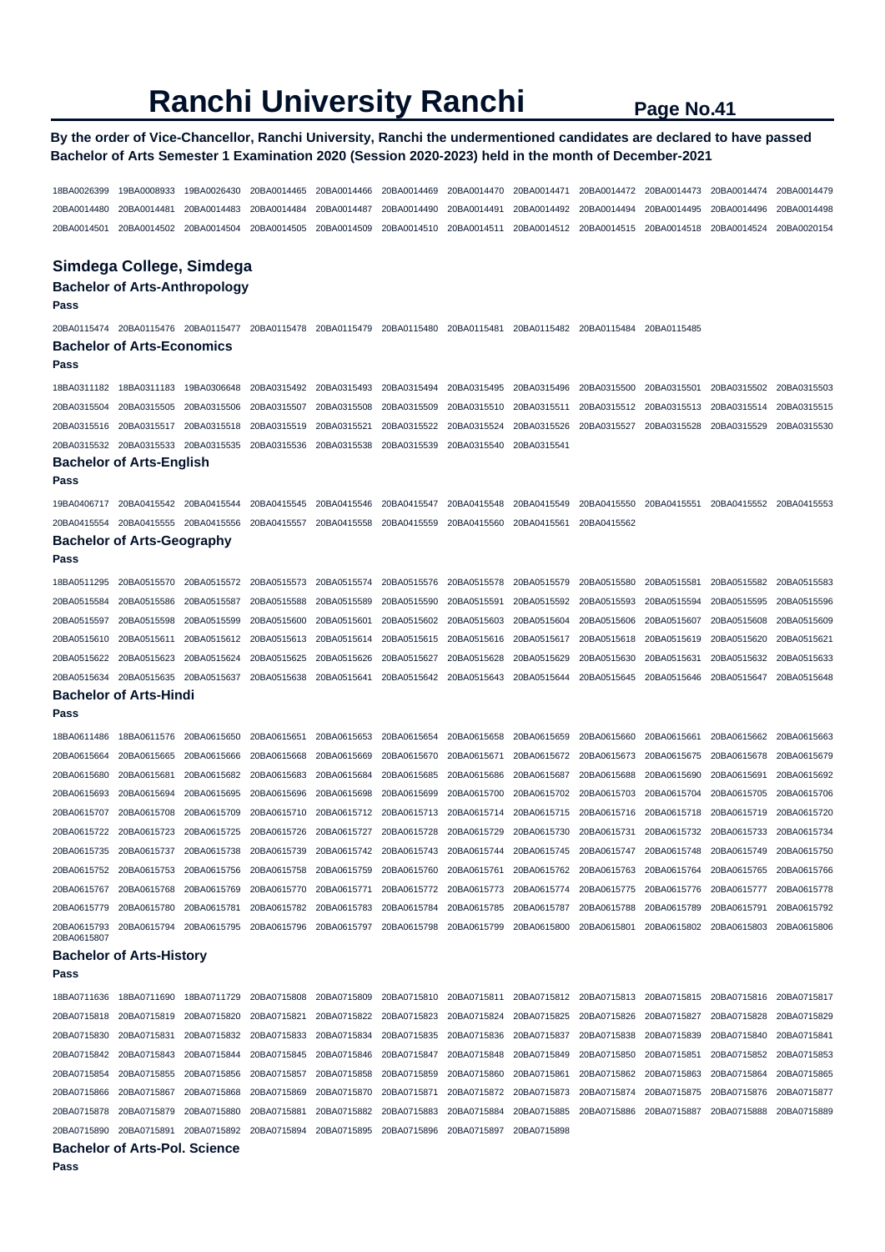# **By the order of Vice-Chancellor, Ranchi University, Ranchi the undermentioned candidates are declared to have passed Bachelor of Arts Semester 1 Examination 2020 (Session 2020-2023) held in the month of December-2021**

18BA0026399 19BA0008933 19BA0026430 20BA0014465 20BA0014466 20BA0014469 20BA0014470 20BA0014471 20BA0014472 20BA0014473 20BA0014474 20BA0014479 20BA0014480 20BA0014481 20BA0014483 20BA0014484 20BA0014487 20BA0014490 20BA0014491 20BA0014492 20BA0014494 20BA0014495 20BA0014496 20BA0014498 20BA0014501 20BA0014502 20BA0014504 20BA0014505 20BA0014509 20BA0014510 20BA0014511 20BA0014512 20BA0014515 20BA0014518 20BA0014524 20BA0020154

### **Simdega College, Simdega**

# **Bachelor of Arts-Anthropology**

**Pass** 

20BA0115474 20BA0115476 20BA0115477 20BA0115478 20BA0115479 20BA0115480 20BA0115481 20BA0115482 20BA0115484 20BA0115485 **Bachelor of Arts-Economics** 

#### **Pass**

18BA0311182 18BA0311183 19BA0306648 20BA0315492 20BA0315493 20BA0315494 20BA0315495 20BA0315496 20BA0315500 20BA0315501 20BA0315502 20BA0315503 20BA0315504 20BA0315505 20BA0315506 20BA0315507 20BA0315508 20BA0315509 20BA0315510 20BA0315511 20BA0315512 20BA0315513 20BA0315514 20BA0315515 20BA0315516 20BA0315517 20BA0315518 20BA0315519 20BA0315521 20BA0315522 20BA0315524 20BA0315526 20BA0315527 20BA0315528 20BA0315529 20BA0315530 20BA0315532 20BA0315533 20BA0315535 20BA0315536 20BA0315538 20BA0315539 20BA0315540 20BA0315541

#### **Bachelor of Arts-English**

**Pass** 

**Pass** 

19BA0406717 20BA0415542 20BA0415544 20BA0415545 20BA0415546 20BA0415547 20BA0415548 20BA0415549 20BA0415550 20BA0415551 20BA0415552 20BA0415553 20BA0415554 20BA0415555 20BA0415556 20BA0415557 20BA0415558 20BA0415559 20BA0415560 20BA0415561 20BA0415562

# **Bachelor of Arts-Geography**

18BA0511295 20BA0515570 20BA0515572 20BA0515573 20BA0515574 20BA0515576 20BA0515578 20BA0515579 20BA0515580 20BA0515581 20BA0515582 20BA0515583 20BA0515584 20BA0515586 20BA0515587 20BA0515588 20BA0515589 20BA0515590 20BA0515591 20BA0515592 20BA0515593 20BA0515594 20BA0515595 20BA0515596 20BA0515597 20BA0515598 20BA0515599 20BA0515600 20BA0515601 20BA0515602 20BA0515603 20BA0515604 20BA0515606 20BA0515607 20BA0515608 20BA0515609 20BA0515610 20BA0515611 20BA0515612 20BA0515613 20BA0515614 20BA0515615 20BA0515616 20BA0515617 20BA0515618 20BA0515619 20BA0515620 20BA0515621 20BA0515622 20BA0515623 20BA0515624 20BA0515625 20BA0515626 20BA0515627 20BA0515628 20BA0515629 20BA0515630 20BA0515631 20BA0515632 20BA0515633 20BA0515634 20BA0515635 20BA0515637 20BA0515638 20BA0515641 20BA0515642 20BA0515643 20BA0515644 20BA0515645 20BA0515646 20BA0515647 20BA0515648 **Bachelor of Arts-Hindi** 

# **Pass**

| 18BA0611486                | 18BA0611576 | 20BA0615650 | 20BA0615651 | 20BA0615653             | 20BA0615654 | 20BA0615658             | 20BA0615659             | 20BA0615660 | 20BA0615661 | 20BA0615662 | 20BA0615663 |
|----------------------------|-------------|-------------|-------------|-------------------------|-------------|-------------------------|-------------------------|-------------|-------------|-------------|-------------|
| 20BA0615664                | 20BA0615665 | 20BA0615666 | 20BA0615668 | 20BA0615669             | 20BA0615670 | 20BA0615671             | 20BA0615672             | 20BA0615673 | 20BA0615675 | 20BA0615678 | 20BA0615679 |
| 20BA0615680                | 20BA0615681 | 20BA0615682 | 20BA0615683 | 20BA0615684             | 20BA0615685 | 20BA0615686             | 20BA0615687             | 20BA0615688 | 20BA0615690 | 20BA0615691 | 20BA0615692 |
| 20BA0615693                | 20BA0615694 | 20BA0615695 | 20BA0615696 | 20BA0615698             | 20BA0615699 |                         | 20BA0615700 20BA0615702 | 20BA0615703 | 20BA0615704 | 20BA0615705 | 20BA0615706 |
| 20BA0615707                | 20BA0615708 | 20BA0615709 |             | 20BA0615710 20BA0615712 | 20BA0615713 |                         | 20BA0615714 20BA0615715 | 20BA0615716 | 20BA0615718 | 20BA0615719 | 20BA0615720 |
| 20BA0615722                | 20BA0615723 | 20BA0615725 | 20BA0615726 | 20BA0615727             | 20BA0615728 | 20BA0615729             | 20BA0615730             | 20BA0615731 | 20BA0615732 | 20BA0615733 | 20BA0615734 |
| 20BA0615735                | 20BA0615737 | 20BA0615738 | 20BA0615739 | 20BA0615742 20BA0615743 |             | 20BA0615744 20BA0615745 |                         | 20BA0615747 | 20BA0615748 | 20BA0615749 | 20BA0615750 |
| 20BA0615752                | 20BA0615753 | 20BA0615756 | 20BA0615758 | 20BA0615759             | 20BA0615760 | 20BA0615761             | 20BA0615762             | 20BA0615763 | 20BA0615764 | 20BA0615765 | 20BA0615766 |
| 20BA0615767                | 20BA0615768 | 20BA0615769 | 20BA0615770 | 20BA0615771             | 20BA0615772 | 20BA0615773 20BA0615774 |                         | 20BA0615775 | 20BA0615776 | 20BA0615777 | 20BA0615778 |
| 20BA0615779                | 20BA0615780 | 20BA0615781 | 20BA0615782 | 20BA0615783             | 20BA0615784 | 20BA0615785             | 20BA0615787             | 20BA0615788 | 20BA0615789 | 20BA0615791 | 20BA0615792 |
| 20BA0615793<br>20840615807 | 20BA0615794 | 20BA0615795 | 20BA0615796 | 20BA0615797             | 20BA0615798 | 20BA0615799             | 20BA0615800             | 20BA0615801 | 20BA0615802 | 20BA0615803 | 20BA0615806 |

#### **Bachelor of Arts-History**

**Pass** 

|                         | <b>Bachelor of Arts-Pol. Science</b>                                                                                    |             |             |                                                 |             |                                                                                                             |             |                         |             |
|-------------------------|-------------------------------------------------------------------------------------------------------------------------|-------------|-------------|-------------------------------------------------|-------------|-------------------------------------------------------------------------------------------------------------|-------------|-------------------------|-------------|
| 20BA0715890 20BA0715891 |                                                                                                                         |             |             | 20BA0715892 20BA0715894 20BA0715895 20BA0715896 | 20BA0715897 | 20BA0715898                                                                                                 |             |                         |             |
|                         | 20BA0715878 20BA0715879 20BA0715880                                                                                     |             | 20BA0715881 | 20BA0715882 20BA0715883                         |             | 20BA0715884 20BA0715885 20BA0715886 20BA0715887                                                             |             | 20BA0715888             | 20BA0715889 |
| 20BA0715866 20BA0715867 |                                                                                                                         | 20BA0715868 |             | 20BA0715869 20BA0715870 20BA0715871             |             | 20BA0715872 20BA0715873 20BA0715874 20BA0715875 20BA0715876 20BA0715877                                     |             |                         |             |
|                         | 20BA0715854 20BA0715855 20BA0715856                                                                                     |             |             | 20BA0715857 20BA0715858 20BA0715859             |             | 20BA0715860 20BA0715861 20BA0715862                                                                         | 20BA0715863 | 20BA0715864             | 20BA0715865 |
|                         | 20BA0715842 20BA0715843 20BA0715844 20BA0715845 20BA0715846 20BA0715847                                                 |             |             |                                                 |             | 20BA0715848 20BA0715849 20BA0715850 20BA0715851                                                             |             | 20BA0715852 20BA0715853 |             |
|                         | 20BA0715830 20BA0715831 20BA0715832 20BA0715833 20BA0715834 20BA0715835 20BA0715836 20BA0715837 20BA0715838 20BA0715839 |             |             |                                                 |             |                                                                                                             |             | 20BA0715840 20BA0715841 |             |
|                         | 20BA0715818 20BA0715819 20BA0715820                                                                                     |             |             |                                                 |             | 20BA0715821 20BA0715822 20BA0715823 20BA0715824 20BA0715825 20BA0715826 20BA0715827                         |             | 20BA0715828 20BA0715829 |             |
|                         | 18BA0711636 18BA0711690                                                                                                 | 18BA0711729 |             |                                                 |             | 20BA0715808 20BA0715809 20BA0715810 20BA0715811 20BA0715812 20BA0715813 20BA0715815 20BA0715816 20BA0715817 |             |                         |             |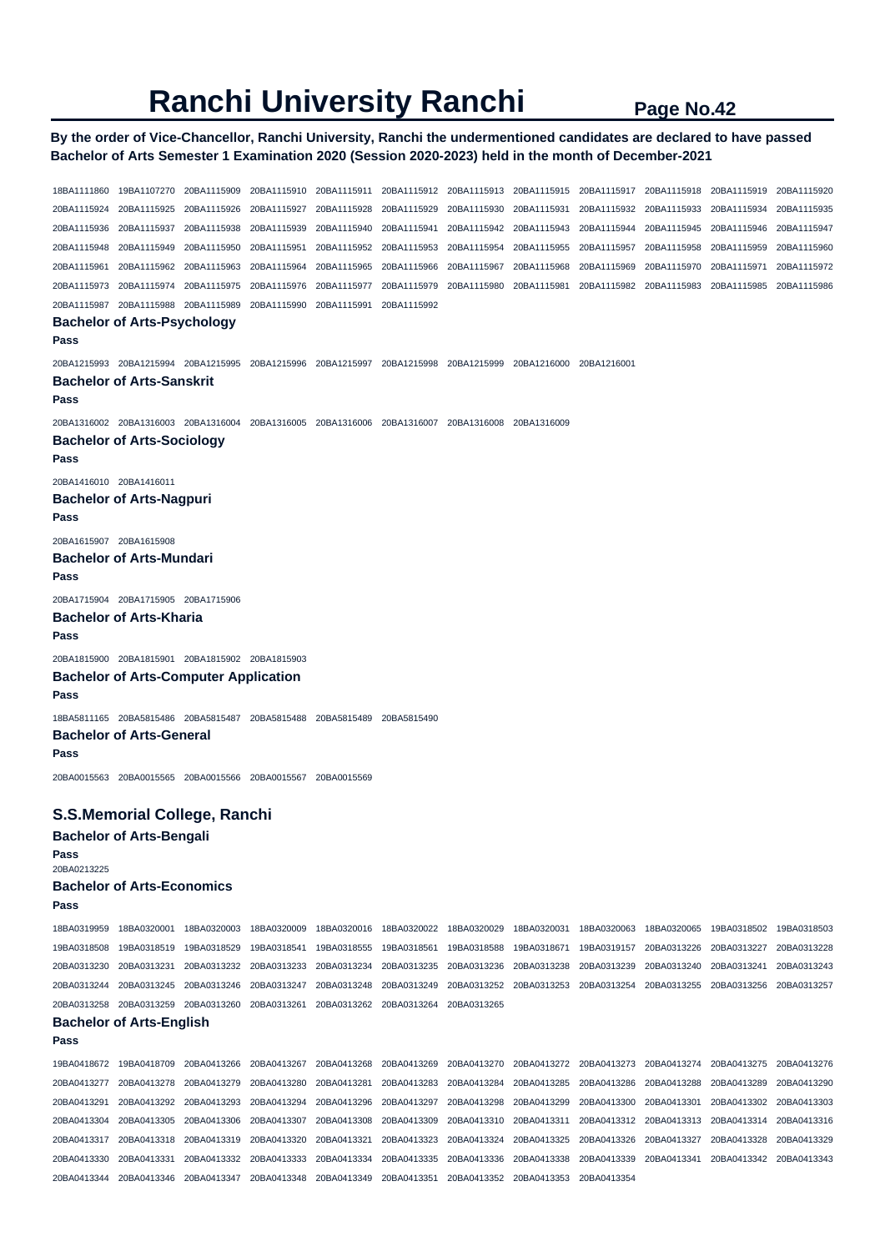**By the order of Vice-Chancellor, Ranchi University, Ranchi the undermentioned candidates are declared to have passed Bachelor of Arts Semester 1 Examination 2020 (Session 2020-2023) held in the month of December-2021** 

18BA1111860 19BA1107270 20BA1115909 20BA1115910 20BA1115911 20BA1115912 20BA1115913 20BA1115915 20BA1115917 20BA1115918 20BA1115919 20BA1115920 20BA1115924 20BA1115925 20BA1115926 20BA1115927 20BA1115928 20BA1115929 20BA1115930 20BA1115931 20BA1115932 20BA1115933 20BA1115934 20BA1115935 20BA1115936 20BA1115937 20BA1115938 20BA1115939 20BA1115940 20BA1115941 20BA1115942 20BA1115943 20BA1115944 20BA1115945 20BA1115946 20BA1115947 20BA1115948 20BA1115949 20BA1115950 20BA1115951 20BA1115952 20BA1115953 20BA1115954 20BA1115955 20BA1115957 20BA1115958 20BA1115959 20BA1115960 20BA1115961 20BA1115962 20BA1115963 20BA1115964 20BA1115965 20BA1115966 20BA1115967 20BA1115968 20BA1115969 20BA1115970 20BA1115971 20BA1115972 20BA1115973 20BA1115974 20BA1115975 20BA1115976 20BA1115977 20BA1115979 20BA1115980 20BA1115981 20BA1115982 20BA1115983 20BA1115985 20BA1115986 20BA1115987 20BA1115988 20BA1115989 20BA1115990 20BA1115991 20BA1115992 **Bachelor of Arts-Psychology Pass**  20BA1215993 20BA1215994 20BA1215995 20BA1215996 20BA1215997 20BA1215998 20BA1215999 20BA1216000 20BA1216001 **Bachelor of Arts-Sanskrit Pass**  20BA1316002 20BA1316003 20BA1316004 20BA1316005 20BA1316006 20BA1316007 20BA1316008 20BA1316009 **Bachelor of Arts-Sociology Pass**  20BA1416010 20BA1416011 **Bachelor of Arts-Nagpuri Pass**  20BA1615907 20BA1615908 **Bachelor of Arts-Mundari Pass**  20BA1715904 20BA1715905 20BA1715906 **Bachelor of Arts-Kharia Pass**  20BA1815900 20BA1815901 20BA1815902 20BA1815903 **Bachelor of Arts-Computer Application Pass**  18BA5811165 20BA5815486 20BA5815487 20BA5815488 20BA5815489 20BA5815490 **Bachelor of Arts-General Pass**  20BA0015563 20BA0015565 20BA0015566 20BA0015567 20BA0015569 **S.S.Memorial College, Ranchi Bachelor of Arts-Bengali Pass**  20BA0213225 **Bachelor of Arts-Economics Pass**  18BA0319959 18BA0320001 18BA0320003 18BA0320009 18BA0320016 18BA0320022 18BA0320029 18BA0320031 18BA0320063 18BA0320065 19BA0318502 19BA0318503 19BA0318508 19BA0318519 19BA0318529 19BA0318541 19BA0318555 19BA0318561 19BA0318588 19BA0318671 19BA0319157 20BA0313226 20BA0313227 20BA0313228 20BA0313230 20BA0313231 20BA0313232 20BA0313233 20BA0313234 20BA0313235 20BA0313236 20BA0313238 20BA0313239 20BA0313240 20BA0313241 20BA0313243 20BA0313244 20BA0313245 20BA0313246 20BA0313247 20BA0313248 20BA0313249 20BA0313252 20BA0313253 20BA0313254 20BA0313255 20BA0313256 20BA0313257 20BA0313258 20BA0313259 20BA0313260 20BA0313261 20BA0313262 20BA0313264 20BA0313265 **Bachelor of Arts-English Pass**  19BA0418672 19BA0418709 20BA0413266 20BA0413267 20BA0413268 20BA0413269 20BA0413270 20BA0413272 20BA0413273 20BA0413274 20BA0413275 20BA0413276 20BA0413277 20BA0413278 20BA0413279 20BA0413280 20BA0413281 20BA0413283 20BA0413284 20BA0413285 20BA0413286 20BA0413288 20BA0413289 20BA0413290 20BA0413291 20BA0413292 20BA0413293 20BA0413294 20BA0413296 20BA0413297 20BA0413298 20BA0413299 20BA0413300 20BA0413301 20BA0413302 20BA0413303 20BA0413304 20BA0413305 20BA0413306 20BA0413307 20BA0413308 20BA0413309 20BA0413310 20BA0413311 20BA0413312 20BA0413313 20BA0413314 20BA0413316 20BA0413317 20BA0413318 20BA0413319 20BA0413320 20BA0413321 20BA0413323 20BA0413324 20BA0413325 20BA0413326 20BA0413327 20BA0413328 20BA0413329 20BA0413330 20BA0413331 20BA0413332 20BA0413333 20BA0413334 20BA0413335 20BA0413336 20BA0413338 20BA0413339 20BA0413341 20BA0413342 20BA0413343

20BA0413344 20BA0413346 20BA0413347 20BA0413348 20BA0413349 20BA0413351 20BA0413352 20BA0413353 20BA0413354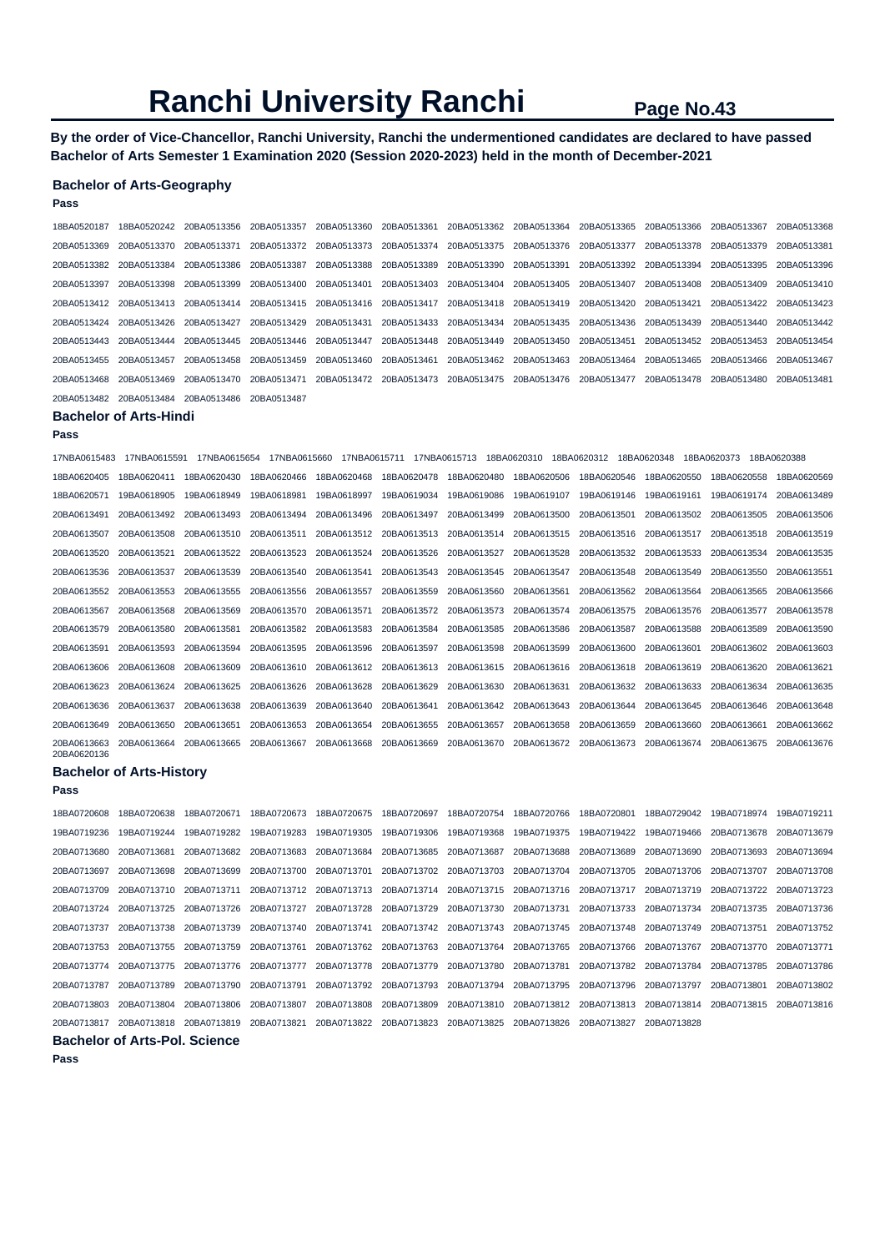**By the order of Vice-Chancellor, Ranchi University, Ranchi the undermentioned candidates are declared to have passed Bachelor of Arts Semester 1 Examination 2020 (Session 2020-2023) held in the month of December-2021** 

### **Bachelor of Arts-Geography**

| Pass                          |                                      |              |                         |              |                                                 |              |                                     |             |             |                         |             |
|-------------------------------|--------------------------------------|--------------|-------------------------|--------------|-------------------------------------------------|--------------|-------------------------------------|-------------|-------------|-------------------------|-------------|
| 18BA0520187                   | 18BA0520242                          | 20BA0513356  | 20BA0513357             | 20BA0513360  | 20BA0513361                                     | 20BA0513362  | 20BA0513364                         | 20BA0513365 | 20BA0513366 | 20BA0513367             | 20BA0513368 |
| 20BA0513369                   | 20BA0513370                          | 20BA0513371  | 20BA0513372             | 20BA0513373  | 20BA0513374                                     | 20BA0513375  | 20BA0513376                         | 20BA0513377 | 20BA0513378 | 20BA0513379             | 20BA0513381 |
| 20BA0513382                   | 20BA0513384                          | 20BA0513386  | 20BA0513387             | 20BA0513388  | 20BA0513389                                     | 20BA0513390  | 20BA0513391                         | 20BA0513392 | 20BA0513394 | 20BA0513395             | 20BA0513396 |
| 20BA0513397                   | 20BA0513398                          | 20BA0513399  | 20BA0513400             | 20BA0513401  | 20BA0513403                                     | 20BA0513404  | 20BA0513405                         | 20BA0513407 | 20BA0513408 | 20BA0513409             | 20BA0513410 |
| 20BA0513412                   | 20BA0513413                          | 20BA0513414  | 20BA0513415             | 20BA0513416  | 20BA0513417                                     | 20BA0513418  | 20BA0513419                         | 20BA0513420 | 20BA0513421 | 20BA0513422             | 20BA0513423 |
| 20BA0513424                   | 20BA0513426                          | 20BA0513427  | 20BA0513429             | 20BA0513431  | 20BA0513433                                     | 20BA0513434  | 20BA0513435                         | 20BA0513436 | 20BA0513439 | 20BA0513440             | 20BA0513442 |
| 20BA0513443                   | 20BA0513444                          | 20BA0513445  | 20BA0513446             | 20BA0513447  | 20BA0513448                                     | 20BA0513449  | 20BA0513450                         | 20BA0513451 | 20BA0513452 | 20BA0513453             | 20BA0513454 |
| 20BA0513455                   | 20BA0513457                          | 20BA0513458  | 20BA0513459             | 20BA0513460  | 20BA0513461                                     | 20BA0513462  | 20BA0513463                         | 20BA0513464 | 20BA0513465 | 20BA0513466             | 20BA0513467 |
| 20BA0513468                   | 20BA0513469                          | 20BA0513470  | 20BA0513471             | 20BA0513472  | 20BA0513473                                     | 20BA0513475  | 20BA0513476                         | 20BA0513477 | 20BA0513478 | 20BA0513480             | 20BA0513481 |
| 20BA0513482                   | 20BA0513484                          | 20BA0513486  | 20BA0513487             |              |                                                 |              |                                     |             |             |                         |             |
| <b>Bachelor of Arts-Hindi</b> |                                      |              |                         |              |                                                 |              |                                     |             |             |                         |             |
| Pass                          |                                      |              |                         |              |                                                 |              |                                     |             |             |                         |             |
| 17NBA0615483                  | 17NBA0615591                         | 17NBA0615654 | 17NBA0615660            | 17NBA0615711 |                                                 | 17NBA0615713 | 18BA0620310                         | 18BA0620312 | 18BA0620348 | 18BA0620373             | 18BA0620388 |
| 18BA0620405                   | 18BA0620411                          | 18BA0620430  | 18BA0620466             | 18BA0620468  | 18BA0620478                                     | 18BA0620480  | 18BA0620506                         | 18BA0620546 | 18BA0620550 | 18BA0620558             | 18BA0620569 |
| 18BA0620571                   | 19BA0618905                          | 19BA0618949  | 19BA0618981             | 19BA0618997  | 19BA0619034                                     | 19BA0619086  | 19BA0619107                         | 19BA0619146 | 19BA0619161 | 19BA0619174             | 20BA0613489 |
| 20BA0613491                   | 20BA0613492                          | 20BA0613493  | 20BA0613494             | 20BA0613496  | 20BA0613497                                     | 20BA0613499  | 20BA0613500                         | 20BA0613501 | 20BA0613502 | 20BA0613505             | 20BA0613506 |
| 20BA0613507                   | 20BA0613508                          | 20BA0613510  | 20BA0613511             | 20BA0613512  | 20BA0613513                                     | 20BA0613514  | 20BA0613515                         | 20BA0613516 | 20BA0613517 | 20BA0613518             | 20BA0613519 |
| 20BA0613520                   | 20BA0613521                          | 20BA0613522  | 20BA0613523             | 20BA0613524  | 20BA0613526                                     | 20BA0613527  | 20BA0613528                         | 20BA0613532 | 20BA0613533 | 20BA0613534             | 20BA0613535 |
| 20BA0613536                   | 20BA0613537                          | 20BA0613539  | 20BA0613540             | 20BA0613541  | 20BA0613543                                     | 20BA0613545  | 20BA0613547                         | 20BA0613548 | 20BA0613549 | 20BA0613550             | 20BA0613551 |
| 20BA0613552                   | 20BA0613553                          | 20BA0613555  | 20BA0613556             | 20BA0613557  | 20BA0613559                                     | 20BA0613560  | 20BA0613561                         | 20BA0613562 | 20BA0613564 | 20BA0613565             | 20BA0613566 |
| 20BA0613567                   | 20BA0613568                          | 20BA0613569  | 20BA0613570             | 20BA0613571  | 20BA0613572                                     | 20BA0613573  | 20BA0613574                         | 20BA0613575 | 20BA0613576 | 20BA0613577             | 20BA0613578 |
| 20BA0613579                   | 20BA0613580                          | 20BA0613581  | 20BA0613582             | 20BA0613583  | 20BA0613584                                     | 20BA0613585  | 20BA0613586                         | 20BA0613587 | 20BA0613588 | 20BA0613589             | 20BA0613590 |
| 20BA0613591                   | 20BA0613593                          | 20BA0613594  | 20BA0613595             | 20BA0613596  | 20BA0613597                                     | 20BA0613598  | 20BA0613599                         | 20BA0613600 | 20BA0613601 | 20BA0613602             | 20BA0613603 |
| 20BA0613606                   | 20BA0613608                          | 20BA0613609  | 20BA0613610             | 20BA0613612  | 20BA0613613                                     | 20BA0613615  | 20BA0613616                         | 20BA0613618 | 20BA0613619 | 20BA0613620             | 20BA0613621 |
| 20BA0613623                   | 20BA0613624                          | 20BA0613625  | 20BA0613626             | 20BA0613628  | 20BA0613629                                     | 20BA0613630  | 20BA0613631                         | 20BA0613632 | 20BA0613633 | 20BA0613634             | 20BA0613635 |
| 20BA0613636                   | 20BA0613637                          | 20BA0613638  | 20BA0613639             | 20BA0613640  | 20BA0613641                                     | 20BA0613642  | 20BA0613643                         | 20BA0613644 | 20BA0613645 | 20BA0613646             | 20BA0613648 |
| 20BA0613649                   | 20BA0613650                          | 20BA0613651  | 20BA0613653             | 20BA0613654  | 20BA0613655                                     | 20BA0613657  | 20BA0613658                         | 20BA0613659 | 20BA0613660 | 20BA0613661             | 20BA0613662 |
| 20BA0613663<br>20BA0620136    | 20BA0613664                          | 20BA0613665  | 20BA0613667             | 20BA0613668  | 20BA0613669                                     | 20BA0613670  | 20BA0613672                         | 20BA0613673 | 20BA0613674 | 20BA0613675             | 20BA0613676 |
|                               | <b>Bachelor of Arts-History</b>      |              |                         |              |                                                 |              |                                     |             |             |                         |             |
| Pass                          |                                      |              |                         |              |                                                 |              |                                     |             |             |                         |             |
| 18BA0720608                   | 18BA0720638                          | 18BA0720671  | 18BA0720673             | 18BA0720675  | 18BA0720697                                     | 18BA0720754  | 18BA0720766                         | 18BA0720801 | 18BA0729042 | 19BA0718974             | 19BA0719211 |
| 19BA0719236                   | 19BA0719244                          | 19BA0719282  | 19BA0719283             | 19BA0719305  | 19BA0719306                                     | 19BA0719368  | 19BA0719375                         | 19BA0719422 | 19BA0719466 | 20BA0713678             | 20BA0713679 |
| 20BA0713680                   | 20BA0713681                          | 20BA0713682  | 20BA0713683             | 20BA0713684  | 20BA0713685                                     | 20BA0713687  | 20BA0713688                         | 20BA0713689 | 20BA0713690 | 20BA0713693             | 20BA0713694 |
| 20BA0713697                   | 20BA0713698                          | 20BA0713699  | 20BA0713700 20BA0713701 |              | 20BA0713702                                     | 20BA0713703  | 20BA0713704                         | 20BA0713705 | 20BA0713706 | 20BA0713707             | 20BA0713708 |
| 20BA0713709                   | 20BA0713710                          | 20BA0713711  |                         |              |                                                 |              |                                     | 20BA0713717 | 20BA0713719 | 20BA0713722 20BA0713723 |             |
| 20BA0713724                   | 20BA0713725                          | 20BA0713726  | 20BA0713727             | 20BA0713728  |                                                 |              | 20BA0713729 20BA0713730 20BA0713731 | 20BA0713733 | 20BA0713734 | 20BA0713735             | 20BA0713736 |
| 20BA0713737                   | 20BA0713738                          | 20BA0713739  | 20BA0713740             | 20BA0713741  | 20BA0713742                                     | 20BA0713743  | 20BA0713745                         | 20BA0713748 | 20BA0713749 | 20BA0713751             | 20BA0713752 |
| 20BA0713753                   | 20BA0713755                          | 20BA0713759  | 20BA0713761             | 20BA0713762  | 20BA0713763                                     | 20BA0713764  | 20BA0713765                         | 20BA0713766 | 20BA0713767 | 20BA0713770             | 20BA0713771 |
| 20BA0713774                   | 20BA0713775                          | 20BA0713776  | 20BA0713777             | 20BA0713778  | 20BA0713779                                     | 20BA0713780  | 20BA0713781                         | 20BA0713782 | 20BA0713784 | 20BA0713785             | 20BA0713786 |
| 20BA0713787                   | 20BA0713789                          | 20BA0713790  | 20BA0713791             | 20BA0713792  | 20BA0713793                                     | 20BA0713794  | 20BA0713795                         | 20BA0713796 | 20BA0713797 | 20BA0713801             | 20BA0713802 |
| 20BA0713803                   | 20BA0713804                          | 20BA0713806  | 20BA0713807             | 20BA0713808  | 20BA0713809                                     | 20BA0713810  | 20BA0713812                         | 20BA0713813 | 20BA0713814 | 20BA0713815             | 20BA0713816 |
|                               | 20BA0713817 20BA0713818 20BA0713819  |              | 20BA0713821             |              | 20BA0713822 20BA0713823 20BA0713825 20BA0713826 |              |                                     | 20BA0713827 | 20BA0713828 |                         |             |
|                               | <b>Bachelor of Arts-Pol. Science</b> |              |                         |              |                                                 |              |                                     |             |             |                         |             |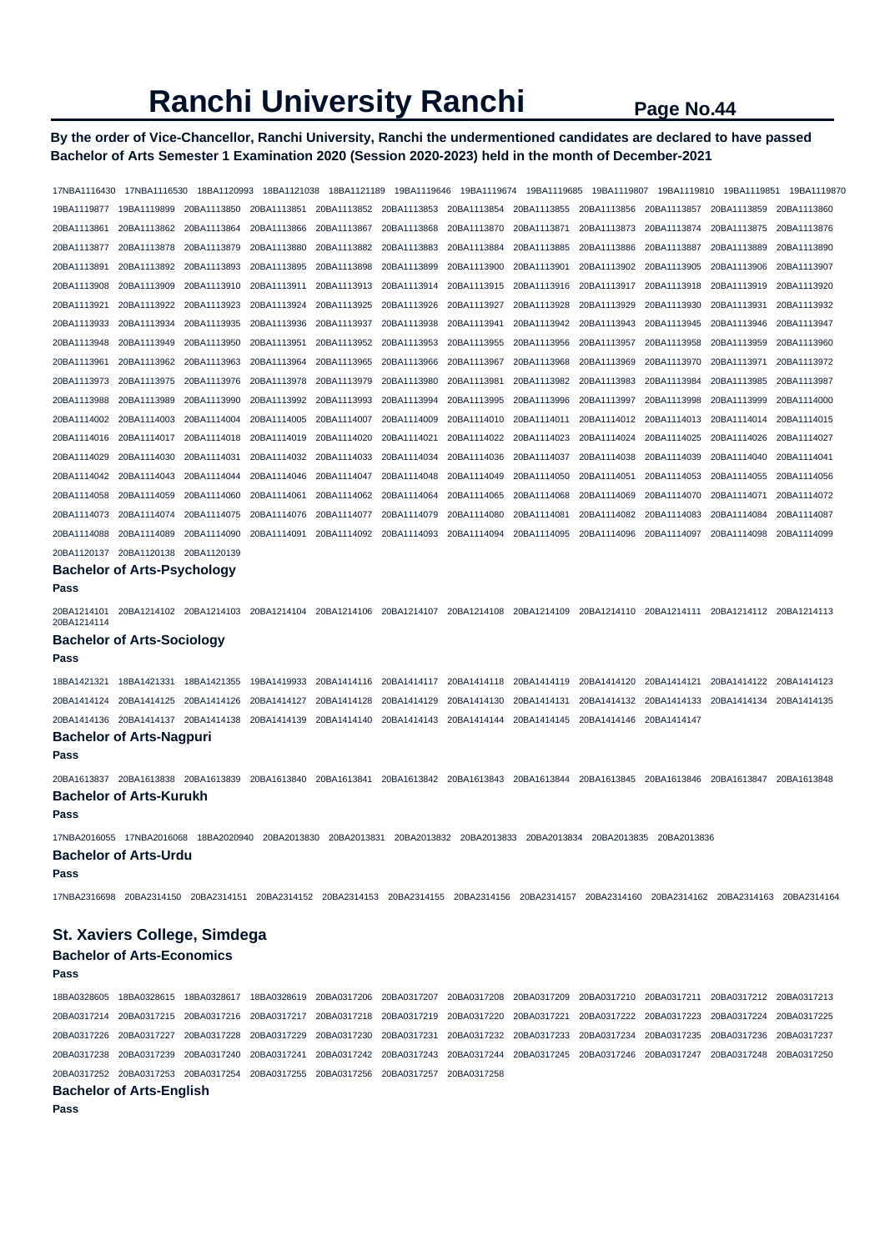# **By the order of Vice-Chancellor, Ranchi University, Ranchi the undermentioned candidates are declared to have passed Bachelor of Arts Semester 1 Examination 2020 (Session 2020-2023) held in the month of December-2021**

17NBA1116430 17NBA1116530 18BA1120993 18BA1121038 18BA1121189 19BA1119646 19BA1119674 19BA1119685 19BA1119807 19BA1119810 19BA1119851 19BA1119870 19BA1119877 19BA1119899 20BA1113850 20BA1113851 20BA1113852 20BA1113853 20BA1113854 20BA1113855 20BA1113856 20BA1113857 20BA1113859 20BA1113860 20BA1113861 20BA1113862 20BA1113864 20BA1113866 20BA1113867 20BA1113868 20BA1113870 20BA1113871 20BA1113873 20BA1113874 20BA1113875 20BA1113876 20BA1113877 20BA1113878 20BA1113879 20BA1113880 20BA1113882 20BA1113883 20BA1113884 20BA1113885 20BA1113886 20BA1113887 20BA1113889 20BA1113890 20BA1113891 20BA1113892 20BA1113893 20BA1113895 20BA1113898 20BA1113899 20BA1113900 20BA1113901 20BA1113902 20BA1113905 20BA1113906 20BA1113907 20BA1113908 20BA1113909 20BA1113910 20BA1113911 20BA1113913 20BA1113914 20BA1113915 20BA1113916 20BA1113917 20BA1113918 20BA1113919 20BA1113920 20BA1113921 20BA1113922 20BA1113923 20BA1113924 20BA1113925 20BA1113926 20BA1113927 20BA1113928 20BA1113929 20BA1113930 20BA1113931 20BA1113932 20BA1113933 20BA1113934 20BA1113935 20BA1113936 20BA1113937 20BA1113938 20BA1113941 20BA1113942 20BA1113943 20BA1113945 20BA1113946 20BA1113947 20BA1113948 20BA1113949 20BA1113950 20BA1113951 20BA1113952 20BA1113953 20BA1113955 20BA1113956 20BA1113957 20BA1113958 20BA1113959 20BA1113960 20BA1113961 20BA1113962 20BA1113963 20BA1113964 20BA1113965 20BA1113966 20BA1113967 20BA1113968 20BA1113969 20BA1113970 20BA1113971 20BA1113972 20BA1113973 20BA1113975 20BA1113976 20BA1113978 20BA1113979 20BA1113980 20BA1113981 20BA1113982 20BA1113983 20BA1113984 20BA1113985 20BA1113987 20BA1113988 20BA1113989 20BA1113990 20BA1113992 20BA1113993 20BA1113994 20BA1113995 20BA1113996 20BA1113997 20BA1113998 20BA1113999 20BA1114000 20BA1114002 20BA1114003 20BA1114004 20BA1114005 20BA1114007 20BA1114009 20BA1114010 20BA1114011 20BA1114012 20BA1114013 20BA1114014 20BA1114015 20BA1114016 20BA1114017 20BA1114018 20BA1114019 20BA1114020 20BA1114021 20BA1114022 20BA1114023 20BA1114024 20BA1114025 20BA1114026 20BA1114027 20BA1114029 20BA1114030 20BA1114031 20BA1114032 20BA1114033 20BA1114034 20BA1114036 20BA1114037 20BA1114038 20BA1114039 20BA1114040 20BA1114041 20BA1114042 20BA1114043 20BA1114044 20BA1114046 20BA1114047 20BA1114048 20BA1114049 20BA1114050 20BA1114051 20BA1114053 20BA1114055 20BA1114056 20BA1114058 20BA1114059 20BA1114060 20BA1114061 20BA1114062 20BA1114064 20BA1114065 20BA1114068 20BA1114069 20BA1114070 20BA1114071 20BA1114072 20BA1114073 20BA1114074 20BA1114075 20BA1114076 20BA1114077 20BA1114079 20BA1114080 20BA1114081 20BA1114082 20BA1114083 20BA1114084 20BA1114087 20BA1114088 20BA1114089 20BA1114090 20BA1114091 20BA1114092 20BA1114093 20BA1114094 20BA1114095 20BA1114096 20BA1114097 20BA1114098 20BA1114099 20BA1120137 20BA1120138 20BA1120139 **Bachelor of Arts-Psychology Pass**  20BA1214101 20BA1214102 20BA1214103 20BA1214104 20BA1214106 20BA1214107 20BA1214108 20BA1214109 20BA1214110 20BA1214111 20BA1214112 20BA1214113 20BA1214114 **Bachelor of Arts-Sociology Pass**  18BA1421321 18BA1421331 18BA1421355 19BA1419933 20BA1414116 20BA1414117 20BA1414118 20BA1414119 20BA1414120 20BA1414121 20BA1414122 20BA1414123 20BA1414124 20BA1414125 20BA1414126 20BA1414127 20BA1414128 20BA1414129 20BA1414130 20BA1414131 20BA1414132 20BA1414133 20BA1414134 20BA1414135 20BA1414136 20BA1414137 20BA1414138 20BA1414139 20BA1414140 20BA1414143 20BA1414144 20BA1414145 20BA1414146 20BA1414147 **Bachelor of Arts-Nagpuri Pass**  20BA1613837 20BA1613838 20BA1613839 20BA1613840 20BA1613841 20BA1613842 20BA1613843 20BA1613844 20BA1613845 20BA1613846 20BA1613847 20BA1613848 **Bachelor of Arts-Kurukh Pass**  17NBA2016055 17NBA2016068 18BA2020940 20BA2013830 20BA2013831 20BA2013832 20BA2013833 20BA2013834 20BA2013835 20BA2013836 **Bachelor of Arts-Urdu Pass**  17NBA2316698 20BA2314150 20BA2314151 20BA2314152 20BA2314153 20BA2314155 20BA2314156 20BA2314157 20BA2314160 20BA2314162 20BA2314163 20BA2314164 **St. Xaviers College, Simdega Bachelor of Arts-Economics Pass**  18BA0328605 18BA0328615 18BA0328617 18BA0328619 20BA0317206 20BA0317207 20BA0317208 20BA0317209 20BA0317210 20BA0317211 20BA0317212 20BA0317213 20BA0317214 20BA0317215 20BA0317216 20BA0317217 20BA0317218 20BA0317219 20BA0317220 20BA0317221 20BA0317222 20BA0317223 20BA0317224 20BA0317225 20BA0317226 20BA0317227 20BA0317228 20BA0317229 20BA0317230 20BA0317231 20BA0317232 20BA0317233 20BA0317234 20BA0317235 20BA0317236 20BA0317237

20BA0317238 20BA0317239 20BA0317240 20BA0317241 20BA0317242 20BA0317243 20BA0317244 20BA0317245 20BA0317246 20BA0317247 20BA0317248 20BA0317250

**Bachelor of Arts-English** 

20BA0317252 20BA0317253 20BA0317254 20BA0317255 20BA0317256 20BA0317257 20BA0317258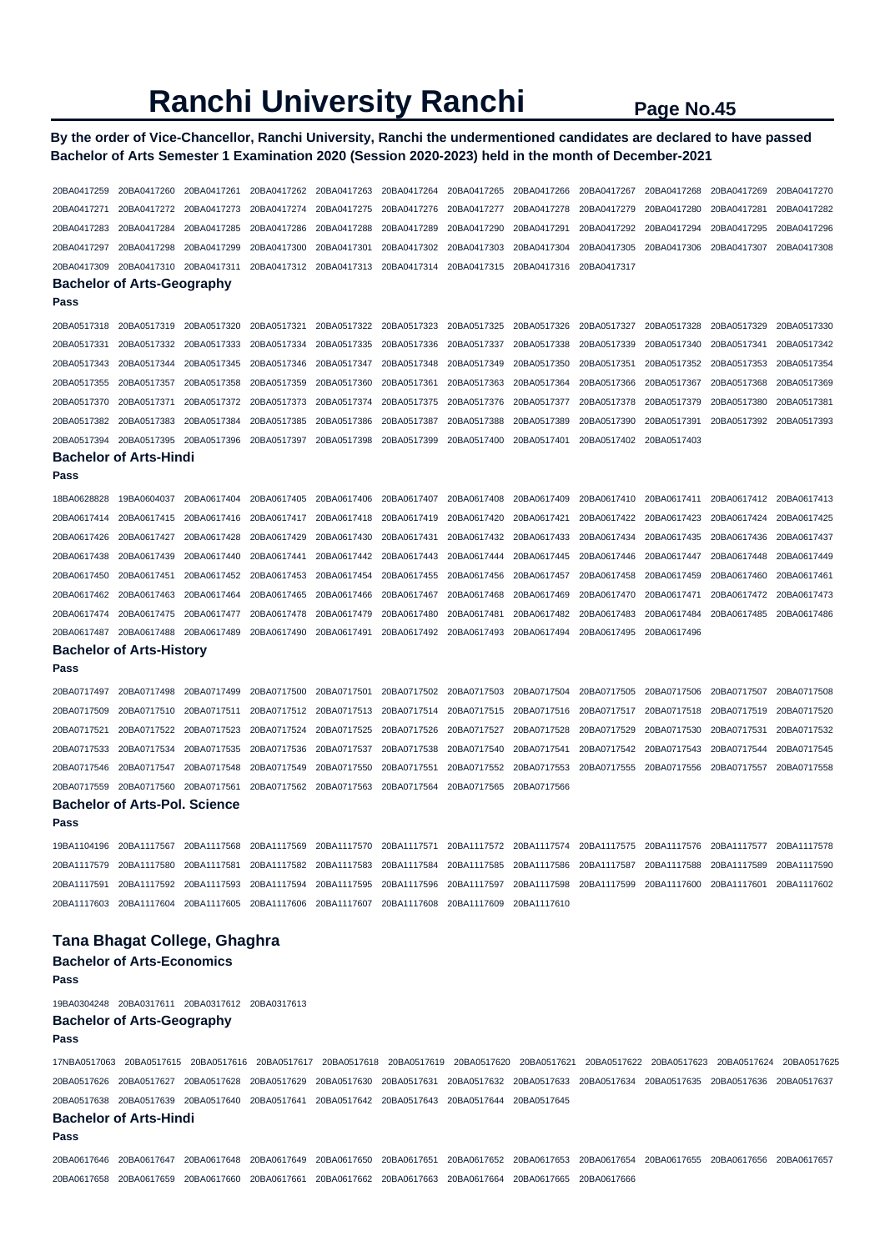# **By the order of Vice-Chancellor, Ranchi University, Ranchi the undermentioned candidates are declared to have passed Bachelor of Arts Semester 1 Examination 2020 (Session 2020-2023) held in the month of December-2021**

| 20BA0417259                  | 20BA0417260                                                                                                                                     | 20BA0417261 | 20BA0417262 | 20BA0417263 | 20BA0417264 | 20BA0417265 | 20BA0417266             | 20BA0417267 | 20BA0417268 | 20BA0417269             | 20BA0417270 |
|------------------------------|-------------------------------------------------------------------------------------------------------------------------------------------------|-------------|-------------|-------------|-------------|-------------|-------------------------|-------------|-------------|-------------------------|-------------|
| 20BA0417271                  | 20BA0417272                                                                                                                                     | 20BA0417273 | 20BA0417274 | 20BA0417275 | 20BA0417276 | 20BA0417277 | 20BA0417278             | 20BA0417279 | 20BA0417280 | 20BA0417281             | 20BA0417282 |
| 20BA0417283                  | 20BA0417284                                                                                                                                     | 20BA0417285 | 20BA0417286 | 20BA0417288 | 20BA0417289 | 20BA0417290 | 20BA0417291             | 20BA0417292 | 20BA0417294 | 20BA0417295             | 20BA0417296 |
| 20BA0417297                  | 20BA0417298                                                                                                                                     | 20BA0417299 | 20BA0417300 | 20BA0417301 | 20BA0417302 | 20BA0417303 | 20BA0417304             | 20BA0417305 | 20BA0417306 | 20BA0417307             | 20BA0417308 |
| 20BA0417309                  | 20BA0417310                                                                                                                                     | 20BA0417311 | 20BA0417312 | 20BA0417313 | 20BA0417314 | 20BA0417315 | 20BA0417316             | 20BA0417317 |             |                         |             |
|                              | <b>Bachelor of Arts-Geography</b>                                                                                                               |             |             |             |             |             |                         |             |             |                         |             |
| Pass                         |                                                                                                                                                 |             |             |             |             |             |                         |             |             |                         |             |
| 20BA0517318                  | 20BA0517319                                                                                                                                     | 20BA0517320 | 20BA0517321 | 20BA0517322 | 20BA0517323 | 20BA0517325 | 20BA0517326             | 20BA0517327 | 20BA0517328 | 20BA0517329             | 20BA0517330 |
| 20BA0517331                  | 20BA0517332                                                                                                                                     | 20BA0517333 | 20BA0517334 | 20BA0517335 | 20BA0517336 | 20BA0517337 | 20BA0517338             | 20BA0517339 | 20BA0517340 | 20BA0517341             | 20BA0517342 |
| 20BA0517343                  | 20BA0517344                                                                                                                                     | 20BA0517345 | 20BA0517346 | 20BA0517347 | 20BA0517348 | 20BA0517349 | 20BA0517350             | 20BA0517351 | 20BA0517352 | 20BA0517353             | 20BA0517354 |
| 20BA0517355                  | 20BA0517357                                                                                                                                     | 20BA0517358 | 20BA0517359 | 20BA0517360 | 20BA0517361 | 20BA0517363 | 20BA0517364             | 20BA0517366 | 20BA0517367 | 20BA0517368             | 20BA0517369 |
| 20BA0517370                  | 20BA0517371                                                                                                                                     | 20BA0517372 | 20BA0517373 | 20BA0517374 | 20BA0517375 | 20BA0517376 | 20BA0517377             | 20BA0517378 | 20BA0517379 | 20BA0517380             | 20BA0517381 |
| 20BA0517382                  | 20BA0517383                                                                                                                                     | 20BA0517384 | 20BA0517385 | 20BA0517386 | 20BA0517387 | 20BA0517388 | 20BA0517389             | 20BA0517390 | 20BA0517391 | 20BA0517392             | 20BA0517393 |
| 20BA0517394                  | 20BA0517395                                                                                                                                     | 20BA0517396 | 20BA0517397 | 20BA0517398 | 20BA0517399 | 20BA0517400 | 20BA0517401             | 20BA0517402 | 20BA0517403 |                         |             |
|                              | <b>Bachelor of Arts-Hindi</b>                                                                                                                   |             |             |             |             |             |                         |             |             |                         |             |
| Pass                         |                                                                                                                                                 |             |             |             |             |             |                         |             |             |                         |             |
| 18BA0628828                  | 19BA0604037                                                                                                                                     | 20BA0617404 | 20BA0617405 | 20BA0617406 | 20BA0617407 | 20BA0617408 | 20BA0617409             | 20BA0617410 | 20BA0617411 | 20BA0617412             | 20BA0617413 |
| 20BA0617414                  | 20BA0617415                                                                                                                                     | 20BA0617416 | 20BA0617417 | 20BA0617418 | 20BA0617419 | 20BA0617420 | 20BA0617421             | 20BA0617422 | 20BA0617423 | 20BA0617424             | 20BA0617425 |
| 20BA0617426                  | 20BA0617427                                                                                                                                     | 20BA0617428 | 20BA0617429 | 20BA0617430 | 20BA0617431 | 20BA0617432 | 20BA0617433             | 20BA0617434 | 20BA0617435 | 20BA0617436             | 20BA0617437 |
| 20BA0617438                  | 20BA0617439                                                                                                                                     | 20BA0617440 | 20BA0617441 | 20BA0617442 | 20BA0617443 | 20BA0617444 | 20BA0617445             | 20BA0617446 | 20BA0617447 | 20BA0617448             | 20BA0617449 |
| 20BA0617450                  | 20BA0617451                                                                                                                                     | 20BA0617452 | 20BA0617453 | 20BA0617454 | 20BA0617455 | 20BA0617456 | 20BA0617457             | 20BA0617458 | 20BA0617459 | 20BA0617460             | 20BA0617461 |
| 20BA0617462                  | 20BA0617463                                                                                                                                     | 20BA0617464 | 20BA0617465 | 20BA0617466 | 20BA0617467 | 20BA0617468 | 20BA0617469             | 20BA0617470 | 20BA0617471 | 20BA0617472             | 20BA0617473 |
| 20BA0617474                  | 20BA0617475                                                                                                                                     | 20BA0617477 | 20BA0617478 | 20BA0617479 | 20BA0617480 | 20BA0617481 | 20BA0617482             | 20BA0617483 | 20BA0617484 | 20BA0617485             | 20BA0617486 |
| 20BA0617487                  | 20BA0617488                                                                                                                                     | 20BA0617489 | 20BA0617490 | 20BA0617491 | 20BA0617492 | 20BA0617493 | 20BA0617494             | 20BA0617495 | 20BA0617496 |                         |             |
|                              | <b>Bachelor of Arts-History</b>                                                                                                                 |             |             |             |             |             |                         |             |             |                         |             |
| Pass                         |                                                                                                                                                 |             |             |             |             |             |                         |             |             |                         |             |
| 20BA0717497                  | 20BA0717498                                                                                                                                     | 20BA0717499 | 20BA0717500 | 20BA0717501 | 20BA0717502 | 20BA0717503 | 20BA0717504             | 20BA0717505 | 20BA0717506 | 20BA0717507             | 20BA0717508 |
| 20BA0717509                  | 20BA0717510                                                                                                                                     | 20BA0717511 | 20BA0717512 | 20BA0717513 | 20BA0717514 | 20BA0717515 | 20BA0717516             | 20BA0717517 | 20BA0717518 | 20BA0717519             | 20BA0717520 |
| 20BA0717521                  | 20BA0717522                                                                                                                                     | 20BA0717523 | 20BA0717524 | 20BA0717525 | 20BA0717526 | 20BA0717527 | 20BA0717528             | 20BA0717529 | 20BA0717530 | 20BA0717531             | 20BA0717532 |
| 20BA0717533                  | 20BA0717534                                                                                                                                     | 20BA0717535 | 20BA0717536 | 20BA0717537 | 20BA0717538 | 20BA0717540 | 20BA0717541             | 20BA0717542 | 20BA0717543 | 20BA0717544             | 20BA0717545 |
| 20BA0717546                  | 20BA0717547                                                                                                                                     | 20BA0717548 | 20BA0717549 | 20BA0717550 | 20BA0717551 | 20BA0717552 | 20BA0717553             | 20BA0717555 | 20BA0717556 | 20BA0717557             | 20BA0717558 |
| 20BA0717559                  | 20BA0717560                                                                                                                                     | 20BA0717561 | 20BA0717562 | 20BA0717563 | 20BA0717564 | 20BA0717565 | 20BA0717566             |             |             |                         |             |
|                              | <b>Bachelor of Arts-Pol. Science</b>                                                                                                            |             |             |             |             |             |                         |             |             |                         |             |
| Pass                         |                                                                                                                                                 |             |             |             |             |             |                         |             |             |                         |             |
| 19BA1104196                  | 20BA1117567                                                                                                                                     | 20BA1117568 | 20BA1117569 | 20BA1117570 | 20BA1117571 |             | 20BA1117572 20BA1117574 | 20BA1117575 | 20BA1117576 | 20BA1117577             | 20BA1117578 |
|                              | 20BA1117579 20BA1117580 20BA1117581 20BA1117582 20BA1117583 20BA1117584 20BA1117585 20BA1117586 20BA1117587 20BA1117588                         |             |             |             |             |             |                         |             |             | 20BA1117589 20BA1117590 |             |
|                              | 20BA1117591 20BA1117592 20BA1117593 20BA1117594 20BA1117595 20BA1117596 20BA1117597 20BA1117598 20BA1117599 20BA1117600 20BA1117601 20BA1117602 |             |             |             |             |             |                         |             |             |                         |             |
|                              | 20BA1117603 20BA1117604 20BA1117605 20BA1117606 20BA1117607 20BA1117608 20BA1117609 20BA1117610                                                 |             |             |             |             |             |                         |             |             |                         |             |
|                              |                                                                                                                                                 |             |             |             |             |             |                         |             |             |                         |             |
| Tana Bhagat College, Ghaghra |                                                                                                                                                 |             |             |             |             |             |                         |             |             |                         |             |
|                              | <b>Bachelor of Arts-Economics</b>                                                                                                               |             |             |             |             |             |                         |             |             |                         |             |

**Pass** 

19BA0304248 20BA0317611 20BA0317612 20BA0317613

#### **Bachelor of Arts-Geography**

#### **Pass**

17NBA0517063 20BA0517615 20BA0517616 20BA0517617 20BA0517618 20BA0517619 20BA0517620 20BA0517621 20BA0517622 20BA0517623 20BA0517624 20BA0517625 20BA0517626 20BA0517627 20BA0517628 20BA0517629 20BA0517630 20BA0517631 20BA0517632 20BA0517633 20BA0517634 20BA0517635 20BA0517636 20BA0517637 20BA0517638 20BA0517639 20BA0517640 20BA0517641 20BA0517642 20BA0517643 20BA0517644 20BA0517645

#### **Bachelor of Arts-Hindi**

**Pass** 

20BA0617646 20BA0617647 20BA0617648 20BA0617649 20BA0617650 20BA0617651 20BA0617652 20BA0617653 20BA0617654 20BA0617655 20BA0617656 20BA0617657 20BA0617658 20BA0617659 20BA0617660 20BA0617661 20BA0617662 20BA0617663 20BA0617664 20BA0617665 20BA0617666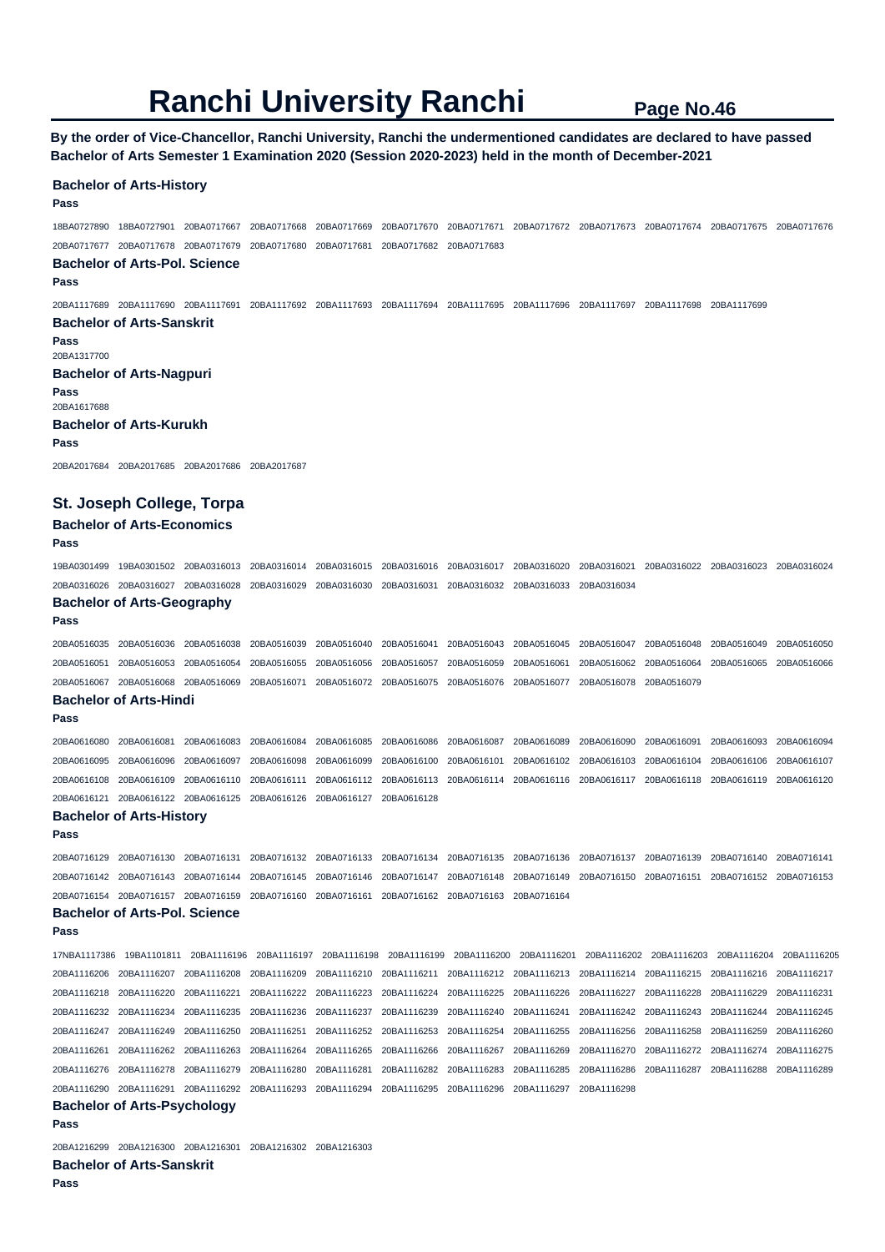**By the order of Vice-Chancellor, Ranchi University, Ranchi the undermentioned candidates are declared to have passed Bachelor of Arts Semester 1 Examination 2020 (Session 2020-2023) held in the month of December-2021** 

#### **Bachelor of Arts-History**

#### **Pass**

18BA0727890 18BA0727901 20BA0717667 20BA0717668 20BA0717669 20BA0717670 20BA0717671 20BA0717672 20BA0717673 20BA0717674 20BA0717675 20BA0717676 20BA0717677 20BA0717678 20BA0717679 20BA0717680 20BA0717681 20BA0717682 20BA0717683

#### **Bachelor of Arts-Pol. Science**

**Pass** 

20BA1117689 20BA1117690 20BA1117691 20BA1117692 20BA1117693 20BA1117694 20BA1117695 20BA1117696 20BA1117697 20BA1117698 20BA1117699 **Bachelor of Arts-Sanskrit** 

### **Pass**  20BA1317700

**Bachelor of Arts-Nagpuri** 

**Pass**  20BA1617688 **Bachelor of Arts-Kurukh** 

#### **Pass**

20BA2017684 20BA2017685 20BA2017686 20BA2017687

### **St. Joseph College, Torpa**

# **Bachelor of Arts-Economics**

### **Pass**

**Pass** 

19BA0301499 19BA0301502 20BA0316013 20BA0316014 20BA0316015 20BA0316016 20BA0316017 20BA0316020 20BA0316021 20BA0316022 20BA0316023 20BA0316024 20BA0316026 20BA0316027 20BA0316028 20BA0316029 20BA0316030 20BA0316031 20BA0316032 20BA0316033 20BA0316034

# **Bachelor of Arts-Geography**

20BA0516035 20BA0516036 20BA0516038 20BA0516039 20BA0516040 20BA0516041 20BA0516043 20BA0516045 20BA0516047 20BA0516048 20BA0516049 20BA0516050 20BA0516051 20BA0516053 20BA0516054 20BA0516055 20BA0516056 20BA0516057 20BA0516059 20BA0516061 20BA0516062 20BA0516064 20BA0516065 20BA0516066 20BA0516067 20BA0516068 20BA0516069 20BA0516071 20BA0516072 20BA0516075 20BA0516076 20BA0516077 20BA0516078 20BA0516079

# **Bachelor of Arts-Hindi**

**Pass** 

20BA0616080 20BA0616081 20BA0616083 20BA0616084 20BA0616085 20BA0616086 20BA0616087 20BA0616089 20BA0616090 20BA0616091 20BA0616093 20BA0616094 20BA0616095 20BA0616096 20BA0616097 20BA0616098 20BA0616099 20BA0616100 20BA0616101 20BA0616102 20BA0616103 20BA0616104 20BA0616106 20BA0616107 20BA0616108 20BA0616109 20BA0616110 20BA0616111 20BA0616112 20BA0616113 20BA0616114 20BA0616116 20BA0616117 20BA0616118 20BA0616119 20BA0616120 20BA0616121 20BA0616122 20BA0616125 20BA0616126 20BA0616127 20BA0616128

# **Bachelor of Arts-History**

20BA0716129 20BA0716130 20BA0716131 20BA0716132 20BA0716133 20BA0716134 20BA0716135 20BA0716136 20BA0716137 20BA0716139 20BA0716140 20BA0716141 20BA0716142 20BA0716143 20BA0716144 20BA0716145 20BA0716146 20BA0716147 20BA0716148 20BA0716149 20BA0716150 20BA0716151 20BA0716152 20BA0716153 20BA0716154 20BA0716157 20BA0716159 20BA0716160 20BA0716161 20BA0716162 20BA0716163 20BA0716164

# **Bachelor of Arts-Pol. Science**

**Pass** 

**Pass** 

17NBA1117386 19BA1101811 20BA1116196 20BA1116197 20BA1116198 20BA1116199 20BA1116200 20BA1116201 20BA1116202 20BA1116203 20BA1116204 20BA1116205 20BA1116206 20BA1116207 20BA1116208 20BA1116209 20BA1116210 20BA1116211 20BA1116212 20BA1116213 20BA1116214 20BA1116215 20BA1116216 20BA1116217 20BA1116218 20BA1116220 20BA1116221 20BA1116222 20BA1116223 20BA1116224 20BA1116225 20BA1116226 20BA1116227 20BA1116228 20BA1116229 20BA1116231 20BA1116232 20BA1116234 20BA1116235 20BA1116236 20BA1116237 20BA1116239 20BA1116240 20BA1116241 20BA1116242 20BA1116243 20BA1116244 20BA1116245 20BA1116247 20BA1116249 20BA1116250 20BA1116251 20BA1116252 20BA1116253 20BA1116254 20BA1116255 20BA1116256 20BA1116258 20BA1116259 20BA1116260 20BA1116261 20BA1116262 20BA1116263 20BA1116264 20BA1116265 20BA1116266 20BA1116267 20BA1116269 20BA1116270 20BA1116272 20BA1116274 20BA1116275 20BA1116276 20BA1116278 20BA1116279 20BA1116280 20BA1116281 20BA1116282 20BA1116283 20BA1116285 20BA1116286 20BA1116287 20BA1116288 20BA1116289 20BA1116290 20BA1116291 20BA1116292 20BA1116293 20BA1116294 20BA1116295 20BA1116296 20BA1116297 20BA1116298

# **Bachelor of Arts-Psychology**

#### **Pass**

20BA1216299 20BA1216300 20BA1216301 20BA1216302 20BA1216303

**Bachelor of Arts-Sanskrit**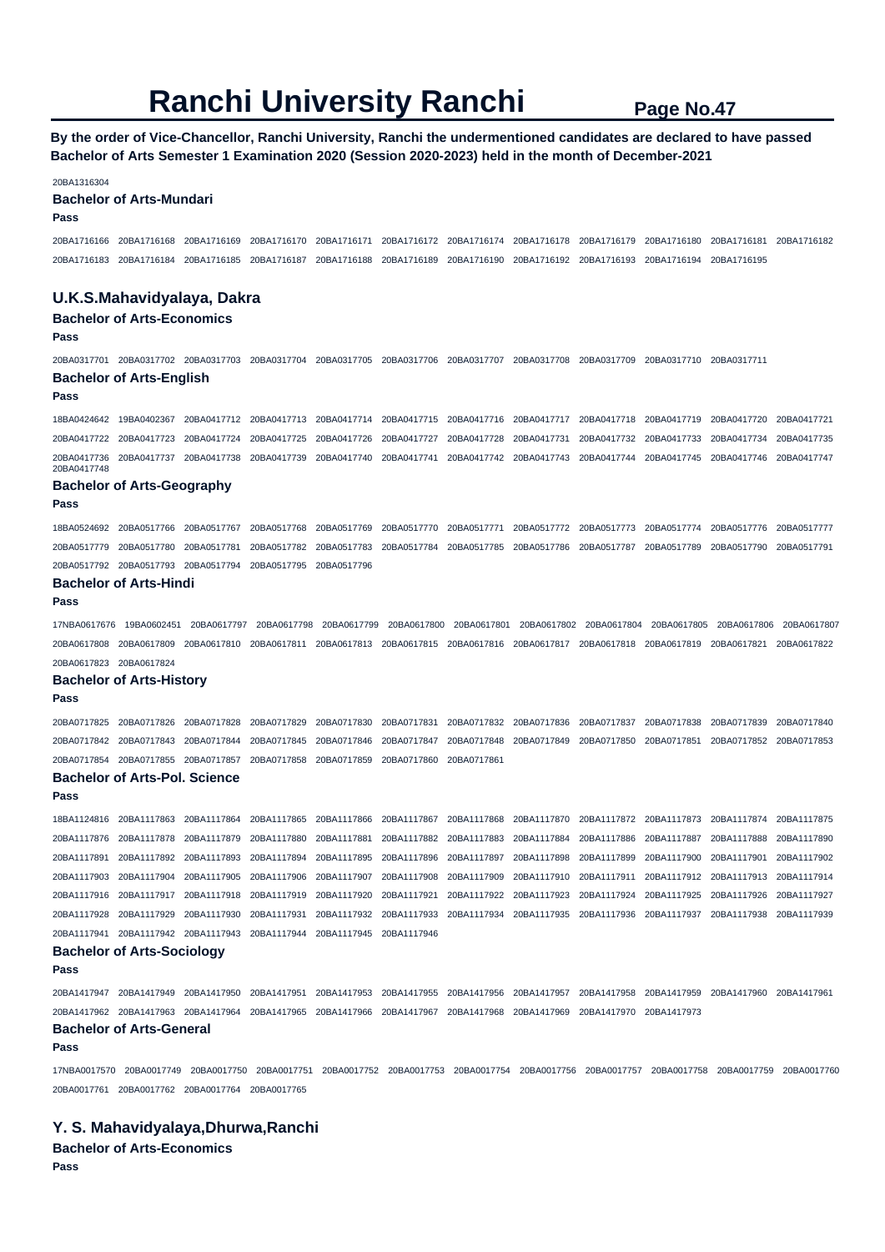**By the order of Vice-Chancellor, Ranchi University, Ranchi the undermentioned candidates are declared to have passed Bachelor of Arts Semester 1 Examination 2020 (Session 2020-2023) held in the month of December-2021** 

20BA1316304

#### **Bachelor of Arts-Mundari**

### **Pass**

20BA1716166 20BA1716168 20BA1716169 20BA1716170 20BA1716171 20BA1716172 20BA1716174 20BA1716178 20BA1716179 20BA1716180 20BA1716181 20BA1716182 20BA1716183 20BA1716184 20BA1716185 20BA1716187 20BA1716188 20BA1716189 20BA1716190 20BA1716192 20BA1716193 20BA1716194 20BA1716195

#### **U.K.S.Mahavidyalaya, Dakra**

#### **Bachelor of Arts-Economics**

#### **Pass**

20BA0317701 20BA0317702 20BA0317703 20BA0317704 20BA0317705 20BA0317706 20BA0317707 20BA0317708 20BA0317709 20BA0317710 20BA0317711 **Bachelor of Arts-English** 

#### **Pass**

18BA0424642 19BA0402367 20BA0417712 20BA0417713 20BA0417714 20BA0417715 20BA0417716 20BA0417717 20BA0417718 20BA0417719 20BA0417720 20BA0417721 20BA0417722 20BA0417723 20BA0417724 20BA0417725 20BA0417726 20BA0417727 20BA0417728 20BA0417731 20BA0417732 20BA0417733 20BA0417734 20BA0417735 20BA0417736 20BA0417737 20BA0417738 20BA0417739 20BA0417740 20BA0417741 20BA0417742 20BA0417743 20BA0417744 20BA0417745 20BA0417746 20BA0417747 20BA0417748

### **Bachelor of Arts-Geography**

**Pass** 

18BA0524692 20BA0517766 20BA0517767 20BA0517768 20BA0517769 20BA0517770 20BA0517771 20BA0517772 20BA0517773 20BA0517774 20BA0517776 20BA0517777 20BA0517779 20BA0517780 20BA0517781 20BA0517782 20BA0517783 20BA0517784 20BA0517785 20BA0517786 20BA0517787 20BA0517789 20BA0517790 20BA0517791 20BA0517792 20BA0517793 20BA0517794 20BA0517795 20BA0517796

#### **Bachelor of Arts-Hindi**

**Pass** 

17NBA0617676 19BA0602451 20BA0617797 20BA0617798 20BA0617799 20BA0617800 20BA0617801 20BA0617802 20BA0617804 20BA0617805 20BA0617806 20BA0617807 20BA0617808 20BA0617809 20BA0617810 20BA0617811 20BA0617813 20BA0617815 20BA0617816 20BA0617817 20BA0617818 20BA0617819 20BA0617821 20BA0617822 20BA0617823 20BA0617824

#### **Bachelor of Arts-History**

**Pass** 

20BA0717825 20BA0717826 20BA0717828 20BA0717829 20BA0717830 20BA0717831 20BA0717832 20BA0717836 20BA0717837 20BA0717838 20BA0717839 20BA0717840 20BA0717842 20BA0717843 20BA0717844 20BA0717845 20BA0717846 20BA0717847 20BA0717848 20BA0717849 20BA0717850 20BA0717851 20BA0717852 20BA0717853 20BA0717854 20BA0717855 20BA0717857 20BA0717858 20BA0717859 20BA0717860 20BA0717861

### **Bachelor of Arts-Pol. Science**

**Pass** 

18BA1124816 20BA1117863 20BA1117864 20BA1117865 20BA1117866 20BA1117867 20BA1117868 20BA1117870 20BA1117872 20BA1117873 20BA1117874 20BA1117875 20BA1117876 20BA1117878 20BA1117879 20BA1117880 20BA1117881 20BA1117882 20BA1117883 20BA1117884 20BA1117886 20BA1117887 20BA1117888 20BA1117890 20BA1117891 20BA1117892 20BA1117893 20BA1117894 20BA1117895 20BA1117896 20BA1117897 20BA1117898 20BA1117899 20BA1117900 20BA1117901 20BA1117902 20BA1117903 20BA1117904 20BA1117905 20BA1117906 20BA1117907 20BA1117908 20BA1117909 20BA1117910 20BA1117911 20BA1117912 20BA1117913 20BA1117914 20BA1117916 20BA1117917 20BA1117918 20BA1117919 20BA1117920 20BA1117921 20BA1117922 20BA1117923 20BA1117924 20BA1117925 20BA1117926 20BA1117927 20BA1117928 20BA1117929 20BA1117930 20BA1117931 20BA1117932 20BA1117933 20BA1117934 20BA1117935 20BA1117936 20BA1117937 20BA1117938 20BA1117939 20BA1117941 20BA1117942 20BA1117943 20BA1117944 20BA1117945 20BA1117946

# **Bachelor of Arts-Sociology**

**Pass** 

20BA1417947 20BA1417949 20BA1417950 20BA1417951 20BA1417953 20BA1417955 20BA1417956 20BA1417957 20BA1417958 20BA1417959 20BA1417960 20BA1417961 20BA1417962 20BA1417963 20BA1417964 20BA1417965 20BA1417966 20BA1417967 20BA1417968 20BA1417969 20BA1417970 20BA1417973

#### **Bachelor of Arts-General Pass**

17NBA0017570 20BA0017749 20BA0017750 20BA0017751 20BA0017752 20BA0017753 20BA0017754 20BA0017756 20BA0017757 20BA0017758 20BA0017759 20BA0017760 20BA0017761 20BA0017762 20BA0017764 20BA0017765

### **Y. S. Mahavidyalaya,Dhurwa,Ranchi**

**Bachelor of Arts-Economics**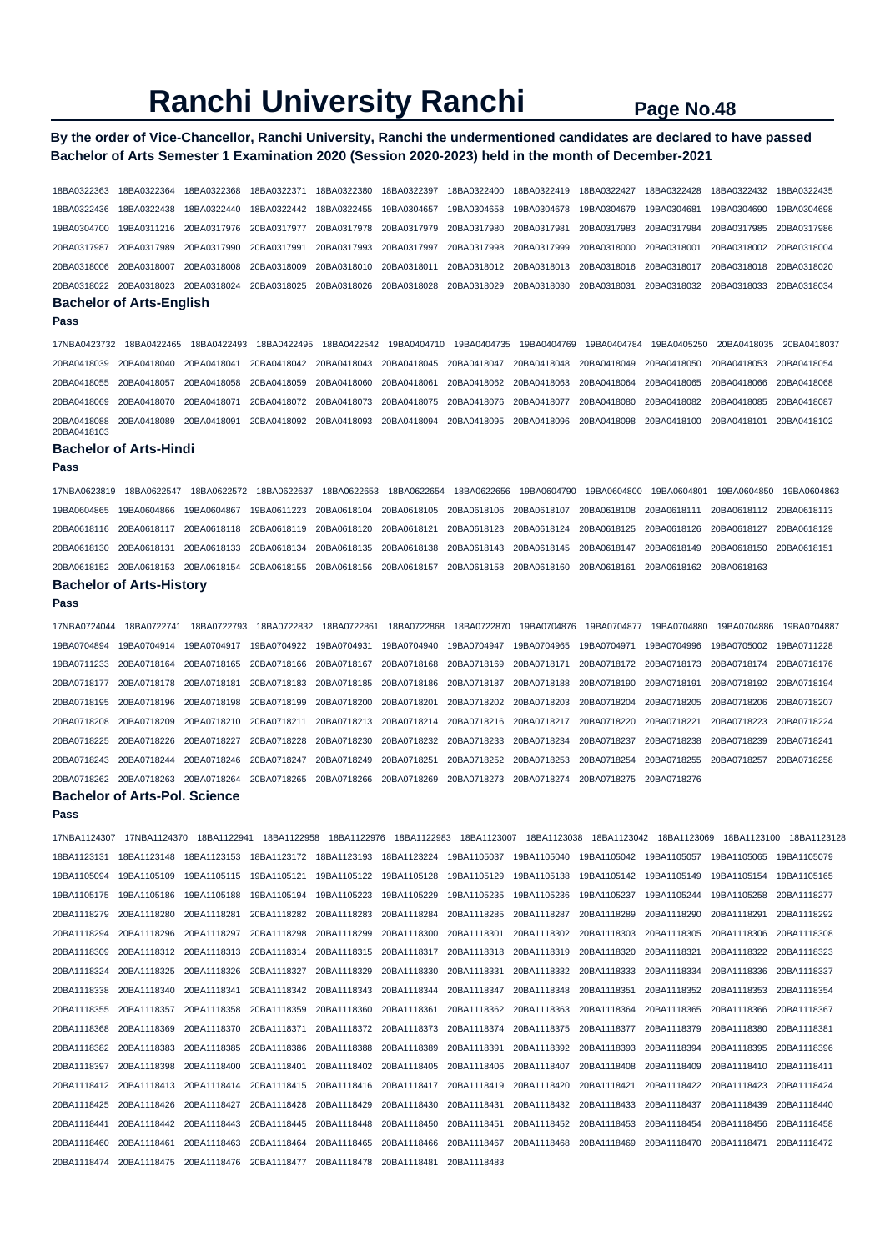## **By the order of Vice-Chancellor, Ranchi University, Ranchi the undermentioned candidates are declared to have passed Bachelor of Arts Semester 1 Examination 2020 (Session 2020-2023) held in the month of December-2021**

18BA0322363 18BA0322364 18BA0322368 18BA0322371 18BA0322380 18BA0322397 18BA0322400 18BA0322419 18BA0322427 18BA0322428 18BA0322432 18BA0322435 18BA0322436 18BA0322438 18BA0322440 18BA0322442 18BA0322455 19BA0304657 19BA0304658 19BA0304678 19BA0304679 19BA0304681 19BA0304690 19BA0304698 19BA0304700 19BA0311216 20BA0317976 20BA0317977 20BA0317978 20BA0317979 20BA0317980 20BA0317981 20BA0317983 20BA0317984 20BA0317985 20BA0317986 20BA0317987 20BA0317989 20BA0317990 20BA0317991 20BA0317993 20BA0317997 20BA0317998 20BA0317999 20BA0318000 20BA0318001 20BA0318002 20BA0318004 20BA0318006 20BA0318007 20BA0318008 20BA0318009 20BA0318010 20BA0318011 20BA0318012 20BA0318013 20BA0318016 20BA0318017 20BA0318018 20BA0318020 20BA0318022 20BA0318023 20BA0318024 20BA0318025 20BA0318026 20BA0318028 20BA0318029 20BA0318030 20BA0318031 20BA0318032 20BA0318033 20BA0318034 **Bachelor of Arts-English** 

#### **Pass**

17NBA0423732 18BA0422465 18BA0422493 18BA0422495 18BA0422542 19BA0404710 19BA0404735 19BA0404769 19BA0404784 19BA0405250 20BA0418035 20BA0418037 20BA0418039 20BA0418040 20BA0418041 20BA0418042 20BA0418043 20BA0418045 20BA0418047 20BA0418048 20BA0418049 20BA0418050 20BA0418053 20BA0418054 20BA0418055 20BA0418057 20BA0418058 20BA0418059 20BA0418060 20BA0418061 20BA0418062 20BA0418063 20BA0418064 20BA0418065 20BA0418066 20BA0418068 20BA0418069 20BA0418070 20BA0418071 20BA0418072 20BA0418073 20BA0418075 20BA0418076 20BA0418077 20BA0418080 20BA0418082 20BA0418085 20BA0418087 20BA0418088 20BA0418089 20BA0418091 20BA0418092 20BA0418093 20BA0418094 20BA0418095 20BA0418096 20BA0418098 20BA0418100 20BA0418101 20BA0418102 20BA0418103

#### **Bachelor of Arts-Hindi**

**Pass** 

17NBA0623819 18BA0622547 18BA0622572 18BA0622637 18BA0622653 18BA0622654 18BA0622656 19BA0604790 19BA0604800 19BA0604801 19BA0604850 19BA0604863 19BA0604865 19BA0604866 19BA0604867 19BA0611223 20BA0618104 20BA0618105 20BA0618106 20BA0618107 20BA0618108 20BA0618111 20BA0618112 20BA0618113 20BA0618116 20BA0618117 20BA0618118 20BA0618119 20BA0618120 20BA0618121 20BA0618123 20BA0618124 20BA0618125 20BA0618126 20BA0618127 20BA0618129 20BA0618130 20BA0618131 20BA0618133 20BA0618134 20BA0618135 20BA0618138 20BA0618143 20BA0618145 20BA0618147 20BA0618149 20BA0618150 20BA0618151 20BA0618152 20BA0618153 20BA0618154 20BA0618155 20BA0618156 20BA0618157 20BA0618158 20BA0618160 20BA0618161 20BA0618162 20BA0618163

#### **Bachelor of Arts-History**

**Pass** 

17NBA0724044 18BA0722741 18BA0722793 18BA0722832 18BA0722861 18BA0722868 18BA0722870 19BA0704876 19BA0704877 19BA0704880 19BA0704886 19BA0704887 19BA0704894 19BA0704914 19BA0704917 19BA0704922 19BA0704931 19BA0704940 19BA0704947 19BA0704965 19BA0704971 19BA0704996 19BA0705002 19BA0711228 19BA0711233 20BA0718164 20BA0718165 20BA0718166 20BA0718167 20BA0718168 20BA0718169 20BA0718171 20BA0718172 20BA0718173 20BA0718174 20BA0718176 20BA0718177 20BA0718178 20BA0718181 20BA0718183 20BA0718185 20BA0718186 20BA0718187 20BA0718188 20BA0718190 20BA0718191 20BA0718192 20BA0718194 20BA0718195 20BA0718196 20BA0718198 20BA0718199 20BA0718200 20BA0718201 20BA0718202 20BA0718203 20BA0718204 20BA0718205 20BA0718206 20BA0718207 20BA0718208 20BA0718209 20BA0718210 20BA0718211 20BA0718213 20BA0718214 20BA0718216 20BA0718217 20BA0718220 20BA0718221 20BA0718223 20BA0718224 20BA0718225 20BA0718226 20BA0718227 20BA0718228 20BA0718230 20BA0718232 20BA0718233 20BA0718234 20BA0718237 20BA0718238 20BA0718239 20BA0718241 20BA0718243 20BA0718244 20BA0718246 20BA0718247 20BA0718249 20BA0718251 20BA0718252 20BA0718253 20BA0718254 20BA0718255 20BA0718257 20BA0718258 20BA0718262 20BA0718263 20BA0718264 20BA0718265 20BA0718266 20BA0718269 20BA0718273 20BA0718274 20BA0718275 20BA0718276

#### **Bachelor of Arts-Pol. Science**

**Pass** 

17NBA1124307 17NBA1124370 18BA1122941 18BA1122958 18BA1122976 18BA1122983 18BA1123007 18BA1123038 18BA1123042 18BA1123069 18BA1123100 18BA1123128 18BA1123131 18BA1123148 18BA1123153 18BA1123172 18BA1123193 18BA1123224 19BA1105037 19BA1105040 19BA1105042 19BA1105057 19BA1105065 19BA1105079 19BA1105094 19BA1105109 19BA1105115 19BA1105121 19BA1105122 19BA1105128 19BA1105129 19BA1105138 19BA1105142 19BA1105149 19BA1105154 19BA1105165 19BA1105175 19BA1105186 19BA1105188 19BA1105194 19BA1105223 19BA1105229 19BA1105235 19BA1105236 19BA1105237 19BA1105244 19BA1105258 20BA1118277 20BA1118279 20BA1118280 20BA1118281 20BA1118282 20BA1118283 20BA1118284 20BA1118285 20BA1118287 20BA1118289 20BA1118290 20BA1118291 20BA1118292 20BA1118294 20BA1118296 20BA1118297 20BA1118298 20BA1118299 20BA1118300 20BA1118301 20BA1118302 20BA1118303 20BA1118305 20BA1118306 20BA1118308 20BA1118309 20BA1118312 20BA1118313 20BA1118314 20BA1118315 20BA1118317 20BA1118318 20BA1118319 20BA1118320 20BA1118321 20BA1118322 20BA1118323 20BA1118324 20BA1118325 20BA1118326 20BA1118327 20BA1118329 20BA1118330 20BA1118331 20BA1118332 20BA1118333 20BA1118334 20BA1118336 20BA1118337 20BA1118338 20BA1118340 20BA1118341 20BA1118342 20BA1118343 20BA1118344 20BA1118347 20BA1118348 20BA1118351 20BA1118352 20BA1118353 20BA1118354 20BA1118355 20BA1118357 20BA1118358 20BA1118359 20BA1118360 20BA1118361 20BA1118362 20BA1118363 20BA1118364 20BA1118365 20BA1118366 20BA1118367 20BA1118368 20BA1118369 20BA1118370 20BA1118371 20BA1118372 20BA1118373 20BA1118374 20BA1118375 20BA1118377 20BA1118379 20BA1118380 20BA1118381 20BA1118382 20BA1118383 20BA1118385 20BA1118386 20BA1118388 20BA1118389 20BA1118391 20BA1118392 20BA1118393 20BA1118394 20BA1118395 20BA1118396 20BA1118397 20BA1118398 20BA1118400 20BA1118401 20BA1118402 20BA1118405 20BA1118406 20BA1118407 20BA1118408 20BA1118409 20BA1118410 20BA1118411 20BA1118412 20BA1118413 20BA1118414 20BA1118415 20BA1118416 20BA1118417 20BA1118419 20BA1118420 20BA1118421 20BA1118422 20BA1118423 20BA1118424 20BA1118425 20BA1118426 20BA1118427 20BA1118428 20BA1118429 20BA1118430 20BA1118431 20BA1118432 20BA1118433 20BA1118437 20BA1118439 20BA1118440 20BA1118441 20BA1118442 20BA1118443 20BA1118445 20BA1118448 20BA1118450 20BA1118451 20BA1118452 20BA1118453 20BA1118454 20BA1118456 20BA1118458 20BA1118460 20BA1118461 20BA1118463 20BA1118464 20BA1118465 20BA1118466 20BA1118467 20BA1118468 20BA1118469 20BA1118470 20BA1118471 20BA1118472 20BA1118474 20BA1118475 20BA1118476 20BA1118477 20BA1118478 20BA1118481 20BA1118483